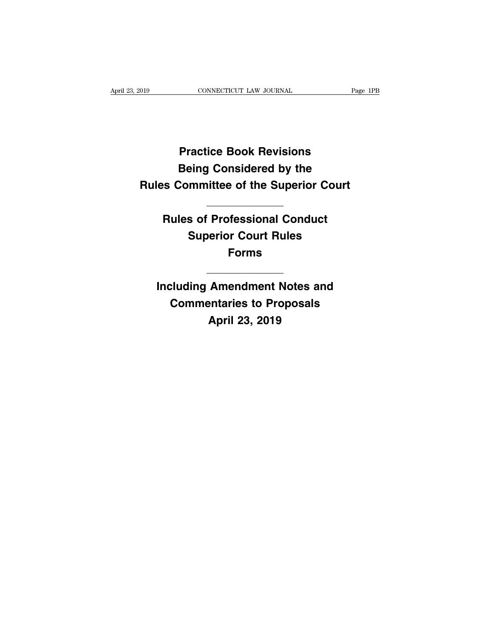**PRACTICUT LAW JOURNAL Page**<br>
Practice Book Revisions<br>
Being Considered by the **BED CONNECTICUT LAW JOURNAL Page**<br> **Being Considered by the<br>
Committee of the Superior Court Practice Book Revisions<br>Being Considered by the<br>Rules Committee of the Superior Court Practice Book Revisions<br>Being Considered by the<br>s Committee of the Superior Court<br>Rules of Professional Conduct<br>Superior Court Rules** Provide Book Hevisions<br>
Superior Court<br>
Superior Court<br>
Superior Court Rules<br>
Rules<br>
Rorms

**Forms INCRED SET OF PROFESSIONAL CONDUCT SUPERIOR FORMS**<br> **Including Amendment Notes and<br>
Commentaries to Proposals** 

**COMMERGE SUPPRESSIONAL CONDUCT<br>
Superior Court Rules<br>
Forms<br>
Commentaries to Proposals<br>
April 23, 2019 Superior Court Rules<br>
Forms<br>
Including Amendment Notes and<br>
Commentaries to Proposals<br>
April 23, 2019**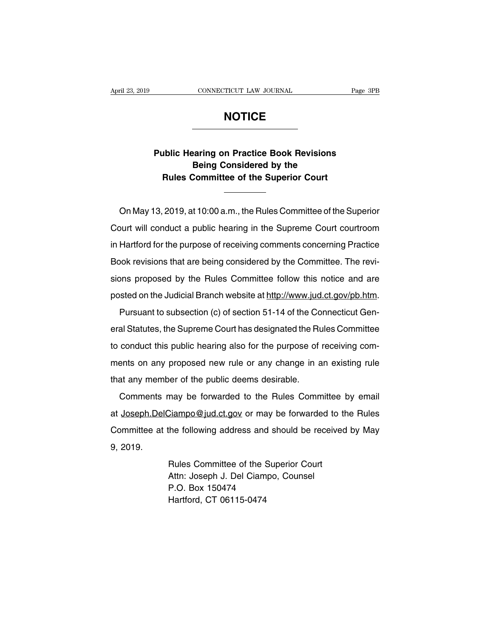## **NOTICE**

## CONNECTICUT LAW JOURNAL Page 3PB<br> **Public Hearing on Practice Book Revisions<br>
Being Considered by the Being Considered by the RULEE**<br>
<u>Rules Committee of the Superior Court</u><br>
<u>Rules Committee of the Superior Court</u>

Public Hearing on Practice Book Revisions<br>
Being Considered by the<br>
Rules Committee of the Superior Court<br>
On May 13, 2019, at 10:00 a.m., the Rules Committee of the Superior<br>
burt will conduct a public hearing in the Supr Being Considered by the<br>
Rules Committee of the Superior Court<br>
Con May 13, 2019, at 10:00 a.m., the Rules Committee of the Superior<br>
Court will conduct a public hearing in the Supreme Court courtroom<br>
in Hartford for the In Hartford for the purpose of receiving comments concerning Practice<br>Book revisions that are being considered by the Committee. The revi-<br>Book revisions that are being considered by the Committee. The revi-On May 13, 2019, at 10:00 a.m., the Rules Committee of the Superior<br>Court will conduct a public hearing in the Supreme Court courtroom<br>in Hartford for the purpose of receiving comments concerning Practice<br>Book revisions th Court will conduct a public hearing in the Supreme Court courtroom<br>in Hartford for the purpose of receiving comments concerning Practice<br>Book revisions that are being considered by the Committee. The revi-<br>sions proposed b positive or the purpose of receiving comments concerning Practice<br>Book revisions that are being considered by the Committee. The revi-<br>sions proposed by the Rules Committee follow this notice and are<br>posted on the Judicial Pursuant of the parpose of recording comments concerning Fractice<br>Dok revisions that are being considered by the Committee. The revi-<br>Dosproposed by the Rules Committee follow this notice and are<br>sted on the Judicial Branc

Book roticlents that are being centrated by the Committee: The revisions proposed by the Rules Committee follow this notice and are posted on the Judicial Branch website at http://www.jud.ct.gov/pb.htm.<br>Pursuant to subsect proposed by the Transe Committee force this holded and are<br>posted on the Judicial Branch website at http://www.jud.ct.gov/pb.htm.<br>Pursuant to subsection (c) of section 51-14 of the Connecticut Gen-<br>eral Statutes, the Supre Pursuant to subsection (c) of section 51-14 of the Connecticut General Statutes, the Supreme Court has designated the Rules Committee to conduct this public hearing also for the purpose of receiving comments on any propose Fustion to subsection (c) of section of the functions and the Ru<br>to conduct this public hearing also for the purpose of<br>ments on any proposed new rule or any change in a<br>that any member of the public deems desirable.<br>Comme conduct this public hearing also for the purpose of receiving com-<br>ents on any proposed new rule or any change in an existing rule<br>at any member of the public deems desirable.<br>Comments may be forwarded to the Rules Committ

at Joseph.DelCiampo@jud.ct.gov or may be forwarded to the Rules Committee by email<br>at Joseph.DelCiampo@jud.ct.gov or may be forwarded to the Rules<br>Committee at the following address and should be received by May that any member of the public deems desirable.<br>Comments may be forwarded to the Rules Committee by email<br>at Joseph.DelCiampo@jud.ct.gov or may be forwarded to the Rules<br>Committee at the following address and should be rece Comments<br>at Joseph.Del<br>Committee at<br>9, 2019. Ciampo@jud.ct.gov or may be forwarded to the following address and should be received<br>the following address and should be received<br>Rules Committee of the Superior Court<br>Attn: Joseph J. Del Ciampo, Counsel Ciampo@jud.ct.gov or may be forwarded the following address and should be receintle<br>Hules Committee of the Superior Court<br>Attn: Joseph J. Del Ciampo, Counsel<br>P.O. Box 150474

the following address and sh<br>Rules Committee of the Sup<br>Attn: Joseph J. Del Ciampo,<br>P.O. Box 150474<br>Hartford, CT 06115-0474 Rules Committee of the S<br>Attn: Joseph J. Del Ciam<br>P.O. Box 150474<br>Hartford, CT 06115-0474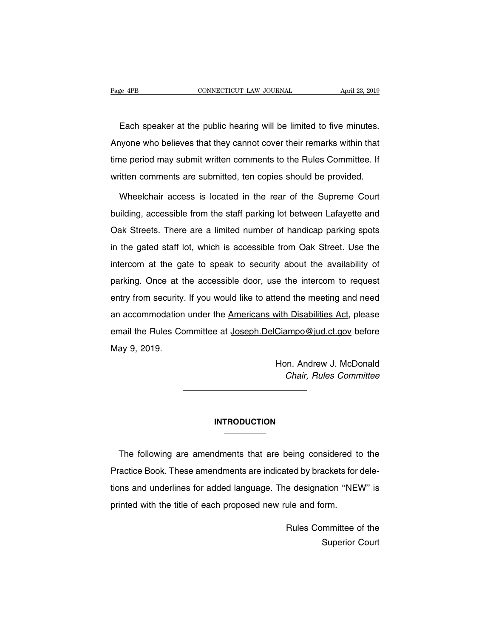Each speaker at the public hearing will be limited to five minutes.<br>
When who believes that they cannot cover their remarks within that Page 4PB CONNECTICUT LAW JOURNAL April 23, 2019<br>Each speaker at the public hearing will be limited to five minutes.<br>Anyone who believes that they cannot cover their remarks within that<br>time period may submit written commen Each speaker at the public hearing will be limited to five minutes.<br>Anyone who believes that they cannot cover their remarks within that<br>time period may submit written comments to the Rules Committee. If<br>written comments a Each speaker at the public hearing will be limited to five minutes.<br>Anyone who believes that they cannot cover their remarks within that<br>time period may submit written comments to the Rules Committee. If<br>written comments a ity where who believes that they cannot cover their remarks within that<br>the period may submit written comments to the Rules Committee. If<br>itten comments are submitted, ten copies should be provided.<br>Wheelchair access is lo

time period may submit written comments to the Rules Committee. If<br>written comments are submitted, ten copies should be provided.<br>Wheelchair access is located in the rear of the Supreme Court<br>building, accessible from the written comments are submitted, ten copies should be provided.<br>Wheelchair access is located in the rear of the Supreme Court<br>building, accessible from the staff parking lot between Lafayette and<br>Oak Streets. There are a li Wheelchair access is located in the rear of the Supreme Court<br>building, accessible from the staff parking lot between Lafayette and<br>Oak Streets. There are a limited number of handicap parking spots<br>in the gated staff lot, building, accessible from the staff parking lot between Lafayette and Oak Streets. There are a limited number of handicap parking spots in the gated staff lot, which is accessible from Oak Street. Use the intercom at the g banding, accessible nont the stan parking for setwoon Eartystic and<br>Oak Streets. There are a limited number of handicap parking spots<br>in the gated staff lot, which is accessible from Oak Street. Use the<br>intercom at the gat entry from security. If you would like to attend the meeting and need an accommodation under the Americans with Disabilities Act, please intercom at the gate to speak to security about the availability of<br>parking. Once at the accessible door, use the intercom to request<br>entry from security. If you would like to attend the meeting and need<br>an accommodation u parking. Once at the accessible door, use the intercom to request<br>entry from security. If you would like to attend the meeting and need<br>an accommodation under the Americans with Disabilities Act, please<br>email the Rules Com parking. Once at the accessible door, use the intercom to request<br>entry from security. If you would like to attend the meeting and need<br>an accommodation under the Americans with Disabilities Act, please<br>email the Rules Com end the meeting and heed<br>with Disabilities Act, please<br>Ciampo@jud.ct.gov before<br>Hon. Andrew J. McDonald<br>*Chair, Rules Committee* n Disabilities Act, please<br>Dimpo@jud.ct.gov before<br>Dimpoment Chair, Rules Committee

### **INTRODUCTION**

INTRODUCTION<br>The following are amendments that are being considered to the<br>actice Book. These amendments are indicated by brackets for dele-INTRODUCTION<br>
The following are amendments that are being considered to the<br>
Practice Book. These amendments are indicated by brackets for dele-<br>
tions and underlines for added language. The designation "NEW" is The following are amendments that are being considered to the<br>Practice Book. These amendments are indicated by brackets for dele-<br>tions and underlines for added language. The designation "NEW" is<br>printed with the title of The following are amendments that are being considered to<br>Practice Book. These amendments are indicated by brackets for<br>tions and underlines for added language. The designation "NEN<br>printed with the title of each proposed ted by brackets for dele-<br>e designation "NEW" is<br>ule and form.<br>Rules Committee of the<br>Superior Court ation "NEW" is<br>prm.<br>mmnittee of the<br>Superior Court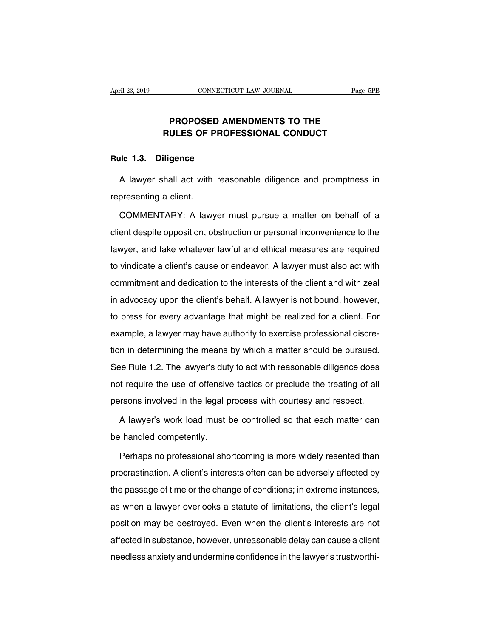# **PAGE CONNECTICUT LAW JOURNAL**<br>
PROPOSED AMENDMENTS TO THE<br>
ULES OF PROFESSIONAL CONDUCT **CONNECTICUT LAW JOURNAL** Page 5P.<br> **PROPOSED AMENDMENTS TO THE<br>
RULES OF PROFESSIONAL CONDUCT PROPOSED AME**<br>**RULES OF PROFE**<br>Rule 1.3. Diligence<br>A lawyer shall act with reaso

PROPOSED AMENDMENTS TO THE<br>RULES OF PROFESSIONAL CONDUCT<br>Ile 1.3. Diligence<br>A lawyer shall act with reasonable diligence and promptness in<br>presenting a client. RULES OF P<br>Rule 1.3. Diligence<br>A lawyer shall act with<br>representing a client.<br>COMMENTARY: A lawy

Ile 1.3. Diligence<br>A lawyer shall act with reasonable diligence and promptness in<br>presenting a client.<br>COMMENTARY: A lawyer must pursue a matter on behalf of a<br>ent despite opposition, obstruction or personal inconvenience A lawyer shall act with reasonable diligence and promptness in<br>representing a client.<br>COMMENTARY: A lawyer must pursue a matter on behalf of a<br>client despite opposition, obstruction or personal inconvenience to the<br>lawyer, representing a client.<br>
COMMENTARY: A lawyer must pursue a matter on behalf of a<br>
client despite opposition, obstruction or personal inconvenience to the<br>
lawyer, and take whatever lawful and ethical measures are required<br> COMMENTARY: A lawyer must pursue a matter on behalf of a<br>client despite opposition, obstruction or personal inconvenience to the<br>lawyer, and take whatever lawful and ethical measures are required<br>to vindicate a client's ca committed and the phosic and matter of boldarion of a<br>client despite opposition, obstruction or personal inconvenience to the<br>lawyer, and take whatever lawful and ethical measures are required<br>to vindicate a client's cause lawyer, and take whatever lawful and ethical measures are required<br>to vindicate a client's cause or endeavor. A lawyer must also act with<br>commitment and dedication to the interests of the client and with zeal<br>in advocacy u to vindicate a client's cause or endeavor. A lawyer must also act with<br>commitment and dedication to the interests of the client and with zeal<br>in advocacy upon the client's behalf. A lawyer is not bound, however,<br>to press f example, a lawyer may have authority to exercise professional discretion in determining the means by which a matter should be pursued.<br>
Here  $\alpha$  alawyer may have authority to exercise professional discretion in determinin in advocacy upon the client's behalf. A lawyer is not bound, however,<br>to press for every advantage that might be realized for a client. For<br>example, a lawyer may have authority to exercise professional discre-<br>tion in dete In davecally applit the energy advantage that might be realized for a client. For<br>example, a lawyer may have authority to exercise professional discre-<br>tion in determining the means by which a matter should be pursued.<br>See example, a lawyer may have authority to exercise professional discretion in determining the means by which a matter should be pursued.<br>See Rule 1.2. The lawyer's duty to act with reasonable diligence does not require the u becample, a lawyer may have damonly to exclude protectional disorder<br>tion in determining the means by which a matter should be pursued.<br>See Rule 1.2. The lawyer's duty to act with reasonable diligence does<br>not require the He Rule 1.2. The lawyer's duty to act with reasonable diligence does<br>t require the use of offensive tactics or preclude the treating of all<br>rsons involved in the legal process with courtesy and respect.<br>A lawyer's work loa not require the use of offensiv<br>persons involved in the legal p<br>A lawyer's work load must l<br>be handled competently.<br>Perhaps no professional sho

Perhaps involved in the legal process with courtesy and respect.<br>
A lawyer's work load must be controlled so that each matter can<br>
Perhaps no professional shortcoming is more widely resented than<br>
porastination. A client's A lawyer's work load must be controlled so that each matter can<br>be handled competently.<br>Perhaps no professional shortcoming is more widely resented than<br>procrastination. A client's interests often can be adversely affected the handled competently.<br>
Perhaps no professional shortcoming is more widely resented than<br>
procrastination. A client's interests often can be adversely affected by<br>
the passage of time or the change of conditions; in extr Perhaps no professional shortcoming is more widely resented than<br>procrastination. A client's interests often can be adversely affected by<br>the passage of time or the change of conditions; in extreme instances,<br>as when a law procrastination. A client's interests often can be adversely affected by<br>the passage of time or the change of conditions; in extreme instances,<br>as when a lawyer overlooks a statute of limitations, the client's legal<br>positi the passage of time or the change of conditions; in extreme instances, as when a lawyer overlooks a statute of limitations, the client's legal position may be destroyed. Even when the client's interests are not affected in and passage of and or and shange or conditions, in extreme instances, as when a lawyer overlooks a statute of limitations, the client's legal position may be destroyed. Even when the client's interests are not affected in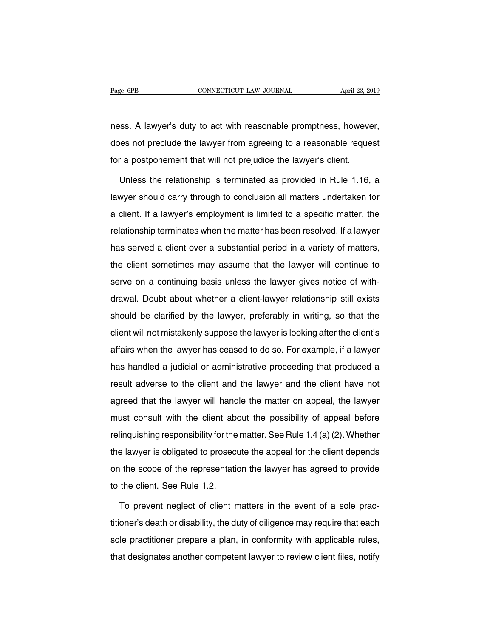Page 6PB<br>
CONNECTICUT LAW JOURNAL<br>
ness. A lawyer's duty to act with reasonable promptness, however,<br>
does not preclude the lawyer from agreeing to a reasonable request Page 6PB CONNECTICUT LAW JOURNAL April 23, 2019<br>ness. A lawyer's duty to act with reasonable promptness, however,<br>does not preclude the lawyer from agreeing to a reasonable request<br>for a postponement that will not prejudic For a postponement that will not prejudice the lawyer's client.<br>The same does not preclude the lawyer from agreeing to a reasonable reque<br>for a postponement that will not prejudice the lawyer's client.<br>Unless the relations Soless. A lawyer's duty to act with reasonable promptness, however,<br>the relationship is terminated as provided in Rule 1.16, a<br>Unless the relationship is terminated as provided in Rule 1.16, a<br>wyer should carry through to

does not preclude the lawyer from agreeing to a reasonable request<br>for a postponement that will not prejudice the lawyer's client.<br>Unless the relationship is terminated as provided in Rule 1.16, a<br>lawyer should carry throu for a postponement that will not prejudice the lawyer's client.<br>Unless the relationship is terminated as provided in Rule 1.16, a<br>lawyer should carry through to conclusion all matters undertaken for<br>a client. If a lawyer's Unless the relationship is terminated as provided in Rule 1.16, a<br>lawyer should carry through to conclusion all matters undertaken for<br>a client. If a lawyer's employment is limited to a specific matter, the<br>relationship te lawyer should carry through to conclusion all matters undertaken for<br>a client. If a lawyer's employment is limited to a specific matter, the<br>relationship terminates when the matter has been resolved. If a lawyer<br>has served a client. If a lawyer's employment is limited to a specific matter, the relationship terminates when the matter has been resolved. If a lawyer has served a client over a substantial period in a variety of matters, the clie a client. If a lawyer's employment is limited to a specific matter, the relationship terminates when the matter has been resolved. If a lawyer has served a client over a substantial period in a variety of matters, the clie drawal. Doubt about when the matter has secult context and any of<br>thas served a client over a substantial period in a variety of matters,<br>the client-sometimes may assume that the lawyer will continue to<br>serve on a continui should be client sometimes may assume that the lawyer will continue to<br>serve on a continuing basis unless the lawyer gives notice of with-<br>drawal. Doubt about whether a client-lawyer relationship still exists<br>should be cla client will not a continuing basis unless the lawyer gives notice of with-<br>drawal. Doubt about whether a client-lawyer relationship still exists<br>should be clarified by the lawyer, preferably in writing, so that the<br>client drawal. Doubt about whether a client-lawyer relationship still exists<br>should be clarified by the lawyer, preferably in writing, so that the<br>client will not mistakenly suppose the lawyer is looking after the client's<br>affair should be clarified by the lawyer, preferably in writing, so that the client will not mistakenly suppose the lawyer is looking after the client's affairs when the lawyer has ceased to do so. For example, if a lawyer has ha client will not mistakenly suppose the lawyer is looking after the client's<br>affairs when the lawyer has ceased to do so. For example, if a lawyer<br>has handled a judicial or administrative proceeding that produced a<br>result a affairs when the lawyer has ceased to do so. For example, if a lawyer<br>has handled a judicial or administrative proceeding that produced a<br>result adverse to the client and the lawyer and the client have not<br>agreed that the must consult adverse to the client and the lawyer and the client have not<br>result adverse to the client and the lawyer and the client have not<br>agreed that the lawyer will handle the matter on appeal, the lawyer<br>must consult result adverse to the client and the lawyer and the client have not<br>agreed that the lawyer will handle the matter on appeal, the lawyer<br>must consult with the client about the possibility of appeal before<br>relinquishing resp agreed that the lawyer will handle the matter on appeal, the lawyer<br>must consult with the client about the possibility of appeal before<br>relinquishing responsibility for the matter. See Rule 1.4 (a) (2). Whether<br>the lawyer agreed that the lawyer thin handle the matter on appeal, the lawyer<br>must consult with the client about the possibility of appeal before<br>relinquishing responsibility for the matter. See Rule 1.4 (a) (2). Whether<br>the lawyer relinquishing responsibility for the<br>the lawyer is obligated to prosect<br>on the scope of the representation<br>to the client. See Rule 1.2.<br>To prevent neglect of client n Exercise is obligated to prosecute the appeal for the client depends<br>the scope of the representation the lawyer has agreed to provide<br>the client. See Rule 1.2.<br>To prevent neglect of client matters in the event of a sole pr

to the scope of the representation the lawyer has agreed to provide<br>to the client. See Rule 1.2.<br>To prevent neglect of client matters in the event of a sole prac-<br>titioner's death or disability, the duty of diligence may r to the client. See Rule 1.2.<br>To prevent neglect of client matters in the event of a sole prac-<br>titioner's death or disability, the duty of diligence may require that each<br>sole practitioner prepare a plan, in conformity wit To prevent neglect of client matters in the event of a sole practitioner's death or disability, the duty of diligence may require that each sole practitioner prepare a plan, in conformity with applicable rules, that design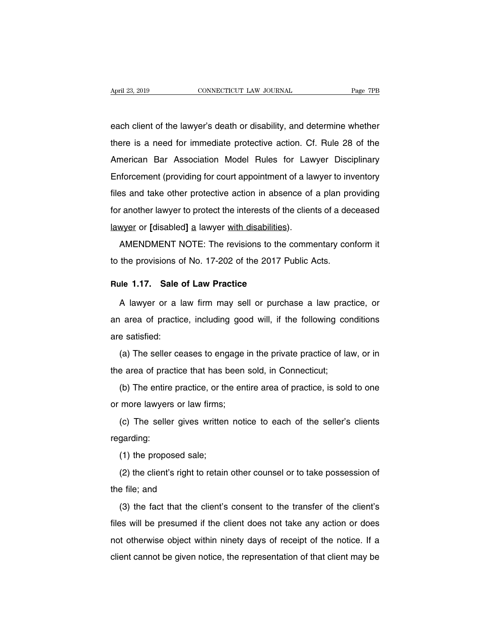April 23, 2019 CONNECTICUT LAW JOURNAL Page 7PB<br>each client of the lawyer's death or disability, and determine whether<br>there is a need for immediate protective action. Cf. Rule 28 of the April 23, 2019 CONNECTICUT LAW JOURNAL Page 7PB<br>each client of the lawyer's death or disability, and determine whether<br>there is a need for immediate protective action. Cf. Rule 28 of the<br>American Bar Association Model Rule each client of the lawyer's death or disability, and determine whether<br>there is a need for immediate protective action. Cf. Rule 28 of the<br>American Bar Association Model Rules for Lawyer Disciplinary<br>Enforcement (providing each client of the lawyer's death or disability, and determine whether<br>there is a need for immediate protective action. Cf. Rule 28 of the<br>American Bar Association Model Rules for Lawyer Disciplinary<br>Enforcement (providing files and take of immediate protective action. Cf. Rule 28 of the<br>American Bar Association Model Rules for Lawyer Disciplinary<br>Enforcement (providing for court appointment of a lawyer to inventory<br>files and take other prot American Bar Association Model Rules for Lawyer Disciplinary<br>Enforcement (providing for court appointment of a lawyer to inventory<br>files and take other protective action in absence of a plan providing<br>for another lawyer to Enforcement (providing for court appointment of a law<br>files and take other protective action in absence of<br>for another lawyer to protect the interests of the clien<br>lawyer or [disabled] a lawyer with disabilities).<br>AMENDMEN AMENDMENT NOTE: The revisions to the commentary conform it<br>the protective action in absence of a plan providing<br>the clients of a deceased<br>ayer or [disabled] a lawyer with disabilities).<br>AMENDMENT NOTE: The revisions to the tor another lawyer to protect the interests of the clients of a declarity for another lawyer to protect the interests of the clients of a declarity or [disabled] a lawyer with disabilities).<br>AMENDMENT NOTE: The revisions t

**Rudden I all as a lawyer with disabilities**).<br> **AMENDMENT NOTE:** The revisions to the conto the provisions of No. 17-202 of the 2017 Propose 1.17. Sale of Law Practice<br>
A lawyer or a law firm may sell or purcha

AMENDMENT NOTE: The revisions to the commentary conform it<br>the provisions of No. 17-202 of the 2017 Public Acts.<br>**Ile 1.17. Sale of Law Practice**<br>A lawyer or a law firm may sell or purchase a law practice, or<br>area of pract to the provisions of No. 17-202 of the 2017 Public Acts.<br> **Rule 1.17. Sale of Law Practice**<br>
A lawyer or a law firm may sell or purchase a law practice, or<br>
an area of practice, including good will, if the following condit **Rule 1.17. Sale (**<br>A lawyer or a la<br>an area of practic<br>are satisfied:<br>(a) The seller ce A lawyer or a law firm may sell or purchase a law practice, or<br>area of practice, including good will, if the following conditions<br>e satisfied:<br>(a) The seller ceases to engage in the private practice of law, or in<br>e area of The area of practice, including good will, if the following correlation area of practice, including good will, if the following correlations are satisfied:<br>
(a) The seller ceases to engage in the private practice of lathe

(a) The seller ceases to engage in the private practice of law, or in<br>e area of practice that has been sold, in Connecticut;<br>(b) The entire practice, or the entire area of practice, is sold to one<br>more lawyers or law firms (a) The seller ceases to engage if<br>the area of practice that has been<br>(b) The entire practice, or the enti<br>or more lawyers or law firms;<br>(c) The seller gives written noti

(c) The seller gives written notice to each of the seller's clients<br>(b) The entire practice, or the entire area of practice, is sold to one<br>more lawyers or law firms;<br>(c) The seller gives written notice to each of the sell regarding: (c) the share practice, or all<br>more lawyers or law firms;<br>(c) The seller gives written<br>garding:<br>(1) the proposed sale;<br>(2) the client's right to retain

(c) The seller gives written notice to each of the seller's clients<br>garding:<br>(1) the proposed sale;<br>(2) the client's right to retain other counsel or to take possession of<br>e file; and regarding:<br>
(1) the proposed sale<br>
(2) the client's right to<br>
the file; and<br>
(3) the fact that the

(1) the proposed sale;<br>
(2) the client's right to retain other counsel or to take possession of<br>  $e$  file; and<br>
(3) the fact that the client's consent to the transfer of the client's<br>  $e$ s will be presumed if the client d (2) the client's right to retain other counsel or to take possession of<br>the file; and<br>(3) the fact that the client's consent to the transfer of the client's<br>files will be presumed if the client does not take any action or (a) the fact that the client's consent to the transfer of the client's<br>files will be presumed if the client does not take any action or does<br>not otherwise object within ninety days of receipt of the notice. If a<br>client can (3) the fact that the client's consent to the transfer of the client's files will be presumed if the client does not take any action or does not otherwise object within ninety days of receipt of the notice. If a client can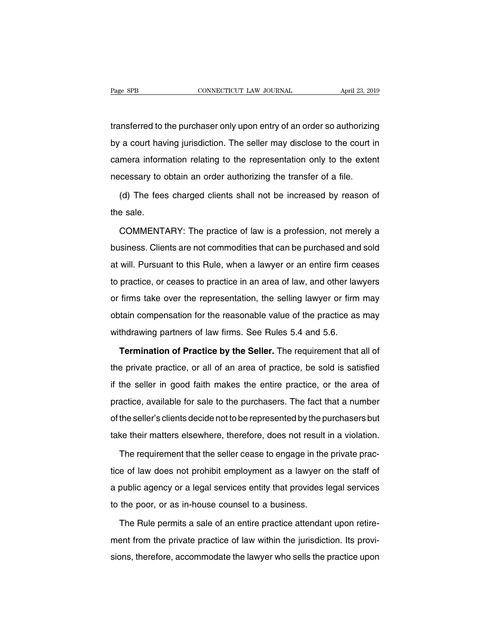The SPB<br>transferred to the purchaser only upon entry of an order so authorizing<br>by a court having jurisdiction. The seller may disclose to the court in Page 8PB CONNECTICUT LAW JOURNAL April 23, 2019<br>transferred to the purchaser only upon entry of an order so authorizing<br>by a court having jurisdiction. The seller may disclose to the court in<br>camera information relating to transferred to the purchaser only upon entry of an order so authorizing<br>by a court having jurisdiction. The seller may disclose to the court in<br>camera information relating to the representation only to the extent<br>necessary transferred to the purchaser only upon entry of an order so authorizing<br>by a court having jurisdiction. The seller may disclose to the court in<br>camera information relating to the representation only to the extent<br>necessary (a) court having jurisdiction. The seller may disclose to the court in<br>mera information relating to the representation only to the extent<br>cessary to obtain an order authorizing the transfer of a file.<br>(d) The fees charged camera inform<br>necessary to d<br>(d) The fees<br>the sale.<br>COMMENT

cessary to obtain an order authorizing the transfer of a file.<br>
(d) The fees charged clients shall not be increased by reason of<br>
e sale.<br>
COMMENTARY: The practice of law is a profession, not merely a<br>
siness. Clients are (d) The fees charged clients shall not be increased by reason of<br>the sale.<br>COMMENTARY: The practice of law is a profession, not merely a<br>business. Clients are not commodities that can be purchased and sold<br>at will. Pursuan the sale.<br>
COMMENTARY: The practice of law is a profession, not merely a<br>
business. Clients are not commodities that can be purchased and sold<br>
at will. Pursuant to this Rule, when a lawyer or an entire firm ceases<br>
to pra COMMENTARY: The practice of law is a profession, not merely a<br>business. Clients are not commodities that can be purchased and sold<br>at will. Pursuant to this Rule, when a lawyer or an entire firm ceases<br>to practice, or ceas business. Clients are not commodities that can be purchased and sold<br>at will. Pursuant to this Rule, when a lawyer or an entire firm ceases<br>to practice, or ceases to practice in an area of law, and other lawyers<br>or firms t at will. Pursuant to this Rule, when a lawyer or an entire firm ceases<br>to practice, or ceases to practice in an area of law, and other lawyers<br>or firms take over the representation, the selling lawyer or firm may<br>obtain co at will a distant to this riale, when a lawyer or an entire limit of<br>to practice, or ceases to practice in an area of law, and other lav<br>or firms take over the representation, the selling lawyer or firm<br>obtain compensation firms take over the representation, the selling lawyer or firm may<br>tain compensation for the reasonable value of the practice as may<br>thdrawing partners of law firms. See Rules 5.4 and 5.6.<br>**Termination of Practice by the S** 

obtain compensation for the reasonable value of the practice as may<br>withdrawing partners of law firms. See Rules 5.4 and 5.6.<br>**Termination of Practice by the Seller.** The requirement that all of<br>the private practice, or al withdrawing partners of law firms. See Rules 5.4 and 5.6.<br> **Termination of Practice by the Seller.** The requirement that all of<br>
the private practice, or all of an area of practice, be sold is satisfied<br>
if the seller in g **Termination of Practice by the Seller.** The requirement that all of the private practice, or all of an area of practice, be sold is satisfied if the seller in good faith makes the entire practice, or the area of practice, The private practice, or all of an area of practice, be sold is satisfied<br>if the seller in good faith makes the entire practice, or the area of<br>practice, available for sale to the purchasers. The fact that a number<br>of the If the seller in good faith makes the entire practice, or the area of practice, available for sale to the purchasers. The fact that a number of the seller's clients decide not to be represented by the purchasers but take t actice, available for sale to the purchasers. The fact that a number<br>the seller's clients decide not to be represented by the purchasers but<br>ke their matters elsewhere, therefore, does not result in a violation.<br>The requir

of the seller's clients decide not to be represented by the purchasers but<br>take their matters elsewhere, therefore, does not result in a violation.<br>The requirement that the seller cease to engage in the private prac-<br>tice take their matters elsewhere, therefore, does not result in a violation.<br>The requirement that the seller cease to engage in the private prac-<br>tice of law does not prohibit employment as a lawyer on the staff of<br>a public ag The requirement that the seller cease to engage in the<br>tice of law does not prohibit employment as a lawyer or<br>a public agency or a legal services entity that provides le<br>to the poor, or as in-house counsel to a business.<br> The Rule permits a sale of an entire practice attendant upon retire-<br>The Rule permits a sale of an entire practice attendant upon retire-<br>The Rule permits a sale of an entire practice attendant upon retire-<br>ent from the pr

ment from the private practices entity that provides legal services<br>to the poor, or as in-house counsel to a business.<br>The Rule permits a sale of an entire practice attendant upon retire-<br>ment from the private practice of to the poor, or as in-house counsel to a business.<br>The Rule permits a sale of an entire practice attendant upon retire-<br>ment from the private practice of law within the jurisdiction. Its provi-<br>sions, therefore, accommodat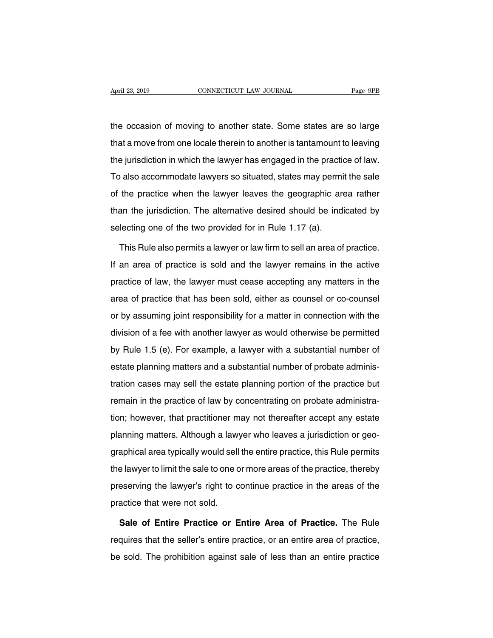April 23, 2019 CONNECTICUT LAW JOURNAL Page 9PB<br>the occasion of moving to another state. Some states are so large<br>that a move from one locale therein to another is tantamount to leaving April 23, 2019 CONNECTICUT LAW JOURNAL Page 9PB<br>the occasion of moving to another state. Some states are so large<br>that a move from one locale therein to another is tantamount to leaving<br>the jurisdiction in which the lawyer the occasion of moving to another state. Some states are so large<br>that a move from one locale therein to another is tantamount to leaving<br>the jurisdiction in which the lawyer has engaged in the practice of law.<br>To also acc the occasion of moving to another state. Some states are so large<br>that a move from one locale therein to another is tantamount to leaving<br>the jurisdiction in which the lawyer has engaged in the practice of law.<br>To also acc that a move from one locale therein to another is tantamount to leaving<br>the jurisdiction in which the lawyer has engaged in the practice of law.<br>To also accommodate lawyers so situated, states may permit the sale<br>of the pr the jurisdiction in which the lawyer has engaged in the practice of law.<br>To also accommodate lawyers so situated, states may permit the sale<br>of the practice when the lawyer leaves the geographic area rather<br>than the jurisd the jurisdiction in which the lawyer has engaged in the practice of law.<br>To also accommodate lawyers so situated, states may permit the sale<br>of the practice when the lawyer leaves the geographic area rather<br>than the jurisd the practice when the lawyer leaves the geographic area rather<br>an the jurisdiction. The alternative desired should be indicated by<br>lecting one of the two provided for in Rule 1.17 (a).<br>This Rule also permits a lawyer or la

It an the jurisdiction. The alternative desired should be indicated by<br>selecting one of the two provided for in Rule 1.17 (a).<br>This Rule also permits a lawyer or law firm to sell an area of practice.<br>If an area of practice selecting one of the two provided for in Rule 1.17 (a).<br>This Rule also permits a lawyer or law firm to sell an area of practice.<br>If an area of practice is sold and the lawyer remains in the active<br>practice of law, the lawy This Rule also permits a lawyer or law firm to sell an area of practice.<br>If an area of practice is sold and the lawyer remains in the active<br>practice of law, the lawyer must cease accepting any matters in the<br>area of pract If an area of practice is sold and the lawyer remains in the active<br>practice of law, the lawyer must cease accepting any matters in the<br>area of practice that has been sold, either as counsel or co-counsel<br>or by assuming jo man area or prasses to sold and the tanyor remains in the astic practice of law, the lawyer must cease accepting any matters in the area of practice that has been sold, either as counsel or co-counsel or by assuming joint by a state of ranks and state in the division of a fee with another lawyer as counsel or co-counsel<br>or by assuming joint responsibility for a matter in connection with the<br>division of a fee with another lawyer as would oth estate planning joint responsibility for a matter in connection with the division of a fee with another lawyer as would otherwise be permitted by Rule 1.5 (e). For example, a lawyer with a substantial number of estate plan division of a fee with another lawyer as would otherwise be permitted<br>by Rule 1.5 (e). For example, a lawyer with a substantial number of<br>estate planning matters and a substantial number of probate adminis-<br>tration cases m by Rule 1.5 (e). For example, a lawyer with a substantial number of estate planning matters and a substantial number of probate administration cases may sell the estate planning portion of the practice but remain in the pr the first content and a substantial number of probate administration cases may sell the estate planning portion of the practice but<br>remain in the practice of law by concentrating on probate administration; however, that pr planning matters and a substantial namber of probate daministration cases may sell the estate planning portion of the practice but remain in the practice of law by concentrating on probate administration; however, that pra remain in the practice of law by concentrating on probate administration; however, that practitioner may not thereafter accept any estate planning matters. Although a lawyer who leaves a jurisdiction or geographical area t tion; however, that practitioner may not thereafter accept any estate<br>planning matters. Although a lawyer who leaves a jurisdiction or geo-<br>graphical area typically would sell the entire practice, this Rule permits<br>the law planning matters. Although a lawyer who leaves a jurisdiction or geographical area typically would sell the entire practice, this Rule permits the lawyer to limit the sale to one or more areas of the practice, thereby pres praming matters manuscry and tangular<br>graphical area typically would sell<br>the lawyer to limit the sale to one c<br>preserving the lawyer's right to c<br>practice that were not sold.<br>Sale of Entire Practice or E Exercise to limit the sale to one or more areas of the practice, thereby<br>eserving the lawyer's right to continue practice in the areas of the<br>actice that were not sold.<br>**Sale of Entire Practice or Entire Area of Practice.** 

preserving the lawyer's right to continue practice in the areas of the<br>practice that were not sold.<br>Sale of Entire Practice or Entire Area of Practice. The Rule<br>requires that the seller's entire practice, or an entire area practice that were not sold.<br> **Sale of Entire Practice or Entire Area of Practice.** The Rule<br>
requires that the seller's entire practice, or an entire area of practice,<br>
be sold. The prohibition against sale of less than a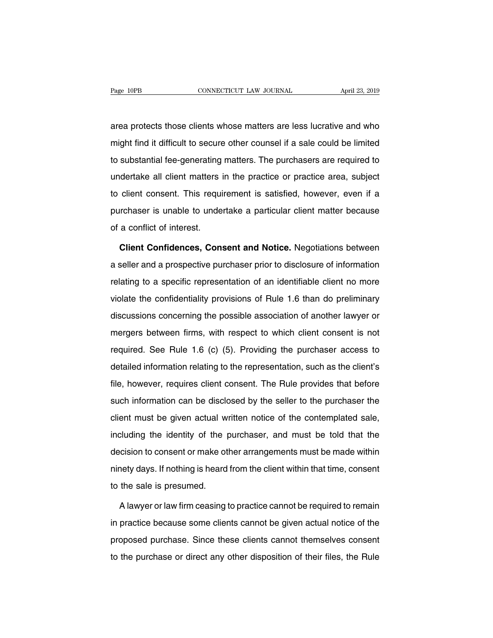Page 10PB CONNECTICUT LAW JOURNAL April 23, 2019<br>area protects those clients whose matters are less lucrative and who<br>might find it difficult to secure other counsel if a sale could be limited make 10PB connecticut taw Journal april 23, 2019<br>area protects those clients whose matters are less lucrative and who<br>might find it difficult to secure other counsel if a sale could be limited<br>to substantial fee-generating area protects those clients whose matters are less lucrative and who<br>might find it difficult to secure other counsel if a sale could be limited<br>to substantial fee-generating matters. The purchasers are required to<br>undertak area protects those clients whose matters are less lucrative and who<br>might find it difficult to secure other counsel if a sale could be limited<br>to substantial fee-generating matters. The purchasers are required to<br>undertak might find it difficult to secure other counsel if a sale could be limited<br>to substantial fee-generating matters. The purchasers are required to<br>undertake all client matters in the practice or practice area, subject<br>to cli purchaser is unable to essent of the purchasers are required to undertake all client matters in the practice or practice area, subject to client consent. This requirement is satisfied, however, even if a purchaser is unabl to substantial fee-generating matters. The purchasers are required to undertake all client matters in the practice or practice area, subject to client consent. This requirement is satisfied, however, even if a purchaser is client consent. This requirement is satisfied, however, even if a<br>probaser is unable to undertake a particular client matter because<br>a conflict of interest.<br>**Client Confidences, Consent and Notice.** Negotiations between<br>se

purchaser is unable to undertake a particular client matter because<br>of a conflict of interest.<br>**Client Confidences, Consent and Notice.** Negotiations between<br>a seller and a prospective purchaser prior to disclosure of info of a conflict of interest.<br> **Client Confidences, Consent and Notice.** Negotiations between<br>
a seller and a prospective purchaser prior to disclosure of information<br>
relating to a specific representation of an identifiable **Client Confidences, Consent and Notice.** Negotiations between a seller and a prospective purchaser prior to disclosure of information relating to a specific representation of an identifiable client no more violate the con a seller and a prospective purchaser prior to disclosure of information<br>relating to a specific representation of an identifiable client no more<br>violate the confidentiality provisions of Rule 1.6 than do preliminary<br>discuss mergers between firms, with respect to which client on more violate the confidentiality provisions of Rule 1.6 than do preliminary discussions concerning the possible association of another lawyer or mergers between firms, relating to a option representation of an identifiable energy violate the confidentiality provisions of Rule 1.6 (c) and the lawyer or mergers between firms, with respect to which client consent is not required. See Rule 1 discussions concerning the possible association of another lawyer or<br>mergers between firms, with respect to which client consent is not<br>required. See Rule 1.6 (c) (5). Providing the purchaser access to<br>detailed information file, however, requires client consent. The Rule provides the client consent is not<br>required. See Rule 1.6 (c) (5). Providing the purchaser access to<br>detailed information relating to the representation, such as the client' required. See Rule 1.6 (c) (5). Providing the purchaser access to<br>detailed information relating to the representation, such as the client's<br>file, however, requires client consent. The Rule provides that before<br>such informa detailed information relating to the representation, such as the client's<br>file, however, requires client consent. The Rule provides that before<br>such information can be disclosed by the seller to the purchaser the<br>client mu file, however, requires client consent. The Rule provides that before<br>such information can be disclosed by the seller to the purchaser the<br>client must be given actual written notice of the contemplated sale,<br>including the and information can be disclosed by the seller to the purchaser the client must be given actual written notice of the contemplated sale, including the identity of the purchaser, and must be told that the decision to consen easth information can be disclosed by the seller to the purchaser the<br>client must be given actual written notice of the contemplated sale,<br>including the identity of the purchaser, and must be told that the<br>decision to cons including the identity of the precision to consent or make of<br>ninety days. If nothing is heard<br>to the sale is presumed.<br>A lawver or law firm ceasing rety days. If nothing is heard from the client within that time, consent<br>the sale is presumed.<br>A lawyer or law firm ceasing to practice cannot be required to remain<br>practice because some clients cannot be given actual noti

minety days. If nothing is heard from the client within that time, consent<br>to the sale is presumed.<br>A lawyer or law firm ceasing to practice cannot be required to remain<br>in practice because some clients cannot be given act to the sale is presumed.<br>A lawyer or law firm ceasing to practice cannot be required to remain<br>in practice because some clients cannot be given actual notice of the<br>proposed purchase. Since these clients cannot themselves A lawyer or law firm ceasing to practice cannot be required to remain<br>in practice because some clients cannot be given actual notice of the<br>proposed purchase. Since these clients cannot themselves consent<br>to the purchase o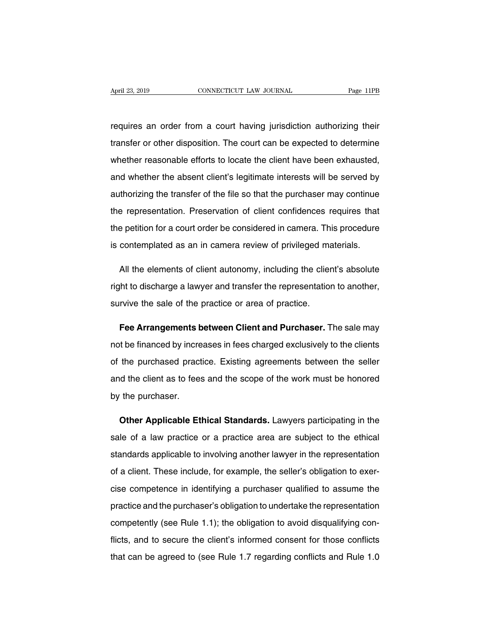April 23, 2019 CONNECTICUT LAW JOURNAL Page 11PB<br>requires an order from a court having jurisdiction authorizing their<br>transfer or other disposition. The court can be expected to determine April 23, 2019 CONNECTICUT LAW JOURNAL Page 11PB<br>requires an order from a court having jurisdiction authorizing their<br>transfer or other disposition. The court can be expected to determine<br>whether reasonable efforts to loca requires an order from a court having jurisdiction authorizing their<br>transfer or other disposition. The court can be expected to determine<br>whether reasonable efforts to locate the client have been exhausted,<br>and whether th requires an order from a court having jurisdiction authorizing their<br>transfer or other disposition. The court can be expected to determine<br>whether reasonable efforts to locate the client have been exhausted,<br>and whether th transfer or other disposition. The court can be expected to determine<br>whether reasonable efforts to locate the client have been exhausted,<br>and whether the absent client's legitimate interests will be served by<br>authorizing the representation. Preservation of client confidences requires that the representation. Preservation of client confidences requires that the pertition for a court order be considered in camera. This procedure and whether the absent client's legitimate interests will be served by<br>authorizing the transfer of the file so that the purchaser may continue<br>the representation. Preservation of client confidences requires that<br>the petiti and meaner are assemble to begin and increase that so correct sy<br>authorizing the transfer of the file so that the purchaser may continue<br>the representation. Preservation of client confidences requires that<br>the petition for Experientation. Preservation of client confidences requires that<br>
a petition for a court order be considered in camera. This procedure<br>
contemplated as an in camera review of privileged materials.<br>
All the elements of clie

the petition for a court order be considered in camera. This procedure<br>is contemplated as an in camera review of privileged materials.<br>All the elements of client autonomy, including the client's absolute<br>right to discharge is contemplated as an in camera review of privileged mandlel and the elements of client autonomy, including the client right to discharge a lawyer and transfer the representation survive the sale of the practice or area of All the elements of client autonomy, including the client's absolute<br>ht to discharge a lawyer and transfer the representation to another,<br>rvive the sale of the practice or area of practice.<br>**Fee Arrangements between Client** 

mother, the sale of the practice or area of practice.<br> **Fee Arrangements between Client and Purchaser.** The sale may<br>
not be financed by increases in fees charged exclusively to the clients<br>
of the purchased practice. Exis survive the sale of the practice or area of practice.<br>
Fee Arrangements between Client and Purchaser. The sale may<br>
not be financed by increases in fees charged exclusively to the clients<br>
of the purchased practice. Existi Fee Arrangements between Client and Purchaser. The sale may<br>not be financed by increases in fees charged exclusively to the clients<br>of the purchased practice. Existing agreements between the seller<br>and the client as to fee Fee Arrangements between Client and Purchaser. The sale may<br>not be financed by increases in fees charged exclusively to the clients<br>of the purchased practice. Existing agreements between the seller<br>and the client as to fee the purchased practice. Existing agreements between the seller<br>
d the client as to fees and the scope of the work must be honored<br>
the purchaser.<br> **Other Applicable Ethical Standards.** Lawyers participating in the<br>
le of a

and the client as to fees and the scope of the work must be honored<br>by the purchaser.<br>**Other Applicable Ethical Standards.** Lawyers participating in the<br>sale of a law practice or a practice area are subject to the ethical<br> by the purchaser.<br> **Other Applicable Ethical Standards.** Lawyers participating in the<br>
sale of a law practice or a practice area are subject to the ethical<br>
standards applicable to involving another lawyer in the represent Other Applicable Ethical Standards. Lawyers participating in the sale of a law practice or a practice area are subject to the ethical standards applicable to involving another lawyer in the representation of a client. Thes sale of a law practice or a practice area are subject to the ethical<br>standards applicable to involving another lawyer in the representation<br>of a client. These include, for example, the seller's obligation to exer-<br>cise com practice and the practice of a practice and and case years to the candates standards applicable to involving another lawyer in the representation of a client. These include, for example, the seller's obligation to exercise of a client. These include, for example, the seller's obligation to exercise competence in identifying a purchaser qualified to assume the practice and the purchaser's obligation to undertake the representation competently Fra ensum three instates, the shall post of example considered consent for the practice and the purchaser's obligation to undertake the representation competently (see Rule 1.1); the obligation to avoid disqualifying confl practice and the purchaser's obligation to undertake the representation<br>competently (see Rule 1.1); the obligation to avoid disqualifying conflicts, and to secure the client's informed consent for those conflicts<br>that can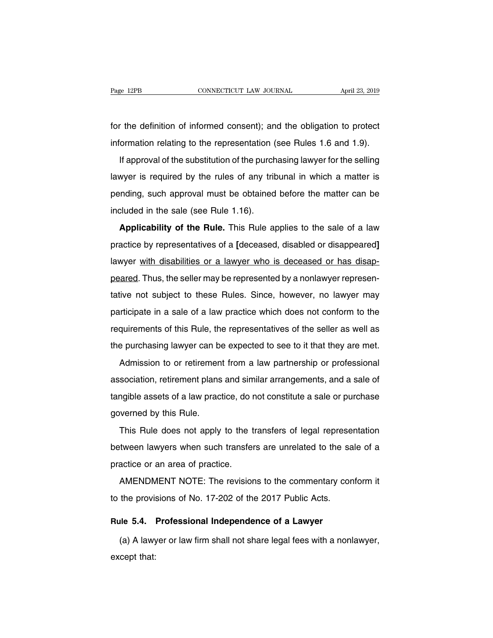Fage 12PB<br>
CONNECTICUT LAW JOURNAL<br>
for the definition of informed consent); and the obligation to protect<br>
information relating to the representation (see Rules 1.6 and 1.9). Fage 12PB CONNECTICUT LAW JOURNAL April 23, 2019<br>for the definition of informed consent); and the obligation to protect<br>information relating to the representation (see Rules 1.6 and 1.9).<br>If approval of the substitution of

If the definition of informed consent); and the obligation to protect<br>
If approval of the substitution of the purchasing lawyer for the selling<br>
If approval of the substitution of the purchasing lawyer for the selling<br>
If for the definition of informed consent); and the obligation to protect<br>information relating to the representation (see Rules 1.6 and 1.9).<br>If approval of the substitution of the purchasing lawyer for the selling<br>lawyer is information relating to the representation (see Rules 1.6 and 1.9).<br>If approval of the substitution of the purchasing lawyer for the selling<br>lawyer is required by the rules of any tribunal in which a matter is<br>pending, suc information relating to the representation (see Rules 1.6 and 1.9).<br>If approval of the substitution of the purchasing lawyer for the selling<br>lawyer is required by the rules of any tribunal in which a matter is<br>pending, suc *A* Application and by the rules of any tribunal in which a matter is ending, such approval must be obtained before the matter can be cluded in the sale (see Rule 1.16).<br>**Applicability of the Rule.** This Rule applies to th

pending, such approval must be obtained before the matter can be included in the sale (see Rule 1.16).<br>**Applicability of the Rule.** This Rule applies to the sale of a law practice by representatives of a [deceased, disable included in the sale (see Rule 1.16).<br> **Applicability of the Rule.** This Rule applies to the sale of a law<br>
practice by representatives of a [deceased, disabled or disappeared]<br>
lawyer with disabilities or a lawyer who is Applicability of the Rule. This Rule applies to the sale of a law<br>practice by representatives of a [deceased, disabled or disappeared]<br>lawyer <u>with disabilities or a lawyer who is deceased or has disap-<br>peared</u>. Thus, the repriction by representatives of a [deceased, disabled or disappeared]<br>lawyer with disabilities or a lawyer who is deceased or has disap-<br>peared. Thus, the seller may be represented by a nonlawyer represen-<br>tative not subj participate in a sale of a lawyer who is deceased or has disap-<br>peared. Thus, the seller may be represented by a nonlawyer represen-<br>tative not subject to these Rules. Since, however, no lawyer may<br>participate in a sale of peared. Thus, the seller may be represented by a nonlawyer representative not subject to these Rules. Since, however, no lawyer may participate in a sale of a law practice which does not conform to the requirements of this tative not subject to these Rules. Since, however, no lawyer may participate in a sale of a law practice which does not conform to the requirements of this Rule, the representatives of the seller as well as the purchasing Admission to an exploration to differ the seller, increasing the interest ratios. The can be solved in the seller as well as<br>a purchasing lawyer can be expected to see to it that they are met.<br>Admission to or retirement fr

participate in a sale of a law practice which associate content to the requirements of this Rule, the representatives of the seller as well as the purchasing lawyer can be expected to see to it that they are met.<br>Admission the purchasing lawyer can be expected to see to it that they are met.<br>Admission to or retirement from a law partnership or professional<br>association, retirement plans and similar arrangements, and a sale of<br>tangible assets ally be paralleling lawyer can be<br>Admission to or retirement<br>association, retirement plans<br>tangible assets of a law prace<br>governed by this Rule.<br>This Rule does not apply Sociation, retirement plans and similar arrangements, and a sale of<br>ngible assets of a law practice, do not constitute a sale or purchase<br>verned by this Rule.<br>This Rule does not apply to the transfers of legal representati

between lawyers when such transfers are unrelated to the sale of a<br>poverned by this Rule.<br>This Rule does not apply to the transfers of legal representation<br>between lawyers when such transfers are unrelated to the sale of a realigible assets of a law practice, as it<br>governed by this Rule.<br>This Rule does not apply to the t<br>between lawyers when such transfer<br>practice or an area of practice.<br>AMENDMENT NOTE: The revision This Rule does not apply to the transfers of legal representation<br>tween lawyers when such transfers are unrelated to the sale of a<br>actice or an area of practice.<br>AMENDMENT NOTE: The revisions to the commentary conform it<br>t the ridio does not apply to the transfers of logal represes<br>between lawyers when such transfers are unrelated to the sa<br>practice or an area of practice.<br>AMENDMENT NOTE: The revisions to the commentary cor<br>to the provisions

practice or an area of practice.<br>
AMENDMENT NOTE: The revisions to the commentary con<br>
to the provisions of No. 17-202 of the 2017 Public Acts.<br> **Rule 5.4. Professional Independence of a Lawyer**<br>
(a) A lawyer or law firm s AMENDMENT NOTE: The revisions to the commentary conform it<br>the provisions of No. 17-202 of the 2017 Public Acts.<br>le 5.4. Professional Independence of a Lawyer<br>(a) A lawyer or law firm shall not share legal fees with a nonl

to the provis<br> **Rule 5.4.**<br>
(a) A law<sub>)</sub><br>
except that: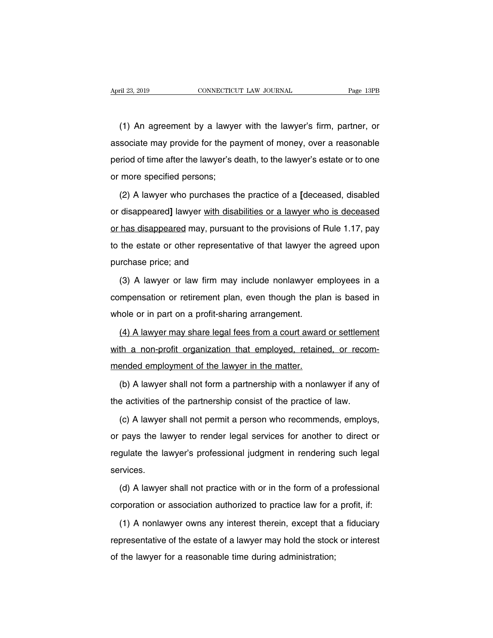THE 23, 2019<br>(1) An agreement by a lawyer with the lawyer's firm, partner, or<br>sociate may provide for the payment of money, over a reasonable April 23, 2019 CONNECTICUT LAW JOURNAL Page 13PB<br>
(1) An agreement by a lawyer with the lawyer's firm, partner, or<br>
associate may provide for the payment of money, over a reasonable<br>
period of time after the lawyer's death (1) An agreement by a lawyer with the lawyer's firm, partner, or associate may provide for the payment of money, over a reasonable period of time after the lawyer's death, to the lawyer's estate or to one or more specified (1) An agreement by a lawye<br>associate may provide for the pa<br>period of time after the lawyer's d<br>or more specified persons;<br>(2) A lawyer who purchases th sociate may provide for the payment of money, over a reasonable<br>riod of time after the lawyer's death, to the lawyer's estate or to one<br>more specified persons;<br>(2) A lawyer who purchases the practice of a [deceased, disabl

period of time after the lawyer's death, to the lawyer's estate or to one<br>or more specified persons;<br>(2) A lawyer who purchases the practice of a [deceased, disabled<br>or disappeared] lawyer with disabilities or a lawyer who or more specified persons;<br>(2) A lawyer who purchases the practice of a [deceased, disabled<br>or disappeared] lawyer with disabilities or a lawyer who is deceased<br>or has disappeared may, pursuant to the provisions of Rule 1. (2) A lawyer who purchases the practice of a [deceased, disabled<br>or disappeared] lawyer <u>with disabilities or a lawyer who is deceased</u><br>or has disappeared may, pursuant to the provisions of Rule 1.17, pay<br>to the estate or or disappeared] lawyer with dis<br>or has disappeared may, pursual<br>to the estate or other represen<br>purchase price; and<br>(3) A lawyer or law firm ma has disappeared may, pursuant to the provisions of Rule 1.17, pay<br>the estate or other representative of that lawyer the agreed upon<br>rchase price; and<br>(3) A lawyer or law firm may include nonlawyer employees in a<br>mpensation

compensation or retirement plan, even though the plan is based in<br>whole or in part on a profit-sharing arrangement.<br>Whole or in part on a profit-sharing arrangement. purchase price; and<br>
(3) A lawyer or law firm may include nonlawyer er<br>
compensation or retirement plan, even though the pla<br>
whole or in part on a profit-sharing arrangement.<br>
(4) A lawyer may share legal fees from a cour (3) A lawyer or law firm may include nonlawyer employees in a<br>mpensation or retirement plan, even though the plan is based in<br>nole or in part on a profit-sharing arrangement.<br>(4) A lawyer may share legal fees from a court

compensation or retirement plan, even though the plan is based in<br>whole or in part on a profit-sharing arrangement.<br>(4) A lawyer may share legal fees from a court award or settlement<br>with a non-profit organization that emp whole or in part on a profit-sharing arrangement.<br>
(4) A lawyer may share legal fees from a court award<br>
with a non-profit organization that employed, retaine<br>
mended employment of the lawyer in the matter.<br>
(b) A lawyer s (4) A lawyer may share legal fees from a court award or settlement<br>th a non-profit organization that employed, retained, or recom-<br>ended employment of the lawyer in the matter.<br>(b) A lawyer shall not form a partnership wi with a non-profit organization that employed, retained, or recon<br>mended employment of the lawyer in the matter.<br>(b) A lawyer shall not form a partnership with a nonlawyer if any<br>the activities of the partnership consist of

ended employment of the lawyer in the matter.<br>
(b) A lawyer shall not form a partnership with a nonlawyer if any of<br>
e activities of the partnership consist of the practice of law.<br>
(c) A lawyer shall not permit a person w (b) A lawyer shall not form a partnership with a nonlawyer if any of<br>the activities of the partnership consist of the practice of law.<br>(c) A lawyer shall not permit a person who recommends, employs,<br>or pays the lawyer to r the activities of the partnership consist of the practice of law.<br>
(c) A lawyer shall not permit a person who recommends, employs,<br>
or pays the lawyer to render legal services for another to direct or<br>
regulate the lawyer' services. (b)  $\lambda$  lawyer to render legal services for another to direct or gulate the lawyer's professional judgment in rendering such legal rvices.<br>(d) A lawyer shall not practice with or in the form of a professional reporation regulate the lawyer's professional judgment in rendering such legal<br>services.<br>(d) A lawyer shall not practice with or in the form of a professional<br>corporation or association authorized to practice law for a profit, if:<br>(1

rvices.<br>
(d) A lawyer shall not practice with or in the form of a professional<br>
rporation or association authorized to practice law for a profit, if:<br>
(1) A nonlawyer owns any interest therein, except that a fiduciary<br>
pre (d) A lawyer shall not practice with or in the form of a professional corporation or association authorized to practice law for a profit, if:<br>(1) A nonlawyer owns any interest therein, except that a fiduciary representativ corporation or association authorized to practice law for a<br>
(1) A nonlawyer owns any interest therein, except that<br>
representative of the estate of a lawyer may hold the stock<br>
of the lawyer for a reasonable time during a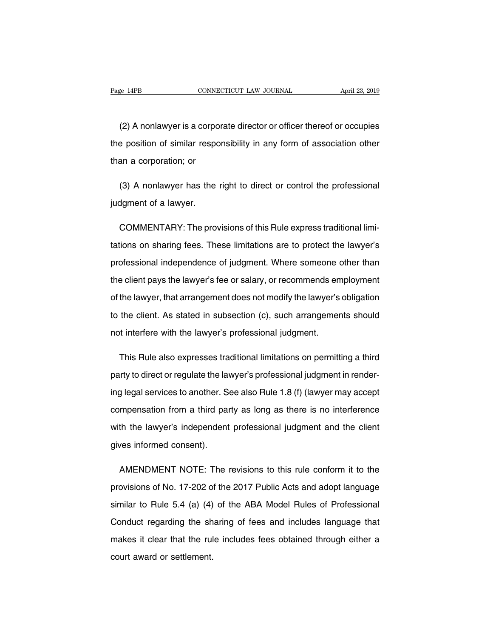EXEMBERT AND THE CONNECTICUT LAW JOURNAL April 23, 2019<br>(2) A nonlawyer is a corporate director or officer thereof or occupies<br>a position of similar responsibility in any form of association other The position of similar responsibility in any form of association other<br>than a corporation; or<br>than a corporation; or (2) A nonlawyer is a corpor<br>the position of similar resport<br>than a corporation; or (2) A nonlawyer is a corporate director or officer thereof or occupies<br>e position of similar responsibility in any form of association other<br>an a corporation; or<br>(3) A nonlawyer has the right to direct or control the profe the position of similar resport<br>than a corporation; or<br>(3) A nonlawyer has the<br>judgment of a lawyer.

(3) A nonlawyer has the right to direct or control the professional<br>dgment of a lawyer.<br>COMMENTARY: The provisions of this Rule express traditional limi-<br>tions on sharing fees. These limitations are to protect the lawyer's

(3) A nonlawyer has the right to direct or control the professional<br>judgment of a lawyer.<br>COMMENTARY: The provisions of this Rule express traditional limi-<br>tations on sharing fees. These limitations are to protect the lawy professional independence of judgment.<br>
The provisions of this Rule express traditional limitations on sharing fees. These limitations are to protect the lawyer's<br>
professional independence of judgment. Where someone other COMMENTARY: The provisions of this Rule express traditional limitations on sharing fees. These limitations are to protect the lawyer's professional independence of judgment. Where someone other than the client pays the law tations on sharing fees. These limitations are to protect the lawyer's<br>professional independence of judgment. Where someone other than<br>the client pays the lawyer's fee or salary, or recommends employment<br>of the lawyer, tha professional independence of judgment. Where someone other than<br>the client pays the lawyer's fee or salary, or recommends employment<br>of the lawyer, that arrangement does not modify the lawyer's obligation<br>to the client. As the client pays the lawyer's fee or salary, or recommends en<br>of the lawyer, that arrangement does not modify the lawyer's<br>to the client. As stated in subsection (c), such arrangement<br>not interfere with the lawyer's profess the lawyer, that arrangement does not modify the lawyer's obligation<br>the client. As stated in subsection (c), such arrangements should<br>t interfere with the lawyer's professional judgment.<br>This Rule also expresses tradition

to the client. As stated in subsection (c), such arrangements should<br>not interfere with the lawyer's professional judgment.<br>This Rule also expresses traditional limitations on permitting a third<br>party to direct or regulate ing interfere with the lawyer's professional judgment.<br>This Rule also expresses traditional limitations on permitting a third<br>party to direct or regulate the lawyer's professional judgment in render-<br>ing legal services to This Rule also expresses traditional limitations on permitting a third<br>party to direct or regulate the lawyer's professional judgment in render-<br>ing legal services to another. See also Rule 1.8 (f) (lawyer may accept<br>compe party to direct or regulate the lawyer's professional judgment in render-<br>ing legal services to another. See also Rule 1.8 (f) (lawyer may accept<br>compensation from a third party as long as there is no interference<br>with the ing legal services to another. S<br>compensation from a third pair<br>with the lawyer's independent<br>gives informed consent). mpensation from a third party as long as there is no interference<br>th the lawyer's independent professional judgment and the client<br>ves informed consent).<br>AMENDMENT NOTE: The revisions to this rule conform it to the<br>ovision

with the lawyer's independent professional judgment and the client<br>gives informed consent).<br>AMENDMENT NOTE: The revisions to this rule conform it to the<br>provisions of No. 17-202 of the 2017 Public Acts and adopt language<br>s gives informed consent).<br>AMENDMENT NOTE: The revisions to this rule conform it to the<br>provisions of No. 17-202 of the 2017 Public Acts and adopt language<br>similar to Rule 5.4 (a) (4) of the ABA Model Rules of Professional<br>C AMENDMENT NOTE: The revisions to this rule conform it to the<br>provisions of No. 17-202 of the 2017 Public Acts and adopt language<br>similar to Rule 5.4 (a) (4) of the ABA Model Rules of Professional<br>Conduct regarding the shar provisions of No. 17-202 of the 2017 Public Acts and adopt language<br>similar to Rule 5.4 (a) (4) of the ABA Model Rules of Professional<br>Conduct regarding the sharing of fees and includes language that<br>makes it clear that th court award and the S.4 (a) (4)<br>Conduct regarding the sh<br>makes it clear that the rul<br>court award or settlement.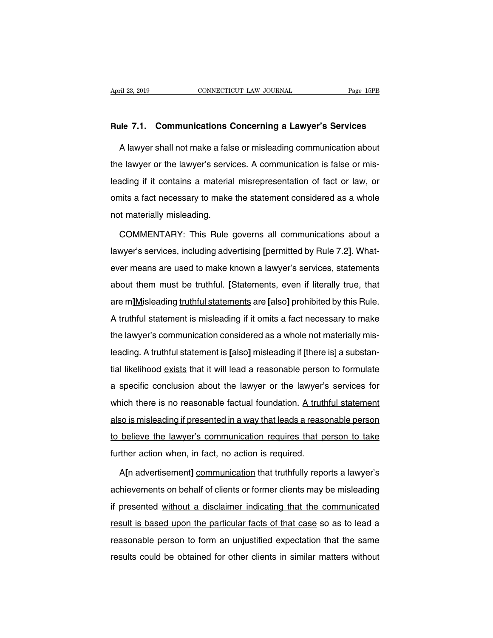# April 23, 2019 **CONNECTICUT LAW JOURNAL** Page 15PB<br> **Rule 7.1. Communications Concerning a Lawyer's Services**<br> **A** lawyer shall not make a false or misleading communication about

File 23, 2019 CONNECTICUT LAW JOURNAL Page 15PB<br> **A lawyer shall not make a false or misleading communication about**<br>
A lawyer shall not make a false or misleading communication about<br>
E lawyer or the lawyer's services. A Rule 7.1. Communications Concerning a Lawyer's Services<br>A lawyer shall not make a false or misleading communication about<br>the lawyer or the lawyer's services. A communication is false or mis-<br>leading if it contains a mater Rule 7.1. Communications Concerning a Lawyer's Services<br>A lawyer shall not make a false or misleading communication about<br>the lawyer or the lawyer's services. A communication is false or mis-<br>leading if it contains a mater A lawyer shall not make a false or misleading communication about<br>the lawyer or the lawyer's services. A communication is false or mis-<br>leading if it contains a material misrepresentation of fact or law, or<br>omits a fact ne Thanger shall not make a rale<br>the lawyer or the lawyer's servi-<br>leading. if it contains a materia<br>omits a fact necessary to make<br>not materially misleading.<br>COMMENTARY: This Rule ading if it contains a material misrepresentation of fact or law, or<br>nits a fact necessary to make the statement considered as a whole<br>t materially misleading.<br>COMMENTARY: This Rule governs all communications about a<br>wyer'

omits a fact necessary to make the statement considered as a whole<br>not materially misleading.<br>COMMENTARY: This Rule governs all communications about a<br>lawyer's services, including advertising [permitted by Rule 7.2]. Whatnot materially misleading.<br>
COMMENTARY: This Rule governs all communications about a<br>
lawyer's services, including advertising [permitted by Rule 7.2]. What-<br>
ever means are used to make known a lawyer's services, statemen COMMENTARY: This Rule governs all communications about a<br>lawyer's services, including advertising [permitted by Rule 7.2]. What-<br>ever means are used to make known a lawyer's services, statements<br>about them must be truthful are means are used to make known a lawyer's services, statements<br>about them must be truthful. [Statements, even if literally true, that<br>are m]Misleading truthful statements are [also] prohibited by this Rule.<br>A truthful st Example is sorvices, instaaning aavontising pormitted by ride 7.2.5. What<br>ever means are used to make known a lawyer's services, statements<br>about them must be truthful. [Statements, even if literally true, that<br>are m]Misle about them must be truthful. [Statements, even if literally true, that<br>are m]Misleading truthful statements are [also] prohibited by this Rule.<br>A truthful statement is misleading if it omits a fact necessary to make<br>the la are m]Misleading truthful statements are [also] prohibited by this Rule.<br>A truthful statement is misleading if it omits a fact necessary to make<br>the lawyer's communication considered as a whole not materially mis-<br>leading. A truthful statement is misleading if it omits a fact necessary to make<br>the lawyer's communication considered as a whole not materially mis-<br>leading. A truthful statement is [also] misleading if [there is] a substan-<br>tial The lawyer's communication considered as a whole not materially mis-<br>leading. A truthful statement is [also] misleading if [there is] a substan-<br>tial likelihood <u>exists</u> that it will lead a reasonable person to formulate<br>a deading. A truthful statement is [also] misleading if [there is] a substantial likelihood exists that it will lead a reasonable person to formulate a specific conclusion about the lawyer or the lawyer's services for which reduing. The date is determinent to passed in a reasonable person to formulate<br>a specific conclusion about the lawyer or the lawyer's services for<br>which there is no reasonable factual foundation. A truthful statement<br>also the lawyer's services for<br>a specific conclusion about the lawyer or the lawyer's services for<br>which there is no reasonable factual foundation. A truthful statement<br>also is misleading if presented in a way that leads a reas which there is no reasonable factual foundation. A truth<br>also is misleading if presented in a way that leads a reaso<br>to believe the lawyer's communication requires that p<br>further action when, in fact, no action is required So is misleading if presented in a way that leads a reasonable person<br>
believe the lawyer's communication requires that person to take<br>
ther action when, in fact, no action is required.<br>
A[n advertisement] communication th

to believe the lawyer's communication requires that person to take<br>further action when, in fact, no action is required.<br>A[n advertisement] communication that truthfully reports a lawyer's<br>achievements on behalf of clients further action when, in fact, no action is required.<br>A[n advertisement] communication that truthfully reports a lawyer's<br>achievements on behalf of clients or former clients may be misleading<br>if presented without a disclaim A[n advertisement] communication that truthfully reports a lawyer's<br>achievements on behalf of clients or former clients may be misleading<br>if presented without a disclaimer indicating that the communicated<br>result is based u reports a lawyer of a lawyer of a lawyer of a lawyer of a lawyer of a lawyer of a lawyer of a lawyer of a lawyer of a lawyer of a lawyer of a lawyer of a lawyer of the person to form an unjustified that the same is based u if presented without a disclaimer indicating that the communicated<br>result is based upon the particular facts of that case so as to lead a<br>reasonable person to form an unjustified expectation that the same<br>results could be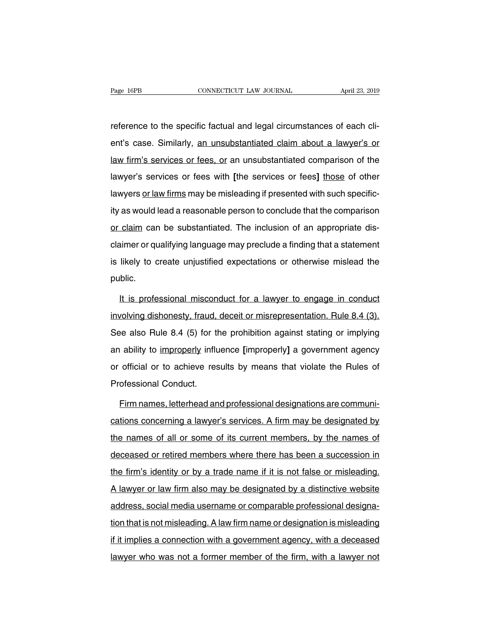Page 16PB<br>
CONNECTICUT LAW JOURNAL April 23, 2019<br>
reference to the specific factual and legal circumstances of each cli-<br>
ent's case. Similarly, <u>an unsubstantiated claim about a lawyer's or</u> Page 16PB CONNECTICUT LAW JOURNAL April 23, 2019<br>
reference to the specific factual and legal circumstances of each cli-<br>
ent's case. Similarly, <u>an unsubstantiated claim about a lawyer's or</u><br>
<u>law firm's services or fees,</u> reference to the specific factual and legal circumstances of each client's case. Similarly, <u>an unsubstantiated claim about a lawyer's or law firm's services or fees, or</u> an unsubstantiated comparison of the lawyer's servi reference to the specific factual and legal circumstances of each cli-<br>ent's case. Similarly, <u>an unsubstantiated claim about a lawyer's or</u><br>law firm's services or fees, or an unsubstantiated comparison of the<br>lawyer's ser law firm's case. Similarly, an unsubstantiated claim about a lawyer's or<br>law firm's services or fees, or an unsubstantiated comparison of the<br>lawyer's services or fees with [the services or fees] <u>those</u> of other<br>lawyers <u></u> law firm's services or fees, or an unsubstantiated comparison of the<br>lawyer's services or fees with [the services or fees] those of other<br>lawyers or law firms may be misleading if presented with such specific-<br>ity as would diverting services or fees with [the services or fees] those of other<br>lawyer's services or fees with [the services or fees] those of other<br>lawyers or law firms may be misleading if presented with such specific-<br>ity as woul dany or o cornoce or recomminging corrices or recognized or cancil<br>lawyers or law firms may be misleading if presented with such specific-<br>ity as would lead a reasonable person to conclude that the comparison<br>or claim can ity as would lead a reasonable person to conclude that the comparison<br>or claim can be substantiated. The inclusion of an appropriate dis-<br>claimer or qualifying language may preclude a finding that a statement<br>is likely to public. It is professional misconduct for a lawyer to engage in conduct<br>It is professional misconduct for a lawyer to engage in conduct<br>Verting dishonesty, fraud, deceit or misrepresentation. Rule 8.4 (3).

is likely to create unjustified expectations or otherwise mislead the<br>public.<br>It is professional misconduct for a lawyer to engage in conduct<br>involving dishonesty, fraud, deceit or misrepresentation. Rule 8.4 (3).<br>See also public.<br>It is professional misconduct for a lawyer to engage in conduct<br>involving dishonesty, fraud, deceit or misrepresentation. Rule 8.4 (3).<br>See also Rule 8.4 (5) for the prohibition against stating or implying<br>an abili It is professional misconduct for a lawyer to engage in conduct<br>involving dishonesty, fraud, deceit or misrepresentation. Rule 8.4 (3).<br>See also Rule 8.4 (5) for the prohibition against stating or implying<br>an ability to im involving dishonesty, fraud, deceit or misrepresentation. Rule 8.4 (3).<br>See also Rule 8.4 (5) for the prohibition against stating or implying<br>an ability to improperly influence [improperly] a government agency<br>or official See also Rule 8.4 (5) for the anability to improperly influ<br>or official or to achieve res<br>Professional Conduct.<br>Firm names. letterhead an Firm names, letterhead and professional designations are communitions concerning a lawyer's services. A firm may be designated by the scheme are communitions concerning a lawyer's services. A firm may be designated by

or official or to achieve results by means that violate the Rules of<br>Professional Conduct.<br>Eirm names, letterhead and professional designations are communi-<br>cations concerning a lawyer's services. A firm may be designated Professional Conduct.<br>
Firm names, letterhead and professional designations are communi-<br>
cations concerning a lawyer's services. A firm may be designated by<br>
the names of all or some of its current members, by the names o Firm names, letterhead and professional designations are communications concerning a lawyer's services. A firm may be designated by the names of all or some of its current members, by the names of deceased or retired membe cations concerning a lawyer's services. A firm may be designated by<br>the names of all or some of its current members, by the names of<br>deceased or retired members where there has been a succession in<br>the firm's identity or b Me names of all or some of its current members, by the names of<br>deceased or retired members where there has been a succession in<br>the firm's identity or by a trade name if it is not false or misleading.<br>A lawyer or law firm and manned or all of the same of the called members, by the name of deceased or retired members where there has been a succession in the firm's identity or by a trade name if it is not false or misleading.<br>A lawyer or law the firm's identity or by a trade name if it is not false or misleading.<br>A lawyer or law firm also may be designated by a distinctive website<br>address, social media username or comparable professional designa-<br>tion that is if it implies a connection with a government agency, with a lawyer or law firm also may be designated by a distinctive website<br>address, social media username or comparable professional designa-<br>tion that is not misleading. and a formula who was not a formula we may be designed by a distinctive increased<br>address, social media username or comparable professional designa-<br>tion that is not misleading. A law firm name or designation is misleading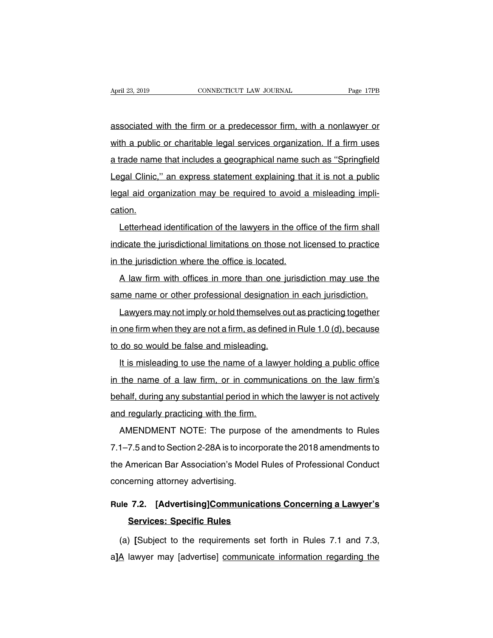April 23, 2019 CONNECTICUT LAW JOURNAL Page 17PB<br>associated with the firm or a predecessor firm, with a nonlawyer or<br>with a public or charitable legal services organization. If a firm uses April 23, 2019 CONNECTICUT LAW JOURNAL Page 17PB<br>associated with the firm or a predecessor firm, with a nonlawyer or<br>with a public or charitable legal services organization. If a firm uses<br>a trade name that includes a geog associated with the firm or a predecessor firm, with a nonlawyer or<br>with a public or charitable legal services organization. If a firm uses<br>a trade name that includes a geographical name such as "Springfield<br>Legal Clinic," associated with the firm or a predecessor firm, with a nonlawyer or<br>with a public or charitable legal services organization. If a firm uses<br>a trade name that includes a geographical name such as "Springfield<br>Legal Clinic," with a public or charitable legal services organization. If a firm uses<br>a trade name that includes a geographical name such as "Springfield<br>Legal Clinic," an express statement explaining that it is not a public<br>legal aid o cation. Letterhead identification of the lawyers in the office of the firm shall<br>Letterhead identification of the lawyers in the office of the firm shall<br>dicate the jurisdictional limitations on those not licensed to practice

legal aid organization may be required to avoid a misleading impli-<br>cation.<br>Letterhead identification of the lawyers in the office of the firm shall<br>indicate the jurisdictional limitations on those not licensed to practice in the jurisdiction of the lawyers in the official<br>indicate the jurisdictional limitations on those not lim<br>in the jurisdiction where the office is located.<br>A law firm with offices in more than one jurisdiction Letterhead identification of the lawyers in the office of the firm shall<br>dicate the jurisdictional limitations on those not licensed to practice<br>the jurisdiction where the office is located.<br>A law firm with offices in more indicate the jurisdictional limitations on those not licensed to practice<br>in the jurisdiction where the office is located.<br>A law firm with offices in more than one jurisdiction may use the<br>same name or other professional d

The jurisdiction where the office is located.<br>A law firm with offices in more than one jurisdiction may use the<br>me name or other professional designation in each jurisdiction.<br>Lawyers may not imply or hold themselves out a A law firm with offices in more than one jurisdiction may use the<br>same name or other professional designation in each jurisdiction.<br>Lawyers may not imply or hold themselves out as practicing together<br>in one firm when they same name or other professional designation<br>Lawyers may not imply or hold themselves ou<br>in one firm when they are not a firm, as defined if<br>to do so would be false and misleading.<br>It is misleading to use the name of a lawy Lawyers may not imply or hold themselves out as practicing together<br>one firm when they are not a firm, as defined in Rule 1.0 (d), because<br>do so would be false and misleading.<br>It is misleading to use the name of a lawyer h

in one firm when they are not a firm, as defined in Rule 1.0 (d), because<br>to do so would be false and misleading.<br>It is misleading to use the name of a lawyer holding a public office<br>in the name of a law firm, or in commun behalf, during any substantial period in which the lawyer holding a public office<br>in the name of a law firm, or in communications on the law firm's<br>behalf, during any substantial period in which the lawyer is not actively<br> It is misleading to use the name of a law<br>in the name of a law firm, or in communi<br>behalf, during any substantial period in whic<br>and regularly practicing with the firm.<br>AMENDMENT NOTE: The purpose of t the name of a law firm, or in communications on the law firm's<br>half, during any substantial period in which the lawyer is not actively<br>d regularly practicing with the firm.<br>AMENDMENT NOTE: The purpose of the amendments to

behalf, during any substantial period in which the lawyer is not actively<br>and regularly practicing with the firm.<br>AMENDMENT NOTE: The purpose of the amendments to Rules<br>7.1–7.5 and to Section 2-28A is to incorporate the 20 and regularly practicing with the firm.<br>
AMENDMENT NOTE: The purpose of the amendments to Rules<br>
7.1–7.5 and to Section 2-28A is to incorporate the 2018 amendments to<br>
the American Bar Association's Model Rules of Professi and regarding processing and the animatom and a<br>7.1–7.5 and to Section 2-28A is to incord<br>the American Bar Association's Model<br>concerning attorney advertising. 7.1–7.5 and to Section 2-28A is to incorporate the 2018 amendments to<br>the American Bar Association's Model Rules of Professional Conduct<br>concerning attorney advertising.<br>**Rule 7.2.** [Advertising]Communications Concerning a American Bar Association's Model Rule<br>
Services: Specific Rules<br>
Services: Specific Rules<br>
Services: Specific Rules<br>
Services: Specific Rules

meerning attorney advertising.<br> **EXECT:** The 7.2. [Advertising]Communications Concerning a Lawyer's<br>
Services: Specific Rules<br>
(a) [Subject to the requirements set forth in Rules 7.1 and 7.3,<br>
A lawyer may [advertise] comm **Rule 7.2. [Advertising]Communications Concerning a Lawyer's<br>
<b>Services: Specific Rules**<br>
(a) [Subject to the requirements set forth in Rules 7.1 and 7.3,<br>
a]A lawyer may [advertise] communicate information regarding the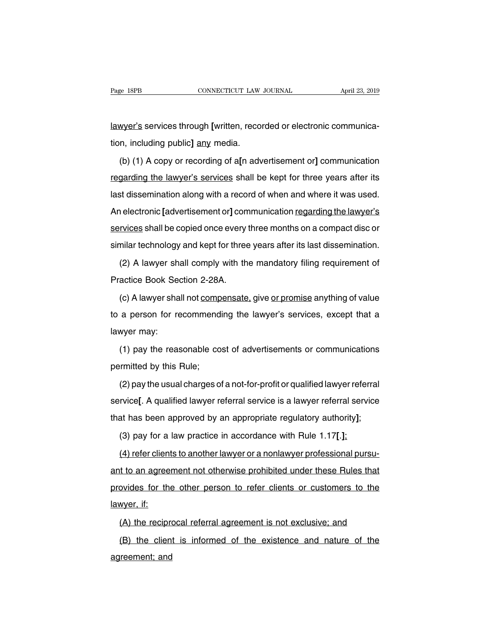Page 18PB<br> **CONNECTICUT LAW JOURNAL**<br>
<u>Iawyer's</u> services through **[**written, recorded or electronic communication, including public] <u>any</u> media. Example 18PB<br>
<u>Internal Connectricut LAW</u><br>
<u>Internal any media.</u><br>
tion, including public<u>ornal any</u> media.<br>
(b) (1) A copy or recording of a[n adv

mater's services through [written, recorded or electronic communica-<br>
(b) (1) A copy or recording of a[n advertisement or] communication<br>
garding the lawyer's services shall be kept for three years after its lawyer's services through [written, recorded or electronic communication, including public] any media.<br>
(b) (1) A copy or recording of a[n advertisement or] communication<br>
regarding the lawyer's services shall be kept for last dissemination along with a record of when and where it was used.<br>An electronic factor of all advertisement or communication<br>regarding the lawyer's services shall be kept for three years after its<br>last dissemination al (b) (1) A copy or recording of a[n advertisement or] communication regarding the lawyer's services shall be kept for three years after its last dissemination along with a record of when and where it was used.<br>An electronic regarding the lawyer's services shall be kept for three years after its<br>last dissemination along with a record of when and where it was used.<br>An electronic [advertisement or] communication regarding the lawyer's<br>services s sigarding the lawyer of cervices of the total to vept for three years after he<br>last dissemination along with a record of when and where it was used.<br>An electronic [advertisement or] communication regarding the lawyer's<br>ser (advertisement or communication regarding the lawyer's ryices shall be copied once every three months on a compact disc or milar technology and kept for three years after its last dissemination.<br>(2) A lawyer shall comply w Services shall be copied once every<br>
similar technology and kept for three<br>
(2) A lawyer shall comply with th<br>
Practice Book Section 2-28A.<br>
(c) A lawyer shall not compensate

milar technology and kept for three years after its last dissemination.<br>
(2) A lawyer shall comply with the mandatory filing requirement of<br>
actice Book Section 2-28A.<br>
(c) A lawyer shall not compensate, give or promise an (2) A lawyer shall comply with the mandatory filing requirement of<br>Practice Book Section 2-28A.<br>(c) A lawyer shall not compensate, give or promise anything of value<br>to a person for recommending the lawyer's services, excep Practice Book See<br>(c) A lawyer sha<br>to a person for re<br>lawyer may:<br>(1) pay the rease (c) A lawyer shall not compensate, give or promise anything of value<br>a person for recommending the lawyer's services, except that a<br>wyer may:<br>(1) pay the reasonable cost of advertisements or communications<br>rmitted by this to a person for recommend<br>lawyer may:<br>(1) pay the reasonable co<br>permitted by this Rule;<br>(2) pay the usual charges of

wyer may:<br>
(1) pay the reasonable cost of advertisements or communications<br>
(2) pay the usual charges of a not-for-profit or qualified lawyer referral<br>
rvice[. A qualified lawyer referral service is a lawyer referral servi (1) pay the reasonable cost of advertisements or communications<br>permitted by this Rule;<br>(2) pay the usual charges of a not-for-profit or qualified lawyer referral<br>service[. A qualified lawyer referral service is a lawyer r permitted by this Rule;<br>(2) pay the usual charges of a not-for-profit or qualified lawyer referral<br>service[. A qualified lawyer referral service is a lawyer referral service<br>that has been approved by an appropriate regulat (2) pay the usual charges of a not-for-profit or qualified lawyer refer<br>rvice[. A qualified lawyer referral service is a lawyer referral servi<br>at has been approved by an appropriate regulatory authority];<br>(3) pay for a la rvice[. A qualified lawyer referral service is a lawyer referral service<br>at has been approved by an appropriate regulatory authority];<br>(3) pay for a law practice in accordance with Rule 1.17[.];<br>(4) refer clients to anothe

that has been approved by an appropriate regulatory authority];<br>
(3) pay for a law practice in accordance with Rule 1.17[.];<br>
(4) refer clients to another lawyer or a nonlawyer professional pursu-<br>
ant to an agreement not (3) pay for a law practice in accordance with Rule 1.17[.];<br>
(4) refer clients to another lawyer or a nonlawyer professional pursu-<br>
ant to an agreement not otherwise prohibited under these Rules that<br>
provides for the ot (4) refer clien<br>ant to an agree<br>provides for th<br>lawyer, if:<br>(A) the recipr (A) the reciprocal referral agreement is not exclusive; and<br>(A) the reciprocal referral agreement is not exclusive; and<br>(B) the client is informed of the existence and nature of the ovides for the other person to refer clients or customers to the<br>wyer, if:<br>(A) the reciprocal referral agreement is not exclusive; and<br>(B) the client is informed of the existence and nature of the<br>preement; and

lawyer, if:<br>(A) the recipre<br>(B) the clien<br>agreement; and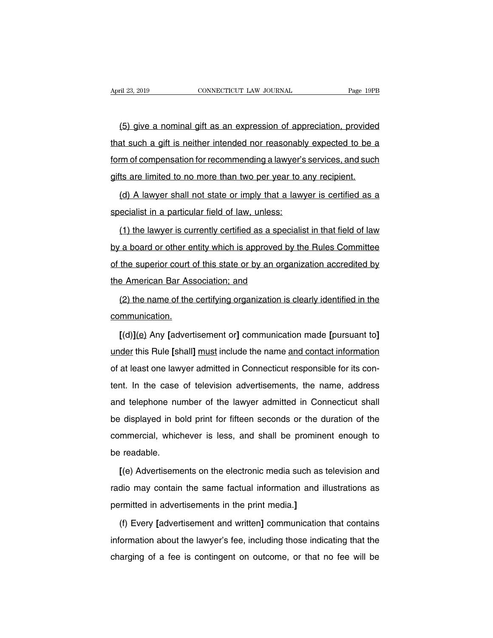The state of the connect connect connect connect connect text of the state of the state of the state of the state of the state of the state of the state of the state of the state of the state of the state of the state of t April 23, 2019 CONNECTICUT LAW JOURNAL Page 19PB<br>
(5) give a nominal gift as an expression of appreciation, provided<br>
that such a gift is neither intended nor reasonably expected to be a<br>
form of compensation for recommend (5) give a nominal gift as an expression of appreciation, provided<br>that such a gift is neither intended nor reasonably expected to be a<br>form of compensation for recommending a lawyer's services, and such<br>gifts are limited (5) give a nominal gift as an expression of appreciation, provided<br>that such a gift is neither intended nor reasonably expected to be a<br>form of compensation for recommending a lawyer's services, and such<br>gifts are limited (d) A lawyer shall not state or imply and a lawyer's services, and such<br>that are limited to no more than two per year to any recipient.<br>(d) A lawyer shall not state or imply that a lawyer is certified as a<br>ecialist in a pa form of compensation for recommending a lawyer's<br>gifts are limited to no more than two per year to a<br>(d) A lawyer shall not state or imply that a law,<br>specialist in a particular field of law, unless:<br>(1) the lawyer is curr

(d) A lawyer shall not state or imply that a lawyer is certified as a<br>(d) A lawyer shall not state or imply that a lawyer is certified as a<br>ecialist in a particular field of law, unless:<br>(1) the lawyer is currently certifi (d) A lawyer shall not state or imply that a lawyer is certified as a specialist in a particular field of law, unless:<br>(1) the lawyer is currently certified as a specialist in that field of law<br>by a board or other entity w specialist in a particular field of law, unless:<br>
(1) the lawyer is currently certified as a specialist in that field of law<br>
by a board or other entity which is approved by the Rules Committee<br>
of the superior court of th (1) the lawyer is currently certified as a spectry a board or other entity which is approved by of the superior court of this state or by an orgathe American Bar Association; and (2) the name of the certifying organization (2) the name of the certifying organization is clearly identified in the memoriation.<br>
(2) the name of the certifying organization is clearly identified in the mmunication.

communication.

**Example 2 American Bar Association; and**<br>(2) the name of the certifying organization is clearly identified in the<br>mmunication.<br>**[**(d)]<u>(e)</u> Any [advertisement or] communication made [pursuant to]<br>der this Rule [shall] <u>mu</u> (2) the name of the certifying organization is clearly identified in the<br>
communication.<br>
[(d)](e) Any [advertisement or] communication made [pursuant to]<br>
under this Rule [shall] must include the name and contact informat communication.<br>
[(d)](e) Any [advertisement or] communication made [pursuant to]<br>
under this Rule [shall] must include the name and contact information<br>
of at least one lawyer admitted in Connecticut responsible for its co I(d)](e) Any [advertisement or] communication made [pursuant to]<br>
under this Rule [shall] must include the name and contact information<br>
of at least one lawyer admitted in Connecticut responsible for its con-<br>
tent. In the and telephone number of the lawyer admitted in Connecticut shall for its content. In the case of television advertisements, the name, address and telephone number of the lawyer admitted in Connecticut shall be displayed i of at least one lawyer admitted in Connecticut responsible for its content. In the case of television advertisements, the name, address and telephone number of the lawyer admitted in Connecticut shall be displayed in bold tent. In the case of television advertisements, the name, address<br>and telephone number of the lawyer admitted in Connecticut shall<br>be displayed in bold print for fifteen seconds or the duration of the<br>commercial, whichever and telephone nu<br>be displayed in bo<br>commercial, which<br>be readable.<br>[(e) Advertiseme **Example 10** displayed in bold print for fifteen seconds or the duration of the mmercial, whichever is less, and shall be prominent enough to readable.<br> **[(e)** Advertisements on the electronic media such as television and

radio may contain the same factual information and illustrations as<br>permitted in advertisements on the electronic media such as television and<br>radio may contain the same factual information and illustrations as<br>permitted i be readable.<br>
[(e) Advertisements on the electronic media such as<br>
radio may contain the same factual information and i<br>
permitted in advertisements in the print media.]<br>
(f) Every [advertisement and written] communication (e) Advertisements on the electronic media such as television and<br>dio may contain the same factual information and illustrations as<br>rmitted in advertisements in the print media.]<br>(f) Every [advertisement and written] commu

radio may contain the same factual information and illustrations as<br>permitted in advertisements in the print media.]<br>(f) Every [advertisement and written] communication that contains<br>information about the lawyer's fee, inc permitted in advertisements in the print media.]<br>(f) Every [advertisement and written] communication that contains<br>information about the lawyer's fee, including those indicating that the<br>charging of a fee is contingent on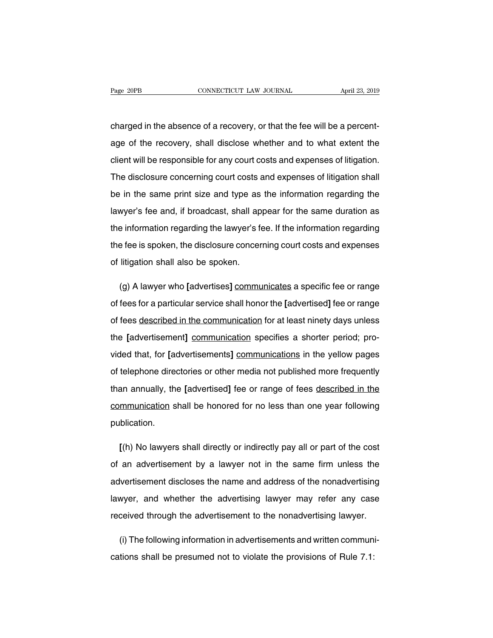Page 20PB<br>
connecticut LAW JOURNAL<br>
charged in the absence of a recovery, or that the fee will be a percent-<br>
age of the recovery, shall disclose whether and to what extent the Page 20PB CONNECTICUT LAW JOURNAL April 23, 2019<br>
charged in the absence of a recovery, or that the fee will be a percent-<br>
age of the recovery, shall disclose whether and to what extent the<br>
client will be responsible for charged in the absence of a recovery, or that the fee will be a percent-<br>age of the recovery, shall disclose whether and to what extent the<br>client will be responsible for any court costs and expenses of litigation.<br>The dis charged in the absence of a recovery, or that the fee will be a percent-<br>age of the recovery, shall disclose whether and to what extent the<br>client will be responsible for any court costs and expenses of litigation.<br>The dis be in the same print size and type as the information regarding the lawyer's fee and, if broadcast, shall appear for the same duration as<br>lawyer's fee and, if broadcast, shall appear for the same duration as dient will be responsible for any court costs and expenses of litigation.<br>The disclosure concerning court costs and expenses of litigation shall<br>be in the same print size and type as the information regarding the<br>lawyer's The disclosure concerning court costs and expenses of litigation shall<br>be in the same print size and type as the information regarding the<br>lawyer's fee and, if broadcast, shall appear for the same duration as<br>the informati the finite same print size and type as the information regarding the lawyer's fee and, if broadcast, shall appear for the same duration as the information regarding the lawyer's fee. If the information regarding the fee is be an also and type as<br>lawyer's fee and, if broadcast, shall ap<br>the information regarding the lawyer's fi<br>the fee is spoken, the disclosure concer<br>of litigation shall also be spoken. (g) A lawyer who **[advertises]** communicates a specific fee or range fee is spoken, the disclosure concerning court costs and expenses<br> **[**itigation shall also be spoken.]<br>
(g) A lawyer who **[**advertises**]** communicates a

the fee is spoken, the disclosure concerning court costs and expenses<br>of litigation shall also be spoken.<br>(g) A lawyer who [advertises] communicates a specific fee or range<br>of fees for a particular service shall honor the of litigation shall also be spoken.<br>
(g) A lawyer who [advertises] communicates a specific fee or range<br>
of fees for a particular service shall honor the [advertised] fee or range<br>
of fees <u>described in the communication</u> (g) A lawyer who [advertises] communicates a specific fee or range<br>of fees for a particular service shall honor the [advertised] fee or range<br>of fees <u>described in the communication</u> for at least ninety days unless<br>the [ad of fees for a particular service shall honor the [advertised] fee or range<br>of fees <u>described in the communication</u> for at least ninety days unless<br>the [advertisement] <u>communication</u> specifies a shorter period; pro-<br>vided of fees <u>described in the communication</u> for at least ninety days unless<br>the [advertisement] <u>communication</u> specifies a shorter period; pro-<br>vided that, for [advertisements] communications in the yellow pages<br>of telephone the [advertisement] communication specifies a shorter period; pro-<br>vided that, for [advertisements] communications in the yellow pages<br>of telephone directories or other media not published more frequently<br>than annually, th ing part and that, for [advertisements] communications in the yellow pages<br>of telephone directories or other media not published more frequently<br>than annually, the [advertised] fee or range of fees <u>described in the</u><br>commu publication. an annually, the [advertised] fee or range of fees <u>described in the</u><br>
<u>mmunication</u> shall be honored for no less than one year following<br>
blication.<br>
[(h) No lawyers shall directly or indirectly pay all or part of the cos

communication shall be honored for no less than one year following<br>publication.<br>[(h) No lawyers shall directly or indirectly pay all or part of the cost<br>of an advertisement by a lawyer not in the same firm unless the<br>adver publication.<br>
[(h) No lawyers shall directly or indirectly pay all or part of the cost<br>
of an advertisement by a lawyer not in the same firm unless the<br>
advertisement discloses the name and address of the nonadvertising<br>
l [(h) No lawyers shall directly or indirectly pay all or part of the cost<br>of an advertisement by a lawyer not in the same firm unless the<br>advertisement discloses the name and address of the nonadvertising<br>lawyer, and whethe of an advertisement by a lawyer not in the same firm unless the advertisement discloses the name and address of the nonadvertising lawyer, and whether the advertising lawyer may refer any case received through the adverti (i) Ivertisement discloses the name and address of the nonadvertising<br>wyer, and whether the advertising lawyer may refer any case<br>ceived through the advertisement to the nonadvertising lawyer.<br>(i) The following information lawyer, and whether the advertising lawyer may refer any cas<br>received through the advertisement to the nonadvertising lawyer.<br>(i) The following information in advertisements and written commun<br>cations shall be presumed not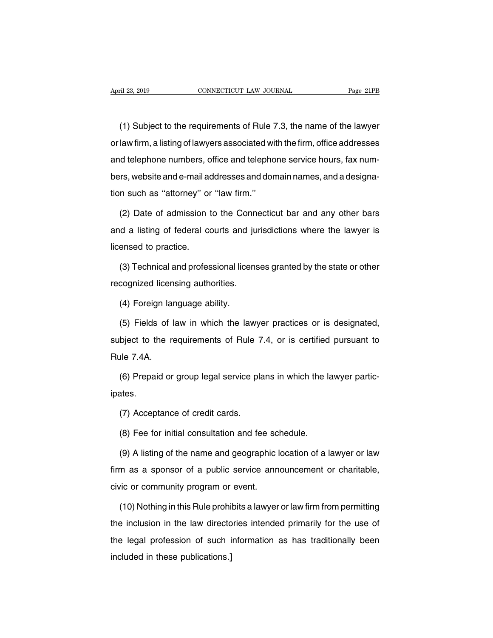(1) Subject to the requirements of Rule 7.3, the name of the lawyer<br>
(1) Subject to the requirements of Rule 7.3, the name of the lawyer<br>
law firm, a listing of lawyers associated with the firm, office addresses April 23, 2019 CONNECTICUT LAW JOURNAL Page 21PB<br>
(1) Subject to the requirements of Rule 7.3, the name of the lawyer<br>
or law firm, a listing of lawyers associated with the firm, office addresses<br>
and telephone numbers, of (1) Subject to the requirements of Rule 7.3, the name of the lawyer<br>or law firm, a listing of lawyers associated with the firm, office addresses<br>and telephone numbers, office and telephone service hours, fax num-<br>bers, web (1) Subject to the requirements of Rule 7.3, the name of the lawyer<br>or law firm, a listing of lawyers associated with the firm, office addresses<br>and telephone numbers, office and telephone service hours, fax num-<br>bers, web or law firm, a listing of lawyers associated w<br>and telephone numbers, office and telepho<br>bers, website and e-mail addresses and dor<br>tion such as "attorney" or "law firm."<br>(2) Date of admission to the Connection d telephone numbers, office and telephone service hours, fax num-<br>rs, website and e-mail addresses and domain names, and a designa-<br>n such as "attorney" or "law firm."<br>(2) Date of admission to the Connecticut bar and any o

bers, website and e-mail addresses and domain names, and a designation such as "attorney" or "law firm."<br>
(2) Date of admission to the Connecticut bar and any other bars<br>
and a listing of federal courts and jurisdictions w tion such as "attorney" or<br>
(2) Date of admission t<br>
and a listing of federal co<br>
licensed to practice.<br>
(3) Technical and profes (2) Date of admission to the Connecticut bar and any other bars<br>d a listing of federal courts and jurisdictions where the lawyer is<br>ensed to practice.<br>(3) Technical and professional licenses granted by the state or other<br>c and a listing of federal courts and jure<br>licensed to practice.<br>(3) Technical and professional licens<br>recognized licensing authorities.<br>(4) Foreign language ability.

ensed to practice.<br>(3) Technical and professional licer<br>cognized licensing authorities.<br>(4) Foreign language ability.<br>(5) Fields of law in which the lay

(3) Technical and professional licenses granted by the state or other<br>cognized licensing authorities.<br>(4) Foreign language ability.<br>(5) Fields of law in which the lawyer practices or is designated,<br>bject to the requirement recognized licensing authorities.<br>
(4) Foreign language ability.<br>
(5) Fields of law in which the lawyer practices or is designated,<br>
subject to the requirements of Rule 7.4, or is certified pursuant to<br>
Rule 7.4A. (4) Foreign lan<br>
(5) Fields of I<br>
subject to the re<br>
Rule 7.4A.<br>
(6) Prepaid or (5) Fields of law in which the lawyer practices or is designated,<br>bject to the requirements of Rule 7.4, or is certified pursuant to<br>ule 7.4A.<br>(6) Prepaid or group legal service plans in which the lawyer partic-<br>ates.

ipates. ile 7.4A.<br>(6) Prepaid or group legal service plants.<br>ates.<br>(7) Acceptance of credit cards.<br>(8) Fee for initial consultation and fe (6) Prepaid or group legal service plans in which the land<br>ates.<br>(7) Acceptance of credit cards.<br>(8) Fee for initial consultation and fee schedule.<br>(9) A listing of the name and geographic location of a l

incomorpoontance of credit cards.<br>(8) Fee for initial consultation and fee schedule.<br>(9) A listing of the name and geographic location of a lawyer or law<br>m as a sponsor of a public service announcement or charitable, (7) Acceptance of credit cards.<br>
(8) Fee for initial consultation and fee schedule.<br>
(9) A listing of the name and geographic location of a lawyer or law<br>
firm as a sponsor of a public service announcement or charitable,<br> (8) Fee for initial consultation and fee sc<br>(9) A listing of the name and geographic I<br>firm as a sponsor of a public service ann<br>civic or community program or event.<br>(10) Nothing in this Rule prohibits a lawyer (9) A listing of the name and geographic location of a lawyer or law<br>m as a sponsor of a public service announcement or charitable,<br>vic or community program or event.<br>(10) Nothing in this Rule prohibits a lawyer or law fir

firm as a sponsor of a public service announcement or charitable,<br>civic or community program or event.<br>(10) Nothing in this Rule prohibits a lawyer or law firm from permitting<br>the inclusion in the law directories intended civic or community program or event.<br>
(10) Nothing in this Rule prohibits a lawyer or law firm from permitting<br>
the inclusion in the law directories intended primarily for the use of<br>
the legal profession of such informati (10) Nothing in this Rule prohit<br>the inclusion in the law directo<br>the legal profession of such i<br>included in these publications.]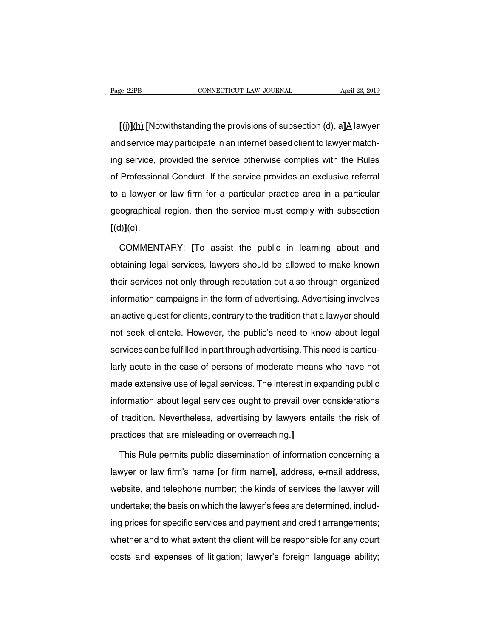**[**(j)**]**(h) **[**Notwithstanding the provisions of subsection (d), a**]**A lawyer Page 22PB CONNECTICUT LAW JOURNAL April 23, 2019<br> **EXECUTE CONNECTICUT LAW JOURNAL** April 23, 2019<br> **EXECUTE:** The provisions of subsection (d), a<br>
JA lawyer and service may participate in an internet based client to lawye I(i)](h) [Notwithstanding the provisions of subsection (d), a]A lawyer<br>and service may participate in an internet based client to lawyer match-<br>ing service, provided the service otherwise complies with the Rules<br>of Profess  $[(j)](h)$  [Notwithstanding the provisions of subsection (d), a] $\triangle$  lawyer and service may participate in an internet based client to lawyer matching service, provided the service otherwise complies with the Rules of Profe and service may participate in an internet based client to lawyer matching service, provided the service otherwise complies with the Rules of Professional Conduct. If the service provides an exclusive referral to a lawyer ing service, provided the service otherwise complies with the Rules<br>of Professional Conduct. If the service provides an exclusive referral<br>to a lawyer or law firm for a particular practice area in a particular<br>geographical **[**(d)**]**(e). a lawyer or law firm for a particular practice area in a particular<br>ographical region, then the service must comply with subsection<br>d)](e).<br>COMMENTARY: [To assist the public in learning about and<br>taining legal services, la

geographical region, then the service must comply with subsection<br>
[(d)](e).<br>
COMMENTARY: [To assist the public in learning about and<br>
obtaining legal services, lawyers should be allowed to make known<br>
their services not o (d)](e).<br>COMMENTARY: [To assist the public in learning about and<br>obtaining legal services, lawyers should be allowed to make known<br>their services not only through reputation but also through organized<br>information campaigns COMMENTARY: [To assist the public in learning about and<br>obtaining legal services, lawyers should be allowed to make known<br>their services not only through reputation but also through organized<br>information campaigns in the f botaining legal services, lawyers should be allowed to make known<br>their services not only through reputation but also through organized<br>information campaigns in the form of advertising. Advertising involves<br>an active quest not seek clientele, through reputation but also through organized<br>information campaigns in the form of advertising. Advertising involves<br>an active quest for clients, contrary to the tradition that a lawyer should<br>not seek their services not only through reputation but also through organized<br>information campaigns in the form of advertising. Advertising involves<br>an active quest for clients, contrary to the tradition that a lawyer should<br>not s an active quest for clients, contrary to the tradition that a lawyer should<br>not seek clientele. However, the public's need to know about legal<br>services can be fulfilled in part through advertising. This need is particu-<br>la an denve queen of biomic, estimally to the madinism mark alarnyer encerate<br>not seek clientele. However, the public's need to know about legal<br>services can be fulfilled in part through advertising. This need is particu-<br>lar increase an be fulfilled in part through advertising. This need is particularly acute in the case of persons of moderate means who have not made extensive use of legal services. The interest in expanding public information darly acute in the case of persons of moderate means who have not<br>made extensive use of legal services. The interest in expanding public<br>information about legal services ought to prevail over considerations<br>of tradition. N provide the are of legal services. The interest in example extensive use of legal services. The interest in example<br>information about legal services ought to prevail over<br>of tradition. Nevertheless, advertising by lawyers formation about legal services ought to prevail over considerations<br>tradition. Nevertheless, advertising by lawyers entails the risk of<br>actices that are misleading or overreaching.]<br>This Rule permits public dissemination o

of tradition. Nevertheless, advertising by lawyers entails the risk of<br>practices that are misleading or overreaching.]<br>This Rule permits public dissemination of information concerning a<br>lawyer <u>or law firm's name</u> [or firm practices that are misleading or overreaching.]<br>This Rule permits public dissemination of information concerning a<br>lawyer <u>or law firm</u>'s name [or firm name], address, e-mail address,<br>website, and telephone number; the kin This Rule permits public dissemination of information concerning a<br>lawyer <u>or law firm</u>'s name [or firm name], address, e-mail address,<br>website, and telephone number; the kinds of services the lawyer will<br>undertake; the ba Internal permits passes alteenmination or intermation concerning a<br>lawyer <u>or law firm</u>'s name [or firm name], address, e-mail address,<br>website, and telephone number; the kinds of services the lawyer will<br>undertake; the ba website, and telephone number; the kinds of services the lawyer will<br>undertake; the basis on which the lawyer's fees are determined, includ-<br>ing prices for specific services and payment and credit arrangements;<br>whether and coster, and telephone namber, the ninte of corricce the langum undertake; the basis on which the lawyer's fees are determined, including prices for specific services and payment and credit arrangements; whether and to what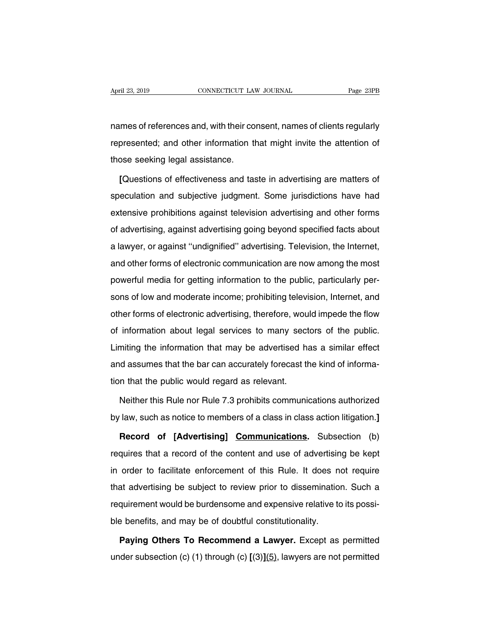April 23, 2019 CONNECTICUT LAW JOURNAL Page 23PB<br>
names of references and, with their consent, names of clients regularly<br>
represented; and other information that might invite the attention of April 23, 2019 CONNECTICUT LAW JOURNAL Page 23PB<br>names of references and, with their consent, names of clients regularly<br>represented; and other information that might invite the attention of<br>those seeking legal assistance. Those seeking legal assistance.<br>Those seeking legal assistance.<br>Those seeking legal assistance.<br>The seeking legal assistance. Imes of references and, with their consent, names of clients regularly<br>presented; and other information that might invite the attention of<br>pse seeking legal assistance.<br>[Questions of effectiveness and taste in advertising

represented; and other information that might invite the attention of<br>those seeking legal assistance.<br>[Questions of effectiveness and taste in advertising are matters of<br>speculation and subjective judgment. Some jurisdicti those seeking legal assistance.<br>
[Questions of effectiveness and taste in advertising are matters of<br>
speculation and subjective judgment. Some jurisdictions have had<br>
extensive prohibitions against television advertising [Questions of effectiveness and taste in advertising are matters of speculation and subjective judgment. Some jurisdictions have had extensive prohibitions against television advertising and other forms of advertising, aga speculation and subjective judgment. Some jurisdictions have had extensive prohibitions against television advertising and other forms of advertising, against advertising going beyond specified facts about a lawyer, or aga extensive prohibitions against television advertising and other forms<br>of advertising, against advertising going beyond specified facts about<br>a lawyer, or against "undignified" advertising. Television, the Internet,<br>and oth promismions against totonion tationting and other forms<br>of advertising, against advertising going beyond specified facts about<br>a lawyer, or against "undignified" advertising. Television, the Internet,<br>and other forms of el a lawyer, or against "undignified" advertising. Television, the Internet,<br>and other forms of electronic communication are now among the most<br>powerful media for getting information to the public, particularly per-<br>sons of l and other forms of electronic communication are now among the most<br>powerful media for getting information to the public, particularly per-<br>sons of low and moderate income; prohibiting television, Internet, and<br>other forms powerful media for getting information to the public, particularly persons of low and moderate income; prohibiting television, Internet, and other forms of electronic advertising, therefore, would impede the flow of inform Limiting the information is the pastic, particularly persons of low and moderate income; prohibiting television, Internet, and other forms of electronic advertising, therefore, would impede the flow of information about le about of the and induction income, promising television, internet, and<br>other forms of electronic advertising, therefore, would impede the flow<br>of information about legal services to many sectors of the public.<br>Limiting the of information about legal services to many sect<br>Limiting the information that may be advertised hand assumes that the bar can accurately forecast th<br>tion that the public would regard as relevant.<br>Neither this Rule nor Rul miting the information that may be advertised has a similar effect<br>d assumes that the bar can accurately forecast the kind of informa-<br>n that the public would regard as relevant.<br>Neither this Rule nor Rule 7.3 prohibits co and assumes that the bar can accurately forecast the kind of information that the public would regard as relevant.<br>
Neither this Rule nor Rule 7.3 prohibits communications authorized<br>
by law, such as notice to members of a

In that the public would regard as relevant.<br>
Neither this Rule nor Rule 7.3 prohibits communications authorized<br>
law, such as notice to members of a class in class action litigation.]<br> **Record of [Advertising] Communicati** Neither this Rule nor Rule 7.3 prohibits communications authorized<br>by law, such as notice to members of a class in class action litigation.]<br>**Record of [Advertising] <u>Communications</u>**. Subsection (b)<br>requires that a record by law, such as notice to members of a class in class action litigation.]<br> **Record of [Advertising] Communications.** Subsection (b)<br>
requires that a record of the content and use of advertising be kept<br>
in order to facilit Record of [Advertising] Communications. Subsection (b)<br>requires that a record of the content and use of advertising be kept<br>in order to facilitate enforcement of this Rule. It does not require<br>that advertising be subject t requires that a record of the content and use of advertising be kept<br>in order to facilitate enforcement of this Rule. It does not require<br>that advertising be subject to review prior to dissemination. Such a<br>requirement wou in order to facilitate enforcement of this Rule. It does n<br>that advertising be subject to review prior to dissemination<br>requirement would be burdensome and expensive relative to<br>ble benefits, and may be of doubtful constit at advertising be subject to review prior to dissemination. Such a<br>quirement would be burdensome and expensive relative to its possi-<br>penefits, and may be of doubtful constitutionality.<br>**Paying Others To Recommend a Lawyer** requirement would be burdensome and expensive relative to its possi-<br>ble benefits, and may be of doubtful constitutionality.<br>**Paying Others To Recommend a Lawyer.** Except as permitted<br>under subsection (c) (1) through (c)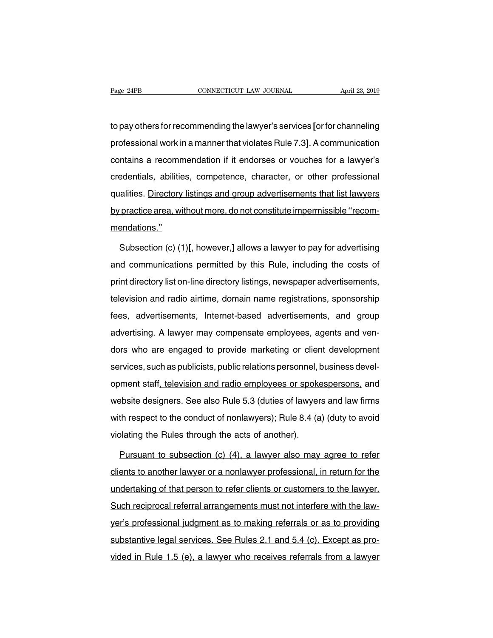Trage 24PB<br>to pay others for recommending the lawyer's services **[**or for channeling<br>professional work in a manner that violates Rule 7.3]. A communication Page 24PB CONNECTICUT LAW JOURNAL April 23, 2019<br>to pay others for recommending the lawyer's services [or for channeling<br>professional work in a manner that violates Rule 7.3]. A communication<br>contains a recommendation if i to pay others for recommending the lawyer's services [or for channeling<br>professional work in a manner that violates Rule 7.3]. A communication<br>contains a recommendation if it endorses or vouches for a lawyer's<br>credentials, to pay others for recommending the lawyer's services [or for channeling<br>professional work in a manner that violates Rule 7.3]. A communication<br>contains a recommendation if it endorses or vouches for a lawyer's<br>credentials, professional work in a manner that violates Rule 7.3]. A communication<br>contains a recommendation if it endorses or vouches for a lawyer's<br>credentials, abilities, competence, character, or other professional<br>qualities. Dire professional work in a manner that violates Rule 7.3]. A communication<br>contains a recommendation if it endorses or vouches for a lawyer's<br>credentials, abilities, competence, character, or other professional<br>qualities. Dire mendations.'' readities. Directory listings and group advertisements that list lawyers<br>practice area, without more, do not constitute impermissible "recom-<br>endations."<br>Subsection (c) (1)[, however,] allows a lawyer to pay for advertisin

by practice area, without more, do not constitute impermissible "recommendations."<br>
Subsection (c) (1)[, however,] allows a lawyer to pay for advertising<br>
and communications permitted by this Rule, including the costs of<br> mendations."<br>
Subsection (c) (1)[, however,] allows a lawyer to pay for advertising<br>
and communications permitted by this Rule, including the costs of<br>
print directory list on-line directory listings, newspaper advertiseme Subsection (c) (1)[, however,] allows a lawyer to pay for advertising<br>and communications permitted by this Rule, including the costs of<br>print directory list on-line directory listings, newspaper advertisements,<br>television and communications permitted by this Rule, including the costs of<br>print directory list on-line directory listings, newspaper advertisements,<br>television and radio airtime, domain name registrations, sponsorship<br>fees, advert and commanications permitted by this rials, instealing the code of<br>print directory list on-line directory listings, newspaper advertisements,<br>television and radio airtime, domain name registrations, sponsorship<br>fees, adver print ancetory het on line ancetory hourige, nonepaper advertisements,<br>television and radio airtime, domain name registrations, sponsorship<br>fees, advertisements, Internet-based advertisements, and group<br>advertising. A lawy services, advertisements, Internet-based advertisements, and group<br>advertising. A lawyer may compensate employees, agents and ven-<br>dors who are engaged to provide marketing or client development<br>services, such as publicist advertising. A lawyer may compensate employees, agents and ven-<br>dors who are engaged to provide marketing or client development<br>services, such as publicists, public relations personnel, business devel-<br>opment staff, televi dors who are engaged to provide marketing or client development<br>services, such as publicists, public relations personnel, business devel-<br>opment staff, television and radio employees or spokespersons, and<br>website designers services, such as publicists, public relations personnel, business devel-<br>opment staff, television and radio employees or spokespersons, and<br>website designers. See also Rule 5.3 (duties of lawyers and law firms<br>with respec by the Rules through the Rules throughouse or spoke<br>website designers. See also Rule 5.3 (duties of lawyer<br>with respect to the conduct of nonlawyers); Rule 8.4 (a<br>violating the Rules through the acts of another).<br>Pursuant Pursuant to subsection (c) (4), a lawyer and law firms<br>th respect to the conduct of nonlawyers); Rule 8.4 (a) (duty to avoid<br>plating the Rules through the acts of another).<br>Pursuant to subsection (c) (4), a lawyer also may

with respect to the conduct of nonlawyers); Rule 8.4 (a) (duty to avoid<br>violating the Rules through the acts of another).<br>Pursuant to subsection (c) (4), a lawyer also may agree to refer<br>clients to another lawyer or a nonl violating the Rules through the acts of another).<br>
Pursuant to subsection (c) (4), a lawyer also may agree to refer<br>
clients to another lawyer or a nonlawyer professional, in return for the<br>
undertaking of that person to r Pursuant to subsection (c) (4), a lawyer also may agree to refer<br>clients to another lawyer or a nonlawyer professional, in return for the<br>undertaking of that person to refer clients or customers to the lawyer.<br>Such recipro clients to another lawyer or a nonlawyer professional, in return for the undertaking of that person to refer clients or customers to the lawyer.<br>Such reciprocal referral arrangements must not interfere with the law-<br>yer's substantive is another tangular services. Such reciprocal referral arrangements or customers to the lawyer.<br>Such reciprocal referral arrangements must not interfere with the law-<br>yer's professional judgment as to making re Such reciprocal referral arrangements must not interfere with the law-<br>yer's professional judgment as to making referrals or as to providing<br>substantive legal services. See Rules 2.1 and 5.4 (c). Except as pro-<br>vided in Ru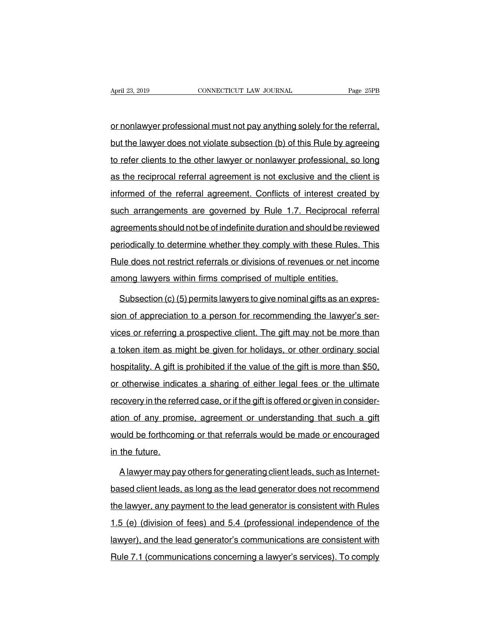or nonlawyer professional must not pay anything solely for the referral, April 23, 2019 CONNECTICUT LAW JOURNAL Page 25PB<br>
or nonlawyer professional must not pay anything solely for the referral,<br>
but the lawyer does not violate subsection (b) of this Rule by agreeing<br>
to refer clients to the o or nonlawyer professional must not pay anything solely for the referral,<br>but the lawyer does not violate subsection (b) of this Rule by agreeing<br>to refer clients to the other lawyer or nonlawyer professional, so long<br>as th or nonlawyer professional must not pay anything solely for the referral,<br>but the lawyer does not violate subsection (b) of this Rule by agreeing<br>to refer clients to the other lawyer or nonlawyer professional, so long<br>as th but the lawyer does not violate subsection (b) of this Rule by agreeing<br>to refer clients to the other lawyer or nonlawyer professional, so long<br>as the reciprocal referral agreement is not exclusive and the client is<br>inform such arrangements to the other lawyer or nonlawyer professional, so long<br>as the reciprocal referral agreement is not exclusive and the client is<br>informed of the referral agreement. Conflicts of interest created by<br>such arr as the reciprocal referral agreement is not exclusive and the client is<br>informed of the referral agreement. Conflicts of interest created by<br>such arrangements are governed by Rule 1.7. Reciprocal referral<br>agreements should informed of the referral agreement. Conflicts of interest created by<br>such arrangements are governed by Rule 1.7. Reciprocal referral<br>agreements should not be of indefinite duration and should be reviewed<br>periodically to de such arrangements are governed by Rule 1.7. Reciprocal referral<br>agreements should not be of indefinite duration and should be reviewed<br>periodically to determine whether they comply with these Rules. This<br>Rule does not rest agreements should not be of indefinite duration and should be revised periodically to determine whether they comply with these Rules.<br>Rule does not restrict referrals or divisions of revenues or net incomprised at multiple riodically to determine whether they comply with these Rules. This<br>ale does not restrict referrals or divisions of revenues or net income<br>nong lawyers within firms comprised of multiple entities.<br>Subsection (c) (5) permits

Rule does not restrict referrals or divisions of revenues or net income<br>among lawyers within firms comprised of multiple entities.<br>Subsection (c) (5) permits lawyers to give nominal gifts as an expres-<br>sion of appreciation among lawyers within firms comprised of multiple entities.<br>Subsection (c) (5) permits lawyers to give nominal gifts as an expres-<br>sion of appreciation to a person for recommending the lawyer's ser-<br>vices or referring a pro Subsection (c) (5) permits lawyers to give nominal gifts as an expression of appreciation to a person for recommending the lawyer's services or referring a prospective client. The gift may not be more than a token item as sion of appreciation to a person for recommending the lawyer's services or referring a prospective client. The gift may not be more than a token item as might be given for holidays, or other ordinary social hospitality. A vices or referring a prospective client. The gift may not be more than<br>a token item as might be given for holidays, or other ordinary social<br>hospitality. A gift is prohibited if the value of the gift is more than \$50,<br>or o vices or referring a prospective client. The gift may not be more than<br>a token item as might be given for holidays, or other ordinary social<br>hospitality. A gift is prohibited if the value of the gift is more than \$50,<br>or o a tend in the might be given for indicaty of extrementary social hospitality. A gift is prohibited if the value of the gift is more than \$50, or otherwise indicates a sharing of either legal fees or the ultimate recovery i or otherwise indicates a sharing of either legal fees or the ultimate<br>recovery in the referred case, or if the gift is offered or given in consider-<br>ation of any promise, agreement or understanding that such a gift<br>would b From the reference in the reference of any prom would be forthcom<br>in the future.<br>A lawver may pay on of any promise, agreement or understanding that such a gift<br>buld be forthcoming or that referrals would be made or encouraged<br>the future.<br>A lawyer may pay others for generating client leads, such as Internet-<br>sed client

based client leads, as long as the lead generator is consistent with Rules<br>A lawyer may pay others for generating client leads, such as Internet-<br>based client leads, as long as the lead generator does not recommend<br>the law in the future.<br>A lawyer may pay others for generating client leads, such as Internet-<br>based client leads, as long as the lead generator does not recommend<br>the lawyer, any payment to the lead generator is consistent with Ru A lawyer may pay others for generating client leads, such as Internet-<br>based client leads, as long as the lead generator does not recommend<br>the lawyer, any payment to the lead generator is consistent with Rules<br>1.5 (e) (di based client leads, as long as the lead generator does not recommend<br>the lawyer, any payment to the lead generator is consistent with Rules<br>1.5 (e) (division of fees) and 5.4 (professional independence of the<br>lawyer), and Rule 7.1 (communications concerning a lawyer's services). To comply<br>Rule 7.1 (communications concerning a lawyer), and the lead generator's communications are consistent with<br>Rule 7.1 (communications concerning a lawyer's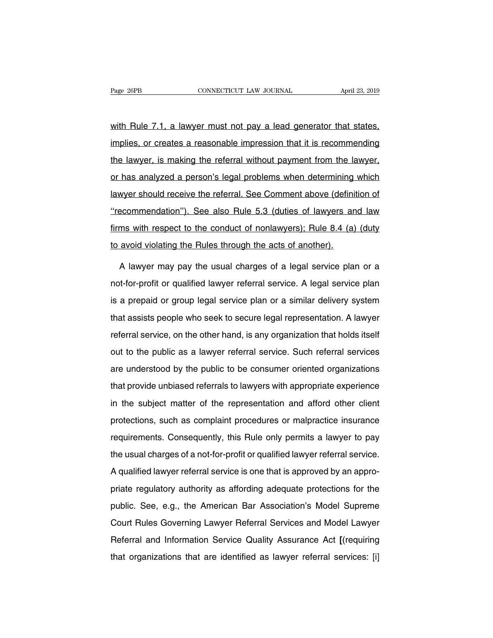Page 26PB<br>
CONNECTICUT LAW JOURNAL<br>
With Rule 7.1, a lawyer must not pay a lead generator that states,<br>
implies, or creates a reasonable impression that it is recommending Page 26PB CONNECTICUT LAW JOURNAL April 23, 2019<br>with Rule 7.1, a lawyer must not pay a lead generator that states,<br>implies, or creates a reasonable impression that it is recommending<br>the lawyer, is making the referral wit with Rule 7.1, a lawyer must not pay a lead generator that states,<br>implies, or creates a reasonable impression that it is recommending<br>the lawyer, is making the referral without payment from the lawyer,<br>or has analyzed a p with Rule 7.1, a lawyer must not pay a lead generator that states,<br>implies, or creates a reasonable impression that it is recommending<br>the lawyer, is making the referral without payment from the lawyer,<br>or has analyzed a p implies, or creates a reasonable impression that it is recommending<br>the lawyer, is making the referral without payment from the lawyer,<br>or has analyzed a person's legal problems when determining which<br>lawyer should receive the lawyer, is making the referral without payment from the lawyer,<br>or has analyzed a person's legal problems when determining which<br>lawyer should receive the referral. See Comment above (definition of<br>"recommendation"). S first any or, is making the formal influency payment from the languation of the conduct definition of "recommendation"). See also Rule 5.3 (duties of lawyers and law firms with respect to the conduct of nonlawyers); Rule 8 Iawyer should receive the referral. See Comment above (definitive<br>commendation"). See also Rule 5.3 (duties of lawyers are<br>firms with respect to the conduct of nonlawyers); Rule 8.4 (a)<br>to avoid violating the Rules through ecommendation"). See also Rule 5.3 (duties of lawyers and law<br>ms with respect to the conduct of nonlawyers); Rule 8.4 (a) (duty<br>avoid violating the Rules through the acts of another).<br>A lawyer may pay the usual charges of

firms with respect to the conduct of nonlawyers); Rule 8.4 (a) (duty<br>to avoid violating the Rules through the acts of another).<br>A lawyer may pay the usual charges of a legal service plan or a<br>not-for-profit or qualified la is a prepaid violating the Rules through the acts of another).<br>
A lawyer may pay the usual charges of a legal service plan or a<br>
not-for-profit or qualified lawyer referral service. A legal service plan<br>
is a prepaid or gr A lawyer may pay the usual charges of a legal service plan or a<br>not-for-profit or qualified lawyer referral service. A legal service plan<br>is a prepaid or group legal service plan or a similar delivery system<br>that assists p referral or qualified lawyer referral service. A legal service plan<br>is a prepaid or group legal service plan or a similar delivery system<br>that assists people who seek to secure legal representation. A lawyer<br>referral servi It is a prepaid or group legal service plan or a similar delivery system<br>that assists people who seek to secure legal representation. A lawyer<br>referral service, on the other hand, is any organization that holds itself<br>out that assists people who seek to secure legal representation. A lawyer<br>referral service, on the other hand, is any organization that holds itself<br>out to the public as a lawyer referral service. Such referral services<br>are un that absets propre three seems regain representation that holds itself<br>referral service, on the other hand, is any organization that holds itself<br>out to the public as a lawyer referral service. Such referral services<br>are u in the public as a lawyer referral service. Such referral services<br>are understood by the public to be consumer oriented organizations<br>that provide unbiased referrals to lawyers with appropriate experience<br>in the subject ma protective interpretations, and the public to be consumer oriented organizations<br>that provide unbiased referrals to lawyers with appropriate experience<br>in the subject matter of the representation and afford other client<br>pr that provide unbiased referrals to lawyers with appropriate experience<br>in the subject matter of the representation and afford other client<br>protections, such as complaint procedures or malpractice insurance<br>requirements. Co the usual charges of a not-for-profit or qualified lawyer referral service.<br>A qualified lawyer referral service is one that is approved the usual charges of a not-for-profit or qualified lawyer referral service.<br>A qualifie A qualified lawyer referral service is one that is approved by an appropriate requirements. Consequently, this Rule only permits a lawyer to pay the usual charges of a not-for-profit or qualified lawyer referral service.<br>A procedure, each also enappear presedures of a mappeness area interestingulate requirements. Consequently, this Rule only permits a lawyer to pay the usual charges of a not-for-profit or qualified lawyer referral service.<br>A public. See, e.g., the American Bar Association's Model Lawyer<br>Chaptitied lawyer referral service is one that is approved by an appro-<br>priate regulatory authority as affording adequate protections for the<br>public. See, e.g. A qualified lawyer referral service is one that is approved by an appropriate regulatory authority as affording adequate protections for the public. See, e.g., the American Bar Association's Model Supreme Court Rules Gover Referral and Information Service City and the uppercessly an apper-<br>Referral and Information Service Act Services and Model Supreme<br>Court Rules Governing Lawyer Referral Services and Model Lawyer<br>Referral and Information S prime regalities, attitions the americing acceptate precedibility are<br>public. See, e.g., the American Bar Association's Model Supreme<br>Court Rules Governing Lawyer Referral Services and Model Lawyer<br>Referral and Information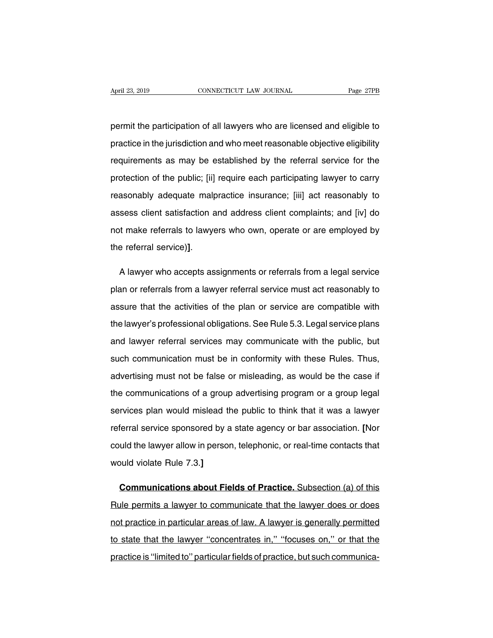April 23, 2019 CONNECTICUT LAW JOURNAL Page 27PB<br>permit the participation of all lawyers who are licensed and eligible to<br>practice in the jurisdiction and who meet reasonable objective eligibility April 23, 2019 CONNECTICUT LAW JOURNAL Page 27PB<br>permit the participation of all lawyers who are licensed and eligible to<br>practice in the jurisdiction and who meet reasonable objective eligibility<br>requirements as may be es permit the participation of all lawyers who are licensed and eligible to<br>practice in the jurisdiction and who meet reasonable objective eligibility<br>requirements as may be established by the referral service for the<br>protect permit the participation of all lawyers who are licensed and eligible to<br>practice in the jurisdiction and who meet reasonable objective eligibility<br>requirements as may be established by the referral service for the<br>protect practice in the jurisdiction and who meet reasonable objective eligibility<br>requirements as may be established by the referral service for the<br>protection of the public; [ii] require each participating lawyer to carry<br>reason requirements as may be established by the referral service for the<br>protection of the public; [ii] require each participating lawyer to carry<br>reasonably adequate malpractice insurance; [iii] act reasonably to<br>assess client protection of the public; [ii] require each participating lawyer to carry<br>reasonably adequate malpractice insurance; [iii] act reasonably to<br>assess client satisfaction and address client complaints; and [iv] do<br>not make re The reasonably adequate malpractice insurance; [iii] act reasonably to<br>assess client satisfaction and address client complaints; and [iv] do<br>not make referrals to lawyers who own, operate or are employed by<br>the referral se

not make referrals to lawyers who own, operate or are employed by<br>the referral service)].<br>A lawyer who accepts assignments or referrals from a legal service<br>plan or referrals from a lawyer referral service must act reasona the referral service)].<br>A lawyer who accepts assignments or referrals from a legal service<br>plan or referrals from a lawyer referral service must act reasonably to<br>assure that the activities of the plan or service are compa A lawyer who accepts assignments or referrals from a legal service<br>plan or referrals from a lawyer referral service must act reasonably to<br>assure that the activities of the plan or service are compatible with<br>the lawyer's plan or referrals from a lawyer referral service must act reasonably to<br>assure that the activities of the plan or service are compatible with<br>the lawyer's professional obligations. See Rule 5.3. Legal service plans<br>and law such that the activities of the plan or service are compatible with<br>the lawyer's professional obligations. See Rule 5.3. Legal service plans<br>and lawyer referral services may communicate with the public, but<br>such communicat the lawyer's professional obligations. See Rule 5.3. Legal service plans<br>and lawyer referral services may communicate with the public, but<br>such communication must be in conformity with these Rules. Thus,<br>advertising must n and lawyer referral services may communicate with the public, but<br>such communication must be in conformity with these Rules. Thus,<br>advertising must not be false or misleading, as would be the case if<br>the communications of such communication must be in conformity with these Rules. Thus,<br>advertising must not be false or misleading, as would be the case if<br>the communications of a group advertising program or a group legal<br>services plan would m advertising must not be false or misleading, as would be the case if<br>the communications of a group advertising program or a group legal<br>services plan would mislead the public to think that it was a lawyer<br>referral service the communications of a group advertising program or a group legal<br>services plan would mislead the public to think that it was a lawyer<br>referral service sponsored by a state agency or bar association. [Nor<br>could the lawyer services plan would mislead the<br>referral service sponsored by a<br>could the lawyer allow in persor<br>would violate Rule 7.3.] Ferral service sponsored by a state agency or bar association. [Nor<br>uld the lawyer allow in person, telephonic, or real-time contacts that<br>buld violate Rule 7.3.]<br>**Communications about Fields of Practice.** Subsection (a) o

could the lawyer allow in person, telephonic, or real-time contacts that<br>would violate Rule 7.3.]<br>**Communications about Fields of Practice.** Subsection (a) of this<br>Rule permits a lawyer to communicate that the lawyer does would violate Rule 7.3.]<br> **Communications about Fields of Practice.** Subsection (a) of this<br>
Rule permits a lawyer to communicate that the lawyer does or does<br>
not practice in particular areas of law. A lawyer is generally **Communications about Fields of Practice.** Subsection (a) of this Rule permits a lawyer to communicate that the lawyer does or does not practice in particular areas of law. A lawyer is generally permitted to state that the Rule permits a lawyer to communicate that the lawyer does or does<br>not practice in particular areas of law. A lawyer is generally permitted<br>to state that the lawyer "concentrates in," "focuses on," or that the<br>practice is "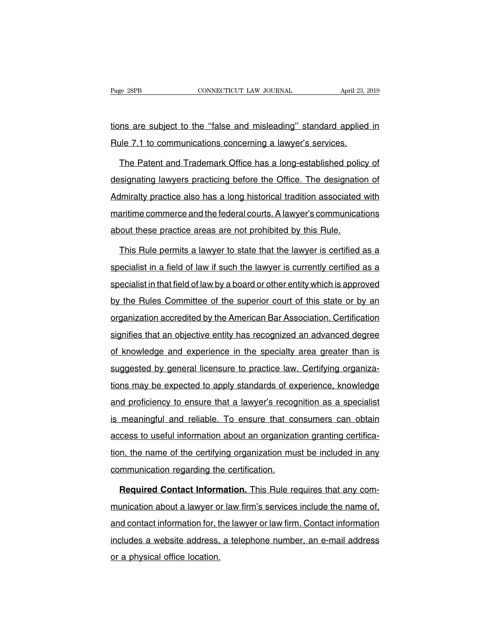The Page 28PB<br>tions are subject to the "false and misleading" standard applied in<br>Rule 7.1 to communications concerning a lawyer's services. Page 28PB CONNECTICUT LAW JOURNAL April 23, 2<br>
dions are subject to the "false and misleading" standard applied<br>
Rule 7.1 to communications concerning a lawyer's services.<br>
The Patent and Trademark Office has a long-establ

in the same subject to the "false and misleading" standard applied in<br>
ile 7.1 to communications concerning a lawyer's services.<br>
The Patent and Trademark Office has a long-established policy of<br>
signating lawyers practici tions are subject to the "false and misleading" standard applied in<br>Rule 7.1 to communications concerning a lawyer's services.<br>The Patent and Trademark Office has a long-established policy of<br>designating lawyers practicing Rule 7.1 to communications concerning a lawyer's services.<br>The Patent and Trademark Office has a long-established policy of<br>designating lawyers practicing before the Office. The designation of<br>Admiralty practice also has a The Patent and Trademark Office has a long-established policy of<br>designating lawyers practicing before the Office. The designation of<br>Admiralty practice also has a long historical tradition associated with<br>maritime commerc designating lawyers practicing before the Office. The designatic<br>Admiralty practice also has a long historical tradition associated<br>maritime commerce and the federal courts. A lawyer's communicat<br>about these practice areas Imiralty practice also has a long historical tradition associated with<br>aritime commerce and the federal courts. A lawyer's communications<br>out these practice areas are not prohibited by this Rule.<br>This Rule permits a lawyer

maritime commerce and the federal courts. A lawyer's communications<br>about these practice areas are not prohibited by this Rule.<br>This Rule permits a lawyer to state that the lawyer is certified as a<br>specialist in a field of specialist in a field of law if such the lawyer is certified as a specialist in a field of law if such the lawyer is currently certified as a specialist in a field of law if such the lawyer is currently certified as a spec This Rule permits a lawyer to state that the lawyer is certified as a specialist in a field of law if such the lawyer is currently certified as a specialist in that field of law by a board or other entity which is approved specialist in a field of law if such the lawyer is currently certified as a specialist in that field of law by a board or other entity which is approved by the Rules Committee of the superior court of this state or by an o specialist in that field of law by a board or other entity which is approved<br>by the Rules Committee of the superior court of this state or by an<br>organization accredited by the American Bar Association. Certification<br>signif by the Rules Committee of the superior court of this state or by an organization accredited by the American Bar Association. Certification signifies that an objective entity has recognized an advanced degree of knowledge a sy and nated committed or and experient deart or and extend by an<br>organization accredited by the American Bar Association. Certification<br>signifies that an objective entity has recognized an advanced degree<br>of knowledge and signifies that an objective entity has recognized an advanced degree<br>of knowledge and experience in the specialty area greater than is<br>suggested by general licensure to practice law. Certifying organiza-<br>tions may be expec and proficience and experience in the specialty area greater than is<br>suggested by general licensure to practice law. Certifying organiza-<br>tions may be expected to apply standards of experience, knowledge<br>and proficiency to suggested by general licensure to practice law. Certifying organiza-<br>tions may be expected to apply standards of experience, knowledge<br>and proficiency to ensure that a lawyer's recognition as a specialist<br>is meaningful and but ions may be expected to apply standards of experience, knowledge<br>and proficiency to ensure that a lawyer's recognition as a specialist<br>is meaningful and reliable. To ensure that consumers can obtain<br>access to useful in and proficiency to ensure that a lawyer's recognition as a specialist<br>is meaningful and reliable. To ensure that consumers can obtain<br>access to useful information about an organization granting certifica-<br>tion, the name of is meaningful and reliable. To ensure that concess to useful information about an organization, the name of the certifying organization mu communication regarding the certification.<br>Required Contact Information. This Rule reas to useful information about an organization granting certifica-<br>
In, the name of the certifying organization must be included in any<br>
mmunication regarding the certification.<br> **Required Contact Information.** This Rule

tion, the name of the certifying organization must be included in any<br>communication regarding the certification.<br>**Required Contact Information**. This Rule requires that any com-<br>munication about a lawyer or law firm's serv communication regarding the certification.<br> **Required Contact Information**. This Rule requires that any com-<br>
munication about a lawyer or law firm's services include the name of,<br>
and contact information for, the lawyer o Required Contact Information. This Rule requires that any com-<br>munication about a lawyer or law firm's services include the name of,<br>and contact information for, the lawyer or law firm. Contact information<br>includes a websi munication about a lawyer of<br>and contact information for, the<br>includes a website address,<br>or a physical office location.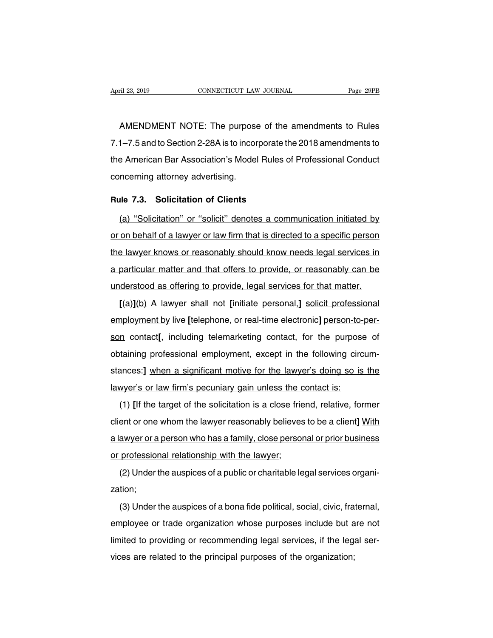Example 33, 2019<br>
AMENDMENT NOTE: The purpose of the amendments to Rules<br>
1-7.5 and to Section 2-28A is to incorporate the 2018 amendments to April 23, 2019 CONNECTICUT LAW JOURNAL Page 29PB<br> **AMENDMENT NOTE:** The purpose of the amendments to Rules<br>
7.1–7.5 and to Section 2-28A is to incorporate the 2018 amendments to<br>
the American Bar Association's Model Rules AMENDMENT NOTE: The purpose of the amendments to Rules<br>7.1–7.5 and to Section 2-28A is to incorporate the 2018 amendments to<br>the American Bar Association's Model Rules of Professional Conduct<br>concerning attorney advertisin AMENDMENT NOTE: The purpose<br>7.1–7.5 and to Section 2-28A is to incor<br>the American Bar Association's Model<br>concerning attorney advertising. **Ruler 7.1–7.5 and to Section 2-28A is to incorporate the American Bar Association's Model Rules of Concerning attorney advertising.<br>
<b>Rule 7.3. Solicitation of Clients**<br>
(a) "Solicitation" or "solicit" denotes a com (a) "Bolicitation" or ''solicitation's Model Rules of Professional Conduct<br>
(a) "Solicitation" or ''solicit'' denotes a communication initiated by<br>
(a) "Solicitation" or ''solicit'' denotes a communication initiated by<br>
on

concerning attorney advertising.<br> **Rule 7.3. Solicitation of Clients**<br>
(a) "Solicitation" or "solicit" denotes a communication initiated by<br>
or on behalf of a lawyer or law firm that is directed to a specific person<br>
the l Rule 7.3. Solicitation of Clients<br>
(a) "Solicitation" or "solicit" denotes a communication initiated by<br>
or on behalf of a lawyer or law firm that is directed to a specific person<br>
the lawyer knows or reasonably should kno (a) "Solicitation" or "solicit" denotes a communication initiated by<br>or on behalf of a lawyer or law firm that is directed to a specific person<br>the lawyer knows or reasonably should know needs legal services in<br>a particula or on behalf of a lawyer or law firm that is directed to a specific person<br>the lawyer knows or reasonably should know needs legal services in<br>a particular matter and that offers to provide, or reasonably can be<br>understood **Example 12 and 12 and 13 and 13 and 13 and 13 and 13 and 13 and 13 and 13 and 13 and 13 and 13 and 14 and 15 and 15 and 16 and 16 and 16 and 16 and 16 and 16 and 16 and 16 and 16 and 16 and 16 and 16 and 16 and 16 and 16** 

employment by live **[**telephone, or real-time electronic] personably can be understood as offering to provide, legal services for that matter.<br> **[(a)](b)** A lawyer shall not [initiate personal,] solicit professional employ a painted as offering to provide, legal services for that matter.<br>
[(a)](b) A lawyer shall not [initiate personal,] <u>solicit professional</u><br>
employment by live [telephone, or real-time electronic] person-to-per-<br>
son contac (a)](b) A lawyer shall not [initiate personal,] solicit professional<br>employment by live [telephone, or real-time electronic] person-to-per-<br>son contact[, including telemarketing contact, for the purpose of<br>obtaining profes employment by live [telephone, or real-time electronic] person-to-person contact[, including telemarketing contact, for the purpose of obtaining professional employment, except in the following circumstances:] when a signi son contact[, including telemarketing contact, for the purpose<br>obtaining professional employment, except in the following circ<br>stances:] when a significant motive for the lawyer's doing so is<br>lawyer's or law firm's pecunia In contact<sub>i</sub>, including coloniant and geomact, for the parpect of<br>taining professional employment, except in the following circum-<br>ances:] when a significant motive for the lawyer's doing so is the<br>wyer's or law firm's pe

client or one whom the lawyer's doing so is the<br>lawyer's or law firm's pecuniary gain unless the contact is:<br>(1) [If the target of the solicitation is a close friend, relative, former<br>client or one whom the lawyer reasonab lawyer's or law firm's pecuniary gain unless the contact is:<br>
(1) [If the target of the solicitation is a close friend, relative, former<br>
client or one whom the lawyer reasonably believes to be a client] With<br>
a lawyer or (1) [If the target of the solicitation is a close frie<br>client or one whom the lawyer reasonably believes<br>a lawyer or a person who has a family, close person<br>or professional relationship with the lawyer;<br>(2) Under the auspi (1) In the target of the conditation is a dided mond, relative, remies<br>ent or one whom the lawyer reasonably believes to be a client] With<br>awyer or a person who has a family, close personal or prior business<br>professional r

zation;

may is the proceduring the auspices of a public or charitable legal services organi-<br>(2) Under the auspices of a public or charitable legal services organi-<br>tion;<br>(3) Under the auspices of a bona fide political, social, ci (2) Under the auspices of a public or charitable legal services organization;<br>(3) Under the auspices of a bona fide political, social, civic, fraternal,<br>employee or trade organization whose purposes include but are not<br>lim (2) Shash are displaced or a passion or shamashologic convictor origin.<br>
23) Under the auspices of a bona fide political, social, civic, fraternal,<br>
employee or trade organization whose purposes include but are not<br>
limite (3) Under the auspices of a bona fide political, social, civic, fra<br>employee or trade organization whose purposes include but a<br>limited to providing or recommending legal services, if the lega<br>vices are related to the prin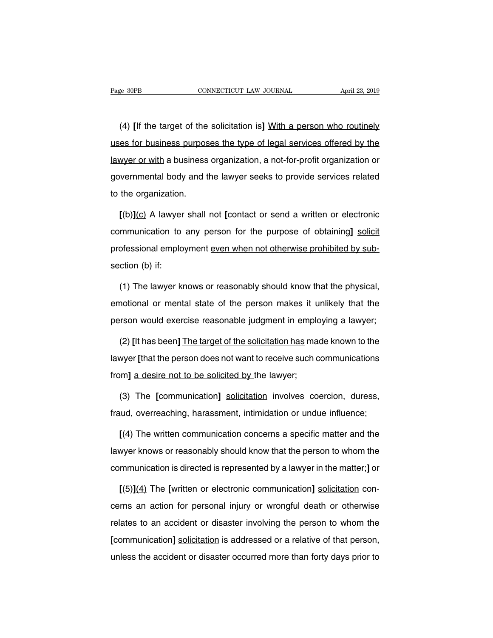(4) [If the target of the solicitation is] With a person who routinely<br>es for business purposes the type of legal services offered by the Page 30PB CONNECTICUT LAW JOURNAL April 23, 2019<br>
(4) [If the target of the solicitation is] <u>With a person who routinely</u><br>
uses for business purposes the type of legal services offered by the<br>
lawyer or with a business or (4) [If the target of the solicitation is] With a person who routinely uses for business purposes the type of legal services offered by the lawyer or with a business organization, a not-for-profit organization or governmen (4) [If the target of the solicitation is] <u>With a person who routinely</u><br>uses for business purposes the type of legal services offered by the<br>lawyer or with a business organization, a not-for-profit organization or<br>governm (4) [If the target of the solicitation is] With a person who routinely<br>uses for business purposes the type of legal services offered by the<br>lawyer or with a business organization, a not-for-profit organization or<br>governme **Example 15 your or with a business organization, a not-for-profit organization or<br>
<b>(b)** wernmental body and the lawyer seeks to provide services related<br>
the organization.<br> **[(b)](c)** A lawyer shall not [contact or send

governmental body and the lawyer seeks to provide services related<br>to the organization.<br>
[(b)](c) A lawyer shall not [contact or send a written or electronic<br>
communication to any person for the purpose of obtaining] solic to the organization.<br>
[(b)](c) A lawyer shall not [contact or send a written or electronic<br>
communication to any person for the purpose of obtaining] solicit<br>
professional employment even when not otherwise prohibited by s  $[(b)](c)$  A lawyer<br>communication to<br>professional emplo<br>section (b) if:<br>(1) The lawyer ki mmunication to any person for the purpose of obtaining] solicit<br>ofessional employment <u>even when not otherwise prohibited by sub-</u><br>ction (b) if:<br>(1) The lawyer knows or reasonably should know that the physical,<br>notional or

professional employment <u>even when not otherwise prohibited by subsection (b</u>) if:<br>section (b) if:<br>(1) The lawyer knows or reasonably should know that the physical,<br>emotional or mental state of the person makes it unlikely section (b) if:<br>
(1) The lawyer knows or reasonably should know that the physical,<br>
emotional or mental state of the person makes it unlikely that the<br>
person would exercise reasonable judgment in employing a lawyer;<br>
(2) (1) The lawyer knows or reasonably should know that the physical,<br>notional or mental state of the person makes it unlikely that the<br>rson would exercise reasonable judgment in employing a lawyer;<br>(2) [It has been] The targe

emotional or mental state of the person makes it unlikely that the<br>person would exercise reasonable judgment in employing a lawyer;<br>(2) [It has been] The target of the solicitation has made known to the<br>lawyer [that the pe from would exercise reasonable judgment in emplo<br>
(2) [It has been] The target of the solicitation has may<br>
lawyer [that the person does not want to receive such c<br>
from] <u>a desire not to be solicited by the lawyer;</u><br>
(3) (2) [It has been] The target of the solicitation has made known to the wyer [that the person does not want to receive such communications<br>om] <u>a desire not to be solicited by</u> the lawyer;<br>(3) The [communication] <u>solicitat</u> Fraud, overreaching, harassment, intimidation or undue influence;<br>
fraud, overreaching, harassment, intimidation or undue influence;<br>
(3) The [communication] <u>solicitation</u> involves coercion, duress,<br>
fraud, overreaching,

Form and a desire not to be solicited by the lawyer;<br> **[3)** The [communication] <u>solicitation</u> involves coercion, duress,<br>
ud, overreaching, harassment, intimidation or undue influence;<br> **[(4)** The written communication co (3) The [communication] solicitation involves coercion, duress,<br>fraud, overreaching, harassment, intimidation or undue influence;<br>[(4) The written communication concerns a specific matter and the<br>lawyer knows or reasonably fraud, overreaching, harassment, intimidation or undue influence;<br>
[(4) The written communication concerns a specific matter and the<br>
lawyer knows or reasonably should know that the person to whom the<br>
communication is dir [(4) The written communication concerns a specific matter and the wyer knows or reasonably should know that the person to whom the mmunication is directed is represented by a lawyer in the matter;] or [(5)](4) The [written

lawyer knows or reasonably should know that the person to whom the<br>communication is directed is represented by a lawyer in the matter;] or<br>[(5)](4) The [written or electronic communication] <u>solicitation</u> con-<br>cerns an act communication is directed is represented by a lawyer in the matter;] or<br>
[(5)](4) The [written or electronic communication] <u>solicitation</u> con-<br>
cerns an action for personal injury or wrongful death or otherwise<br>
relates t [(5)](4) The [written or electronic communication] solicitation concerns an action for personal injury or wrongful death or otherwise relates to an accident or disaster involving the person to whom the [communication] soli Examples an action for personal injury or wrongful death or otherwise<br>relates to an accident or disaster involving the person to whom the<br>[communication] <u>solicitation</u> is addressed or a relative of that person,<br>unless the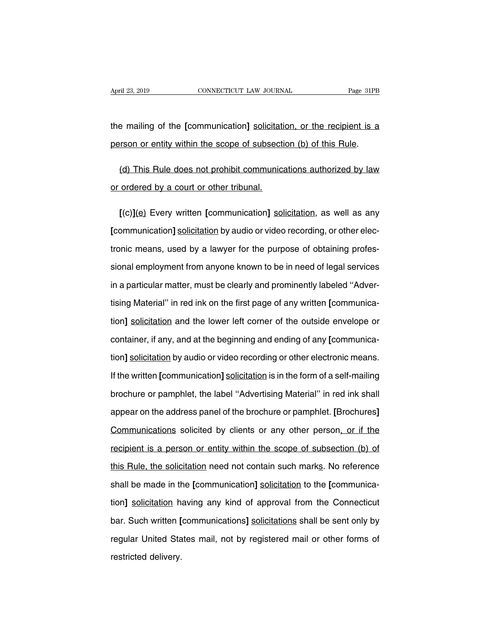April 23, 2019 **CONNECTICUT LAW JOURNAL** Page 31PB<br>the mailing of the **[**communication] solicitation, or the recipient is a<br>person or entity within the scope of subsection (b) of this Rule. April 23, 2019 CONNECTICUT LAW JOURNAL Page 31PB<br>the mailing of the [communication] <u>solicitation, or the recipient is a</u><br>person or entity within the scope of subsection (b) of this Rule. (a) This Rule does not prohibit communication, or the recipient is a<br>
(b) of this Rule does not prohibit communications authorized by law<br>
ordered by a court or other tribunal. the mailing of the [communication] <u>solicitation</u><br>person or entity within the scope of subsection<br>(d) This Rule does not prohibit communication<br>or ordered by a court or other tribunal.

(d) This Rule does not prohibit communications authorized by law<br>ordered by a court or other tribunal.<br>[(c)](e) Every written [communication] solicitation, as well as any<br>pmmunication] <u>solicitation</u> by audio or video reco (d) This Rule does not prohibit communications authorized by law<br>or ordered by a court or other tribunal.<br>
[(c)](e) Every written [communication] <u>solicitation</u>, as well as any<br>
[communication] solicitation by audio or vid or ordered by a court or other tribunal.<br>
[(c)](e) Every written [communication] solicitation, as well as any<br>
[communication] solicitation by audio or video recording, or other elec-<br>
tronic means, used by a lawyer for th [(c)](e) Every written [communication] solicitation, as well as any<br>[communication] solicitation by audio or video recording, or other elec-<br>tronic means, used by a lawyer for the purpose of obtaining profes-<br>sional employ [communication] solicitation by audio or video recording, or other electronic means, used by a lawyer for the purpose of obtaining professional employment from anyone known to be in need of legal services<br>in a particular m tronic means, used by a lawyer for the purpose of obtaining professional employment from anyone known to be in need of legal services<br>in a particular matter, must be clearly and prominently labeled "Adver-<br>tising Material" sional employment from anyone known to be in need of legal services<br>in a particular matter, must be clearly and prominently labeled "Adver-<br>tising Material" in red ink on the first page of any written [communica-<br>tion] <u>so</u> in a particular matter, must be clearly and prominently labeled "Advertising Material" in red ink on the first page of any written [communication] <u>solicitation</u> and the lower left corner of the outside envelope or contain tising Material" in red ink on the first page of any written [communication] <u>solicitation</u> and the lower left corner of the outside envelope or container, if any, and at the beginning and ending of any [communication] <u>so</u> If the written and the lower left corner of the outside envelope or<br>
container, if any, and at the beginning and ending of any [communica-<br>
If the written [communication] solicitation is in the form of a self-mailing<br>
broc container, if any, and at the beginning and ending of any [communication] solicitation by audio or video recording or other electronic means.<br>If the written [communication] <u>solicitation</u> is in the form of a self-mailing<br>b ion] solicitation by audio or video recording or other electronic means.<br>If the written [communication] solicitation is in the form of a self-mailing<br>brochure or pamphlet, the label "Advertising Material" in red ink shall<br> If the written [communication] solicitation is in the form of a self-mailing<br>brochure or pamphlet, the label "Advertising Material" in red ink shall<br>appear on the address panel of the brochure or pamphlet. [Brochures]<br>Comm brochure or pamphlet, the label "Advertising Material" in red ink shall<br>appear on the address panel of the brochure or pamphlet. [Brochures]<br>Communications solicited by clients or any other person, or if the<br>recipient is a appear on the address panel of the brochure or pamphlet. [Brochures]<br>Communications solicited by clients or any other person<u>, or if the</u><br>recipient is a person or entity within the scope of subsection (b) of<br>this Rule, the Communications solicited by clients or any other person<u>, or if the recipient is a person or entity within the scope of subsection (b) of this Rule, the solicitation need not contain such marks. No reference shall be made </u> recipient is a person or entity within the scope of subsection (b) of<br>this Rule, the solicitation need not contain such mark<u>s</u>. No reference<br>shall be made in the [communication] <u>solicitation</u> to the [communica-<br>tion] <u>so</u> this Rule, the solicitation need not contain such marks. No reference<br>shall be made in the [communication] solicitation to the [communica-<br>tion] <u>solicitation</u> having any kind of approval from the Connecticut<br>bar. Such wri shall be made in the [communication] solicitation to the [communication] solicitation having any kind of approval from the Connecticut<br>bar. Such written [communications] solicitations shall be sent only by<br>regular United S tion] <u>solicitation</u> h<br>bar. Such written [<br>regular United Sta<br>restricted delivery.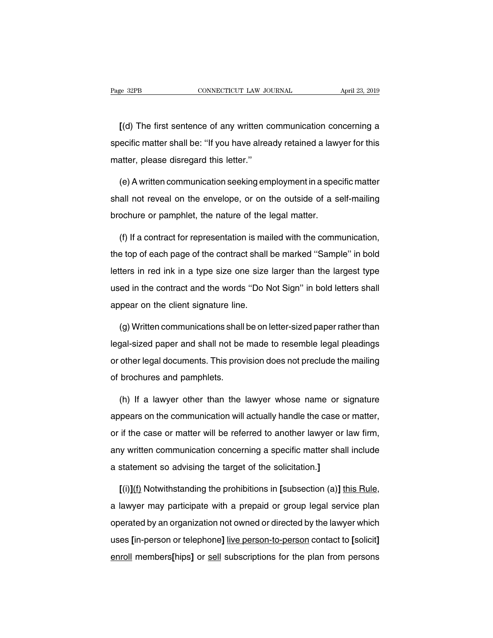EXEMBER **EXECUT CONNECTICUT LAW JOURNAL** April 23, 2019<br> **[(d)** The first sentence of any written communication concerning a ecific matter shall be: "If you have already retained a lawyer for this Fage 32PB CONNECTICUT LAW JOURNAL April 23, 2019<br>
[(d) The first sentence of any written communication concerning a<br>
specific matter shall be: "If you have already retained a lawyer for this<br>
matter, please disregard this  $[(d)$  The first sentence of any written consection matter, please disregard this letter."<br>  $(6)$  A written communication seeking emerges [(d) The first sentence of any written communication concerning a<br>ecific matter shall be: "If you have already retained a lawyer for this<br>atter, please disregard this letter."<br>(e) A written communication seeking employment

specific matter shall be: "If you have already retained a lawyer for this<br>matter, please disregard this letter."<br>(e) A written communication seeking employment in a specific matter<br>shall not reveal on the envelope, or on t matter, please disregard this letter."<br>
(e) A written communication seeking employment in a specific matter<br>
shall not reveal on the envelope, or on the outside of a self-mailing<br>
brochure or pamphlet, the nature of the le (e) A written communication seeking employment in a specific matter<br>all not reveal on the envelope, or on the outside of a self-mailing<br>ochure or pamphlet, the nature of the legal matter.<br>(f) If a contract for representati

shall not reveal on the envelope, or on the outside of a self-mailing<br>brochure or pamphlet, the nature of the legal matter.<br>(f) If a contract for representation is mailed with the communication,<br>the top of each page of the brochure or pamphlet, the nature of the legal matter.<br>
(f) If a contract for representation is mailed with the communication,<br>
the top of each page of the contract shall be marked "Sample" in bold<br>
letters in red ink in a (f) If a contract for representation is mailed with the communication,<br>the top of each page of the contract shall be marked "Sample" in bold<br>letters in red ink in a type size one size larger than the largest type<br>used in t the top of each page of the contract shall be marked "Sample" in bold<br>letters in red ink in a type size one size larger than the largest type<br>used in the contract and the words "Do Not Sign" in bold letters shall<br>appear on ters in red ink in a type size one size larger than the largest type<br>ed in the contract and the words "Do Not Sign" in bold letters shall<br>pear on the client signature line.<br>(g) Written communications shall be on letter-siz

used in the contract and the words "Do Not Sign" in bold letters shall<br>appear on the client signature line.<br>(g) Written communications shall be on letter-sized paper rather than<br>legal-sized paper and shall not be made to r appear on the client signature line.<br>
(g) Written communications shall be on letter-sized paper rather than<br>
legal-sized paper and shall not be made to resemble legal pleadings<br>
or other legal documents. This provision doe (g) Written communications shall<br>legal-sized paper and shall not be<br>or other legal documents. This prov<br>of brochures and pamphlets. (a) Islamington and shall not be made to resemble legal pleadings<br>
other legal documents. This provision does not preclude the mailing<br>
brochures and pamphlets.<br>
(h) If a lawyer other than the lawyer whose name or signatur

or other legal documents. This provision does not preclude the mailing<br>of brochures and pamphlets.<br>(h) If a lawyer other than the lawyer whose name or signature<br>appears on the communication will actually handle the case or of brochures and pamphlets.<br>
(h) If a lawyer other than the lawyer whose name or signature<br>
appears on the communication will actually handle the case or matter,<br>
or if the case or matter will be referred to another lawyer (h) If a lawyer other than the lawyer whose name or signature<br>appears on the communication will actually handle the case or matter,<br>or if the case or matter will be referred to another lawyer or law firm,<br>any written commu (h) If a lawyer other than the lawyer whose name or signature appears on the communication will actually handle the case or matter, or if the case or matter will be referred to another lawyer or law firm, any written commu if the case or matter will be referred to another lawyer or law firm,<br>y written communication concerning a specific matter shall include<br>statement so advising the target of the solicitation.]<br>**[(i)](f)** Notwithstanding the

any written communication concerning a specific matter shall include<br>a statement so advising the target of the solicitation.]<br>[(i)](f) Notwithstanding the prohibitions in [subsection (a)] this Rule,<br>a lawyer may participat a statement so advising the target of the solicitation.]<br>
[(i)](f) Notwithstanding the prohibitions in [subsection (a)] this Rule,<br>
a lawyer may participate with a prepaid or group legal service plan<br>
operated by an organi [(i)](f) Notwithstanding the prohibitions in [subsection (a)] this Rule,<br>a lawyer may participate with a prepaid or group legal service plan<br>operated by an organization not owned or directed by the lawyer which<br>uses [in-pe a lawyer may participate with a prepaid or group legal service plan<br>operated by an organization not owned or directed by the lawyer which<br>uses [in-person or telephone] <u>live person-to-person</u> contact to [solicit]<br><u>enroll</u>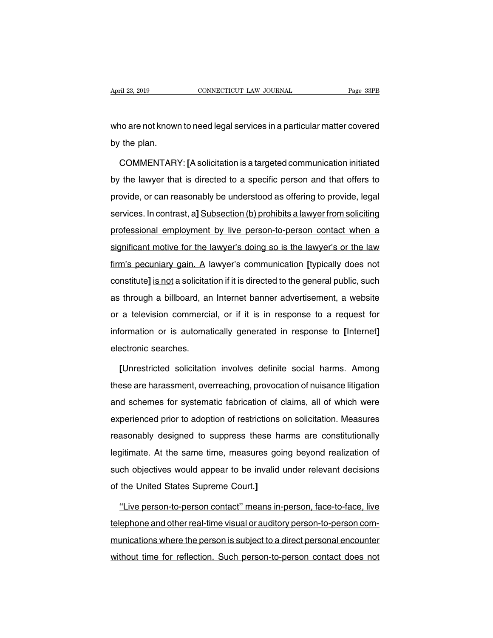April 23, 2019 CONNECTICUT LAW JOURNAL Page 33PB<br>who are not known to need legal services in a particular matter covered<br>by the plan. April 23, 2019<br>Who are not known<br>by the plan.<br>COMMENTARY

no are not known to need legal services in a particular matter covered<br>the plan.<br>COMMENTARY: [A solicitation is a targeted communication initiated<br>the lawyer that is directed to a specific person and that offers to who are not known to need legal services in a particular matter covered<br>by the plan.<br>COMMENTARY: [A solicitation is a targeted communication initiated<br>by the lawyer that is directed to a specific person and that offers to<br> by the plan.<br>COMMENTARY: [A solicitation is a targeted communication initiated<br>by the lawyer that is directed to a specific person and that offers to<br>provide, or can reasonably be understood as offering to provide, legal<br>s COMMENTARY: [A solicitation is a targeted communication initiated<br>by the lawyer that is directed to a specific person and that offers to<br>provide, or can reasonably be understood as offering to provide, legal<br>services. In c by the lawyer that is directed to a specific person and that offers to<br>provide, or can reasonably be understood as offering to provide, legal<br>services. In contrast, a] Subsection (b) prohibits a lawyer from soliciting<br>prof sy are lawyer and to different of a specific provide, and and shore to<br>provide, or can reasonably be understood as offering to provide, legal<br>services. In contrast, a] Subsection (b) prohibits a lawyer from soliciting<br>prof firm's peculary se and total and the person-to-person soliciting<br>professional employment by live person-to-person contact when a<br>significant motive for the lawyer's doing so is the lawyer's or the law<br>firm's pecuniary gain professional employment by live person-to-person contact when a<br>significant motive for the lawyer's doing so is the lawyer's or the law<br>firm's pecuniary gain. A lawyer's communication [typically does not<br>constitute] is not significant motive for the lawyer's doing so is the lawyer's or the law<br>firm's pecuniary gain. A lawyer's communication [typically does not<br>constitute] is not a solicitation if it is directed to the general public, such<br>as firm's pecuniary gain. A lawyer's communication [typically does not constitute] is not a solicitation if it is directed to the general public, such as through a billboard, an Internet banner advertisement, a website or a t constitute] is not a solicitation if it is directed to the general public, such<br>as through a billboard, an Internet banner advertisement, a website<br>or a television commercial, or if it is in response to a request for<br>infor constitute] is not a solicitation if it is directed to the general public, such<br>as through a billboard, an Internet banner advertisement, a website<br>or a television commercial, or if it is in response to a request for<br>infor a television commercial, or if it is in response to a request for<br>
iormation or is automatically generated in response to [Internet]<br>
<u>ectronic</u> searches.<br>
[Unrestricted solicitation involves definite social harms. Among<br>

information or is automatically generated in response to [Internet]<br>electronic searches.<br>[Unrestricted solicitation involves definite social harms. Among<br>these are harassment, overreaching, provocation of nuisance litigati electronic searches.<br>
[Unrestricted solicitation involves definite social harms. Among<br>
these are harassment, overreaching, provocation of nuisance litigation<br>
and schemes for systematic fabrication of claims, all of which [Unrestricted solicitation involves definite social harms. Among<br>these are harassment, overreaching, provocation of nuisance litigation<br>and schemes for systematic fabrication of claims, all of which were<br>experienced prior reasonably designed to suppress these harms are considered trigation<br>reasonably designed to suppress these harms are constitutionally<br>legitimate. At the same time, measures going beyond realization of and schemes for systematic fabrication of claims, all of which were<br>experienced prior to adoption of restrictions on solicitation. Measures<br>reasonably designed to suppress these harms are constitutionally<br>legitimate. At th experienced prior to adoption of restrictions on solicitation. Measures<br>reasonably designed to suppress these harms are constitutionally<br>legitimate. At the same time, measures going beyond realization of<br>such objectives wo reasonably designed to suppress these halogitimate. At the same time, measures goil such objectives would appear to be invalid to the United States Supreme Court.]<br><sup>1</sup> The United States Supreme Court. quarely interest and the same time, measures going beyond realization of<br>
ch objectives would appear to be invalid under relevant decisions<br>
the United States Supreme Court.]<br>
"Live person-to-person contact" means in-perso

such objectives would appear to be invalid under relevant decisions<br>of the United States Supreme Court.]<br>"Live person-to-person contact" means in-person, face-to-face, live<br>telephone and other real-time visual or auditory of the United States Supreme Court.]<br>
"Live person-to-person contact" means in-person, face-to-face, live<br>
telephone and other real-time visual or auditory person-to-person com-<br>
munications where the person is subject to "Live person-to-person contact" means in-person, face-to-face, live<br>telephone and other real-time visual or auditory person-to-person com-<br>munications where the person is subject to a direct personal encounter<br>without time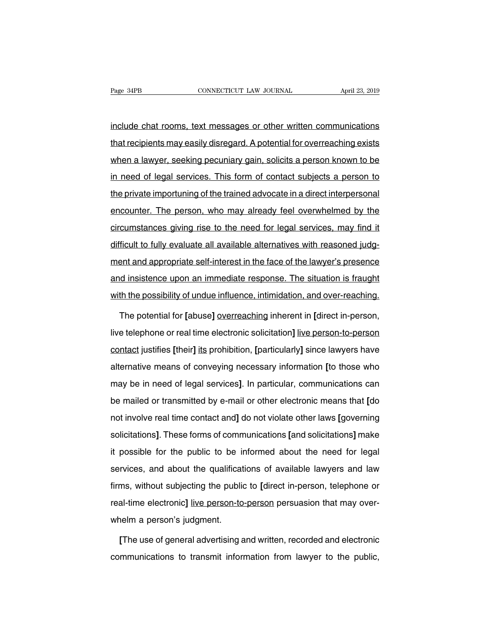Page 34PB<br>include chat rooms, text messages or other written communications<br>that recipients may easily disregard. A potential for overreaching exists Trage 34PB<br>include chat rooms, text messages or other written communications<br>that recipients may easily disregard. A potential for overreaching exists<br>when a lawyer, seeking pecuniary gain, solicits a person known to be include chat rooms, text messages or other written communications<br>that recipients may easily disregard. A potential for overreaching exists<br>when a lawyer, seeking pecuniary gain, solicits a person known to be<br>in need of le include chat rooms, text messages or other written communications<br>that recipients may easily disregard. A potential for overreaching exists<br>when a lawyer, seeking pecuniary gain, solicits a person known to be<br>in need of le that recipients may easily disregard. A potential for overreaching exists<br>when a lawyer, seeking pecuniary gain, solicits a person known to be<br>in need of legal services. This form of contact subjects a person to<br>the privat when a lawyer, seeking pecuniary gain, solicits a person known to be<br>in need of legal services. This form of contact subjects a person to<br>the private importuning of the trained advocate in a direct interpersonal<br>encounter. in need of legal services. This form of contact subjects a person to<br>the private importuning of the trained advocate in a direct interpersonal<br>encounter. The person, who may already feel overwhelmed by the<br>circumstances gi the private importuning of the trained advocate in a direct interpersonal<br>encounter. The person, who may already feel overwhelmed by the<br>circumstances giving rise to the need for legal services, may find it<br>difficult to fu encounter. The person, who may already feel overwhelmed by the circumstances giving rise to the need for legal services, may find it difficult to fully evaluate all available alternatives with reasoned judgment and appropr circumstances giving rise to the need for legal services, may find it<br>difficult to fully evaluate all available alternatives with reasoned judg-<br>ment and appropriate self-interest in the face of the lawyer's presence<br>and i difficult to fully evaluate all available alternatives with reasoned judg-<br>ment and appropriate self-interest in the face of the lawyer's presence<br>and insistence upon an immediate response. The situation is fraught<br>with th ent and appropriate self-interest in the face of the lawyer's presence<br>d insistence upon an immediate response. The situation is fraught<br>th the possibility of undue influence, intimidation, and over-reaching.<br>The potential

live telephone or real time electronic solicitation, and over-reaching with the possibility of undue influence, intimidation, and over-reaching.<br>The potential for [abuse] <u>overreaching</u> inherent in [direct in-person,<br>live with the possibility of undue influence, intimidation, and over-reaching.<br>The potential for [abuse] <u>overreaching</u> inherent in [direct in-person,<br>live telephone or real time electronic solicitation] <u>live person-to-person</u> The potential for [abuse] <u>overreaching</u> inherent in [direct in-person,<br>live telephone or real time electronic solicitation] <u>live person-to-person</u><br>contact justifies [their] its prohibition, [particularly] since lawyers h Interpretation problem in particular person, in person, live telephone or real time electronic solicitation] live person-to-person<br>contact justifies [their] its prohibition, [particularly] since lawyers have<br>alternative me be mailed or transmitted by e-mail or other electronic means favorement and thermative means of conveying necessary information [to those who may be in need of legal services]. In particular, communications can be mailed o not involve real time of conveying necessary information [to those whomay be in need of legal services]. In particular, communications can be mailed or transmitted by e-mail or other electronic means that [do not involve r shighted in the forms of comparing increased, in mormalism per ancient may be in need of legal services]. In particular, communications can<br>be mailed or transmitted by e-mail or other electronic means that [do<br>not involve in particularly be in head or transmitted by e-mail or other electronic means that [do not involve real time contact and] do not violate other laws [governing solicitations]. These forms of communications [and solicitation se maked of nationities by o mail of other discrete means that  $I_{\text{co}}$ <br>not involve real time contact and] do not violate other laws [governing<br>solicitations]. These forms of communications [and solicitations] make<br>it pos firms, without subjecting to the informed about the need for legal<br>services, and about the qualifications of available lawyers and law<br>firms, without subjecting the public to [direct in-person, telephone or<br>real-time elect solicitations]. These forms of communications [and solicitations] make<br>it possible for the public to be informed about the need for legal<br>services, and about the qualifications of available lawyers and law<br>firms, without s wherevices, and about the qualificat<br>firms, without subjecting the public<br>real-time electronic] live person-to<br>whelm a person's judgment.<br>The use of general advertising a ms, without subjecting the public to [direct in-person, telephone or<br>al-time electronic] <u>live person-to-person</u> persuasion that may over-<br>nelm a person's judgment.<br>[The use of general advertising and written, recorded and real-time electronic] live person-to-person persuasion that may over-<br>whelm a person's judgment.<br>[The use of general advertising and written, recorded and electronic<br>communications to transmit information from lawyer to th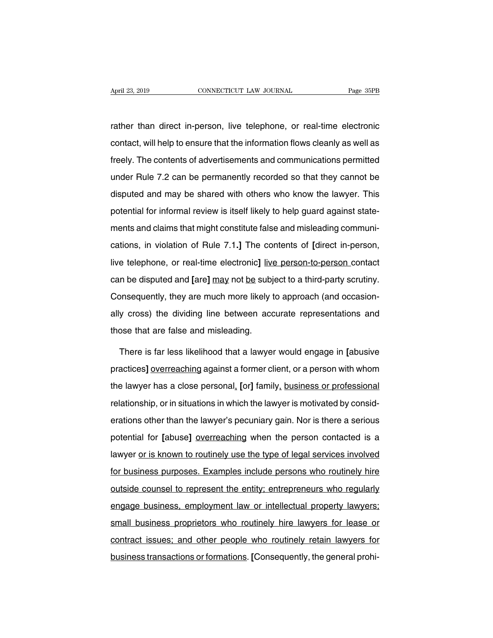April 23, 2019 CONNECTICUT LAW JOURNAL Page 35PB<br>
rather than direct in-person, live telephone, or real-time electronic<br>
contact, will help to ensure that the information flows cleanly as well as April 23, 2019 CONNECTICUT LAW JOURNAL Page 35PB<br>
rather than direct in-person, live telephone, or real-time electronic<br>
contact, will help to ensure that the information flows cleanly as well as<br>
freely. The contents of a rather than direct in-person, live telephone, or real-time electronic<br>contact, will help to ensure that the information flows cleanly as well as<br>freely. The contents of advertisements and communications permitted<br>under Rul rather than direct in-person, live telephone, or real-time electronic<br>contact, will help to ensure that the information flows cleanly as well as<br>freely. The contents of advertisements and communications permitted<br>under Rul disputed and may be ensure that the information flows cleanly as well as<br>freely. The contents of advertisements and communications permitted<br>under Rule 7.2 can be permanently recorded so that they cannot be<br>disputed and ma potential, which provides that the informalism next example of the displane of the properties and communications permitted under Rule 7.2 can be permanently recorded so that they cannot be disputed and may be shared with o mediations and claims and communications point and<br>under Rule 7.2 can be permanently recorded so that they cannot be<br>disputed and may be shared with others who know the lawyer. This<br>potential for informal review is itself disputed and may be shared with others who know the lawyer. This<br>potential for informal review is itself likely to help guard against state-<br>ments and claims that might constitute false and misleading communi-<br>cations, in method interesting the telephone interesting the telephone, or real-time electronic] live person-to-person contact<br>can be disputed and [are] may not be subject to a third-party scrutiny. ments and claims that might constitute false and misleading communications, in violation of Rule 7.1.] The contents of [direct in-person, live telephone, or real-time electronic] <u>live person-to-person</u> contact can be disp Consequently, they are much more likely to approach (and occasion-<br>alive telephone, or real-time electronic] live person-to-person contact<br>can be disputed and [are] may not be subject to a third-party scrutiny.<br>Consequentl Find the disputed and [are] may not be subject to a third-party scrutiny.<br>Consequently, they are much more likely to approach (and occasion-<br>ally cross) the dividing line between accurate representations and<br>those that are the disputed and [are] may not be subj<br>Consequently, they are much more likely t<br>ally cross) the dividing line between acc<br>those that are false and misleading.<br>There is far less likelihood that a lawyer Insequently, they are much more likely to approach (and occasion-<br>y cross) the dividing line between accurate representations and<br>ose that are false and misleading.<br>There is far less likelihood that a lawyer would engage i

ally cross) the dividing line between accurate representations and<br>those that are false and misleading.<br>There is far less likelihood that a lawyer would engage in [abusive<br>practices] <u>overreaching</u> against a former client, those that are false and misleading.<br>There is far less likelihood that a lawyer would engage in [abusive<br>practices] <u>overreaching</u> against a former client, or a person with whom<br>the lawyer has a close personal, [or] family There is far less likelihood that a lawyer would engage in [abusive practices] overreaching against a former client, or a person with whom the lawyer has a close personal, [or] family, business or professional relationship practices] overreaching against a former client, or a person with whom<br>the lawyer has a close personal. [or] family, business or professional<br>relationship, or in situations in which the lawyer is motivated by consid-<br>erati potential for a close personal, [or] family, business or professional<br>relationship, or in situations in which the lawyer is motivated by consid-<br>erations other than the lawyer's pecuniary gain. Nor is there a serious<br>poten relationship, or in situations in which the lawyer is motivated by considerations other than the lawyer's pecuniary gain. Nor is there a serious potential for [abuse] overreaching when the person contacted is a lawyer or i Fortunomy, characteristic in this time any of to mean alleger or a serious<br>potential for [abuse] <u>overreaching</u> when the person contacted is a<br>lawyer or is known to routinely use the type of legal services involved<br>for bus potential for [abuse] <u>overreaching</u> when the person contacted is a<br>lawyer <u>or is known to routinely use the type of legal services involved</u><br>for business purposes. Examples include persons who routinely hire<br>outside couns recommand to parabody <u>of an outinely</u> then the person contracted to a<br>lawyer or is known to routinely use the type of legal services involved<br>for business purposes. Examples include persons who routinely hire<br>outside coun for business purposes. Examples include persons who routinely hire<br>outside counsel to represent the entity; entrepreneurs who regularly<br>engage business, employment law or intellectual property lawyers;<br>small business propr outside counsel to represent the entity; entrepreneurs who regularly<br>engage business, employment law or intellectual property lawyers;<br>small business proprietors who routinely hire lawyers for lease or<br>contract issues; and business transactions in the similar properties interliginary<br>engage business, employment law or intellectual property lawyers;<br>small business proprietors who routinely hire lawyers for lease or<br>contract issues; and other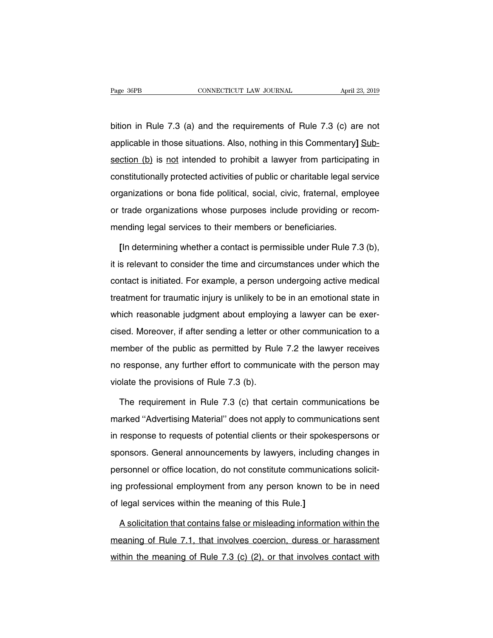Page 36PB<br>
CONNECTICUT LAW JOURNAL<br>
bition in Rule 7.3 (a) and the requirements of Rule 7.3 (c) are not<br>
applicable in those situations. Also, nothing in this Commentary] Sub-Page 36PB **CONNECTICUT LAW JOURNAL** April 23, 2019<br>bition in Rule 7.3 (a) and the requirements of Rule 7.3 (c) are not<br>applicable in those situations. Also, nothing in this Commentary] Sub-<br>section (b) is not intended to p bition in Rule 7.3 (a) and the requirements of Rule 7.3 (c) are not<br>applicable in those situations. Also, nothing in this Commentary] Sub-<br>section (b) is not intended to prohibit a lawyer from participating in<br>constitution bition in Rule 7.3 (a) and the requirements of Rule 7.3 (c) are not<br>applicable in those situations. Also, nothing in this Commentary] Sub-<br>section (b) is not intended to prohibit a lawyer from participating in<br>constitution short in Frate 7:5 (a) and the requirements of Frate 7:5 (c) are not<br>applicable in those situations. Also, nothing in this Commentary] Sub-<br>section (b) is not intended to prohibit a lawyer from participating in<br>constitutio section (b) is not intended to prohibit a lawyer from participating in constitutionally protected activities of public or charitable legal service organizations or bona fide political, social, civic, fraternal, employee or constitutionally protected activities of public or charitable legal se<br>organizations or bona fide political, social, civic, fraternal, emp<br>or trade organizations whose purposes include providing or re<br>mending legal service ganizations or bona fide political, social, civic, fraternal, employee<br>trade organizations whose purposes include providing or recom-<br>ending legal services to their members or beneficiaries.<br>[In determining whether a conta

it is relevant to consider the time and circumstances under Rule 7.3 (b),<br>it is relevant to consider the time and circumstances under Rule 7.3 (b),<br>it is relevant to consider the time and circumstances under which the<br>cont mending legal services to their members or beneficiaries.<br>
[In determining whether a contact is permissible under Rule 7.3 (b),<br>
it is relevant to consider the time and circumstances under which the<br>
contact is initiated. [In determining whether a contact is permissible under Rule 7.3 (b),<br>it is relevant to consider the time and circumstances under which the<br>contact is initiated. For example, a person undergoing active medical<br>treatment for In accomming whether a contact is permissible and ritate riate rise (e),<br>it is relevant to consider the time and circumstances under which the<br>contact is initiated. For example, a person undergoing active medical<br>treatment contact is initiated. For example, a person undergoing active medical<br>treatment for traumatic injury is unlikely to be in an emotional state in<br>which reasonable judgment about employing a lawyer can be exer-<br>cised. Moreove treatment for traumatic injury is unlikely to be in an emotional state in<br>which reasonable judgment about employing a lawyer can be exer-<br>cised. Moreover, if after sending a letter or other communication to a<br>member of the which reasonable judgment about employing a lawyer can be exer-<br>cised. Moreover, if after sending a letter or other communication to a<br>member of the public as permitted by Rule 7.2 the lawyer receives<br>no response, any furt vinon reasonable jaagnont about employ.<br>
cised. Moreover, if after sending a letter or<br>
member of the public as permitted by Rul<br>
no response, any further effort to communi<br>
violate the provisions of Rule 7.3 (b).<br>
The req ember of the public as permitted by Rule 7.2 the lawyer receives<br>
response, any further effort to communicate with the person may<br>
blate the provisions of Rule 7.3 (b).<br>
The requirement in Rule 7.3 (c) that certain communi

mo response, any further effort to communicate with the person may<br>violate the provisions of Rule 7.3 (b).<br>The requirement in Rule 7.3 (c) that certain communications be<br>marked "Advertising Material" does not apply to comm violate the provisions of Rule 7.3 (b).<br>
The requirement in Rule 7.3 (c) that certain communications be<br>
marked "Advertising Material" does not apply to communications sent<br>
in response to requests of potential clients or The requirement in Rule 7.3 (c) that certain communications be<br>marked "Advertising Material" does not apply to communications sent<br>in response to requests of potential clients or their spokespersons or<br>sponsors. General an me requirement in train 7:5 (o) that cortain communications sent<br>marked "Advertising Material" does not apply to communications sent<br>in response to requests of potential clients or their spokespersons or<br>sponsors. General in response to requests of potential clients or their spokespersons or<br>sponsors. General announcements by lawyers, including changes in<br>personnel or office location, do not constitute communications solicit-<br>ing profession sponsors. General announcements by lawyers, including<br>personnel or office location, do not constitute communica<br>ing professional employment from any person known to<br>of legal services within the meaning of this Rule.]<br>A sol From all or office location, do not constitute communications solicit-<br>a professional employment from any person known to be in need<br>legal services within the meaning of this Rule.]<br>A solicitation that contains false or mi

ing professional employment from any person known to be in need<br>of legal services within the meaning of this Rule.]<br>A solicitation that contains false or misleading information within the<br>meaning of Rule 7.1, that involves of legal services within the meaning of this Rule.]<br>A solicitation that contains false or misleading information within the<br>meaning of Rule 7.1, that involves coercion, duress or harassment<br>within the meaning of Rule 7.3 (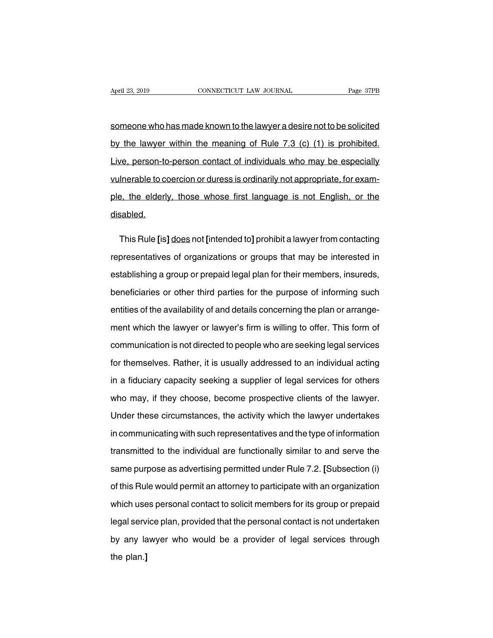Someone who has made known to the lawyer a desire not to be solicited<br>by the lawyer within the meaning of Rule 7.3 (c) (1) is prohibited. April 23, 2019 CONNECTICUT LAW JOURNAL Page 37PB<br>
someone who has made known to the lawyer a desire not to be solicited<br>
by the lawyer within the meaning of Rule 7.3 (c) (1) is prohibited.<br>
Live, person-to-person contact o Someone who has made known to the lawyer a desire not to be solicited<br>by the lawyer within the meaning of Rule 7.3 (c) (1) is prohibited.<br>Live, person-to-person contact of individuals who may be especially<br>vulnerable to co someone who has made known to the lawyer a desire not to be solicited<br>by the lawyer within the meaning of Rule 7.3 (c) (1) is prohibited.<br>Live, person-to-person contact of individuals who may be especially<br>vulnerable to co by the lawyer within the meaning of Rule 7.3 (c) (1) is prohibited.<br>Live, person-to-person contact of individuals who may be especially<br>vulnerable to coercion or duress is ordinarily not appropriate, for exam-<br>ple, the eld disabled. Inerable to coercion or duress is ordinarily not appropriate, for exam-<br>
e, the elderly, those whose first language is not English, or the<br>
sabled.<br>
This Rule [is] <u>does</u> not [intended to] prohibit a lawyer from contacting

ple, the elderly, those whose first language is not English, or the<br>disabled.<br>This Rule [is] does not [intended to] prohibit a lawyer from contacting<br>representatives of organizations or groups that may be interested in<br>est disabled.<br>This Rule [is] does not [intended to] prohibit a lawyer from contacting<br>representatives of organizations or groups that may be interested in<br>establishing a group or prepaid legal plan for their members, insureds, This Rule [is] <u>does</u> not [intended to] prohibit a lawyer from contacting<br>representatives of organizations or groups that may be interested in<br>establishing a group or prepaid legal plan for their members, insureds,<br>benefic representatives of organizations or groups that may be interested in establishing a group or prepaid legal plan for their members, insureds, beneficiaries or other third parties for the purpose of informing such entities o establishing a group or prepaid legal plan for their members, insureds,<br>beneficiaries or other third parties for the purpose of informing such<br>entities of the availability of and details concerning the plan or arrange-<br>men beneficiaries or other third parties for the purpose of informing such<br>entities of the availability of and details concerning the plan or arrange-<br>ment which the lawyer or lawyer's firm is willing to offer. This form of<br>co entities of the availability of and details concerning the plan or arrangement which the lawyer or lawyer's firm is willing to offer. This form of communication is not directed to people who are seeking legal services for ment which the lawyer or lawyer's firm is willing to offer. This form of<br>communication is not directed to people who are seeking legal services<br>for themselves. Rather, it is usually addressed to an individual acting<br>in a f communication is not directed to people who are seeking legal services<br>for themselves. Rather, it is usually addressed to an individual acting<br>in a fiduciary capacity seeking a supplier of legal services for others<br>who may for themselves. Rather, it is usually addressed to an individual acting<br>in a fiduciary capacity seeking a supplier of legal services for others<br>who may, if they choose, become prospective clients of the lawyer.<br>Under these in a fiduciary capacity seeking a supplier of legal services for others<br>who may, if they choose, become prospective clients of the lawyer.<br>Under these circumstances, the activity which the lawyer undertakes<br>in communicatin who may, if they choose, become prospective clients of the lawyer.<br>Under these circumstances, the activity which the lawyer undertakes<br>in communicating with such representatives and the type of information<br>transmitted to t Under these circumstances, the activity which the lawyer undertakes<br>in communicating with such representatives and the type of information<br>transmitted to the individual are functionally similar to and serve the<br>same purpos in communicating with such representatives and the type of information<br>transmitted to the individual are functionally similar to and serve the<br>same purpose as advertising permitted under Rule 7.2. [Subsection (i)<br>of this R transmitted to the individual are functionally similar to and serve the<br>same purpose as advertising permitted under Rule 7.2. [Subsection (i)<br>of this Rule would permit an attorney to participate with an organization<br>which same purpose as advertising permitted under Rule 7.2. [Subsection (i)<br>of this Rule would permit an attorney to participate with an organization<br>which uses personal contact to solicit members for its group or prepaid<br>legal of this Rule would permit an attorney to participate with an organization<br>which uses personal contact to solicit members for its group or prepaid<br>legal service plan, provided that the personal contact is not undertaken<br>by which use<br>legal serv<br>by any la<br>the plan.**]**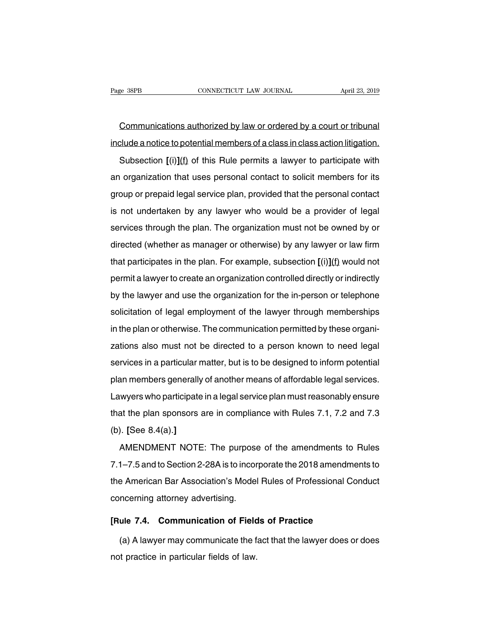EXEMBER ENGINEED CONNECTICUT LAW JOURNAL April 23, 2019<br>Communications authorized by law or ordered by a court or tribunal<br>Clude a notice to potential members of a class in class action litigation. Eage 38PB CONNECTICUT LAW JOURNAL April 23, 2019<br> **Communications authorized by law or ordered by a court or tribunal**<br>
include a notice to potential members of a class in class action litigation.<br>
Subsection  $[(i)](f)$  of t

Communications authorized by law or ordered by a court or tribunal<br>
clude a notice to potential members of a class in class action litigation.<br>
Subsection  $[(i)](f)$  of this Rule permits a lawyer to participate with<br>
organiz Communications authorized by law or ordered by a court or tribunal<br>include a notice to potential members of a class in class action litigation.<br>Subsection  $[(i)](f)$  of this Rule permits a lawyer to participate with<br>an organ group or prepaid legal service plan, provided that the personal contact is not undertaken by any lawyer who would be a provider of legal service plan, provided that the personal contact is not undertaken by any lawyer who Subsection [(i)](f) of this Rule permits a lawyer to participate with<br>an organization that uses personal contact to solicit members for its<br>group or prepaid legal service plan, provided that the personal contact<br>is not und an organization that uses personal contact to solicit members for its<br>group or prepaid legal service plan, provided that the personal contact<br>is not undertaken by any lawyer who would be a provider of legal<br>services throug group or prepaid legal service plan, provided that the personal contact<br>is not undertaken by any lawyer who would be a provider of legal<br>services through the plan. The organization must not be owned by or<br>directed (whethe that participate is not undertaken by any lawyer who would be a provider of legal<br>services through the plan. The organization must not be owned by or<br>directed (whether as manager or otherwise) by any lawyer or law firm<br>tha permit a lawyer and use a provided by or<br>directed (whether as manager or otherwise) by any lawyer or law firm<br>that participates in the plan. For example, subsection  $[(i)](f)$  would not<br>permit a lawyer to create an organizat betweed throught the plan. The organization finds not be owned by or<br>directed (whether as manager or otherwise) by any lawyer or law firm<br>that participates in the plan. For example, subsection  $[(i)](f)$  would not<br>permit a l shocked (whence as manager or otherwise) by any lawyer or law mini-<br>that participates in the plan. For example, subsection [(i)](f) would not<br>permit a lawyer to create an organization controlled directly or indirectly<br>by t in the plan or otherwise. The communication controlled directly or indirectly<br>by the lawyer and use the organization for the in-person or telephone<br>solicitation of legal employment of the lawyer through memberships<br>in the by the lawyer and use the organization for the in-person or telephone solicitation of legal employment of the lawyer through memberships in the plan or otherwise. The communication permitted by these organizations also mus solicitation of legal employment of the lawyer through memberships<br>solicitation of legal employment of the lawyer through memberships<br>in the plan or otherwise. The communication permitted by these organi-<br>zations also must plan members generally of another means of affordable legal services.<br>Lawyers also must not be directed to a person known to need legal<br>services in a particular matter, but is to be designed to inform potential<br>plan member Exations also must not be directed to a person known to need legal<br>services in a particular matter, but is to be designed to inform potential<br>plan members generally of another means of affordable legal services.<br>Lawyers wh Eations also must not be alreaded to a percent million to held legal<br>services in a particular matter, but is to be designed to inform potential<br>plan members generally of another means of affordable legal services.<br>Lawyers plan members generally<br>plan members generally<br>Lawyers who participate<br>that the plan sponsors a<br>(b). [See 8.4(a).]<br>AMENDMENT NOTE Myers who participate in a legal service plan must reasonably ensure<br>at the plan sponsors are in compliance with Rules 7.1, 7.2 and 7.3<br>0. [See 8.4(a).]<br>AMENDMENT NOTE: The purpose of the amendments to Rules<br>1–7.5 and to S

22.1.1–7.5 and to Section 2-28A is to incorporate the 2018 amendments to Rules<br>7.1–7.5 and to Section 2-28A is to incorporate the 2018 amendments to<br>the American Bar Association's Model Rules of Professional Conduct that the plant opensions are throsthphanics that transe 7.1, 7.1 and 7.6<br>(b). [See 8.4(a).]<br>The purpose of the amendments to Rules<br>7.1–7.5 and to Section 2-28A is to incorporate the 2018 amendments to<br>the American Bar Asso AMENDMENT NOTE: The purpose<br>7.1–7.5 and to Section 2-28A is to incor<br>the American Bar Association's Model<br>concerning attorney advertising. F.1–7.5 and to Section 2-28A is to incorporate the 2018 amendme<br>
the American Bar Association's Model Rules of Professional Co<br>
concerning attorney advertising.<br> **[Rule 7.4. Communication of Fields of Practice**<br>
(a) A lawy

Exercican Bar Association's Model Rules of Professional Conduct<br>
Incerning attorney advertising.<br> **ule 7.4. Communication of Fields of Practice**<br>
(a) A lawyer may communicate the fact that the lawyer does or does<br>
t practi concerning attorney advertising.<br> **[Rule 7.4. Communication of Field**<br>
(a) A lawyer may communicate the fields of law.<br>
not practice in particular fields of law.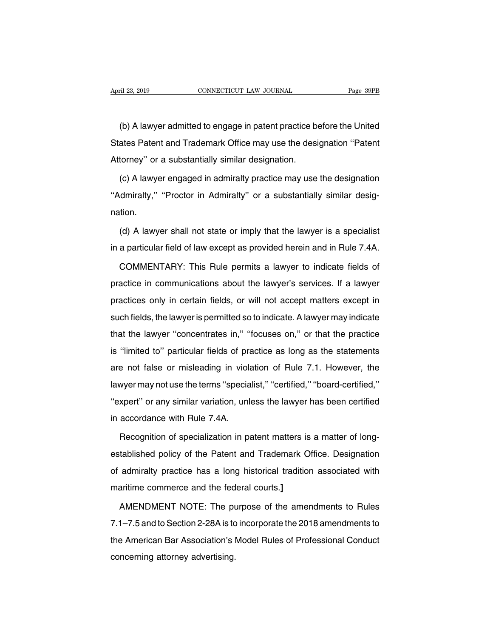The CONNECTICUT LAW JOURNAL Trage 39PB<br>(b) A lawyer admitted to engage in patent practice before the United<br>ates Patent and Trademark Office may use the designation "Patent April 23, 2019 CONNECTICUT LAW JOURNAL Page 39PB<br>
(b) A lawyer admitted to engage in patent practice before the United<br>
States Patent and Trademark Office may use the designation "Patent<br>
Attorney" or a substantially simil (b) A lawyer admitted to engage in patent practice b<br>States Patent and Trademark Office may use the desi<br>Attorney" or a substantially similar designation.<br>(c) A lawyer engaged in admiralty practice may use (b) A lawyer admitted to engage in patent practice before the United<br>ates Patent and Trademark Office may use the designation "Patent<br>torney" or a substantially similar designation.<br>(c) A lawyer engaged in admiralty practi (b) A lawyer admitted to engage in patent practice before the United<br>States Patent and Trademark Office may use the designation "Patent<br>Attorney" or a substantially similar designation.<br>(c) A lawyer engaged in admiralty pr

nation. (c) A lawyer engaged in admiralty practice may use the designation<br>dmiralty," "Proctor in Admiralty" or a substantially similar desig-<br>tion.<br>(d) A lawyer shall not state or imply that the lawyer is a specialist<br>a particula "Admiralty," "Proctor in Admiralty" or a substantially similar designation.<br>
(d) A lawyer shall not state or imply that the lawyer is a specialist<br>
in a particular field of law except as provided herein and in Rule 7.4A.<br>

tion.<br>(d) A lawyer shall not state or imply that the lawyer is a specialist<br>a particular field of law except as provided herein and in Rule 7.4A.<br>COMMENTARY: This Rule permits a lawyer to indicate fields of<br>actice in commu (d) A lawyer shall not state or imply that the lawyer is a specialist<br>in a particular field of law except as provided herein and in Rule 7.4A.<br>COMMENTARY: This Rule permits a lawyer to indicate fields of<br>practice in commun in a particular field of law except as provided herein and in Rule 7.4A.<br>COMMENTARY: This Rule permits a lawyer to indicate fields of<br>practice in communications about the lawyer's services. If a lawyer<br>practices only in ce COMMENTARY: This Rule permits a lawyer to indicate fields of<br>practice in communications about the lawyer's services. If a lawyer<br>practices only in certain fields, or will not accept matters except in<br>such fields, the lawye practice in communications about the lawyer's services. If a lawyer<br>practices only in certain fields, or will not accept matters except in<br>such fields, the lawyer is permitted so to indicate. A lawyer may indicate<br>that the practices only in certain fields, or will not accept matters except in<br>such fields, the lawyer is permitted so to indicate. A lawyer may indicate<br>that the lawyer "concentrates in," "focuses on," or that the practice<br>is "li placifields, the lawyer is permitted so to indicate. A lawyer may indicate<br>that the lawyer "concentrates in," "focuses on," or that the practice<br>is "limited to" particular fields of practice as long as the statements<br>are n diam individe the terms "'focuses on," or that the practice<br>is "limited to" particular fields of practice as long as the statements<br>are not false or misleading in violation of Rule 7.1. However, the<br>lawyer may not use the is "limited to" particular fields of practice as long as the statements<br>are not false or misleading in violation of Rule 7.1. However, the<br>lawyer may not use the terms "specialist," "certified," "board-certified,"<br>"expert" is "limited to" particular fields of practice as long as the statements<br>are not false or misleading in violation of Rule 7.1. However, the<br>lawyer may not use the terms "specialist," "certified," "board-certified,"<br>"expert" Wer may not use the terms "specialist," "certified," "board-certified,"<br>
xpert" or any similar variation, unless the lawyer has been certified<br>
accordance with Rule 7.4A.<br>
Recognition of specialization in patent matters is

"expert" or any similar variation, unless the lawyer has been certified<br>in accordance with Rule 7.4A.<br>Recognition of specialization in patent matters is a matter of long-<br>established policy of the Patent and Trademark Offi in accordance with Rule 7.4A.<br>Recognition of specialization in patent matters is a matter of long-<br>established policy of the Patent and Trademark Office. Designation<br>of admiralty practice has a long historical tradition as Recognition of specialization in patent matters is<br>established policy of the Patent and Trademark C<br>of admiralty practice has a long historical tradition<br>maritime commerce and the federal courts.]<br>AMENDMENT NOTE: The purpo tablished policy of the Patent and Trademark Office. Designation<br>admiralty practice has a long historical tradition associated with<br>aritime commerce and the federal courts.]<br>AMENDMENT NOTE: The purpose of the amendments to

of admiralty practice has a long historical tradition associated with<br>maritime commerce and the federal courts.]<br>AMENDMENT NOTE: The purpose of the amendments to Rules<br>7.1–7.5 and to Section 2-28A is to incorporate the 201 maritime commerce and the federal courts.]<br>AMENDMENT NOTE: The purpose of the amendments to Rules<br>7.1–7.5 and to Section 2-28A is to incorporate the 2018 amendments to<br>the American Bar Association's Model Rules of Professi AMENDMENT NOTE: The pu<br>7.1–7.5 and to Section 2-28A is to<br>the American Bar Association's I<br>concerning attorney advertising.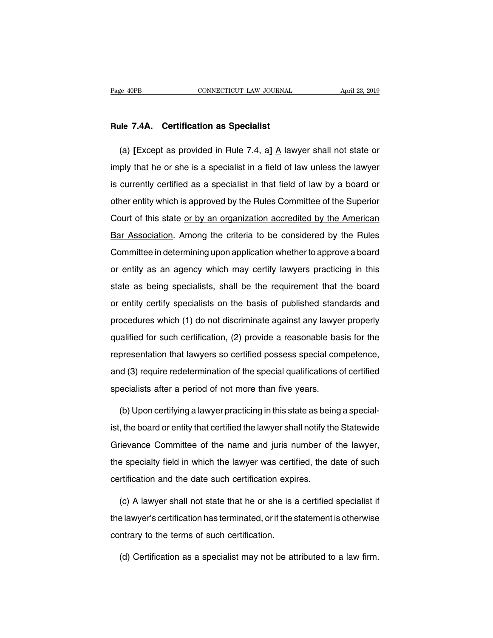# Page 40PB<br> **Rule 7.4A. Certification as Specialist**<br>  $\begin{bmatrix} 1 & 0 & 0 \\ 0 & 1 & 0 \\ 0 & 0 & 0 \\ 0 & 0 & 0 \\ 0 & 0 & 0 \\ 0 & 0 & 0 \\ 0 & 0 & 0 \\ 0 & 0 & 0 \\ 0 & 0 & 0 \\ 0 & 0 & 0 \\ 0 & 0 & 0 \\ 0 & 0 & 0 \\ 0 & 0 & 0 \\ 0 & 0 & 0 \\ 0 & 0 & 0 \\ 0 & 0 & 0 \\ 0 & 0 & 0 \\ 0 & 0 & 0 \\$

(a) **[Except as provided in Rule 7.4, a]** <u>April 23, 2019</u><br> **Except as provided in Rule 7.4, a]** <u>A</u> lawyer shall not state or<br>
ply that he or she is a specialist in a field of law unless the lawyer Figure 7.4A. Certification as Specialist<br>
(a) [Except as provided in Rule 7.4, a]  $\underline{A}$  lawyer shall not state or<br>
imply that he or she is a specialist in a field of law unless the lawyer<br>
is currently certified as a s From 7.4A. Certification as Specialist<br>
(a) [Except as provided in Rule 7.4, a]  $\underline{A}$  lawyer shall not state or<br>
imply that he or she is a specialist in a field of law unless the lawyer<br>
is currently certified as a spe (a) [Except as provided in Rule 7.4, a]  $\underline{A}$  lawyer shall not state or<br>imply that he or she is a specialist in a field of law unless the lawyer<br>is currently certified as a specialist in that field of law by a board or Except as previous in transition,  $\alpha_1 \leq \alpha_2$  for star field of the lawyer<br>is currently certified as a specialist in that field of law by a board or<br>other entity which is approved by the Rules Committee of the Superior<br> Bar Association. Among the criteria to be considered by a board or<br>Bar entity which is approved by the Rules Committee of the Superior<br>Court of this state <u>or by an organization accredited by the American</u><br>Bar Association. of the entity which is approved by the Rules Committee of the Superior<br>Court of this state <u>or by an organization accredited by the American</u><br>Bar Association. Among the criteria to be considered by the Rules<br>Committee in d Court of this state or by an organization accredited by the American<br>Bar Association. Among the criteria to be considered by the Rules<br>Committee in determining upon application whether to approve a board<br>or entity as an ag Bar Association. Among the criteria to be considered by the Rules<br>Committee in determining upon application whether to approve a board<br>or entity as an agency which may certify lawyers practicing in this<br>state as being spec Committee in determining upon application whether to approve a board<br>or entity as an agency which may certify lawyers practicing in this<br>state as being specialists, shall be the requirement that the board<br>or entity certify procedures are against minimal approximation of experience and or entity as an agency which may certify lawyers practicing in this state as being specialists, shall be the requirement that the board or entity certify speci er entry as an agency miner may seruly tanyone practioning in the state as being specialists, shall be the requirement that the board<br>or entity certify specialists on the basis of published standards and<br>procedures which ( or entity certify specialists on the basis of published standards and<br>procedures which (1) do not discriminate against any lawyer properly<br>qualified for such certification, (2) provide a reasonable basis for the<br>representa and (3) require redetermination of the special qualified for such certification, (2) provide a reasonable basis for the representation that lawyers so certified possess special competence, and (3) require redetermination o qualified for such certification, (2) provide a reasonable based representation that lawyers so certified possess special cor<br>and (3) require redetermination of the special qualifications of<br>specialists after a period of n presentation that lawyers so certified possess special competence,<br>
d (3) require redetermination of the special qualifications of certified<br>
ecialists after a period of not more than five years.<br>
(b) Upon certifying a law

ist, and (3) require redetermination of the special qualifications of certified<br>specialists after a period of not more than five years.<br>(b) Upon certifying a lawyer practicing in this state as being a special-<br>ist, the boa specialists after a period of not more than five years.<br>
(b) Upon certifying a lawyer practicing in this state as being a special-<br>
ist, the board or entity that certified the lawyer shall notify the Statewide<br>
Grievance C (b) Upon certifying a lawyer practicing in this state as being a specialist, the board or entity that certified the lawyer shall notify the Statewide<br>Grievance Committee of the name and juris number of the lawyer,<br>the spec ist, the board or entity that certified the lawyer shall notify the Grievance Committee of the name and juris number of the specialty field in which the lawyer was certified, the certification and the date such certificat The specialty field in which the lawyer was certified, the date of such<br>trification and the date such certification expires.<br>(c) A lawyer shall not state that he or she is a certified specialist if<br>elawyer's certification

the specialty field in which the lawyer was certified, the date of such<br>certification and the date such certification expires.<br>(c) A lawyer shall not state that he or she is a certified specialist if<br>the lawyer's certifica certification and the date such certification expi<br>
(c) A lawyer shall not state that he or she is a<br>
the lawyer's certification has terminated, or if the s<br>
contrary to the terms of such certification.<br>
(d) Certification (c) A lawyer shall not state that he or she is a certified specialist if<br>elawyer's certification has terminated, or if the statement is otherwise<br>ntrary to the terms of such certification.<br>(d) Certification as a specialist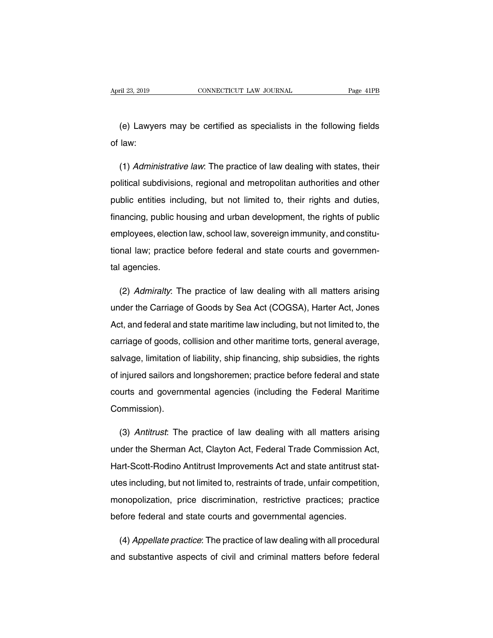The state of the connective connective connective transition of the state of the following fields in the following fields and the following fields and the following fields and the following fields and the following fields April 23, 2019<br>
(e) Lawye<br>
of law:<br>
(1) Admin

(e) Lawyers may be certified as specialists in the following fields<br>law:<br>(1) Administrative law: The practice of law dealing with states, their<br>litical subdivisions, regional and metropolitan authorities and other (e) Lawyers may be certified as specialists in the following fields<br>of law:<br>(1) Administrative law: The practice of law dealing with states, their<br>political subdivisions, regional and metropolitan authorities and other<br>pub of law:<br>
(1) *Administrative law*: The practice of law dealing with states, their<br>
political subdivisions, regional and metropolitan authorities and other<br>
public entities including, but not limited to, their rights and du (1) Administrative law: The practice of law dealing with states, their<br>political subdivisions, regional and metropolitan authorities and other<br>public entities including, but not limited to, their rights and duties,<br>financi employees, election law, school law, sovereign immunity, and constitutional law; practice before federal and state courts and governmentally and urban development, the rights of public employees, election law, school law, political distributions, regional and metropolitant databased and other<br>public entities including, but not limited to, their rights and duties,<br>financing, public housing and urban development, the rights of public<br>employee Francing, public hemployees, electional law; practice<br>tal agencies.<br>(2) Admirative Ti mployees, election law, school law, sovereign immunity, and constitu-<br>hal law; practice before federal and state courts and governmen-<br>agencies.<br>(2) Admiralty: The practice of law dealing with all matters arising<br>der the C

tional law; practice before federal and state courts and governmental agencies.<br>
(2) Admiralty: The practice of law dealing with all matters arising<br>
under the Carriage of Goods by Sea Act (COGSA), Harter Act, Jones<br>
Act, (2) Admiralty: The practice of law dealing with all matters arising<br>under the Carriage of Goods by Sea Act (COGSA), Harter Act, Jones<br>Act, and federal and state maritime law including, but not limited to, the<br>carriage of g (2) Admiralty: The practice of law dealing with all matters arising<br>under the Carriage of Goods by Sea Act (COGSA), Harter Act, Jones<br>Act, and federal and state maritime law including, but not limited to, the<br>carriage of g (L) Mahmany. The plactice of law acaling with an inatione anong<br>under the Carriage of Goods by Sea Act (COGSA), Harter Act, Jones<br>Act, and federal and state maritime law including, but not limited to, the<br>carriage of goods and the samage of doods by Sea Act (SSGDA), hand Act, school<br>Act, and federal and state maritime law including, but not limited to, the<br>carriage of goods, collision and other maritime torts, general average,<br>salvage, limit continue and state manning taw instanting, service in mises to, the carriage of goods, collision and other maritime torts, general average, salvage, limitation of liability, ship financing, ship subsidies, the rights of in Commission). injured sailors and longshoremen; practice before federal and state<br>urts and governmental agencies (including the Federal Maritime<br>ommission).<br>(3) Antitrust: The practice of law dealing with all matters arising<br>der the She

courts and governmental agencies (including the Federal Maritime<br>Commission).<br>(3) Antitrust: The practice of law dealing with all matters arising<br>under the Sherman Act, Clayton Act, Federal Trade Commission Act,<br>Hart-Scott Commission).<br>
(3) Antitrust. The practice of law dealing with all matters arising<br>
under the Sherman Act, Clayton Act, Federal Trade Commission Act,<br>
Hart-Scott-Rodino Antitrust Improvements Act and state antitrust stat-<br> (3) Antitrust. The practice of law dealing with all matters arising<br>under the Sherman Act, Clayton Act, Federal Trade Commission Act,<br>Hart-Scott-Rodino Antitrust Improvements Act and state antitrust stat-<br>utes including, b (c) Thanactic The practice of faw dealing with air matters drieng<br>under the Sherman Act, Clayton Act, Federal Trade Commission Act,<br>Hart-Scott-Rodino Antitrust Improvements Act and state antitrust stat-<br>utes including, but Before federal and state courts and governments and state antitrust states including, but not limited to, restraints of trade, unfair competition monopolization, price discrimination, restrictive practices; pract before fe es including, but not limited to, restraints of trade, unfair competition,<br>propolization, price discrimination, restrictive practices; practice<br>fore federal and state courts and governmental agencies.<br>(4) Appellate practic monopolization, price discrimination, restrictive practices; practice<br>before federal and state courts and governmental agencies.<br>(4) Appellate practice: The practice of law dealing with all procedural<br>and substantive aspec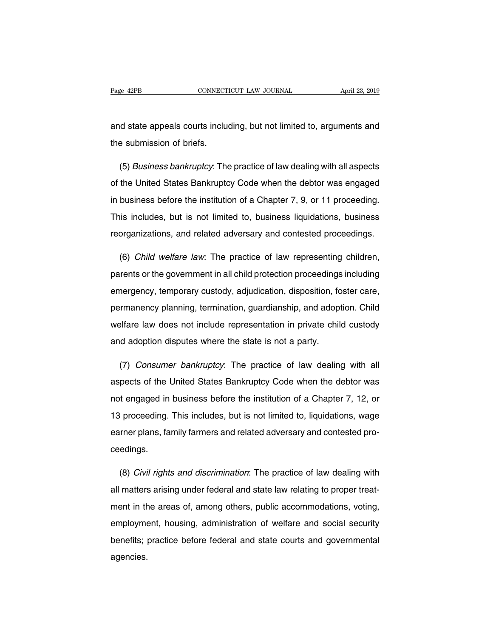Page 42PB CONNECTICUT LAW JOURNAL April 23, 2019<br>and state appeals courts including, but not limited to, arguments and<br>the submission of briefs. Page 42PB CONNECT<br>and state appeals courts include<br>the submission of briefs.

(5) Business bankruptcy: The practice of law dealing with all aspects<br>(5) Business bankruptcy: The practice of law dealing with all aspects<br>the United States Bankruptcy Code when the debtor was engaged and state appeals courts including, but not limited to, arguments and<br>the submission of briefs.<br>(5) *Business bankruptcy*: The practice of law dealing with all aspects<br>of the United States Bankruptcy Code when the debtor w the submission of briefs.<br>
(5) *Business bankruptcy*: The practice of law dealing with all aspects<br>
of the United States Bankruptcy Code when the debtor was engaged<br>
in business before the institution of a Chapter 7, 9, or (5) *Business bankruptcy*: The practice of law dealing with all aspects of the United States Bankruptcy Code when the debtor was engaged in business before the institution of a Chapter 7, 9, or 11 proceeding. This includes reorganizations, and related adversary and contested proceedings.<br>This includes, but is not limited to, business liquidations, business reorganizations, and related adversary and contested proceedings. business before the institution of a Chapter 7, 9, or 11 proceeding.<br>is includes, but is not limited to, business liquidations, business<br>organizations, and related adversary and contested proceedings.<br>(6) *Child welfare la* 

This includes, but is not limited to, business liquidations, business<br>reorganizations, and related adversary and contested proceedings.<br>(6) Child welfare law: The practice of law representing children,<br>parents or the gover reorganizations, and related adversary and contested proceedings.<br>
(6) Child welfare law. The practice of law representing children,<br>
parents or the government in all child protection proceedings including<br>
emergency, temp (6) *Child welfare law*: The practice of law representing children, parents or the government in all child protection proceedings including emergency, temporary custody, adjudication, disposition, foster care, permanency p parents or the government in all child protection proceedings including<br>emergency, temporary custody, adjudication, disposition, foster care,<br>permanency planning, termination, guardianship, and adoption. Child<br>welfare law parents of the government in all stillar proceedin proceedings<br>emergency, temporary custody, adjudication, disposition, for<br>permanency planning, termination, guardianship, and adopt<br>welfare law does not include representat elfare law does not include representation in private child custody<br>elfare law does not include representation in private child custody<br>d adoption disputes where the state is not a party.<br>(7) Consumer bankruptcy: The pract

welfare law does not include representation in private child custody<br>and adoption disputes where the state is not a party.<br>(7) Consumer bankruptcy: The practice of law dealing with all<br>aspects of the United States Bankrupt and adoption disputes where the state is not a party.<br>
(7) Consumer bankruptcy: The practice of law dealing with all<br>
aspects of the United States Bankruptcy Code when the debtor was<br>
not engaged in business before the ins (7) Consumer bankruptcy: The practice of law dealing with all aspects of the United States Bankruptcy Code when the debtor was not engaged in business before the institution of a Chapter 7, 12, or 13 proceeding. This inclu (7) Consumer bankruptcy. The practice of law dealing with all aspects of the United States Bankruptcy Code when the debtor was not engaged in business before the institution of a Chapter 7, 12, or 13 proceeding. This inclu ceedings. (8) proceeding. This includes, but is not limited to, liquidations, wage<br>
interplans, family farmers and related adversary and contested pro-<br>
edings.<br>
(8) Civil rights and discrimination: The practice of law dealing with<br>

earner plans, family farmers and related adversary and contested pro-<br>ceedings.<br>(8) *Civil rights and discrimination*: The practice of law dealing with<br>all matters arising under federal and state law relating to proper tre ceedings.<br>
(8) *Civil rights and discrimination*: The practice of law dealing with<br>
all matters arising under federal and state law relating to proper treat-<br>
ment in the areas of, among others, public accommodations, voti (8) *Civil rights and discrimination*: The practice of law dealing with all matters arising under federal and state law relating to proper treat-<br>ment in the areas of, among others, public accommodations, voting,<br>employmen (b) OM highle and discrimination. The plactice of law dealing with<br>all matters arising under federal and state law relating to proper treat-<br>ment in the areas of, among others, public accommodations, voting,<br>employment, ho agencies.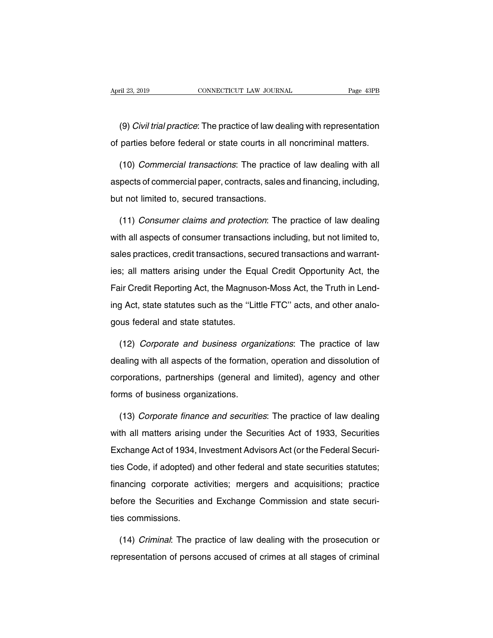(9) Civil trial practice: The practice of law dealing with representation<br>parties before federal or state courts in all noncriminal matters. April 23, 2019 CONNECTICUT LAW JOURNAL Page 43PB<br>
(9) Civil trial practice: The practice of law dealing with representation<br>
of parties before federal or state courts in all noncriminal matters.<br>
(10) Commercial transactio

(9) *Civil trial practice*: The practice of law dealing with representation parties before federal or state courts in all noncriminal matters.<br>(10) *Commercial transactions*: The practice of law dealing with all pects of c (9) *Civil trial practice*: The practice of law dealing with representation of parties before federal or state courts in all noncriminal matters.<br>(10) *Commercial transactions*: The practice of law dealing with all aspects of parties before federal or state courts in all<br>
(10) *Commercial transactions*: The practice<br>
aspects of commercial paper, contracts, sales<br>
but not limited to, secured transactions.<br>
(11) Consumer claims and protection: (10) Commercial transactions: The practice of law dealing with all<br>pects of commercial paper, contracts, sales and financing, including,<br>it not limited to, secured transactions.<br>(11) Consumer claims and protection: The pra

aspects of commercial paper, contracts, sales and financing, including,<br>but not limited to, secured transactions.<br>(11) Consumer claims and protection: The practice of law dealing<br>with all aspects of consumer transactions i but not limited to, secured transactions.<br>
(11) Consumer claims and protection: The practice of law dealing<br>
with all aspects of consumer transactions including, but not limited to,<br>
sales practices, credit transactions, s (11) Consumer claims and protection: The practice of law dealing<br>with all aspects of consumer transactions including, but not limited to,<br>sales practices, credit transactions, secured transactions and warrant-<br>ies; all mat with all aspects of consumer transactions including, but not limited to, sales practices, credit transactions, secured transactions and warranties; all matters arising under the Equal Credit Opportunity Act, the Fair Credi which an apposes or sonsultion transactions instanting, set first initials to,<br>sales practices, credit transactions, secured transactions and warrant-<br>ies; all matters arising under the Equal Credit Opportunity Act, the<br>Fa gous produces, steam manded short, set<br>ies; all matters arising under the Equ<br>Fair Credit Reporting Act, the Magnus<br>ing Act, state statutes such as the "Lit<br>gous federal and state statutes. ir Credit Reporting Act, the Magnuson-Moss Act, the Truth in Lend-<br>
g Act, state statutes such as the "Little FTC" acts, and other analo-<br>
us federal and state statutes.<br>
(12) Corporate and business organizations: The prac

ing Act, state statutes such as the "Little FTC" acts, and other analo-<br>gous federal and state statutes.<br>(12) Corporate and business organizations: The practice of law<br>dealing with all aspects of the formation, operation a qous federal and state statutes.<br>
(12) Corporate and business organizations: The practice of law<br>
dealing with all aspects of the formation, operation and dissolution of<br>
corporations, partnerships (general and limited), a (12) *Corporate and business orgal*<br>dealing with all aspects of the formatio<br>corporations, partnerships (general and<br>forms of business organizations. vating with all aspects of the formation, operation and dissolution of<br>rporations, partnerships (general and limited), agency and other<br>rms of business organizations.<br>(13) Corporate finance and securities: The practice of

corporations, partnerships (general and limited), agency and other<br>forms of business organizations.<br>(13) Corporate finance and securities: The practice of law dealing<br>with all matters arising under the Securities Act of 19 forms of business organizations.<br>
(13) Corporate finance and securities: The practice of law dealing<br>
with all matters arising under the Securities Act of 1933, Securities<br>
Exchange Act of 1934, Investment Advisors Act (or (13) Corporate finance and securities: The practice of law dealing<br>with all matters arising under the Securities Act of 1933, Securities<br>Exchange Act of 1934, Investment Advisors Act (or the Federal Securi-<br>ties Code, if a (10) Defective and detailed the Securities Act of 1933, Securities<br>Exchange Act of 1934, Investment Advisors Act (or the Federal Securi-<br>ties Code, if adopted) and other federal and state securities statutes;<br>financing cor before the Securities and Securities Code, if adopted) and other federal and state securities statutes;<br>financing corporate activities; mergers and acquisitions; practice<br>before the Securities and Exchange Commission and s Exercise recents<br>ties Code, if adopted) a<br>financing corporate ad<br>before the Securities a<br>ties commissions. ancing corporate activities; mergers and acquisitions; practice<br>fore the Securities and Exchange Commission and state securi-<br>s commissions.<br>(14) Criminal: The practice of law dealing with the prosecution or<br>presentation o representation of persons accused of crimes at all stages of criminal<br>representation of persons accused of crimes at all stages of criminal<br>representation of persons accused of crimes at all stages of criminal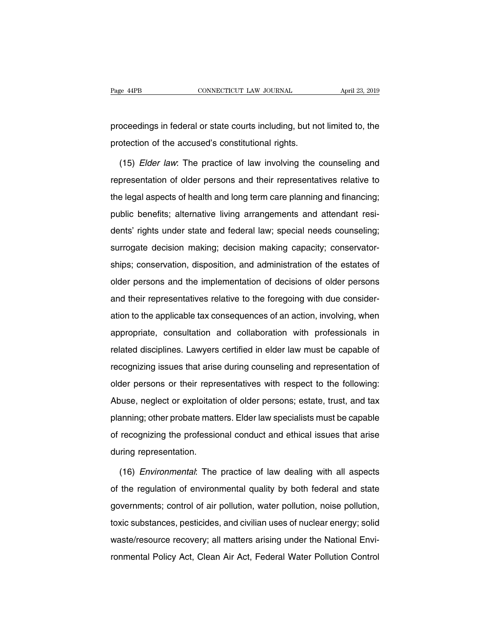Page 44PB<br>
connecticut LAW JOURNAL<br>
proceedings in federal or state courts including, but not limited to, the<br>
protection of the accused's constitutional rights. Page 44PB<br>
proceedings in federal or state courts including, but no<br>
protection of the accused's constitutional rights.<br>
(15) *Elder law*: The practice of law involving the d

oceedings in federal or state courts including, but not limited to, the<br>otection of the accused's constitutional rights.<br>(15) Elder law: The practice of law involving the counseling and<br>presentation of older persons and th proceedings in federal or state courts including, but not limited to, the<br>protection of the accused's constitutional rights.<br>(15) *Elder law*: The practice of law involving the counseling and<br>representation of older person protection of the accused's constitutional rights.<br>
(15) *Elder law*. The practice of law involving the counseling and<br>
representation of older persons and their representatives relative to<br>
the legal aspects of health and (15) *Elder law*: The practice of law involving the counseling and representation of older persons and their representatives relative to the legal aspects of health and long term care planning and financing; public benefit representation of older persons and their representatives relative to<br>the legal aspects of health and long term care planning and financing;<br>public benefits; alternative living arrangements and attendant resi-<br>dents' right surrogate decision making; decision making capacity; conservator-<br>ships; conservation making; decision making capacity; conservator-<br>ships; conservation, disposition, and administration of the estates of ships; conservation, disposition, and administration of the estates of older persons and the implementation of the estates of older persons and the implementation of decisions of older persons dents' rights under state and federal law; special needs counseling;<br>surrogate decision making; decision making capacity; conservator-<br>ships; conservation, disposition, and administration of the estates of<br>older persons an and their representatives relative to the foregoing capacity; conservator-<br>ships; conservation, disposition, and administration of the estates of<br>older persons and the implementation of decisions of older persons<br>and their ships; conservation, disposition, and administration of the estates of older persons and the implementation of decisions of older persons and their representatives relative to the foregoing with due consideration to the ap only appropriate. The implementation of decisions of older persons<br>and their representatives relative to the foregoing with due consider-<br>ation to the applicable tax consequences of an action, involving, when<br>appropriate, and their representatives relative to the foregoing with due consider-<br>ation to the applicable tax consequences of an action, involving, when<br>appropriate, consultation and collaboration with professionals in<br>related discip and then representatives retains to the reregiong minitate centrate.<br>ation to the applicable tax consequences of an action, involving, when<br>appropriate, consultation and collaboration with professionals in<br>related discipli and the the appropriate, consultation and collaboration with professionals in related disciplines. Lawyers certified in elder law must be capable of recognizing issues that arise during counseling and representation of old related disciplines. Lawyers certified in elder law must be capable of<br>recognizing issues that arise during counseling and representation of<br>older persons or their representatives with respect to the following:<br>Abuse, negl planning; of their representatives with respect to the following:<br>Abuse, neglect or exploitation of older persons; estate, trust, and tax<br>planning; other probate matters. Elder law specialists must be capable<br>of recognizin of recognizing issues that alles daming democining and representation of<br>older persons or their representatives with respect to the following:<br>Abuse, neglect or exploitation of older persons; estate, trust, and tax<br>plannin Abuse, neglect or exploitation.<br>planning; other probate matt<br>of recognizing the profession.<br>during representation.<br>(16) Environmental: The (16) anoning; other probate matters. Elder law specialists must be capable<br>recognizing the professional conduct and ethical issues that arise<br>ring representation.<br>(16) Environmental: The practice of law dealing with all as

of recognizing the professional conduct and ethical issues that arise<br>during representation.<br>(16) *Environmental*: The practice of law dealing with all aspects<br>of the regulation of environmental quality by both federal and during representation.<br>
(16) *Environmental*: The practice of law dealing with all aspects<br>
of the regulation of environmental quality by both federal and state<br>
governments; control of air pollution, water pollution, nois (16) *Environmental*: The practice of law dealing with all aspects of the regulation of environmental quality by both federal and state governments; control of air pollution, water pollution, noise pollution, toxic substan of the regulation of environmental quality by both federal and state<br>governments; control of air pollution, water pollution, noise pollution,<br>toxic substances, pesticides, and civilian uses of nuclear energy; solid<br>waste/r governments; control of air pollution, water pollution, noise pollution, toxic substances, pesticides, and civilian uses of nuclear energy; solid waste/resource recovery; all matters arising under the National Environmenta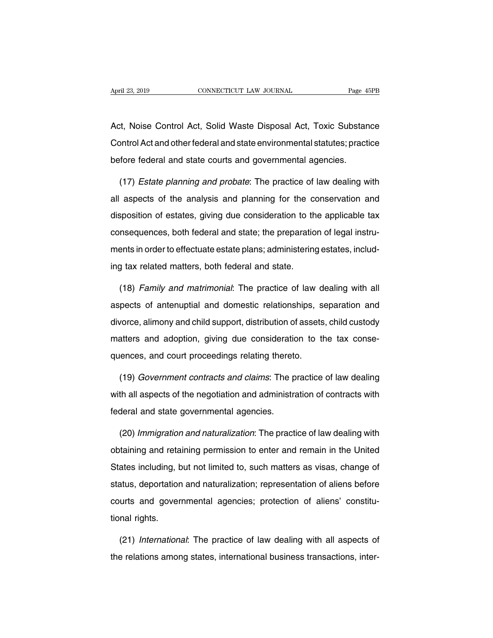April 23, 2019 CONNECTICUT LAW JOURNAL Page 45PB<br>Act, Noise Control Act, Solid Waste Disposal Act, Toxic Substance<br>Control Act and other federal and state environmental statutes; practice April 23, 2019 CONNECTICUT LAW JOURNAL Page 45PB<br>Act, Noise Control Act, Solid Waste Disposal Act, Toxic Substance<br>Control Act and other federal and state environmental statutes; practice<br>before federal and state courts an Act, Noise Control Act, Solid Waste Disposal Act, Toxic Substan<br>Control Act and other federal and state environmental statutes; pract<br>before federal and state courts and governmental agencies.<br>(17) Estate planning and prob t, Noise Control Act, Solid Waste Disposal Act, Toxic Substance<br>
pharmontrol Act and other federal and state environmental statutes; practice<br>
fore federal and state courts and governmental agencies.<br>
(17) Estate planning

Control Act and other federal and state environmental statutes; practice<br>before federal and state courts and governmental agencies.<br>(17) Estate planning and probate: The practice of law dealing with<br>all aspects of the anal before federal and state courts and governmental agencies.<br>
(17) Estate planning and probate: The practice of law dealing with<br>
all aspects of the analysis and planning for the conservation and<br>
disposition of estates, giv (17) *Estate planning and probate*: The practice of law dealing with all aspects of the analysis and planning for the conservation and disposition of estates, giving due consideration to the applicable tax consequences, bo all aspects of the analysis and planning for the conservation and<br>disposition of estates, giving due consideration to the applicable tax<br>consequences, both federal and state; the preparation of legal instru-<br>ments in order disposition of estates, giving due consideration to the<br>consequences, both federal and state; the preparation<br>ments in order to effectuate estate plans; administering<br>ing tax related matters, both federal and state.<br>(18) F msequences, both federal and state; the preparation of legal instru-<br>ents in order to effectuate estate plans; administering estates, includ-<br>g tax related matters, both federal and state.<br>(18) Family and matrimonial: The

ments in order to effectuate estate plans; administering estates, includ-<br>ing tax related matters, both federal and state.<br>(18) Family and matrimonial: The practice of law dealing with all<br>aspects of antenuptial and domest ing tax related matters, both federal and state.<br>
(18) Family and matrimonial: The practice of law dealing with all<br>
aspects of antenuptial and domestic relationships, separation and<br>
divorce, alimony and child support, di (18) Family and matrimonial: The practice of law dealing with all<br>aspects of antenuptial and domestic relationships, separation and<br>divorce, alimony and child support, distribution of assets, child custody<br>matters and adop aspects of antenuptial and domestic relationships, s<br>divorce, alimony and child support, distribution of assets<br>matters and adoption, giving due consideration to the<br>quences, and court proceedings relating thereto.<br>(19) Go vorce, alimony and child support, distribution of assets, child custody<br>atters and adoption, giving due consideration to the tax conse-<br>ences, and court proceedings relating thereto.<br>(19) *Government contracts and claims*:

matters and adoption, giving due consideration to the tax consequences, and court proceedings relating thereto.<br>
(19) *Government contracts and claims*: The practice of law dealing<br>
with all aspects of the negotiation and quences, and court proceedings relating theretories.<br>
(19) *Government contracts and claims*: The p<br>
with all aspects of the negotiation and administrated<br>
federal and state governmental agencies.<br>
(20) Immigration and nat (19) *Government contracts and claims*: The practice of law dealing<br>th all aspects of the negotiation and administration of contracts with<br>deral and state governmental agencies.<br>(20) *Immigration and naturalization*: The p

with all aspects of the negotiation and administration of contracts with<br>federal and state governmental agencies.<br>(20) *Immigration and naturalization*: The practice of law dealing with<br>obtaining and retaining permission t federal and state governmental agencies.<br>
(20) *Immigration and naturalization*: The practice of law dealing with<br>
obtaining and retaining permission to enter and remain in the United<br>
States including, but not limited to, (20) *Immigration and naturalization*: The practice of law dealing with obtaining and retaining permission to enter and remain in the United States including, but not limited to, such matters as visas, change of status, de commission and natural and the precise of an adding mini-<br>obtaining and retaining permission to enter and remain in the United<br>States including, but not limited to, such matters as visas, change of<br>status, deportation and States including, b<br>status, deportation<br>courts and gover<br>tional rights. atus, deportation and naturalization; representation of aliens before<br>urts and governmental agencies; protection of aliens' constitu-<br>nal rights.<br>(21) *International*: The practice of law dealing with all aspects of<br>e rela tional rights.<br>tional rights.<br>(21) *International*: The practice of law dealing with all aspects of<br>the relations among states, international business transactions, inter-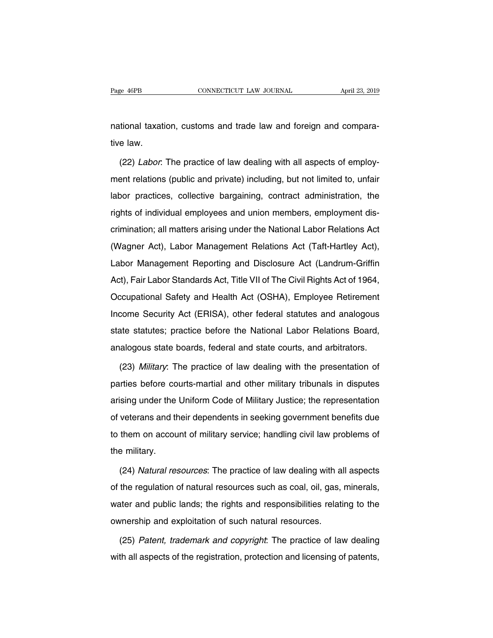Page 46PB<br>
connecticut LAW JOURNAL April 23, 2019<br>
national taxation, customs and trade law and foreign and compara-<br>
tive law. Page 46PB<br>national taxati<br>tive law.<br>(22) *Labor*.

tional taxation, customs and trade law and foreign and compara-<br>e law.<br>(22) *Labor*: The practice of law dealing with all aspects of employ-<br>ent relations (public and private) including, but not limited to, unfair mational taxation, customs and trade law and foreign and compara-<br>tive law.<br>(22) Labor. The practice of law dealing with all aspects of employ-<br>ment relations (public and private) including, but not limited to, unfair<br>labo tive law.<br>
(22) *Labor*: The practice of law dealing with all aspects of employ-<br>
ment relations (public and private) including, but not limited to, unfair<br>
labor practices, collective bargaining, contract administration, (22) Labor. The practice of law dealing with all aspects of employ-<br>ment relations (public and private) including, but not limited to, unfair<br>labor practices, collective bargaining, contract administration, the<br>rights of i (22) 2006). The prostice of law dealing with all appeals of empty<br>ment relations (public and private) including, but not limited to, unfair<br>labor practices, collective bargaining, contract administration, the<br>rights of ind Habor practices, collective bargaining, contract administration, the rights of individual employees and union members, employment discrimination; all matters arising under the National Labor Relations Act (Wagner Act), Lab rights of individual employees and union members, employment dis-<br>crimination; all matters arising under the National Labor Relations Act<br>(Wagner Act), Labor Management Relations Act (Taft-Hartley Act),<br>Labor Management Re Express of individual employees and amon membere, employment also crimination; all matters arising under the National Labor Relations Act (Wagner Act), Labor Management Reporting and Disclosure Act (Landrum-Griffin Act), F (Wagner Act), Labor Management Relations Act (Taft-Hartley Act),<br>Labor Management Reporting and Disclosure Act (Landrum-Griffin<br>Act), Fair Labor Standards Act, Title VII of The Civil Rights Act of 1964,<br>Occupational Safety Income Security, Exister Management Trendments 7 for (Tait Fridrich) 7 for, Labor Management Reporting and Disclosure Act (Landrum-Griffin Act), Fair Labor Standards Act, Title VII of The Civil Rights Act of 1964, Occupati Easor Managomont Troponing and Brootocare 7tot (Eanaram Cimin)<br>Act), Fair Labor Standards Act, Title VII of The Civil Rights Act of 1964,<br>Occupational Safety and Health Act (OSHA), Employee Retirement<br>Income Security Act ( and Easter Statistics Act, this Virst Tile Statinghis Act of 1884,<br>Occupational Safety and Health Act (OSHA), Employee Retirement<br>Income Security Act (ERISA), other federal statutes and analogous<br>state statutes; practice b The Security Act (ERISA), other federal statutes and analogous<br>ate statutes; practice before the National Labor Relations Board,<br>alogous state boards, federal and state courts, and arbitrators.<br>(23) *Military*: The practic

state statutes; practice before the National Labor Relations Board,<br>analogous state boards, federal and state courts, and arbitrators.<br>(23) *Military*: The practice of law dealing with the presentation of<br>parties before co analogous state boards, federal and state courts, and arbitrators.<br>
(23) *Military*: The practice of law dealing with the presentation of<br>
parties before courts-martial and other military tribunals in disputes<br>
arising und (23) *Military*: The practice of law dealing with the presentation of parties before courts-martial and other military tribunals in disputes arising under the Uniform Code of Military Justice; the representation of veteran parties before courts-martial and other military tribunals in disputes<br>arising under the Uniform Code of Military Justice; the representation<br>of veterans and their dependents in seeking government benefits due<br>to them on a parties before courts-martial and other military tribunals in disputes<br>arising under the Uniform Code of Military Justice; the representation<br>of veterans and their dependents in seeking government benefits due<br>to them on a veterans and their dependents in seeking government benefits due<br>them on account of military service; handling civil law problems of<br>e military.<br>(24) Natural resources: The practice of law dealing with all aspects<br>the regu

to them on account of military service; handling civil law problems of<br>the military.<br>(24) Natural resources: The practice of law dealing with all aspects<br>of the regulation of natural resources such as coal, oil, gas, miner the military.<br>
(24) Natural resources: The practice of law dealing with all aspects<br>
of the regulation of natural resources such as coal, oil, gas, minerals,<br>
water and public lands; the rights and responsibilities relatin (24) *Natural resources*: The practice of law dealing with a<br>of the regulation of natural resources such as coal, oil, gas,<br>water and public lands; the rights and responsibilities relati<br>ownership and exploitation of such the regulation of natural resources such as coal, oil, gas, minerals,<br>tater and public lands; the rights and responsibilities relating to the<br>vnership and exploitation of such natural resources.<br>(25) Patent, trademark and water and public lands; the rights and responsibilities relating to the<br>ownership and exploitation of such natural resources.<br>(25) Patent, trademark and copyright. The practice of law dealing<br>with all aspects of the regist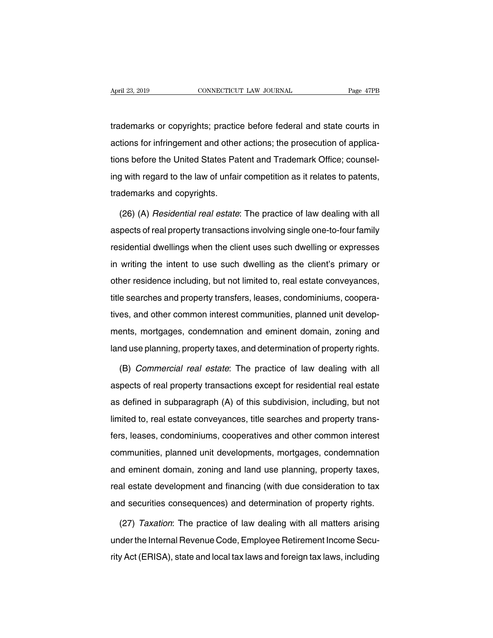April 23, 2019 CONNECTICUT LAW JOURNAL Page 47PB<br>trademarks or copyrights; practice before federal and state courts in<br>actions for infringement and other actions; the prosecution of applica-April 23, 2019 CONNECTICUT LAW JOURNAL Page 47PB<br>trademarks or copyrights; practice before federal and state courts in<br>actions for infringement and other actions; the prosecution of applica-<br>tions before the United States trademarks or copyrights; practice before federal and state courts in<br>actions for infringement and other actions; the prosecution of applica-<br>tions before the United States Patent and Trademark Office; counsel-<br>ing with re trademarks or copyrights; practice before federal and state courts in<br>actions for infringement and other actions; the prosecution of applica-<br>tions before the United States Patent and Trademark Office; counsel-<br>ing with re addinante or copyrights, practice<br>actions for infringement and other<br>tions before the United States Pa<br>ing with regard to the law of unfail<br>trademarks and copyrights.<br>(26) (A) Residential real estate ms before the United States Patent and Trademark Office; counsel-<br>g with regard to the law of unfair competition as it relates to patents,<br>idemarks and copyrights.<br>(26) (A) *Residential real estate*: The practice of law de

ing with regard to the law of unfair competition as it relates to patents,<br>trademarks and copyrights.<br>(26) (A) *Residential real estate*: The practice of law dealing with all<br>aspects of real property transactions involving trademarks and copyrights.<br>
(26) (A) *Residential real estate*: The practice of law dealing with all<br>
aspects of real property transactions involving single one-to-four family<br>
residential dwellings when the client uses su (26) (A) *Residential real estate*: The practice of law dealing with all aspects of real property transactions involving single one-to-four family residential dwellings when the client uses such dwelling or expresses in wr aspects of real property transactions involving single one-to-four family<br>residential dwellings when the client uses such dwelling or expresses<br>in writing the intent to use such dwelling as the client's primary or<br>other r aspects of real property transactions involving single one-to-four family<br>residential dwellings when the client uses such dwelling or expresses<br>in writing the intent to use such dwelling as the client's primary or<br>other re tives, and other common interest communities, planned unit developments, mortgages, condominiums, cooperatives, and other common interest communities, planned unit developments, mortgages, condomination and eminent domain, ment mining and micht to doe back aroundly about of printary of<br>other residence including, but not limited to, real estate conveyances,<br>title searches and property transfers, leases, condominiums, coopera-<br>tives, and other Land use planning, partner inhibited to, real estate servey anses,<br>title searches and property transfers, leases, condominiums, coopera-<br>tives, and other common interest communities, planned unit develop-<br>ments, mortgages, es, and other common interest communities, planned unit developents, mortgages, condemnation and eminent domain, zoning and<br>nd use planning, property taxes, and determination of property rights.<br>(B) *Commercial real estate* 

ments, mortgages, condemnation and eminent domain, zoning and<br>land use planning, property taxes, and determination of property rights.<br>(B) *Commercial real estate*: The practice of law dealing with all<br>aspects of real prop land use planning, property taxes, and determination of property rights.<br>
(B) *Commercial real estate*: The practice of law dealing with all<br>
aspects of real property transactions except for residential real estate<br>
as def (B) *Commercial real estate*: The practice of law dealing with all aspects of real property transactions except for residential real estate as defined in subparagraph (A) of this subdivision, including, but not limited to, (B) Commorolar rear colate. The practice of faw dealing with all aspects of real property transactions except for residential real estate as defined in subparagraph (A) of this subdivision, including, but not limited to, r as defined in subparagraph (A) of this subdivision, including, but not<br>limited to, real estate conveyances, title searches and property trans-<br>fers, leases, condominiums, cooperatives and other common interest<br>communities, as domicd in subparagraph (x) or this subdivision, instituting, but hist<br>limited to, real estate conveyances, title searches and property trans-<br>fers, leases, condominiums, cooperatives and other common interest<br>communitie real estate developments, and other common interest<br>fers, leases, condominiums, cooperatives and other common interest<br>communities, planned unit developments, mortgages, condemnation<br>and eminent domain, zoning and land use consequences) and securities, planned unit developments, mortgages, condemnation<br>and eminent domain, zoning and land use planning, property taxes,<br>real estate development and financing (with due consideration to tax<br>and se d eminent domain, zoning and land use planning, property taxes,<br>al estate development and financing (with due consideration to tax<br>d securities consequences) and determination of property rights.<br>(27) Taxation: The practic

real estate development and financing (with due consideration to tax<br>and securities consequences) and determination of property rights.<br>(27) Taxation: The practice of law dealing with all matters arising<br>under the Internal and securities consequences) and determination of property rights.<br>(27) Taxation: The practice of law dealing with all matters arising<br>under the Internal Revenue Code, Employee Retirement Income Secu-<br>rity Act (ERISA), sta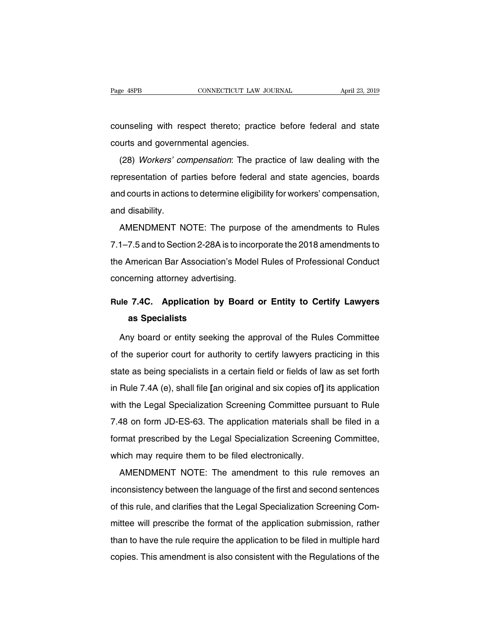Page 48PB<br>
connectricut LAW JOURNAL<br>
counseling with respect thereto; practice before federal and state<br>
courts and governmental agencies. Page 48PB<br>
counseling with respect thereto; practic<br>
courts and governmental agencies.<br>
(28) *Workers' compensation*: The prac

Unseling with respect thereto; practice before federal and state<br>urts and governmental agencies.<br>(28) Workers' compensation: The practice of law dealing with the<br>presentation of parties before federal and state agencies, b representation of parties before federal and state<br>courts and governmental agencies.<br>(28) Workers' compensation: The practice of law dealing with the<br>representation of parties before federal and state agencies, boards<br>and courts and governmental agencies.<br>
(28) *Workers' compensation*: The practice of law dealing with the<br>
representation of parties before federal and state agencies, boards<br>
and courts in actions to determine eligibility for courts and governmental agencies.<br>
(28) Workers' compensation: The practice of law dealing with the<br>
representation of parties before federal and state agencies, boards<br>
and courts in actions to determine eligibility for w presentation of parties before federal and state agencies, boards<br>d courts in actions to determine eligibility for workers' compensation,<br>d disability.<br>AMENDMENT NOTE: The purpose of the amendments to Rules<br>1–7.5 and to Se

representation or partice before federal and edate agenere, bearastical<br>and courts in actions to determine eligibility for workers' compensation,<br>and disability.<br>AMENDMENT NOTE: The purpose of the amendments to Rules<br>7.1–7 and disability.<br>and disability.<br>AMENDMENT NOTE: The purpose of the amendments to Rules<br>7.1–7.5 and to Section 2-28A is to incorporate the 2018 amendments to<br>the American Bar Association's Model Rules of Professional Conduc and disability.<br>
AMENDMENT NOTE: The purpose<br>
7.1–7.5 and to Section 2-28A is to incor<br>
the American Bar Association's Model<br>
concerning attorney advertising.<br>
Puls 7.4C. Application by Boord **Rule** 7.1–7.5 and to Section 2-28A is to incorporate the 2018 amendments to<br>the American Bar Association's Model Rules of Professional Conduct<br>concerning attorney advertising.<br>**Rule 7.4C.** Application by Board or Entity t American Bar Association's<br> **as Specialists<br>
as Specialists<br>
We board or entity seeking** 

The T.4C. Application by Board or Entity to Certify Lawyers<br>as Specialists<br>Any board or entity seeking the approval of the Rules Committee<br>the superior court for authority to certify lawyers practicing in this Rule 7.4C. Application by Board or Entity to Certify Lawyers<br>as Specialists<br>Any board or entity seeking the approval of the Rules Committee<br>of the superior court for authority to certify lawyers practicing in this<br>state as as Specialists<br>Any board or entity seeking the approval of the Rules Committee<br>of the superior court for authority to certify lawyers practicing in this<br>state as being specialists in a certain field or fields of law as set Any board or entity seeking the approval of the Rules Committee<br>of the superior court for authority to certify lawyers practicing in this<br>state as being specialists in a certain field or fields of law as set forth<br>in Rule Why board of only seeming the approvance the Haltes Scrimmtos<br>of the superior court for authority to certify lawyers practicing in this<br>state as being specialists in a certain field or fields of law as set forth<br>in Rule 7. 3. State as being specialists in a certain field or fields of law as set forth<br>in Rule 7.4A (e), shall file [an original and six copies of] its application<br>with the Legal Specialization Screening Committee pursuant to Rule in Rule 7.4A (e), shall file [an original and six copies of] its application<br>with the Legal Specialization Screening Committee pursuant to Rule<br>7.48 on form JD-ES-63. The application materials shall be filed in a<br>format pr with the Legal Specialization Screening Committee pur<br>7.48 on form JD-ES-63. The application materials shall<br>format prescribed by the Legal Specialization Screenin<br>which may require them to be filed electronically.<br>AMENDME AMENDMENT NOTE: The application materials shall be filed in a<br>AMENDMENT NOTE: The amendment to this rule removes an<br>consistency between the language of the first and second sentences

format prescribed by the Legal Specialization Screening Committee,<br>which may require them to be filed electronically.<br>AMENDMENT NOTE: The amendment to this rule removes an<br>inconsistency between the language of the first an which may require them to be filed electronically.<br>MENDMENT NOTE: The amendment to this rule removes an<br>inconsistency between the language of the first and second sentences<br>of this rule, and clarifies that the Legal Specia MMENDMENT NOTE: The amendment to this rule removes an inconsistency between the language of the first and second sentences of this rule, and clarifies that the Legal Specialization Screening Committee will prescribe the fo Inconsistency between the language of the first and second sentences<br>of this rule, and clarifies that the Legal Specialization Screening Com-<br>mittee will prescribe the format of the application submission, rather<br>than to h of this rule, and clarifies that the Legal Specialization Screening Com-<br>mittee will prescribe the format of the application submission, rather<br>than to have the rule require the application to be filed in multiple hard<br>cop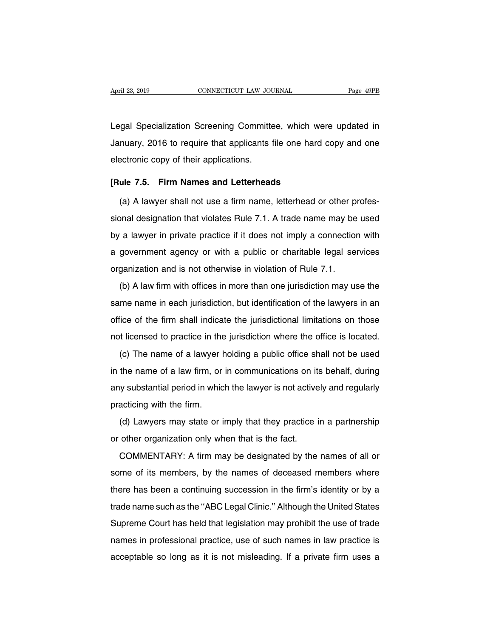April 23, 2019 CONNECTICUT LAW JOURNAL Page 49PB<br>Legal Specialization Screening Committee, which were updated in<br>January, 2016 to require that applicants file one hard copy and one April 23, 2019 CONNECTICUT LAW JOURNAL Page 49PB<br>Legal Specialization Screening Committee, which were updated in<br>January, 2016 to require that applicants file one hard copy and one<br>electronic copy of their applications. Legal Specialization Screening Committe<br>January, 2016 to require that applicants f<br>electronic copy of their applications. Legal Specialization Screening Committee, which we<br>January, 2016 to require that applicants file one hard<br>electronic copy of their applications.<br>**[Rule 7.5. Firm Names and Letterheads**<br>(a) A lawyer shall not use a firm nam muary, 2016 to require that applicants file one hard copy and one<br>ectronic copy of their applications.<br>ule 7.5. Firm Names and Letterheads<br>(a) A lawyer shall not use a firm name, letterhead or other profes-<br>onal designatio

electronic copy of their applications.<br>
[Rule 7.5. Firm Names and Letterheads<br>
(a) A lawyer shall not use a firm name, letterhead or other profes-<br>
sional designation that violates Rule 7.1. A trade name may be used<br>
by a [Rule 7.5. Firm Names and Letterheads<br>
(a) A lawyer shall not use a firm name, letterhead or other profes-<br>
sional designation that violates Rule 7.1. A trade name may be used<br>
by a lawyer in private practice if it does no (a) A lawyer shall not use a firm name, letterhead or other profes-<br>sional designation that violates Rule 7.1. A trade name may be used<br>by a lawyer in private practice if it does not imply a connection with<br>a government ag (a) A lawyer shall not use a firm name, letterhead or other profes-<br>sional designation that violates Rule 7.1. A trade name may be used<br>by a lawyer in private practice if it does not imply a connection with<br>a government a (b) A law firm with offices in more than one jurisdiction with government agency or with a public or charitable legal services ganization and is not otherwise in violation of Rule 7.1.<br>(b) A law firm with offices in more t

same name in each jurisdiction, but identification of Rule 7.1.<br>
(b) A law firm with offices in more than one jurisdiction may use the same name in each jurisdiction, but identification of the lawyers in an office of the f organization and is not otherwise in violation of Rule 7.1.<br>(b) A law firm with offices in more than one jurisdiction may use the<br>same name in each jurisdiction, but identification of the lawyers in an<br>office of the firm s (b) A law firm with offices in more than one jurisdiction may use the same name in each jurisdiction, but identification of the lawyers in an office of the firm shall indicate the jurisdictional limitations on those not li (c) That minimum sinces in the call only particulated that  $\mu$  are the particle shall indicate the jurisdictional limitations on those of the firm shall indicate the jurisdictional limitations on those of the shall not b

office of the firm shall indicate the jurisdictional limitations on those<br>not licensed to practice in the jurisdiction where the office is located.<br>(c) The name of a lawyer holding a public office shall not be used<br>in the any substantial period in which the lawyer holding a public office is located.<br>
(c) The name of a lawyer holding a public office shall not be used<br>
in the name of a law firm, or in communications on its behalf, during<br>
any (c) The name of a lawyer is<br>in the name of a law firm, or<br>any substantial period in whic<br>practicing with the firm.<br>(d) Lawyers may state or i (e) The hame of a law firm, or in communications on its behalf, during<br>the name of a law firm, or in communications on its behalf, during<br>y substantial period in which the lawyer is not actively and regularly<br>acticing with or a fact min, or in commanications on a<br>any substantial period in which the lawyer is not active<br>practicing with the firm.<br>(d) Lawyers may state or imply that they practice if<br>or other organization only when that is the f

acticing with the firm.<br>
(d) Lawyers may state or imply that they practice in a partnership<br>
other organization only when that is the fact.<br>
COMMENTARY: A firm may be designated by the names of all or<br>
me of its members, b (d) Lawyers may state or imply that they practice in a partnership<br>or other organization only when that is the fact.<br>COMMENTARY: A firm may be designated by the names of all or<br>some of its members, by the names of deceased or other organization only when that is the fact.<br>COMMENTARY: A firm may be designated by the names of all or<br>some of its members, by the names of deceased members where<br>there has been a continuing succession in the firm's COMMENTARY: A firm may be designated by the names of all or<br>some of its members, by the names of deceased members where<br>there has been a continuing succession in the firm's identity or by a<br>trade name such as the "ABC Lega Supreme Court has held that legislation may prohibit the use of trade there has been a continuing succession in the firm's identity or by a<br>trade name such as the "ABC Legal Clinic." Although the United States<br>Supreme Court has held that legislation may prohibit the use of trade<br>names in pro acceptable so long as it is not misleading. If a private firm uses a acceptable so long as it is not misleading. If a private firm uses a acceptable so long as it is not misleading. If a private firm uses a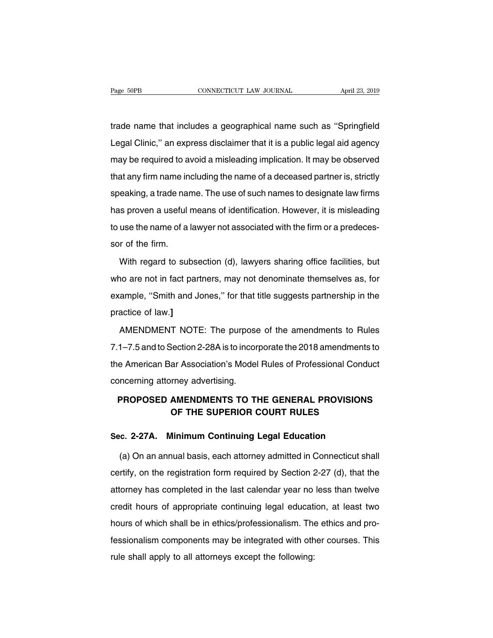The Equal Connect Connect Connect Connect Connect April 23, 2019<br>Trade name that includes a geographical name such as "Springfield<br>Legal Clinic," an express disclaimer that it is a public legal aid agency Page 50PB CONNECTICUT LAW JOURNAL April 23, 2019<br>
1998 Clinic,'' an express disclaimer that it is a public legal aid agency<br>
1998 Clinic,'' an express disclaimer that it is a public legal aid agency<br>
1999 The equired to av trade name that includes a geographical name such as "Springfield<br>Legal Clinic," an express disclaimer that it is a public legal aid agency<br>may be required to avoid a misleading implication. It may be observed<br>that any fir trade name that includes a geographical name such as "Springfield<br>Legal Clinic," an express disclaimer that it is a public legal aid agency<br>may be required to avoid a misleading implication. It may be observed<br>that any fir Legal Clinic," an express disclaimer that it is a public legal aid agency<br>may be required to avoid a misleading implication. It may be observed<br>that any firm name including the name of a deceased partner is, strictly<br>speak Logar Olimo, an express dissidint that it is a pashs logar ald agons<br>may be required to avoid a misleading implication. It may be observed<br>that any firm name including the name of a deceased partner is, strictly<br>speaking, that any firm name including the name of a deceased partner is, strictly speaking, a trade name. The use of such names to designate law firms has proven a useful means of identification. However, it is misleading to use th speaking, a trade nare<br>has proven a useful<br>to use the name of a<br>sor of the firm.<br>With regard to sul Eming, a nate change the second interaction and subsection and sproven a useful means of identification. However, it is misleading<br>use the name of a lawyer not associated with the firm or a predeces-<br>r of the firm.<br>With re

who use the name of a lawyer not associated with the firm or a predecessor of the firm.<br>Sor of the firm.<br>With regard to subsection (d), lawyers sharing office facilities, but<br>who are not in fact partners, may not denominat sor of the firm.<br>With regard to subsection (d), lawyers sharing office facilities, but<br>who are not in fact partners, may not denominate themselves as, for<br>example, "Smith and Jones," for that title suggests partnership in With regard to subse<br>who are not in fact par<br>example, "Smith and J<br>practice of law.]<br>AMENDMENT NOTI AMENDMENT NOTE: The purpose of the amendments to Rules<br>AMENDMENT NOTE: The purpose of the amendments to Rules<br>AMENDMENT NOTE: The purpose of the amendments to Rules<br>AMENDMENT NOTE: The purpose of the amendments to Rules<br>AM

example, "Smith and Jones," for that title suggests partnership in the<br>practice of law.]<br>AMENDMENT NOTE: The purpose of the amendments to Rules<br>7.1–7.5 and to Section 2-28A is to incorporate the 2018 amendments to<br>the Amer practice of law.]<br>practice of law.]<br>AMENDMENT NOTE: The purpose of the amendments to Rules<br>7.1–7.5 and to Section 2-28A is to incorporate the 2018 amendments to<br>the American Bar Association's Model Rules of Professional Co AMENDMENT NOTE: The purpose<br>7.1–7.5 and to Section 2-28A is to incor<br>the American Bar Association's Model<br>concerning attorney advertising.<br>**PROPOSED AMENDMENTS TO TI PROPOSED AMENDMENTS TO THE GENERAL PROVISIONS**<br> **PROPOSED AMENDMENTS TO THE GENERAL PROVISIONS**<br> **PROPOSED AMENDMENTS TO THE GENERAL PROVISIONS**<br> **PROPOSED AMENDMENTS TO THE GENERAL PROVISIONS CECTION 2-28A IS to Incorporate the 2018 amendments**<br>ar Association's Model Rules of Professional Condurney advertising.<br>**AMENDMENTS TO THE GENERAL PROVISIONS<br>OF THE SUPERIOR COURT RULES** 

# concerning attorney advertising.<br> **PROPOSED AMENDMENTS TO THE GENERAL PROVISIONS**<br> **OF THE SUPERIOR COURT RULES**<br> **Sec. 2-27A. Minimum Continuing Legal Education**<br>
(a) On an annual basis, each attorney admitted in Connecti

PROPOSED AMENDMENTS TO THE GENERAL PROVISIONS<br>
OF THE SUPERIOR COURT RULES<br>
c. 2-27A. Minimum Continuing Legal Education<br>
(a) On an annual basis, each attorney admitted in Connecticut shall<br>
rtify, on the registration form **OF THE SUPERIOR COURT RULES**<br>Sec. 2-27A. Minimum Continuing Legal Education<br>(a) On an annual basis, each attorney admitted in Connecticut shall<br>certify, on the registration form required by Section 2-27 (d), that the<br>atto Sec. 2-27A. Minimum Continuing Legal Education<br>
(a) On an annual basis, each attorney admitted in Connecticut shall<br>
certify, on the registration form required by Section 2-27 (d), that the<br>
attorney has completed in the l (a) On an annual basis, each attorney admitted in Connecticut shall<br>certify, on the registration form required by Section 2-27 (d), that the<br>attorney has completed in the last calendar year no less than twelve<br>credit hours (a) off an annual basis, sash alternty admitted in connectiout shall<br>certify, on the registration form required by Section 2-27 (d), that the<br>attorney has completed in the last calendar year no less than twelve<br>credit hour attorney has completed in the last calendar year no less than twelve<br>credit hours of appropriate continuing legal education, at least two<br>hours of which shall be in ethics/professionalism. The ethics and pro-<br>fessionalism attorney has sompleted in the fast caloridat year not<br>credit hours of appropriate continuing legal educati<br>hours of which shall be in ethics/professionalism. The<br>fessionalism components may be integrated with oth<br>rule shal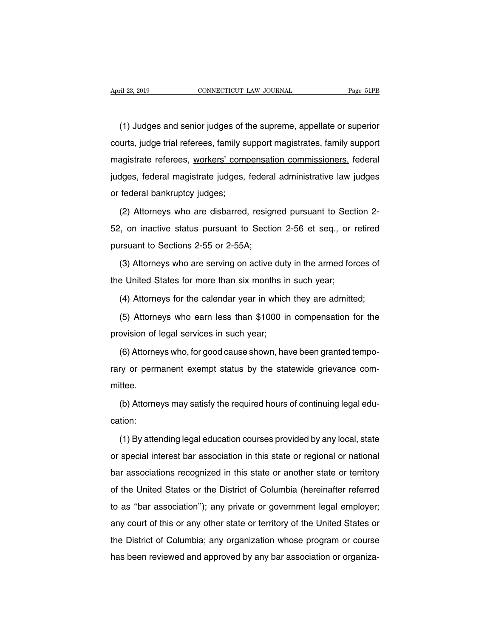THE 23, 2019<br>(1) Judges and senior judges of the supreme, appellate or superior<br>(1) Judges and senior judges of the supreme, appellate or superior<br>urts, judge trial referees, family support magistrates, family support April 23, 2019 CONNECTICUT LAW JOURNAL Page 51PB<br>
(1) Judges and senior judges of the supreme, appellate or superior<br>
courts, judge trial referees, family support magistrates, family support<br>
magistrate referees, workers' (1) Judges and senior judges of the supreme, appellate or superior<br>courts, judge trial referees, family support magistrates, family support<br>magistrate referees, workers' compensation commissioners, federal<br>judges, federal (1) Judges and senior judges of the supreme, appellate or superior<br>courts, judge trial referees, family support magistrates, family support<br>magistrate referees, workers' compensation commissioners, federal<br>judges, federal (1) dagee and denier jaagee of the courts, judge trial referees, family s<br>magistrate referees, workers' comp<br>judges, federal magistrate judges,<br>or federal bankruptcy judges;<br>(2) Attorneys who are disbarred (2) Attorneys who are disbarred, resigned pursuant to Section 2-<br>(2) Attorneys who are disbarred, resigned pursuant to Section 2-<br>(2) Attorneys who are disbarred, resigned pursuant to Section 2-<br>(3) on inactive status purs

judges, federal magistrate judges, federal administrative law judges<br>or federal bankruptcy judges;<br>(2) Attorneys who are disbarred, resigned pursuant to Section 2-<br>52, on inactive status pursuant to Section 2-56 et seq., o pursuant to Section Magnetic Judges;<br>
(2) Attorneys who are disbarred, resign<br>
52, on inactive status pursuant to Sectio<br>
pursuant to Sections 2-55 or 2-55A;<br>
(3) Attorneys who are serving on active (2) Attorneys who are disbarred, resigned pursuant to Section 2-<br>  $\alpha$ , on inactive status pursuant to Section 2-56 et seq., or retired<br>
in the armed forces of<br>
(3) Attorneys who are serving on active duty in the armed fo 52, on inactive status pursuant to Section 2-56 et seq., or r<br>pursuant to Sections 2-55 or 2-55A;<br>(3) Attorneys who are serving on active duty in the armed for<br>the United States for more than six months in such year;<br>(4)

Income 155 or 2-55 and the calendary in the calendary and the calendar year;<br>
(3) Attorneys who are serving on active duty in the armed forces of<br>
(4) Attorneys for the calendar year in which they are admitted;<br>
(5) Attorn

(3) Attorneys who are serving on active duty in the armed forces of<br>e United States for more than six months in such year;<br>(4) Attorneys for the calendar year in which they are admitted;<br>(5) Attorneys who earn less than \$1 the United States for more than six months in<br>
(4) Attorneys for the calendar year in which<br>
(5) Attorneys who earn less than \$1000 in<br>
provision of legal services in such year;<br>
(6) Attorneys who, for good cause shown, ha

(4) Attorneys for the calendar year in which they are admitted;<br>(5) Attorneys who earn less than \$1000 in compensation for the<br>ovision of legal services in such year;<br>(6) Attorneys who, for good cause shown, have been gran (5) Attorneys who earn less than \$1000 in compensation for the provision of legal services in such year;<br>(6) Attorneys who, for good cause shown, have been granted tempo-<br>rary or permanent exempt status by the statewide gr mittee. (6) Attorneys who, for good cause shown, have been granted tempo-<br>ry or permanent exempt status by the statewide grievance com-<br>ttee.<br>(b) Attorneys may satisfy the required hours of continuing legal edu-<br>tion:

cation:

Theorem II<br>
(1) Attorneys may satisfy the required hours of continuing legal edu-<br>
(1) By attending legal education courses provided by any local, state<br>
special interest bar association in this state or regional or nation (b) Attorneys may satisfy the required hours of continuing legal edu-<br>cation:<br>(1) By attending legal education courses provided by any local, state<br>or special interest bar association in this state or regional or national<br> cation:<br>
(1) By attending legal education courses provided by any local, state<br>
or special interest bar association in this state or regional or national<br>
bar associations recognized in this state or another state or terri (1) By attending legal education courses provided by any local, state<br>or special interest bar association in this state or regional or national<br>bar associations recognized in this state or another state or territory<br>of the They alternary legal education coulded provided by any local, etable or special interest bar association in this state or regional or national bar associations recognized in this state or another state or territory of the bar associations recognized in this state or another state or territory<br>of the United States or the District of Columbia (hereinafter referred<br>to as "bar association"); any private or government legal employer;<br>any court o but descellations recognized in this state of different clate of termsty<br>of the United States or the District of Columbia (hereinafter referred<br>to as "bar association"); any private or government legal employer;<br>any court to as "bar association"); any private or government legal employer;<br>any court of this or any other state or territory of the United States or<br>the District of Columbia; any organization whose program or course<br>has been revi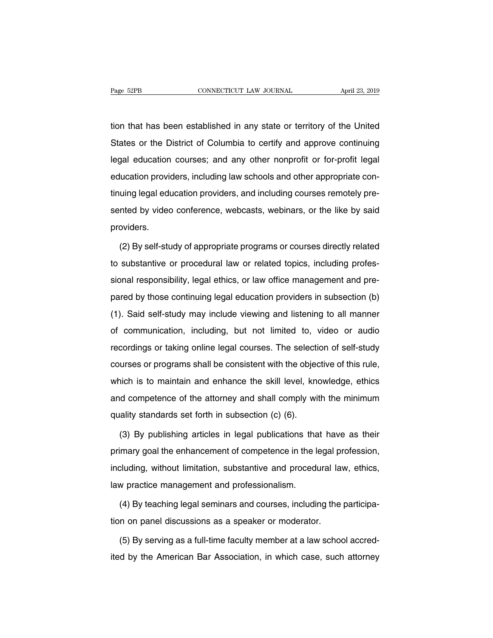The Fage 52PB<br>tion that has been established in any state or territory of the United<br>States or the District of Columbia to certify and approve continuing Page 52PB CONNECTICUT LAW JOURNAL April 23, 2019<br>
States or the District of Columbia to certify and approve continuing<br>
Legal education courses; and any other nonprofit or for-profit legal Ition that has been established in any state or territory of the United<br>States or the District of Columbia to certify and approve continuing<br>legal education courses; and any other nonprofit or for-profit legal<br>education pr tion that has been established in any state or territory of the United<br>States or the District of Columbia to certify and approve continuing<br>legal education courses; and any other nonprofit or for-profit legal<br>education pro States or the District of Columbia to certify and approve continuing<br>legal education courses; and any other nonprofit or for-profit legal<br>education providers, including law schools and other appropriate con-<br>tinuing legal legal education courses; and any other nonprofit or for-profit legal<br>education providers, including law schools and other appropriate con-<br>tinuing legal education providers, and including courses remotely pre-<br>sented by vi providers. The unity of appropriate programs or courses remotely pre-<br>
inted by video conference, webcasts, webinars, or the like by said<br>
oviders.<br>
(2) By self-study of appropriate programs or courses directly related<br>
substantive o

sented by video conference, webcasts, webinars, or the like by said<br>providers.<br>(2) By self-study of appropriate programs or courses directly related<br>to substantive or procedural law or related topics, including profes-<br>sio providers.<br>
(2) By self-study of appropriate programs or courses directly related<br>
to substantive or procedural law or related topics, including profes-<br>
sional responsibility, legal ethics, or law office management and pr (2) By self-study of appropriate programs or courses directly related<br>to substantive or procedural law or related topics, including profes-<br>sional responsibility, legal ethics, or law office management and pre-<br>pared by th (2). By self-study of appropriate programs of scalesce already related<br>to substantive or procedural law or related topics, including profes-<br>sional responsibility, legal ethics, or law office management and pre-<br>pared by t sional responsibility, legal ethics, or law office management and pre-<br>pared by those continuing legal education providers in subsection (b)<br>(1). Said self-study may include viewing and listening to all manner<br>of communica pared by those continuing legal education providers in subsection (b)<br>(1). Said self-study may include viewing and listening to all manner<br>of communication, including, but not limited to, video or audio<br>recordings or takin pared by those continuing legal education providers in subsection (b) (1). Said self-study may include viewing and listening to all manner of communication, including, but not limited to, video or audio recordings or takin of communication, including, but not limited to, video or audio<br>recordings or taking online legal courses. The selection of self-study<br>courses or programs shall be consistent with the objective of this rule,<br>which is to ma recordings or taking online legal courses. The selection of self-study<br>courses or programs shall be consistent with the objective of this rule,<br>which is to maintain and enhance the skill level, knowledge, ethics<br>and compet and competence of the attorney and shall comply with the minimum<br>quality standards set forth in subsection (c) (6).<br>(3) By publishing articles in legal publications that have as their ich is to maintain and enhance the skill level, knowledge, ethics<br>id competence of the attorney and shall comply with the minimum<br>ality standards set forth in subsection (c) (6).<br>(3) By publishing articles in legal publica

and competence of the attorney and shall comply with the minimum<br>quality standards set forth in subsection (c) (6).<br>(3) By publishing articles in legal publications that have as their<br>primary goal the enhancement of compet quality standards set forth in subsection (c) (6).<br>
(3) By publishing articles in legal publications that have as their<br>
primary goal the enhancement of competence in the legal profession,<br>
including, without limitation, s (3) By publishing articles in legal publications the<br>primary goal the enhancement of competence in the later including, without limitation, substantive and procedu<br>law practice management and professionalism.<br>(4) By teachi (1) By teaching internal of competence in the legal profession,<br>cluding, without limitation, substantive and procedural law, ethics,<br>w practice management and professionalism.<br>(4) By teaching legal seminars and courses, in including, without limitation, substantive and procedural laver<br>law practice management and professionalism.<br>(4) By teaching legal seminars and courses, including the<br>tion on panel discussions as a speaker or moderator.<br>(5

w practice management and professionalism.<br>
(4) By teaching legal seminars and courses, including the participa-<br>
n on panel discussions as a speaker or moderator.<br>
(5) By serving as a full-time faculty member at a law sch (4) By teaching legal seminars and courses, including the participation on panel discussions as a speaker or moderator.<br>
(5) By serving as a full-time faculty member at a law school accred-<br>
ited by the American Bar Associ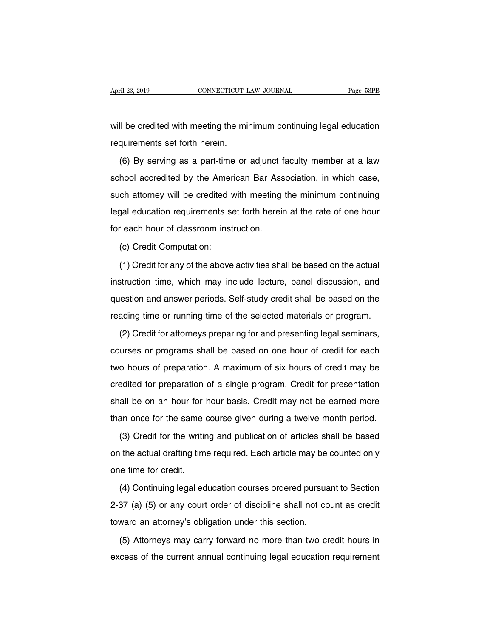April 23, 2019 CONNECTICUT LAW JOURNAL Page 53PB<br>Will be credited with meeting the minimum continuing legal education<br>requirements set forth herein. April 23, 2019 CONNECTICUT I<br>
Will be credited with meeting the min<br>
requirements set forth herein.<br>
(6) By serving as a part-time or

II be credited with meeting the minimum continuing legal education<br>quirements set forth herein.<br>(6) By serving as a part-time or adjunct faculty member at a law<br>hool accredited by the American Bar Association, in which cas will be credited with meeting the minimum continuing legal education<br>requirements set forth herein.<br>(6) By serving as a part-time or adjunct faculty member at a law<br>school accredited by the American Bar Association, in whi requirements set forth herein.<br>
(6) By serving as a part-time or adjunct faculty member at a law<br>
school accredited by the American Bar Association, in which case,<br>
such attorney will be credited with meeting the minimum c (6) By serving as a part-time or adjunct faculty member at a law<br>school accredited by the American Bar Association, in which case,<br>such attorney will be credited with meeting the minimum continuing<br>legal education requirem (c) By serving as a part lims or adjance.<br>school accredited by the American Bar Ass<br>such attorney will be credited with meeting<br>legal education requirements set forth hereir<br>for each hour of classroom instruction.<br>(c) Cred ch attorney will be credited v<br>gal education requirements se<br>r each hour of classroom inst<br>(c) Credit Computation:<br>(1) Credit for any of the above The spall education requirements set forth herein at the rate of one hour<br>
(a) Credit Computation:<br>
(b) Credit for any of the above activities shall be based on the actual<br>
struction time, which may include lecture, panel

instruction (c) Credit Computation:<br>
(c) Credit Computation:<br>
(1) Credit for any of the above activities shall be based on the actual<br>
instruction time, which may include lecture, panel discussion, and<br>
question and answer (c) Credit Computation:<br>
(1) Credit for any of the above activities shall be based on the actual<br>
instruction time, which may include lecture, panel discussion, and<br>
question and answer periods. Self-study credit shall be (1) Credit for any of the above activities shall be based on the actual<br>instruction time, which may include lecture, panel discussion, and<br>question and answer periods. Self-study credit shall be based on the<br>reading time o struction time, which may include lecture, panel discussion, and<br>lestion and answer periods. Self-study credit shall be based on the<br>ading time or running time of the selected materials or program.<br>(2) Credit for attorneys

question and answer periods. Self-study credit shall be based on the<br>reading time or running time of the selected materials or program.<br>(2) Credit for attorneys preparing for and presenting legal seminars,<br>courses or progr reading time or running time of the selected materials or program.<br>
(2) Credit for attorneys preparing for and presenting legal seminars,<br>
courses or programs shall be based on one hour of credit for each<br>
two hours of pre (2) Credit for attorneys preparing for and presenting legal seminars,<br>courses or programs shall be based on one hour of credit for each<br>two hours of preparation. A maximum of six hours of credit may be<br>credited for prepara curses or programs shall be based on one hour of credit for each<br>two hours of preparation. A maximum of six hours of credit may be<br>credited for preparation of a single program. Credit for presentation<br>shall be on an hour f two hours of preparation. A maximum of six hours of credit may be credited for preparation of a single program. Credit for presentation shall be on an hour for hour basis. Credit may not be earned more than once for the sa edited for preparation of a single program. Credit for presentation<br>all be on an hour for hour basis. Credit may not be earned more<br>an once for the same course given during a twelve month period.<br>(3) Credit for the writing

shall be on an hour for hour basis. Credit may not be earned more<br>than once for the same course given during a twelve month period.<br>(3) Credit for the writing and publication of articles shall be based<br>on the actual drafti than once for the same<br>
(3) Credit for the writin<br>
on the actual drafting time<br>
one time for credit.<br>
(4) Continuing legal ed (3) Credit for the writing and publication of articles shall be based<br>the actual drafting time required. Each article may be counted only<br>e time for credit.<br>(4) Continuing legal education courses ordered pursuant to Sectio

on the actual drafting time required. Each article may be counted only<br>one time for credit.<br>(4) Continuing legal education courses ordered pursuant to Section<br>2-37 (a) (5) or any court order of discipline shall not count a one time for credit.<br>
(4) Continuing legal education courses ordered pursua<br>
2-37 (a) (5) or any court order of discipline shall not co<br>
toward an attorney's obligation under this section.<br>
(5) Attorneys may carry forward (4) Continuing legal education courses ordered pursuant to Section<br>37 (a) (5) or any court order of discipline shall not count as credit<br>ward an attorney's obligation under this section.<br>(5) Attorneys may carry forward no 2-37 (a) (5) or any court order of discipline shall not count as credit<br>toward an attorney's obligation under this section.<br>(5) Attorneys may carry forward no more than two credit hours in<br>excess of the current annual cont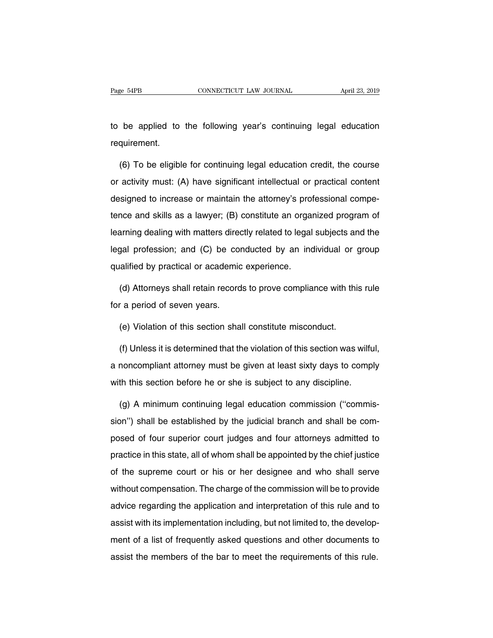Page 54PB CONNECTICUT LAW JOURNAL April 23, 2019<br>to be applied to the following year's continuing legal education<br>requirement. requirement.

be applied to the following year's continuing legal education<br>quirement.<br>(6) To be eligible for continuing legal education credit, the course<br>activity must: (A) have significant intellectual or practical content to be applied to the following year's continuing legal education<br>requirement.<br>(6) To be eligible for continuing legal education credit, the course<br>or activity must: (A) have significant intellectual or practical content<br>de (6) To be eligible for continuing legal education credit, the course or activity must: (A) have significant intellectual or practical content designed to increase or maintain the attorney's professional competence and ski (6) To be eligible for continuing legal education credit, the course<br>or activity must: (A) have significant intellectual or practical content<br>designed to increase or maintain the attorney's professional compe-<br>tence and sk (c) To be english for commaning legal causation erective, the essate<br>or activity must: (A) have significant intellectual or practical content<br>designed to increase or maintain the attorney's professional compe-<br>tence and sk designed to increase or maintain the attorney's professional competence and skills as a lawyer; (B) constitute an organized program of learning dealing with matters directly related to legal subjects and the legal professi designed to increase or maintain the attenty opportunce and skills as a lawyer; (B) constitute an organization<br>legal profession; and (C) be conducted by an inconductied by practical or academic experience.<br>(d) Atterneys sh Attarry dealing with matters directly related to legal subjects and the<br>gal profession; and (C) be conducted by an individual or group<br>alified by practical or academic experience.<br>(d) Attorneys shall retain records to prov For a profession; and (C) be compared and the qualified by practical or academic<br>(d) Attorneys shall retain record<br>for a period of seven years.

(d) Attorneys shall retain records to prove compliance with this capacitod of seven years.<br>
(e) Violation of this section shall constitute misconduct.<br>
(f) Unless it is determined that the violation of this section was u

(d) Attorneys shall retain records to prove compliance with this rule<br>
in a period of seven years.<br>
(e) Violation of this section shall constitute misconduct.<br>
(f) Unless it is determined that the violation of this section for a period of seven years.<br>
(e) Violation of this section shall constitute misconduct.<br>
(f) Unless it is determined that the violation of this section was wilful,<br>
a noncompliant attorney must be given at least sixty day (e) Violation of this section shall constitute misconduct.<br>
(f) Unless it is determined that the violation of this section was wilful<br>
a noncompliant attorney must be given at least sixty days to complete<br>
with this sectio (f) Unless it is determined that the violation of this section was wilful,<br>noncompliant attorney must be given at least sixty days to comply<br>th this section before he or she is subject to any discipline.<br>(g) A minimum cont

a noncompliant attorney must be given at least sixty days to comply<br>with this section before he or she is subject to any discipline.<br>(g) A minimum continuing legal education commission ("commis-<br>sion") shall be established with this section before he or she is subject to any discipline.<br>
(g) A minimum continuing legal education commission ("commis-<br>
sion") shall be established by the judicial branch and shall be com-<br>
posed of four superior (g) A minimum continuing legal education commission ("commis-<br>sion") shall be established by the judicial branch and shall be com-<br>posed of four superior court judges and four attorneys admitted to<br>practice in this state, sion") shall be established by the judicial branch and shall be com-<br>posed of four superior court judges and four attorneys admitted to<br>practice in this state, all of whom shall be appointed by the chief justice<br>of the su posed of four superior court judges and four attorneys admitted to<br>practice in this state, all of whom shall be appointed by the chief justice<br>of the supreme court or his or her designee and who shall serve<br>without compens practice in this state, all of whom shall be appointed by the chief justice<br>of the supreme court or his or her designee and who shall serve<br>without compensation. The charge of the commission will be to provide<br>advice regar assist with its implementation including, but not limited to, the development of a list of frequently asked questions and other development of a list of frequently asked questions and other documents to without compensation. The charge of the commission will be to provide<br>advice regarding the application and interpretation of this rule and to<br>assist with its implementation including, but not limited to, the develop-<br>ment advice regarding the application and interpretation of this rule and to<br>assist with its implementation including, but not limited to, the develop-<br>ment of a list of frequently asked questions and other documents to<br>assist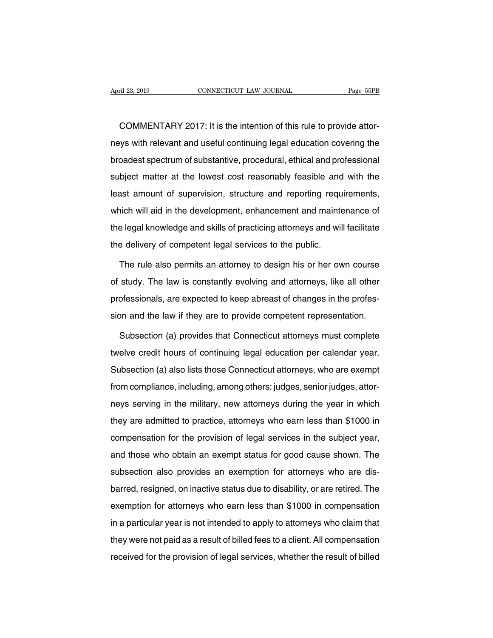THE 23, 2019<br>COMMENTARY 2017: It is the intention of this rule to provide attor-<br>COMMENTARY 2017: It is the intention of this rule to provide attor-<br>ys with relevant and useful continuing legal education covering the April 23, 2019 CONNECTICUT LAW JOURNAL Page 55PB<br>
COMMENTARY 2017: It is the intention of this rule to provide attor-<br>
neys with relevant and useful continuing legal education covering the<br>
broadest spectrum of substantive COMMENTARY 2017: It is the intention of this rule to provide attor-<br>heys with relevant and useful continuing legal education covering the<br>broadest spectrum of substantive, procedural, ethical and professional<br>subject matte COMMENTARY 2017: It is the intention of this rule to provide attor-<br>neys with relevant and useful continuing legal education covering the<br>broadest spectrum of substantive, procedural, ethical and professional<br>subject matte Least amount of substantive, procedural, ethical and professional subject matter at the lowest cost reasonably feasible and with the least amount of supervision, structure and reporting requirements, which will aid in the which will aid in the development, enhancement and maintenance of the legal knowledge and skills of practicing attorneys and with the legal knowledge and skills of practicing attorneys and will facilitate subject matter at the lowest cost reasonably feasible and with the<br>least amount of supervision, structure and reporting requirements,<br>which will aid in the development, enhancement and maintenance of<br>the legal knowledge an the delivery at the tensor sect reasonally reashed and<br>least amount of supervision, structure and reporting requent<br>which will aid in the development, enhancement and mainte<br>the legal knowledge and skills of practicing att inch will aid in the development, enhancement and maintenance of<br>
e legal knowledge and skills of practicing attorneys and will facilitate<br>
e delivery of competent legal services to the public.<br>
The rule also permits an at

the legal knowledge and skills of practicing attorneys and will facilitate<br>the delivery of competent legal services to the public.<br>The rule also permits an attorney to design his or her own course<br>of study. The law is cons the delivery of competent legal services to the public.<br>The rule also permits an attorney to design his or her own course<br>of study. The law is constantly evolving and attorneys, like all other<br>professionals, are expected t The rule also permits an attorney to design his or her own course<br>of study. The law is constantly evolving and attorneys, like all other<br>professionals, are expected to keep abreast of changes in the profes-<br>sion and the la study. The law is constantly evolving and attorneys, like all other<br>ofessionals, are expected to keep abreast of changes in the profes-<br>on and the law if they are to provide competent representation.<br>Subsection (a) provide

professionals, are expected to keep abreast of changes in the profession and the law if they are to provide competent representation.<br>Subsection (a) provides that Connecticut attorneys must complete<br>twelve credit hours of sion and the law if they are to provide competent representation.<br>Subsection (a) provides that Connecticut attorneys must complete<br>twelve credit hours of continuing legal education per calendar year.<br>Subsection (a) also li Subsection (a) provides that Connecticut attorneys must complete<br>twelve credit hours of continuing legal education per calendar year.<br>Subsection (a) also lists those Connecticut attorneys, who are exempt<br>from compliance, i Experience the military of military and the military of military exhibits the military of military, who are exempt<br>from compliance, including, among others: judges, senior judges, attor-<br>neys serving in the military, new a Subsection (a) also lists those Connecticut attorneys, who are exempt<br>from compliance, including, among others: judges, senior judges, attor-<br>neys serving in the military, new attorneys during the year in which<br>they are ad eases same insection (a) also insect also determined a taken by symmetric serving.<br>If om compliance, including, among others: judges, senior judges, attor-<br>neys serving in the military, new attorneys during the year in whi method in the military, new attorneys during the year in which<br>they are admitted to practice, attorneys who earn less than \$1000 in<br>compensation for the provision of legal services in the subject year,<br>and those who obtain subsection also provides an exemption for attorneys who are less than \$1000 in compensation for the provision of legal services in the subject year, and those who obtain an exempt status for good cause shown. The subsectio barred to prasses, anomoge the same beam to distribute the subject year,<br>compensation for the provision of legal services in the subject year,<br>and those who obtain an exempt status for good cause shown. The<br>subsection also exemplemental for any process of logal extriced in the exerget year,<br>and those who obtain an exempt status for good cause shown. The<br>subsection also provides an exemption for attorneys who are dis-<br>barred, resigned, on ina subsection also provides an exemption for attorneys who are dis-<br>barred, resigned, on inactive status due to disability, or are retired. The<br>exemption for attorneys who earn less than \$1000 in compensation<br>in a particular barred, resigned, on inactive status due to disability, or are retired. The exemption for attorneys who earn less than \$1000 in compensation in a particular year is not intended to apply to attorneys who claim that they we received, receiging at all matters clauds are to disclosing, or and result the exemption for attorneys who earn less than \$1000 in compensation in a particular year is not intended to apply to attorneys who claim that they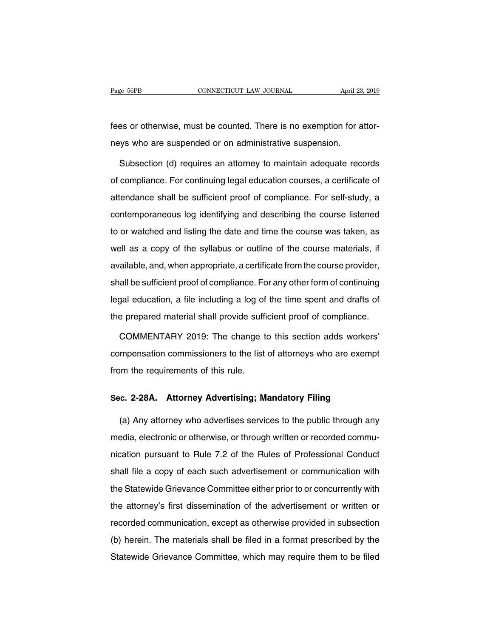Fage 56PB<br>CONNECTICUT LAW JOURNAL April 23, 2019<br>fees or otherwise, must be counted. There is no exemption for attor-<br>neys who are suspended or on administrative suspension. Page 56PB CONNECTICUT LAW JOURNAL April 23<br>
fees or otherwise, must be counted. There is no exemption for a<br>
neys who are suspended or on administrative suspension.<br>
Subsection (d) requires an attorney to maintain adequate

Subsection (d) requires an attorney to maintain adequate records<br>
Subsection (d) requires an attorney to maintain adequate records<br>
compliance. For continuing legal education courses, a certificate of fees or otherwise, must be counted. There is no exemption for attor-<br>neys who are suspended or on administrative suspension.<br>Subsection (d) requires an attorney to maintain adequate records<br>of compliance. For continuing le neys who are suspended or on administrative suspension.<br>
Subsection (d) requires an attorney to maintain adequate records<br>
of compliance. For continuing legal education courses, a certificate of<br>
attendance shall be suffic Subsection (d) requires an attorney to maintain adequate records<br>of compliance. For continuing legal education courses, a certificate of<br>attendance shall be sufficient proof of compliance. For self-study, a<br>contemporaneous of compliance. For continuing legal education courses, a certificate of attendance shall be sufficient proof of compliance. For self-study, a contemporaneous log identifying and describing the course listened to or watched er compliance. The commaning regar causarient ecanceer, a commented of<br>attendance shall be sufficient proof of compliance. For self-study, a<br>contemporaneous log identifying and describing the course listened<br>to or watched anonidance enally be called the complement of the course listened<br>to or watched and listing the date and time the course was taken, as<br>well as a copy of the syllabus or outline of the course materials, if<br>available, and, w somemporaneous registem, may also decribing are course materials, if<br>to or watched and listing the date and time the course was taken, as<br>well as a copy of the syllabus or outline of the course materials, if<br>available, and legal education, a file including a log of the time spent and taken, as<br>shall be sufficient proof of compliance. For any other form of continuing<br>legal education, a file including a log of the time spent and drafts of<br>the the prepared material shall provide sufficient proof of compliance. For any other form of continuing<br>legal education, a file including a log of the time spent and drafts of<br>the prepared material shall provide sufficient pr all be sufficient proof of compliance. For any other form of continuing<br>gal education, a file including a log of the time spent and drafts of<br>e prepared material shall provide sufficient proof of compliance.<br>COMMENTARY 201

legal education, a file including a log of the time spent and drafts of<br>the prepared material shall provide sufficient proof of compliance.<br>COMMENTARY 2019: The change to this section adds workers'<br>compensation commissione the prepared material shall provide suffi<br>COMMENTARY 2019: The change to<br>compensation commissioners to the list<br>from the requirements of this rule. COMMENTARY 2019: The change to this section adds workers'<br>compensation commissioners to the list of attorneys who are exempt<br>from the requirements of this rule.<br>**Sec. 2-28A.** Attorney Advertising; Mandatory Filing<br>(a) Apv

Imperisation commissioners to the fist of attorneys who are exempt<br>form the requirements of this rule.<br>c. 2-28A. Attorney Advertising; Mandatory Filing<br>(a) Any attorney who advertises services to the public through any<br>edi Sec. 2-28A. Attorney Advertising; Mandatory Filing<br>
(a) Any attorney who advertises services to the public through any<br>
media, electronic or otherwise, or through written or recorded commu-<br>
nication pursuant to Rule 7.2 o Sec. 2-28A. Attorney Advertising; Mandatory Filing<br>
(a) Any attorney who advertises services to the public through any<br>
media, electronic or otherwise, or through written or recorded commu-<br>
nication pursuant to Rule 7.2 o (a) Any attorney who advertises services to the public through any<br>media, electronic or otherwise, or through written or recorded commu-<br>nication pursuant to Rule 7.2 of the Rules of Professional Conduct<br>shall file a copy media, electronic or otherwise, or through written or recorded communication pursuant to Rule 7.2 of the Rules of Professional Conduct shall file a copy of each such advertisement or communication with the Statewide Grieva mication pursuant to Rule 7.2 of the Rules of Professional Conduct<br>shall file a copy of each such advertisement or communication with<br>the Statewide Grievance Committee either prior to or concurrently with<br>the attorney's fi recorded communication, except as otherwise provided in subsection, with the Statewide Grievance Committee either prior to or concurrently with the attorney's first dissemination of the advertisement or written or recorded the Statewide Grievance Committee either prior to or concurrently with<br>the attorney's first dissemination of the advertisement or written or<br>recorded communication, except as otherwise provided in subsection<br>(b) herein. Th The attorney's first dissemination of the advertisement or written or recorded communication, except as otherwise provided in subsection (b) herein. The materials shall be filed in a format prescribed by the Statewide Grie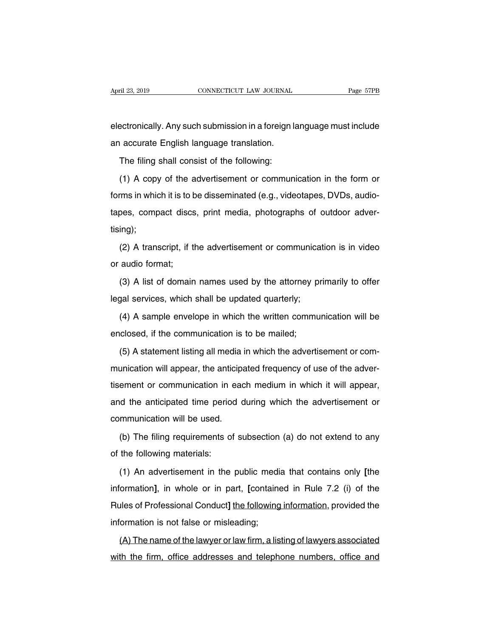electronically. Any such submission in a foreign language must include April 23, 2019 CONNECTICUT LAW JOURNAL<br>
electronically. Any such submission in a foreign lan<br>
an accurate English language translation.<br>
The filing shall consist of the following: Exertionically. Any such submission in a foreign lends<br>Consider a foreign lends accurate English language translation.<br>The filing shall consist of the following:<br>(1) A copy of the advertisement or commun

ectronically. Any such submission in a foreign language must include<br>
1 accurate English language translation.<br>
The filing shall consist of the following:<br>
(1) A copy of the advertisement or communication in the form or<br>
r forms in unitable in an accurate English language translation.<br>
The filing shall consist of the following:<br>
(1) A copy of the advertisement or communication in the form or<br>
forms in which it is to be disseminated (e.g., vi The filing shall consist of the following:<br>
(1) A copy of the advertisement or communication in the form or<br>
forms in which it is to be disseminated (e.g., videotapes, DVDs, audio-<br>
tapes, compact discs, print media, photo tising); (1) A transcript, if the advertisement or communication in the form of<br>the advertises, compact discs, print media, photographs of outdoor adver-<br>ing);<br>(2) A transcript, if the advertisement or communication is in video<br>aud tapes, compact discs<br>tising);<br>(2) A transcript, if the raudio format;<br>(3) A list of domain

ing);<br>(2) A transcript, if the advertisement or communication is in video<br>audio format;<br>(3) A list of domain names used by the attorney primarily to offer<br>gal services, which shall be updated quarterly; (2) A transcript, if the advertisement or communicat<br>or audio format;<br>(3) A list of domain names used by the attorney pr<br>legal services, which shall be updated quarterly;<br>(4) A sample envelope in which the written commun

(3) A list of domain names used by the attorney primarily to offer<br>gal services, which shall be updated quarterly;<br>(4) A sample envelope in which the written communication will be<br>closed, if the communication is to be mail (3) A list of domain names used by the attorney p<br>legal services, which shall be updated quarterly;<br>(4) A sample envelope in which the written commu<br>enclosed, if the communication is to be mailed;<br>(5) A statement listing

(4) A sample envelope in which the written communication will be closed, if the communication is to be mailed;<br>(5) A statement listing all media in which the advertisement or com-<br>unication will appear, the anticipated fre (4) A sample envelope in which the written communication will be enclosed, if the communication is to be mailed;<br>(5) A statement listing all media in which the advertisement or communication will appear, the anticipated fr enclosed, if the communication is to be mailed;<br>(5) A statement listing all media in which the advertisement or com-<br>munication will appear, the anticipated frequency of use of the adver-<br>tisement or communication in each (5) A statement listing all media in which the advertisement or com-<br>munication will appear, the anticipated frequency of use of the adver-<br>tisement or communication in each medium in which it will appear,<br>and the anticipa munication will appear, the anticipation<br>tisement or communication in ead<br>and the anticipated time period communication will be used.<br>(b) The filing requirements of su (b) The filing requirements of subsection (a) do not extend to any the following materials: and the anticipated time period<br>communication will be used.<br>(b) The filing requirements of<br>of the following materials:<br>(1) An advertisement in the

mmunication will be used.<br>
(b) The filing requirements of subsection (a) do not extend to any<br>
the following materials:<br>
(1) An advertisement in the public media that contains only [the<br>
ormation], in whole or in part, [co information], in whole or in part, **[**contained in Rule 7.2 (i) of the following materials:<br>
(1) An advertisement in the public media that contains only [the information], in whole or in part, [contained in Rule 7.2 (i) of Rules of the following materials:<br>
(1) An advertisement in the public media that contains only [the<br>
information], in whole or in part, [contained in Rule 7.2 (i) of the<br>
Rules of Professional Conduct] the following inform (1) An advertisement in the public medi<br>information], in whole or in part, [containe<br>Rules of Professional Conduct] the following<br>information is not false or misleading;<br>(A) The name of the lawyer or law firm, a lis ( $\gamma$ ) can determine an arc paints are an alled the community provided the<br>less of Professional Conduct] the following information, provided the<br>formation is not false or misleading;<br>(A) The name of the lawyer or law firm Rules of Professional Conduct] the following information, provided the<br>information is not false or misleading;<br>(A) The name of the lawyer or law firm, a listing of lawyers associated<br>with the firm, office addresses and tel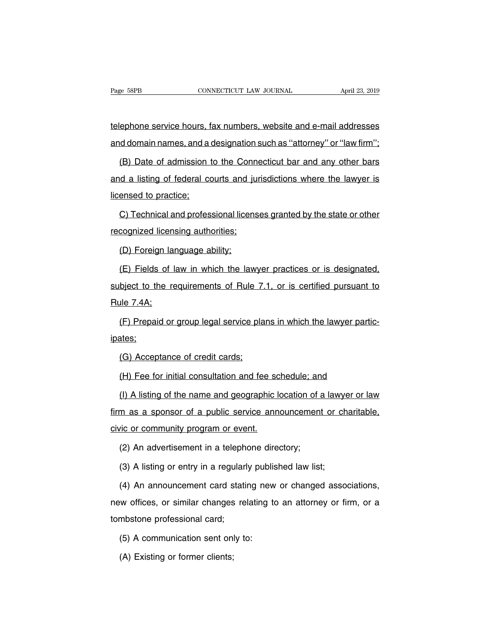Page 58PB<br>telephone service hours, fax numbers, website and e-mail addresses<br>and domain names, and a designation such as "attorney" or "law firm"; Fage 58PB CONNECTICUT LAW JOURNAL April 23, 2019<br> **Example 19 April 23, 2019**<br> **Example 19 April 23, 2019**<br> **Example 19 April 23, 2019**<br> **Example 19 April 23, 2019**<br> **Example 19 April 23, 2019**<br> **Example 19 April 23, 2019** 

ephone service hours, fax numbers, website and e-mail addresses<br>d domain names, and a designation such as "attorney" or "law firm";<br>(B) Date of admission to the Connecticut bar and any other bars<br>d a listing of federal cou telephone service hours, fax numbers, website and e-mail addresses<br>and domain names, and a designation such as "attorney" or "law firm";<br>(B) Date of admission to the Connecticut bar and any other bars<br>and a listing of fede and domain names, and a<br>
(B) Date of admission<br>
and a listing of federal continues<br>
licensed to practice;<br>
C) Technical and profes (B) Date of admission to the Connecticut bar and any other bars<br>id a listing of federal courts and jurisdictions where the lawyer is<br>ensed to practice;<br>C) Technical and professional licenses granted by the state or other<br>c and a listing of federal courts and junctions in the licensed to practice;<br>
C) Technical and professional licens<br>
recognized licensing authorities;<br>
(D) Foreign language ability;

ensed to practice;<br>(C) Technical and professional licen<br>cognized licensing authorities;<br>(D) Foreign language ability;<br>(E) Fields of law in which the lav

(C) Technical and professional licenses granted by the state or other<br>cognized licensing authorities;<br>(D) Foreign language ability;<br>(E) Fields of law in which the lawyer practices or is designated,<br>bject to the requirement recognized licensing authorities;<br>
(D) Foreign language ability;<br>
(E) Fields of law in which the lawyer practices or is designated,<br>
subject to the requirements of Rule 7.1, or is certified pursuant to<br>
Rule 7.4A; (D) Foreign la<br>(E) Fields of<br>subject to the re<br>Rule 7.4A;<br>(F) Prepaid or (E) Fields of law in which the lawyer practices or is designated,<br>bject to the requirements of Rule 7.1, or is certified pursuant to<br>ule 7.4A;<br>(F) Prepaid or group legal service plans in which the lawyer partic-<br>ates;

ipates; ule 7.4A;<br>(F) Prepaid or group legal service pla<br>ates;<br>(G) Acceptance of credit cards;<br>(H) Fee for initial consultation and fe (F) Prepaid or group legal service plans in which the lawyer parti<br>ates;<br>(G) Acceptance of credit cards;<br>(H) Fee for initial consultation and fee schedule; and<br>(I) A listing of the name and geographic location of a lawyer

ates;<br>(G) Acceptance of credit cards;<br>(H) Fee for initial consultation and fee schedule; and<br>(I) A listing of the name and geographic location of a lawyer or law<br>m as a sponsor of a public service announcement or charitabl (G) Acceptance of credit cards;<br>
(H) Fee for initial consultation and fee schedule; and<br>
(I) A listing of the name and geographic location of a lawyer or law<br>
firm as a sponsor of a public service announcement or charitabl (H) Fee for initial consultation and fee sc<br>(I) A listing of the name and geographic l<br>firm as a sponsor of a public service ann<br>civic or community program or event.<br>(2) An advertisement in a telephone dire (I) A listing of the name and geographic location of a<br>
m as a sponsor of a public service announcement<br>
vic or community program or event.<br>
(2) An advertisement in a telephone directory;<br>
(3) A listing or entry in a regul m as a sponsor of a public service announcement or ch<br>vic or community program or event.<br>(2) An advertisement in a telephone directory;<br>(3) A listing or entry in a regularly published law list;<br>(4) An announcement card sta

ic or community program or event.<br>
(2) An advertisement in a telephone directory;<br>
(3) A listing or entry in a regularly published law list;<br>
(4) An announcement card stating new or changed associations,<br>
w offices, or sim (2) An advertisement in a telephone directory;<br>
(3) A listing or entry in a regularly published law list;<br>
(4) An announcement card stating new or changed associations,<br>
new offices, or similar changes relating to an attor (3) A listing or entry in a regular<br>
(4) An announcement card statinew offices, or similar changes re<br>
tombstone professional card;<br>
(5) A communication sent only to (4) An announcement card stating new<br>w offices, or similar changes relating to<br>mbstone professional card;<br>(5) A communication sent only to:<br>(A) Existing or former clients; (A) expressional card;<br>
(A) Existing or former clients;<br>
(A) Existing or former clients;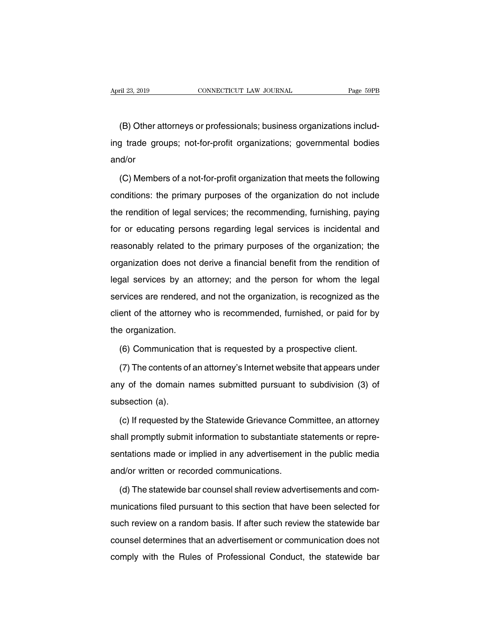(B) Other attorneys or professionals; business organizations includ-<br>Trade groups; not-for-profit organizations; governmental bodies April 23, 2019 CONNECTICUT LAW JOURNAL Page 59PB<br>
(B) Other attorneys or professionals; business organizations includ-<br>
ing trade groups; not-for-profit organizations; governmental bodies<br>
and/or and/or (B) Other attorneys or professionals; business organizations includ-<br>g trade groups; not-for-profit organizations; governmental bodies<br>d/or<br>(C) Members of a not-for-profit organization that meets the following<br>nditions: th

ing trade groups; not-for-profit organizations; governmental bodies<br>and/or<br>(C) Members of a not-for-profit organization that meets the following<br>conditions: the primary purposes of the organization do not include<br>the rendi and/or<br>(C) Members of a not-for-profit organization that meets the following<br>conditions: the primary purposes of the organization do not include<br>the rendition of legal services; the recommending, furnishing, paying<br>for or (C) Members of a not-for-profit organization that meets the following<br>conditions: the primary purposes of the organization do not include<br>the rendition of legal services; the recommending, furnishing, paying<br>for or educati conditions: the primary purposes of the organization do not include<br>the rendition of legal services; the recommending, furnishing, paying<br>for or educating persons regarding legal services is incidental and<br>reasonably relat obtained: the primary purposes of the erganization as not instate<br>the rendition of legal services; the recommending, furnishing, paying<br>for or educating persons regarding legal services is incidental and<br>reasonably related for or educating persons regarding legal services is incidental and<br>reasonably related to the primary purposes of the organization; the<br>organization does not derive a financial benefit from the rendition of<br>legal services reasonably related to the primary purposes of the organization; the organization does not derive a financial benefit from the rendition of legal services by an attorney; and the person for whom the legal services are rende classmasty related to the primary purposes of the ergamization, the<br>organization does not derive a financial benefit from the rendition of<br>legal services by an attorney; and the person for whom the legal<br>services are rende legal services by an<br>services are rendered,<br>client of the attorney v<br>the organization.<br>(6) Communication The price are rendered, and not the organization, is recognized as the<br>ent of the attorney who is recommended, furnished, or paid for by<br>e organization.<br>(6) Communication that is requested by a prospective client.<br>(7) The ent of the attorney who is recommended, furnished, or paid for by<br>e organization.<br>(6) Communication that is requested by a prospective client.<br>(7) The contents of an attorney's Internet website that appears under<br>y of the

the organization.<br>
(6) Communication that is requested by a prospective client.<br>
(7) The contents of an attorney's Internet website that appears under<br>
any of the domain names submitted pursuant to subdivision (3) of<br>
subs (6) Communication<br>(7) The contents of<br>any of the domain r<br>subsection (a).<br>(c) If requested by (7) The contents of an attorney's Internet website that appears under<br>y of the domain names submitted pursuant to subdivision (3) of<br>bsection (a).<br>(c) If requested by the Statewide Grievance Committee, an attorney<br>all prom

shall promptly submitted pursuant to subdivision (3) of<br>subsection (a).<br>(c) If requested by the Statewide Grievance Committee, an attorney<br>shall promptly submit information to substantiate statements or repre-<br>sentations m subsection (a).<br>
(c) If requested by the Statewide Grievance Committee, an attorney<br>
shall promptly submit information to substantiate statements or repre-<br>
sentations made or implied in any advertisement in the public med (c) If requested by the Statewide Grievance Con<br>shall promptly submit information to substantiate s<br>sentations made or implied in any advertisement<br>and/or written or recorded communications.<br>(d) The statewide bar counsel s (a) The statements or repre-<br>
intations made or implied in any advertisement in the public media<br>
Ind/or written or recorded communications.<br>
(d) The statewide bar counsel shall review advertisements and com-<br>
unications f

sentations made or implied in any advertisement in the public media<br>and/or written or recorded communications.<br>(d) The statewide bar counsel shall review advertisements and com-<br>munications filed pursuant to this section t and/or written or recorded communications.<br>
(d) The statewide bar counsel shall review advertisements and com-<br>
munications filed pursuant to this section that have been selected for<br>
such review on a random basis. If afte (d) The statewide bar counsel shall review advertisements and com-<br>munications filed pursuant to this section that have been selected for<br>such review on a random basis. If after such review the statewide bar<br>counsel determ (a) The statemas bar scansor shall review davoral connections and som<br>munications filed pursuant to this section that have been selected for<br>such review on a random basis. If after such review the statewide bar<br>counsel det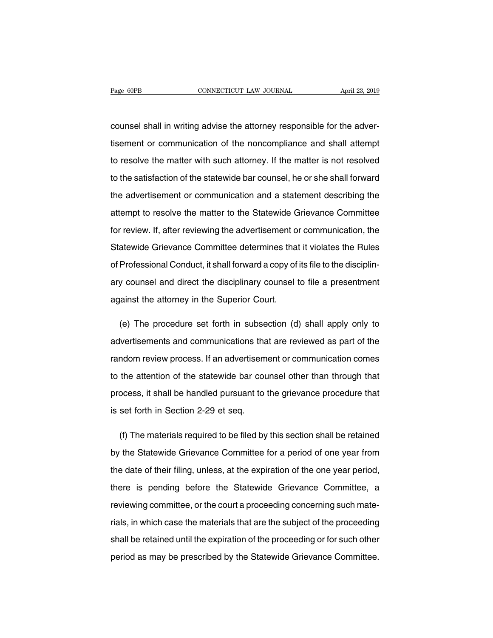Page 60PB<br>CONNECTICUT LAW JOURNAL April 23, 2019<br>Counsel shall in writing advise the attorney responsible for the adver-<br>tisement or communication of the noncompliance and shall attempt The CONNECTICUT LAW JOURNAL THE APTILER 23, 2019<br>
The noncompliance and shall attempt<br>
tisement or communication of the noncompliance and shall attempt<br>
to resolve the matter with such attorney. If the matter is not resolv to counsel shall in writing advise the attorney responsible for the advertisement or communication of the noncompliance and shall attempt<br>to resolve the matter with such attorney. If the matter is not resolved<br>to the satis counsel shall in writing advise the attorney responsible for the adver-<br>tisement or communication of the noncompliance and shall attempt<br>to resolve the matter with such attorney. If the matter is not resolved<br>to the satisf tisement or communication of the noncompliance and shall attempt<br>to resolve the matter with such attorney. If the matter is not resolved<br>to the satisfaction of the statewide bar counsel, he or she shall forward<br>the adverti to resolve the matter with such attorney. If the matter is not resolved<br>to the satisfaction of the statewide bar counsel, he or she shall forward<br>the advertisement or communication and a statement describing the<br>attempt to for the satisfaction of the statewide bar counsel, he or she shall forward<br>the advertisement or communication and a statement describing the<br>attempt to resolve the matter to the Statewide Grievance Committee<br>for review. If the advertisement or communication and a statement describing the<br>attempt to resolve the matter to the Statewide Grievance Committee<br>for review. If, after reviewing the advertisement or communication, the<br>Statewide Grievan attempt to resolve the matter to the Statewide Grievance Committee<br>for review. If, after reviewing the advertisement or communication, the<br>Statewide Grievance Committee determines that it violates the Rules<br>of Professional for review. If, after reviewing the advertisement or communication, the<br>Statewide Grievance Committee determines that it violates the Rules<br>of Professional Conduct, it shall forward a copy of its file to the disciplin-<br>ary Statewide Grievance Committee determines that<br>of Professional Conduct, it shall forward a copy of<br>ary counsel and direct the disciplinary counsel t<br>against the attorney in the Superior Court. Professional Conduct, it shall forward a copy of its file to the disciplin-<br>y counsel and direct the disciplinary counsel to file a presentment<br>ainst the attorney in the Superior Court.<br>(e) The procedure set forth in subse

ary counsel and direct the disciplinary counsel to file a presentment<br>against the attorney in the Superior Court.<br>(e) The procedure set forth in subsection (d) shall apply only to<br>advertisements and communications that are random review procedure set forth in subsection (d) shall apply only to<br>advertisements and communications that are reviewed as part of the<br>random review process. If an advertisement or communication comes<br>to the attention (e) The procedure set forth in subsection (d) shall apply only to advertisements and communications that are reviewed as part of the random review process. If an advertisement or communication comes to the attention of the advertisements and communications that are reviewed as part of the random review process. If an advertisement or communication comes to the attention of the statewide bar counsel other than through that process, it shall b random review process. If an advertisem<br>to the attention of the statewide bar cours<br>process, it shall be handled pursuant to<br>is set forth in Section 2-29 et seq. the attention of the statewide bar counsel other than through that<br>ocess, it shall be handled pursuant to the grievance procedure that<br>set forth in Section 2-29 et seq.<br>(f) The materials required to be filed by this sectio

process, it shall be handled pursuant to the grievance procedure that<br>is set forth in Section 2-29 et seq.<br>(f) The materials required to be filed by this section shall be retained<br>by the Statewide Grievance Committee for a is set forth in Section 2-29 et seq.<br>
(f) The materials required to be filed by this section shall be retained<br>
by the Statewide Grievance Committee for a period of one year from<br>
the date of their filing, unless, at the e (f) The materials required to be filed by this section shall be retained<br>by the Statewide Grievance Committee for a period of one year from<br>the date of their filing, unless, at the expiration of the one year period,<br>there by the Statewide Grievance Committee for a period of one year from<br>the date of their filing, unless, at the expiration of the one year period,<br>there is pending before the Statewide Grievance Committee, a<br>reviewing committe the date of their filing, unless, at the expiration of the one year period,<br>there is pending before the Statewide Grievance Committee, a<br>reviewing committee, or the court a proceeding concerning such mate-<br>rials, in which there is pending before the Statewide Grievance Committee, a<br>reviewing committee, or the court a proceeding concerning such mate-<br>rials, in which case the materials that are the subject of the proceeding<br>shall be retained reviewing committee, or the court a proceeding concerning such mate-<br>rials, in which case the materials that are the subject of the proceeding<br>shall be retained until the expiration of the proceeding or for such other<br>peri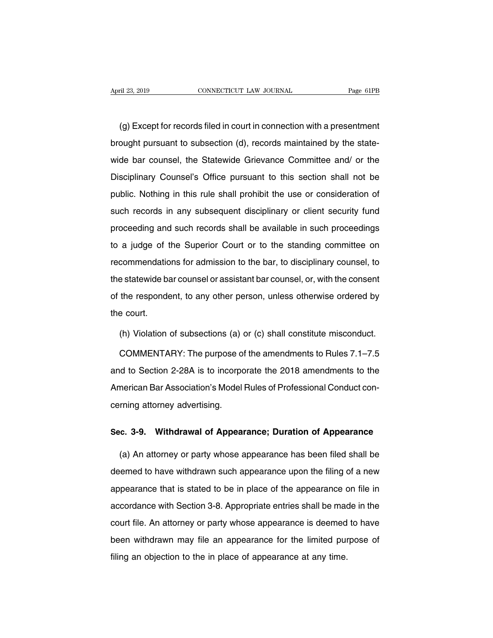(g) Except for records filed in court in connection with a presentment<br>
(g) Except for records filed in court in connection with a presentment<br>
bught pursuant to subsection (d), records maintained by the state-April 23, 2019 CONNECTICUT LAW JOURNAL Page 61PB<br>
(g) Except for records filed in court in connection with a presentment<br>
brought pursuant to subsection (d), records maintained by the state-<br>
wide bar counsel, the Statewid (g) Except for records filed in court in connection with a presentment<br>brought pursuant to subsection (d), records maintained by the state-<br>wide bar counsel, the Statewide Grievance Committee and/ or the<br>Disciplinary Couns (g) Except for records filed in court in connection with a presentment<br>brought pursuant to subsection (d), records maintained by the state-<br>wide bar counsel, the Statewide Grievance Committee and/ or the<br>Disciplinary Couns gy Enceptremeted and an economic schemeters in this preceduation<br>brought pursuant to subsection (d), records maintained by the state-<br>wide bar counsel, the Statewide Grievance Committee and/ or the<br>Disciplinary Counsel's O sizologin persualities casession (a), records inalimations by the state<br>wide bar counsel, the Statewide Grievance Committee and/ or the<br>Disciplinary Counsel's Office pursuant to this section shall not be<br>public. Nothing in Disciplinary Counsel's Office pursuant to this section shall not be public. Nothing in this rule shall prohibit the use or consideration of such records in any subsequent disciplinary or client security fund proceeding and public. Nothing in this rule shall prohibit the use or consideration of<br>such records in any subsequent disciplinary or client security fund<br>proceeding and such records shall be available in such proceedings<br>to a judge of t such records in any subsequent disciplinary or client security fund<br>proceeding and such records shall be available in such proceedings<br>to a judge of the Superior Court or to the standing committee on<br>recommendations for ad proceeding and such records shall be available in such proceedings<br>to a judge of the Superior Court or to the standing committee on<br>recommendations for admission to the bar, to disciplinary counsel, to<br>the statewide bar co to a judge of the Superior Court or to the standing committee on<br>recommendations for admission to the bar, to disciplinary counsel, to<br>the statewide bar counsel or assistant bar counsel, or, with the consent<br>of the respond to a jacyo of the<br>recommendatic<br>the statewide ba<br>the court.<br>(h) Violation e statewide bar counsel or assistant bar counsel, or, with the consent<br>the respondent, to any other person, unless otherwise ordered by<br>e court.<br>(h) Violation of subsections (a) or (c) shall constitute misconduct.<br>COMMENTA the respondent, to any other person, unless otherwise ordered by<br>e court.<br>(h) Violation of subsections (a) or (c) shall constitute misconduct.<br>COMMENTARY: The purpose of the amendments to Rules 7.1–7.5<br>d to Section 2-28A i

the court.<br>
(h) Violation of subsections (a) or (c) shall constitute misconduct.<br>
COMMENTARY: The purpose of the amendments to Rules 7.1–7.5<br>
and to Section 2-28A is to incorporate the 2018 amendments to the<br>
American Bar (h) Violation of subsections (a) or (c) shall constitute misconduct.<br>COMMENTARY: The purpose of the amendments to Rules 7.1–7.5<br>and to Section 2-28A is to incorporate the 2018 amendments to the<br>American Bar Association's M COMMENTARY: The purpose o<br>and to Section 2-28A is to incorpor<br>American Bar Association's Model<br>cerning attorney advertising. and to Section 2-28A is to incorporate the 2018 amendments to the<br>American Bar Association's Model Rules of Professional Conduct con-<br>cerning attorney advertising.<br>Sec. 3-9. Withdrawal of Appearance; Duration of Appearance

Fraing attorney advertising.<br>
Fraing attorney advertising.<br>
(a) An attorney or party whose appearance has been filed shall be<br>
eemed to have withdrawn such appearance upon the filing of a new Sec. 3-9. Withdrawal of Appearance; Duration of Appearance<br>(a) An attorney or party whose appearance has been filed shall be<br>deemed to have withdrawn such appearance upon the filing of a new<br>appearance that is stated to be Sec. 3-9. Withdrawal of Appearance; Duration of Appearance<br>
(a) An attorney or party whose appearance has been filed shall be<br>
deemed to have withdrawn such appearance upon the filing of a new<br>
appearance that is stated to (a) An attorney or party whose appearance has been filed shall be<br>deemed to have withdrawn such appearance upon the filing of a new<br>appearance that is stated to be in place of the appearance on file in<br>accordance with Sect deemed to have withdrawn such appearance upon the filing of a new<br>appearance that is stated to be in place of the appearance on file in<br>accordance with Section 3-8. Appropriate entries shall be made in the<br>court file. An a appearance that is stated to be in place of the appearance on file in<br>accordance with Section 3-8. Appropriate entries shall be made in the<br>court file. An attorney or party whose appearance is deemed to have<br>been withdrawn accordance with Section 3-8. Appropriate entries shall be made court file. An attorney or party whose appearance is deemed<br>been withdrawn may file an appearance for the limited pure<br>filing an objection to the in place of a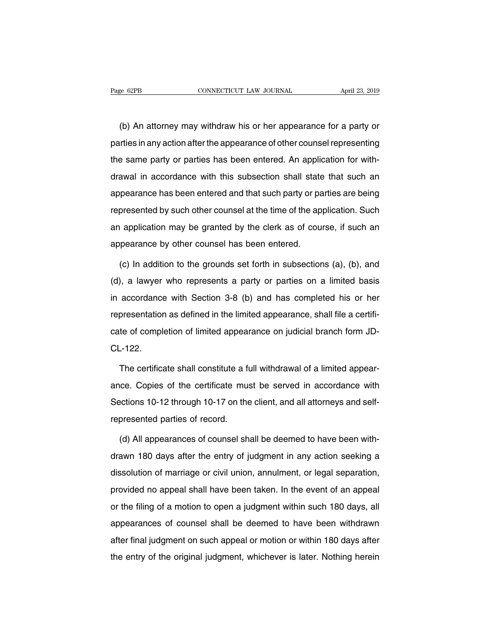(b) An attorney may withdraw his or her appearance for a party or<br>
The is in any action after the appearance of other counsel representing<br>
The is in any action after the appearance of other counsel representing Page 62PB CONNECTICUT LAW JOURNAL April 23, 2019<br>
(b) An attorney may withdraw his or her appearance for a party or<br>
parties in any action after the appearance of other counsel representing<br>
the same party or parties has b (b) An attorney may withdraw his or her appearance for a party or parties in any action after the appearance of other counsel representing the same party or parties has been entered. An application for with-<br>drawal in acco (b) An attorney may withdraw his or her appearance for a party or<br>parties in any action after the appearance of other counsel representing<br>the same party or parties has been entered. An application for with-<br>drawal in acco parties in any action after the appearance of other counsel representing<br>the same party or parties has been entered. An application for with-<br>drawal in accordance with this subsection shall state that such an<br>appearance ha partics firally deterrate the appositance of other counsel representing<br>the same party or parties has been entered. An application for with-<br>drawal in accordance with this subsection shall state that such an<br>appearance has drawal in accordance with this subsection shall state that such an appearance has been entered and that such party or parties are being represented by such other counsel at the time of the application. Such an application appearance has been entered and that such party or particular appearance has been entered and that such party or particular application may be granted by the clerk as of courappearance by other counsel has been entered.<br>(c presented by such other counsel at the time of the application. Such<br>application may be granted by the clerk as of course, if such an<br>pearance by other counsel has been entered.<br>(c) In addition to the grounds set forth in

(c) an application may be granted by the clerk as of course, if such an appearance by other counsel has been entered.<br>
(c) In addition to the grounds set forth in subsections (a), (b), and (d), a lawyer who represents a pa appearance by other counsel has been entered.<br>
(c) In addition to the grounds set forth in subsections (a), (b), and<br>
(d), a lawyer who represents a party or parties on a limited basis<br>
in accordance with Section 3-8 (b) a (c) In addition to the grounds set forth in subsections (a), (b), and (d), a lawyer who represents a party or parties on a limited basis in accordance with Section 3-8 (b) and has completed his or her representation as def (d), a lawyer who represents a party or parties on a limited basis<br>in accordance with Section 3-8 (b) and has completed his or her<br>representation as defined in the limited appearance, shall file a certifi-<br>cate of complet CL-122. presentation as defined in the limited appearance, shall file a certifi-<br>te of completion of limited appearance on judicial branch form JD-<br>-122.<br>The certificate shall constitute a full withdrawal of a limited appear-<br>rice

cate of completion of limited appearance on judicial branch form JD-<br>CL-122.<br>The certificate shall constitute a full withdrawal of a limited appear-<br>ance. Copies of the certificate must be served in accordance with<br>Section CL-122.<br>The certificate shall constitute a full withdrawal of a limited appearance. Copies of the certificate must be served in accordance with<br>Sections 10-12 through 10-17 on the client, and all attorneys and self-<br>repres The certificate shall constitute a fu<br>ance. Copies of the certificate mus<br>Sections 10-12 through 10-17 on the<br>represented parties of record.<br>(d) All appearances of counsel sh (ce. Copies of the certificate must be served in accordance with<br>
actions 10-12 through 10-17 on the client, and all attorneys and self-<br>
presented parties of record.<br>
(d) All appearances of counsel shall be deemed to have

Sections 10-12 through 10-17 on the client, and all attorneys and self-<br>represented parties of record.<br>(d) All appearances of counsel shall be deemed to have been with-<br>drawn 180 days after the entry of judgment in any act represented parties of record.<br>
(d) All appearances of counsel shall be deemed to have been with-<br>
drawn 180 days after the entry of judgment in any action seeking a<br>
dissolution of marriage or civil union, annulment, or l (d) All appearances of counsel shall be deemed to have been with-<br>drawn 180 days after the entry of judgment in any action seeking a<br>dissolution of marriage or civil union, annulment, or legal separation,<br>provided no appea drawn 180 days after the entry of judgment in any action seeking a dissolution of marriage or civil union, annulment, or legal separation, provided no appeal shall have been taken. In the event of an appeal or the filing o dissolution of marriage or civil union, annulment, or legal separation,<br>provided no appeal shall have been taken. In the event of an appeal<br>or the filing of a motion to open a judgment within such 180 days, all<br>appearances after final judgment or manner, annual such a regal experience, provided no appeal shall have been taken. In the event of an appeal<br>or the filing of a motion to open a judgment within such 180 days, all<br>appearances of coun or the filing of a motion to open a judgment within such 180 days, all<br>appearances of counsel shall be deemed to have been withdrawn<br>after final judgment on such appeal or motion or within 180 days after<br>the entry of the o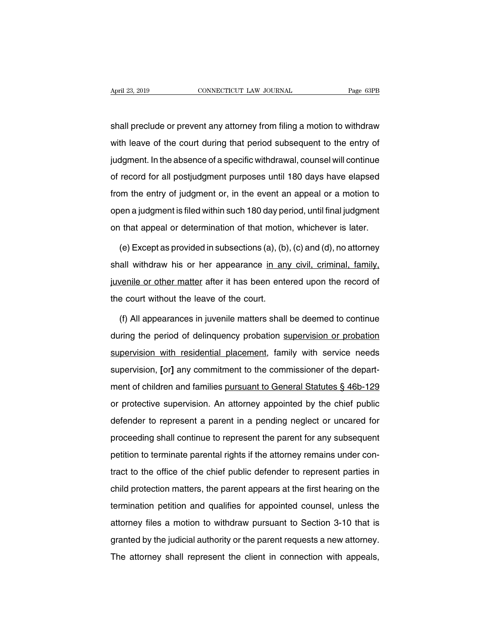Samilary 23, 2019<br>Shall preclude or prevent any attorney from filing a motion to withdraw<br>With leave of the court during that period subsequent to the entry of April 23, 2019 CONNECTICUT LAW JOURNAL Page 63PB<br>Shall preclude or prevent any attorney from filing a motion to withdraw<br>With leave of the court during that period subsequent to the entry of<br>judgment. In the absence of a s shall preclude or prevent any attorney from filing a motion to withdraw<br>with leave of the court during that period subsequent to the entry of<br>judgment. In the absence of a specific withdrawal, counsel will continue<br>of reco shall preclude or prevent any attorney from filing a motion to withdraw<br>with leave of the court during that period subsequent to the entry of<br>judgment. In the absence of a specific withdrawal, counsel will continue<br>of reco with leave of the court during that period subsequent to the entry of<br>judgment. In the absence of a specific withdrawal, counsel will continue<br>of record for all postjudgment purposes until 180 days have elapsed<br>from the en in the state of the searce dating that period subsequent to the shirt of judgment. In the absence of a specific withdrawal, counsel will continue of record for all postjudgment purposes until 180 days have elapsed from the of record for all postjudgment purposes until 180 days have elapsed<br>from the entry of judgment or, in the event an appeal or a motion to<br>open a judgment is filed within such 180 day period, until final judgment<br>on that app (e) ending the entry of judgment or, in the event an appeal or a motion to<br>
(e) and judgment is filed within such 180 day period, until final judgment<br>
(e) Except as provided in subsections (a), (b), (c) and (d), no attorn

open a judgment is filed within such 180 day period, until final judgment<br>on that appeal or determination of that motion, whichever is later.<br>(e) Except as provided in subsections (a), (b), (c) and (d), no attorney<br>shall w on that appeal or determination of that motion, whichever is later.<br>
(e) Except as provided in subsections (a), (b), (c) and (d), no attorney<br>
shall withdraw his or her appearance <u>in any civil, criminal, family,</u><br>
<u>juveni</u> (e) Except as provided in subsections (a), (b) shall withdraw his or her appearance in an injuvenile or other matter after it has been enters the court without the leave of the court.<br>(f) All appearances in invenile matte (f) All withdraw his or her appearance in any civil, criminal, family, venile or other matter after it has been entered upon the record of a court without the leave of the court.<br>(f) All appearances in juvenile matters sha

independent or other matter after it has been entered upon the record of<br>the court without the leave of the court.<br>(f) All appearances in juvenile matters shall be deemed to continue<br>during the period of delinquency probat the court without the leave of the court.<br>
(f) All appearances in juvenile matters shall be deemed to continue<br>
during the period of delinquency probation supervision or probation<br>
supervision with residential placement, f (f) All appearances in juvenile matters shall be deemed to continue<br>during the period of delinquency probation supervision or probation<br>supervision with residential placement, family with service needs<br>supervision, [or] an during the period of delinquency probation supervision or probation<br>supervision with residential placement, family with service needs<br>supervision, [or] any commitment to the commissioner of the depart-<br>ment of children and supervision with residential placement, family with service needs<br>supervision, [or] any commitment to the commissioner of the depart-<br>ment of children and families pursuant to General Statutes § 46b-129<br>or protective super supervision, [or] any commitment to the commissioner of the depart-<br>ment of children and families pursuant to General Statutes § 46b-129<br>or protective supervision. An attorney appointed by the chief public<br>defender to repr proceeding shall continue to represent to General Statutes § 46b-129 or protective supervision. An attorney appointed by the chief public defender to represent a parent in a pending neglect or uncared for proceeding shall perfective supervision. An attorney appointed by the chief public<br>defender to represent a parent in a pending neglect or uncared for<br>proceeding shall continue to represent the parent for any subsequent<br>petition to terminat defender to represent a parent in a pending neglect or uncared for<br>proceeding shall continue to represent the parent for any subsequent<br>petition to terminate parental rights if the attorney remains under con-<br>tract to the proceeding shall continue to represent the parent for any subsequent<br>petition to terminate parental rights if the attorney remains under con-<br>tract to the office of the chief public defender to represent parties in<br>child p petition to terminate parental rights if the attorney remains under con-<br>tract to the office of the chief public defender to represent parties in<br>child protection matters, the parent appears at the first hearing on the<br>ter regularity committed paromalinging in the attorney formalie and to set.<br>tract to the office of the chief public defender to represent parties in<br>child protection matters, the parent appears at the first hearing on the<br>term granted by the judicial authority or the parent requests a new attorney files a motion to withdraw pursuant to Section 3-10 that is granted by the judicial authority or the parent requests a new attorney.<br>The attorney shal Ermination petition and qualifies for appointed counsel, unless the attorney files a motion to withdraw pursuant to Section 3-10 that is granted by the judicial authority or the parent requests a new attorney.<br>The attorney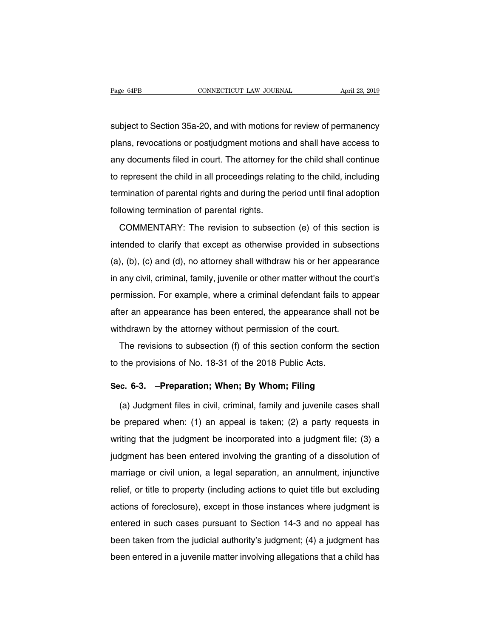Page 64PB<br>
CONNECTICUT LAW JOURNAL<br>
Subject to Section 35a-20, and with motions for review of permanency<br>
plans, revocations or postjudgment motions and shall have access to Page 64PB CONNECTICUT LAW JOURNAL April 23, 2019<br>subject to Section 35a-20, and with motions for review of permanency<br>plans, revocations or postjudgment motions and shall have access to<br>any documents filed in court. The at subject to Section 35a-20, and with motions for review of permanency<br>plans, revocations or postjudgment motions and shall have access to<br>any documents filed in court. The attorney for the child shall continue<br>to represent subject to Section 35a-20, and with motions for review of permanency<br>plans, revocations or postjudgment motions and shall have access to<br>any documents filed in court. The attorney for the child shall continue<br>to represent plans, revocations or postjudgment motions and shall have access to<br>any documents filed in court. The attorney for the child shall continue<br>to represent the child in all proceedings relating to the child, including<br>termina plans, revealible of peedalgment meters of<br>any documents filed in court. The attorney fo<br>to represent the child in all proceedings relati<br>termination of parental rights.<br>COMMENTARY: The revision to subsecti represent the child in all proceedings relating to the child, including<br>represent the child in all proceedings relating to the child, including<br>mination of parental rights.<br>COMMENTARY: The revision to subsection (e) of thi

is represent are simalitient precedually relating to the ernic, including<br>termination of parental rights.<br>COMMENTARY: The revision to subsection (e) of this section is<br>intended to clarify that except as otherwise provided following termination of parental rights.<br>
COMMENTARY: The revision to subsection (e) of this section is<br>
intended to clarify that except as otherwise provided in subsections<br>
(a), (b), (c) and (d), no attorney shall withd comming commination of parolitic rights.<br>
intended to clarify that except as otherwise provided in subsections<br>
(a), (b), (c) and (d), no attorney shall withdraw his or her appearance<br>
in any civil, criminal, family, juven permission. For example, where a criminal defendant fails to appear after an appearance has been entered, the appearance shall not be appearance in any civil, criminal, family, juvenile or other matter without the court's (a), (b), (c) and (d), no attorney shall withdraw his or her appearance<br>in any civil, criminal, family, juvenile or other matter without the court's<br>permission. For example, where a criminal defendant fails to appear<br>after in any civil, criminal, family, juvenile or other matter without the contents in any civil, criminal, family, juvenile or other matter without the content permission. For example, where a criminal defendant fails to ap af Frankling String String, School String String Counterparties while the section<br>Frankling conformation. For example, where a criminal defendant fails to appear<br>ter an appearance has been entered, the appearance shall not be after an appearance has been entered, the appearance sha<br>withdrawn by the attorney without permission of the court.<br>The revisions to subsection (f) of this section conform the<br>to the provisions of No. 18-31 of the 2018 Pub

withdrawn by the attorney without permission of the court.<br>
The revisions to subsection (f) of this section conform the section the provisions of No. 18-31 of the 2018 Public Acts.<br> **Sec. 6-3.** –**Preparation; When; By Whom** 

The revisions to subsection (f) of this section conform the section<br>the provisions of No. 18-31 of the 2018 Public Acts.<br>c. 6-3. –Preparation; When; By Whom; Filing<br>(a) Judgment files in civil, criminal, family and juveni to the provisions of No. 18-31 of the 2018 Public Acts.<br> **Sec. 6-3.** - **Preparation; When; By Whom; Filing**<br>
(a) Judgment files in civil, criminal, family and juvenile cases shall<br>
be prepared when: (1) an appeal is taken; Sec. 6-3. -Preparation; When; By Whom; Filing<br>
(a) Judgment files in civil, criminal, family and juvenile cases shall<br>
be prepared when: (1) an appeal is taken; (2) a party requests in<br>
writing that the judgment be incorpo (a) Judgment files in civil, criminal, family and juvenile cases shall<br>be prepared when: (1) an appeal is taken; (2) a party requests in<br>writing that the judgment be incorporated into a judgment file; (3) a<br>judgment has be (a) saagment mee in orm, omminar, tarming and javonine cases shall<br>be prepared when: (1) an appeal is taken; (2) a party requests in<br>writing that the judgment be incorporated into a judgment file; (3) a<br>judgment has been e be propared which. (1) an appear to takent,  $(L)$  a party requested in<br>writing that the judgment be incorporated into a judgment file; (3) a<br>judgment has been entered involving the granting of a dissolution of<br>marriage or indigment has been entered involving the granting of a dissolution of<br>inarriage or civil union, a legal separation, an annulment, injunctive<br>relief, or title to property (including actions to quiet title but excluding<br>acti marriage or civil union, a legal separation, an annulment, injunctive<br>relief, or title to property (including actions to quiet title but excluding<br>actions of foreclosure), except in those instances where judgment is<br>entere been taken from the judicial authority's judgment; (4) a judgment is<br>been taken from the judicial authority's judgment; (4) a judgment has<br>been taken from the judicial authority's judgment; (4) a judgment has<br>been entered belief, of the to property (including deficit of quiet the but excluding<br>actions of foreclosure), except in those instances where judgment is<br>entered in such cases pursuant to Section 14-3 and no appeal has<br>been taken from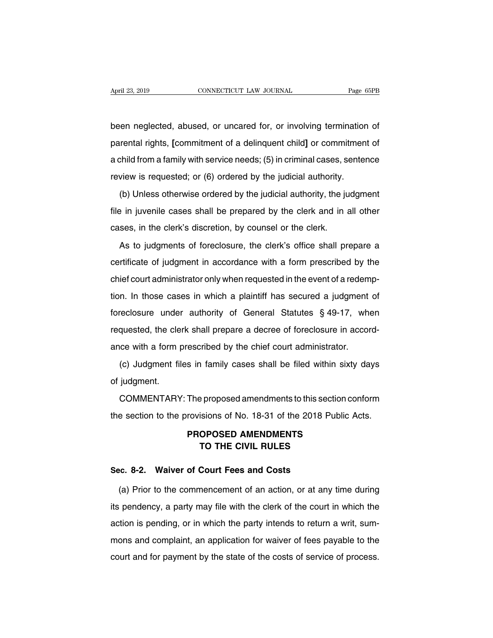been neglected, abused, or uncared for, or involving termination of April 23, 2019 **CONNECTICUT LAW JOURNAL** Page 65PB<br>been neglected, abused, or uncared for, or involving termination of<br>parental rights, [commitment of a delinquent child] or commitment of<br>a child from a family with service been neglected, abused, or uncared for, or involving termination of<br>parental rights, [commitment of a delinquent child] or commitment of<br>a child from a family with service needs; (5) in criminal cases, sentence<br>review is r been neglected, abused, or uncared for, or involving termination<br>parental rights, [commitment of a delinquent child] or commitmen<br>a child from a family with service needs; (5) in criminal cases, senter<br>review is requested; (b) Unless otherwise ordered by the judicial authority, the judgment of thild from a family with service needs; (5) in criminal cases, sentence view is requested; or (6) ordered by the judicial authority.<br>(b) Unless otherw

fall of from a family with service needs; (5) in criminal cases, sentence<br>review is requested; or (6) ordered by the judicial authority.<br>(b) Unless otherwise ordered by the judicial authority, the judgment<br>file in juvenile a child from a family with service needs; (5) in criminal cases, sentence<br>review is requested; or (6) ordered by the judicial authority.<br>(b) Unless otherwise ordered by the judicial authority, the judgment<br>file in juvenile (b) Unless otherwise ordered by the judicial authority, the judgment<br>as in juvenile cases shall be prepared by the clerk and in all other<br>ses, in the clerk's discretion, by counsel or the clerk.<br>As to judgments of foreclos

(c) choose charmed cracted by the jacketar datherity, the jacgment file in juvenile cases shall be prepared by the clerk and in all other cases, in the clerk's discretion, by counsel or the clerk.<br>As to judgments of forecl cases, in the clerk's discretion, by counsel or the clerk.<br>As to judgments of foreclosure, the clerk's office shall prepare a<br>certificate of judgment in accordance with a form prescribed by the<br>chief court administrator on As to judgments of foreclosure, the clerk's office shall prepare a<br>certificate of judgment in accordance with a form prescribed by the<br>chief court administrator only when requested in the event of a redemp-<br>tion. In those For the judgments of foreclosure, the clerk's chief chian prepare a<br>certificate of judgment in accordance with a form prescribed by the<br>chief court administrator only when requested in the event of a redemp-<br>tion. In thos confidence of judgment in accordance with a form precedible by the chief court administrator only when requested in the event of a redemption. In those cases in which a plaintiff has secured a judgment of foreclosure under anch coart daminionated only when requested in the civen of a fodem<br>tion. In those cases in which a plaintiff has secured a judgment<br>foreclosure under authority of General Statutes § 49-17, where<br>requested, the clerk shall (c) Judgment.<br>
Expectise in the files in family of General Statutes § 49-17, when<br>
quested, the clerk shall prepare a decree of foreclosure in accord-<br>
ce with a form prescribed by the chief court administrator.<br>
(c) Judgm requested, the cle<br>requested, the cle<br>ance with a form p<br>(c) Judgment fil<br>of judgment.<br>COMMENTARY

COMMENTARY: The proposed amendments to this section conform<br>
Section to the proposed amendments to this section conform<br>
Section to the provisions of No. 18-31 of the 2018 Public Acts. (c) Judgment files in family cases shall be filed within sixty days<br>of judgment.<br>COMMENTARY: The proposed amendments to this section conform<br>the section to the provisions of No. 18-31 of the 2018 Public Acts.<br>**PROPOSED AME** The proposed amendments to this section conditions of No. 18-31 of the 2018 Public A<br>**PROPOSED AMENDMENTS**<br>TO THE CIVIL RULES **The Proposed amendments to this section<br>
Islons of No. 18-31 of the 2018 Publi<br>
<b>OPOSED AMENDMENTS<br>
TO THE CIVIL RULES** the section to the provisions of No. 18-31 of the 2018 Pu<br>**PROPOSED AMENDMENTS**<br>**TO THE CIVIL RULES**<br>Sec. 8-2. Waiver of Court Fees and Costs<br>(a) Prior to the commencement of an action. or at any

PROPOSED AMENDMENTS<br>
TO THE CIVIL RULES<br>
ec. 8-2. Waiver of Court Fees and Costs<br>
(a) Prior to the commencement of an action, or at any time during<br>
pendency, a party may file with the clerk of the court in which the TO THE CIVIL RULES<br>Sec. 8-2. Waiver of Court Fees and Costs<br>(a) Prior to the commencement of an action, or at any time during<br>its pendency, a party may file with the clerk of the court in which the<br>action is pending, or in Sec. 8-2. Waiver of Court Fees and Costs<br>(a) Prior to the commencement of an action, or at any time during<br>its pendency, a party may file with the clerk of the court in which the<br>action is pending, or in which the party in (a) Prior to the commencement of an action, or at any time during<br>its pendency, a party may file with the clerk of the court in which the<br>action is pending, or in which the party intends to return a writ, sum-<br>mons and com (a) The to the commencement of an action, of at any time damig<br>its pendency, a party may file with the clerk of the court in which the<br>action is pending, or in which the party intends to return a writ, sum-<br>mons and compla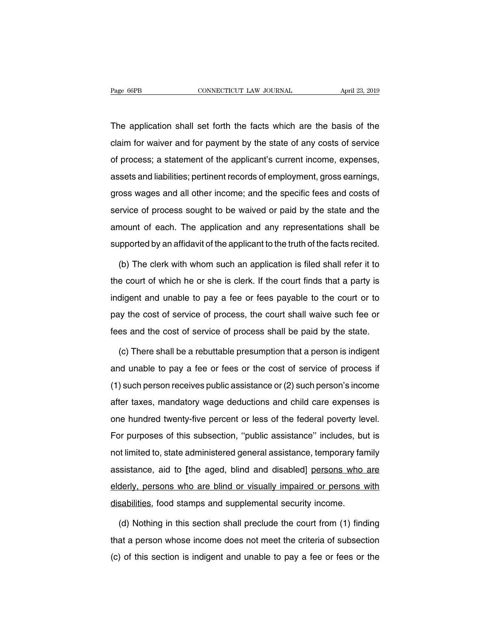The application shall set forth the facts which are the basis of the<br>Claim for waiver and for payment by the state of any costs of service Page 66PB CONNECTICUT LAW JOURNAL April 23, 2019<br>The application shall set forth the facts which are the basis of the<br>claim for waiver and for payment by the state of any costs of service<br>of process; a statement of the app The application shall set forth the facts which are the basis of the claim for waiver and for payment by the state of any costs of service of process; a statement of the applicant's current income, expenses, assets and lia The application shall set forth the facts which are the basis of the claim for waiver and for payment by the state of any costs of service of process; a statement of the applicant's current income, expenses, assets and lia claim for waiver and for payment by the state of any costs of service<br>of process; a statement of the applicant's current income, expenses,<br>assets and liabilities; pertinent records of employment, gross earnings,<br>gross wage of process; a statement of the applicant's current income, expenses, assets and liabilities; pertinent records of employment, gross earnings, gross wages and all other income; and the specific fees and costs of service of amount of each. The applicant of early missing, superiose, assets and liabilities; pertinent records of employment, gross earnings, gross wages and all other income; and the specific fees and costs of service of process so gross wages and all other income; and the specific fees and costs of<br>service of process sought to be waived or paid by the state and the<br>amount of each. The application and any representations shall be<br>supported by an affi experience of process sought to be waived or paid by the state and the<br>mount of each. The application and any representations shall be<br>upported by an affidavit of the applicant to the truth of the facts recited.<br>(b) The cl

amount of each. The application and any representations shall be<br>supported by an affidavit of the applicant to the truth of the facts recited.<br>(b) The clerk with whom such an application is filed shall refer it to<br>the cour supported by an affidavit of the applicant to the truth of the facts recited.<br>
(b) The clerk with whom such an application is filed shall refer it to<br>
the court of which he or she is clerk. If the court finds that a party (b) The clerk with whom such an application is filed shall refer it to the court of which he or she is clerk. If the court finds that a party is indigent and unable to pay a fee or fees payable to the court or to pay the c for the court of which he or she is clerk. If the court finds that a party is<br>indigent and unable to pay a fee or fees payable to the court or to<br>pay the cost of service of process, the court shall waive such fee or<br>fees a digent and unable to pay a fee or fees payable to the court or to<br>ay the cost of service of process, the court shall waive such fee or<br>es and the cost of service of process shall be paid by the state.<br>(c) There shall be a

pay the cost of service of process, the court shall waive such fee or<br>fees and the cost of service of process shall be paid by the state.<br>(c) There shall be a rebuttable presumption that a person is indigent<br>and unable to fees and the cost of service of process shall be paid by the state.<br>
(c) There shall be a rebuttable presumption that a person is indigent<br>
and unable to pay a fee or fees or the cost of service of process if<br>
(1) such per (c) There shall be a rebuttable presumption that a person is indigent<br>and unable to pay a fee or fees or the cost of service of process if<br>(1) such person receives public assistance or (2) such person's income<br>after taxes, (b) There shall be a reballable precemption that a porcent or larger and unable to pay a fee or fees or the cost of service of process if (1) such person receives public assistance or (2) such person's income after taxes, (1) such person receives public assistance or (2) such person's income<br>after taxes, mandatory wage deductions and child care expenses is<br>one hundred twenty-five percent or less of the federal poverty level.<br>For purposes o after taxes, mandatory wage deductions and child care expenses is<br>one hundred twenty-five percent or less of the federal poverty level.<br>For purposes of this subsection, "public assistance" includes, but is<br>not limited to, and diversize, mandately wage deductions and onlid date experience to<br>one hundred twenty-five percent or less of the federal poverty level.<br>For purposes of this subsection, "public assistance" includes, but is<br>not limited For purposes of this subsection, "public assistance" includes, but is<br>not limited to, state administered general assistance, temporary family<br>assistance, aid to [the aged, blind and disabled] persons who are<br>elderly, perso For parposes of this sassession, pashs assistance mistates, sand timited to, state administered general assistance, temporary far assistance, aid to [the aged, blind and disabled] persons who elderly, persons who are blind sistance, aid to [the aged, blind and disabled] persons who are<br>derly, persons who are blind or visually impaired or persons with<br>sabilities, food stamps and supplemental security income.<br>(d) Nothing in this section shall

elderly, persons who are blind or visually impaired or persons with<br>disabilities, food stamps and supplemental security income.<br>(d) Nothing in this section shall preclude the court from (1) finding<br>that a person whose inco disabilities, food stamps and supplemental security income.<br>
(d) Nothing in this section shall preclude the court from (1) finding<br>
that a person whose income does not meet the criteria of subsection<br>
(c) of this section i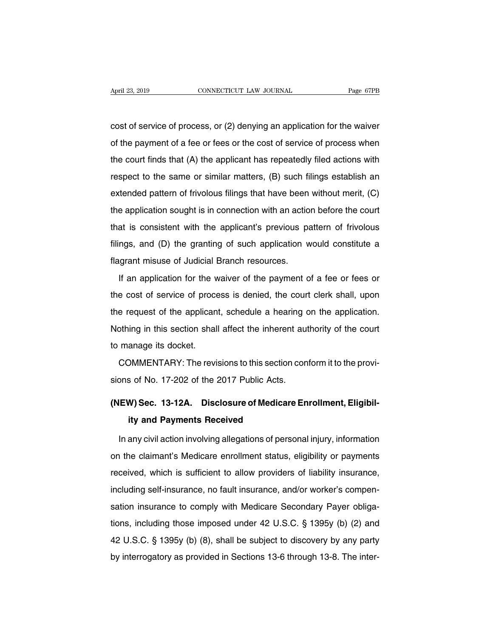April 23, 2019 CONNECTICUT LAW JOURNAL Page 67PB<br>
cost of service of process, or (2) denying an application for the waiver<br>
of the payment of a fee or fees or the cost of service of process when April 23, 2019 CONNECTICUT LAW JOURNAL Page 67PB<br>
cost of service of process, or (2) denying an application for the waiver<br>
of the payment of a fee or fees or the cost of service of process when<br>
the court finds that (A) t cost of service of process, or (2) denying an application for the waiver<br>of the payment of a fee or fees or the cost of service of process when<br>the court finds that (A) the applicant has repeatedly filed actions with<br>respe cost of service of process, or (2) denying an application for the waiver<br>of the payment of a fee or fees or the cost of service of process when<br>the court finds that (A) the applicant has repeatedly filed actions with<br>respe of the payment of a fee or fees or the cost of service of process when<br>the court finds that (A) the applicant has repeatedly filed actions with<br>respect to the same or similar matters, (B) such filings establish an<br>extende the court finds that (A) the applicant has repeatedly filed actions with<br>respect to the same or similar matters, (B) such filings establish an<br>extended pattern of frivolous filings that have been without merit, (C)<br>the app that is countinue and the same or similar matters, (B) such filings establish an extended pattern of frivolous filings that have been without merit, (C) the application sought is in connection with an action before the cou extended pattern of frivolous filings that have been without merit, (C)<br>the application sought is in connection with an action before the court<br>that is consistent with the applicant's previous pattern of frivolous<br>filings, the application sought is in connection with an actio<br>that is consistent with the applicant's previous partilings, and (D) the granting of such application w<br>flagrant misuse of Judicial Branch resources.<br>If an application If an application for the waiver of the payment of the outlet a<br>If an application for the waiver of the payment of a fee or fees or<br>Let an application for the waiver of the payment of a fee or fees or<br>Let cost of service o

filings, and (D) the granting of such application would constitute a<br>flagrant misuse of Judicial Branch resources.<br>If an application for the waiver of the payment of a fee or fees or<br>the cost of service of process is denie the request of the application for the payment of a fee or fees or<br>the cost of service of process is denied, the court clerk shall, upon<br>the request of the applicant, schedule a hearing on the application.<br>Nothing in this If an application for the waiver of the payment of a fee or fees or<br>the cost of service of process is denied, the court clerk shall, upon<br>the request of the applicant, schedule a hearing on the application.<br>Nothing in this the cost of service of proce<br>the request of the applican<br>Nothing in this section shal<br>to manage its docket.<br>COMMENTARY: The revi Example a request of the applicant, schedule a hearing on the application.<br>
Sthing in this section shall affect the inherent authority of the court<br>
manage its docket.<br>
COMMENTARY: The revisions to this section conform it Sions of the applicant, schoolars a healing of Nothing in this section shall affect the inherent automanage its docket.<br>COMMENTARY: The revisions to this section consions of No. 17-202 of the 2017 Public Acts.

to manage its docket.<br>
COMMENTARY: The revisions to this section conform it to the provisions of No. 17-202 of the 2017 Public Acts.<br> **(NEW) Sec. 13-12A.** Disclosure of Medicare Enrollment, Eligibility and Payments Receive **image 1 MMENTARY: The revisions to this section<br>is of No. 17-202 of the 2017 Public Acts.<br><b>W) Sec. 13-12A. Disclosure of Medicare<br>ity and Payments Received**<br>any civil action involving allegations of pers

IN any Civil action involving allegations of personal injury, information<br>IEW) Sec. 13-12A. Disclosure of Medicare Enrollment, Eligibil-<br>ity and Payments Received<br>In any civil action involving allegations of personal injur (NEW) Sec. 13-12A. Disclosure of Medicare Enrollment, Eligibil-<br>ity and Payments Received<br>In any civil action involving allegations of personal injury, information<br>on the claimant's Medicare enrollment status, eligibility ity and Payments Received<br>
In any civil action involving allegations of personal injury, information<br>
on the claimant's Medicare enrollment status, eligibility or payments<br>
received, which is sufficient to allow providers In any civil action involving allegations of personal injury, information<br>on the claimant's Medicare enrollment status, eligibility or payments<br>received, which is sufficient to allow providers of liability insurance,<br>inclu In any own action involving anogations or percental injary, internation<br>on the claimant's Medicare enrollment status, eligibility or payments<br>received, which is sufficient to allow providers of liability insurance,<br>includi on the clamate measure enforment etatus, engibility insurance,<br>received, which is sufficient to allow providers of liability insurance,<br>including self-insurance, no fault insurance, and/or worker's compen-<br>sation insurance including self-insurance, no fault insurance, and/or worker's compensation insurance to comply with Medicare Secondary Payer obligations, including those imposed under 42 U.S.C. § 1395y (b) (2) and 42 U.S.C. § 1395y (b) (8 by interrogatory as provided in Sections 13-6 through 13-8. The inter-<br>by interrogatory as provided in Sections 13-6 through 13-8. The inter-<br>by interrogatory as provided in Sections 13-6 through 13-8. The inter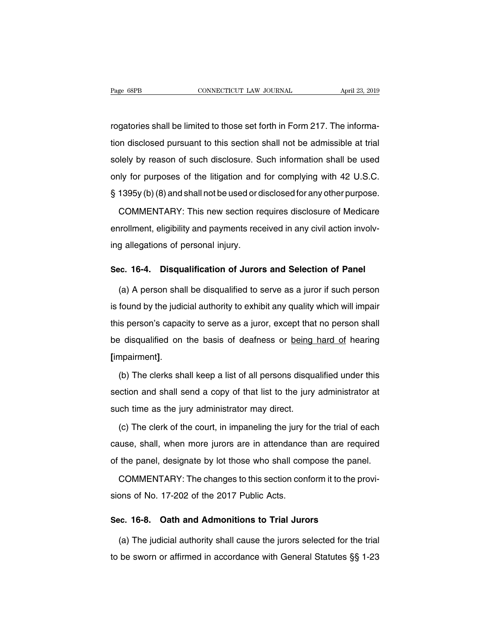Page 68PB<br>
CONNECTICUT LAW JOURNAL April 23, 2019<br>
rogatories shall be limited to those set forth in Form 217. The informa-<br>
tion disclosed pursuant to this section shall not be admissible at trial The CONNECTICUT LAW JOURNAL THE April 23, 2019<br>Trogatories shall be limited to those set forth in Form 217. The informa-<br>The information disclosed pursuant to this section shall not be admissible at trial<br>Solely by reason rogatories shall be limited to those set forth in Form 217. The informa-<br>tion disclosed pursuant to this section shall not be admissible at trial<br>solely by reason of such disclosure. Such information shall be used<br>only for rogatories shall be limited to those set forth in Form 217. The information disclosed pursuant to this section shall not be admissible at trial<br>solely by reason of such disclosure. Such information shall be used<br>only for p Fogalones shall be immed to these sections in Fight 217. The imbiting<br>tion disclosed pursuant to this section shall not be admissible at trial<br>solely by reason of such disclosure. Such information shall be used<br>only for pu Melely by reason of such disclosure. Such information shall be used<br>hly for purposes of the litigation and for complying with 42 U.S.C.<br>1395y (b) (8) and shall not be used or disclosed for any other purpose.<br>COMMENTARY: Th

enrollment is a the litigation and for complying with 42 U.S.C.<br>S 1395y (b) (8) and shall not be used or disclosed for any other purpose.<br>COMMENTARY: This new section requires disclosure of Medicare<br>enrollment, eligibility s 1395y (b) (8) and shall not be used or d<br>COMMENTARY: This new section reenrollment, eligibility and payments rece<br>ing allegations of personal injury. **COMMENTARY:** This new section requires disclosure of Medicare<br>enrollment, eligibility and payments received in any civil action involv-<br>ing allegations of personal injury.<br>**Sec. 16-4. Disqualification of Jurors and Select** 

(a) a personal injury.<br>
Fundamently and payments received in any civil action involv-<br>
Fundament of person shall be disqualified to serve as a juror if such person<br>
found by the judicial authority to exhibit any quality wh ing allegations of personal injury.<br>
Sec. 16-4. Disqualification of Jurors and Selection of Panel<br>
(a) A person shall be disqualified to serve as a juror if such person<br>
is found by the judicial authority to exhibit any qu Sec. 16-4. Disqualification of Jurors and Selection of Panel<br>(a) A person shall be disqualified to serve as a juror if such person<br>is found by the judicial authority to exhibit any quality which will impair<br>this person's c (a) A person shall be disqualified to serve as a juror if such person<br>is found by the judicial authority to exhibit any quality which will impair<br>this person's capacity to serve as a juror, except that no person shall<br>be d **EXECUTE:** (b) The clerks shall keep a list of all persons disqualified under this person's capacity to serve as a juror, except that no person shall be disqualified on the basis of deafness or <u>being hard of</u> hearing [imp

be disqualified on the basis of deafness or <u>being hard of</u> hearing<br>[impairment].<br>(b) The clerks shall keep a list of all persons disqualified under this<br>section and shall send a copy of that list to the jury administrator [impairment].<br>
(b) The clerks shall keep a list of all persons disquasection and shall send a copy of that list to the jury<br>
such time as the jury administrator may direct.<br>
(c) The clerk of the court, in impaneling the ju (b) The clerks shall keep a list of all persons disqualified under this<br>ection and shall send a copy of that list to the jury administrator at<br>the time as the jury administrator may direct.<br>(c) The clerk of the court, in i

section and shall send a copy of that list to the jury administrator at<br>such time as the jury administrator may direct.<br>(c) The clerk of the court, in impaneling the jury for the trial of each<br>cause, shall, when more juror such time as the jury administrator may direct.<br>
(c) The clerk of the court, in impaneling the jury for the trial of each<br>
cause, shall, when more jurors are in attendance than are required<br>
of the panel, designate by lot (c) The clerk of the court, in impaneling the jury for the trial of each<br>use, shall, when more jurors are in attendance than are required<br>the panel, designate by lot those who shall compose the panel.<br>COMMENTARY: The chang cause, shall, when more jurors are in attendance<br>of the panel, designate by lot those who shall com<br>COMMENTARY: The changes to this section con<br>sions of No. 17-202 of the 2017 Public Acts.

of the panel, designate by lot those who shall compose the pane<br>
COMMENTARY: The changes to this section conform it to the p<br>
sions of No. 17-202 of the 2017 Public Acts.<br> **Sec. 16-8. Oath and Admonitions to Trial Jurors**<br>

COMMENTARY: The changes to this section conform it to the provi-<br>ons of No. 17-202 of the 2017 Public Acts.<br>ec. 16-8. Oath and Admonitions to Trial Jurors<br>(a) The judicial authority shall cause the jurors selected for the sions of No. 17-202 of the 2017 Public Acts.<br>Sec. 16-8. Oath and Admonitions to Trial Jurors<br>(a) The judicial authority shall cause the jurors selected for the trial<br>to be sworn or affirmed in accordance with General Statu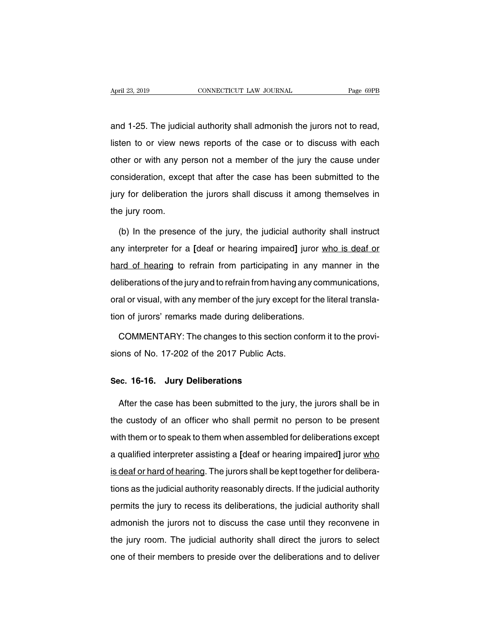April 23, 2019 CONNECTICUT LAW JOURNAL Page 69PB<br>and 1-25. The judicial authority shall admonish the jurors not to read,<br>listen to or view news reports of the case or to discuss with each April 23, 2019 CONNECTICUT LAW JOURNAL Page 69PB<br>and 1-25. The judicial authority shall admonish the jurors not to read,<br>listen to or view news reports of the case or to discuss with each<br>other or with any person not a mem and 1-25. The judicial authority shall admonish the jurors not to read,<br>listen to or view news reports of the case or to discuss with each<br>other or with any person not a member of the jury the cause under<br>consideration, ex and 1-25. The judicial authority shall admonish the jurors not to read,<br>listen to or view news reports of the case or to discuss with each<br>other or with any person not a member of the jury the cause under<br>consideration, ex listen to or view news reports of the case or to discuss with each<br>other or with any person not a member of the jury the cause under<br>consideration, except that after the case has been submitted to the<br>jury for deliberation other or with any processideration, excerning<br>giury for deliberation<br>the jury room.<br>(b) In the present Insideration, except that after the case has been submitted to the<br>ry for deliberation the jurors shall discuss it among themselves in<br>e jury room.<br>(b) In the presence of the jury, the judicial authority shall instruct<br>ly

interty for deliberation the jurors shall discuss it among themselves in<br>the jury room.<br>(b) In the presence of the jury, the judicial authority shall instruct<br>any interpreter for a [deaf or hearing impaired] juror who is d the jury room.<br>
(b) In the presence of the jury, the judicial authority shall instruct<br>
any interpreter for a [deaf or hearing impaired] juror <u>who is deaf or</u><br>
hard of hearing to refrain from participating in any manner i (b) In the presence of the jury, the judicial authority shall instruct<br>any interpreter for a [deaf or hearing impaired] juror <u>who is deaf or</u><br>hard of hearing to refrain from participating in any manner in the<br>deliberation any interpreter for a [deaf or hearing impaired] juror who is deaf or hard of hearing to refrain from participating in any manner in the deliberations of the jury and to refrain from having any communications, oral or visu than of hearing to refrain from participating in any mediberations of the jury and to refrain from having any conoral or visual, with any member of the jury except for the tion of jurors' remarks made during deliberations. eliberations of the jury and to refrain from having any communications,<br>al or visual, with any member of the jury except for the literal transla-<br>on of jurors' remarks made during deliberations.<br>COMMENTARY: The changes to oral or visual, with any member of the jury except fo<br>tion of jurors' remarks made during deliberations.<br>COMMENTARY: The changes to this section con<br>sions of No. 17-202 of the 2017 Public Acts.

tion of jurors' remarks made during deliberation<br>COMMENTARY: The changes to this sections<br>sions of No. 17-202 of the 2017 Public Acts.<br>Sec. 16-16. Jury Deliberations

BEE COMMENTATTE. The changes to this section comoment to the provi-<br>
Sons of No. 17-202 of the 2017 Public Acts.<br>
Rec. 16-16. Jury Deliberations<br>
After the case has been submitted to the jury, the jurors shall be in<br>
the c Sec. 16-16. Jury Deliberations<br>Sec. 16-16. Jury Deliberations<br>the custody of an officer who shall permit no person to be present<br>with them or to speak to them when assembled for deliberations except Sec. 16-16. Jury Deliberations<br>After the case has been submitted to the jury, the jurors shall be in<br>the custody of an officer who shall permit no person to be present<br>with them or to speak to them when assembled for delib After the case has been submitted to the jury, the jurors shall be in<br>the custody of an officer who shall permit no person to be present<br>with them or to speak to them when assembled for deliberations except<br>a qualified int the custody of an officer who shall permit no person to be present<br>with them or to speak to them when assembled for deliberations except<br>a qualified interpreter assisting a [deaf or hearing impaired] juror who<br>is deaf or h with them or to speak to them when assembled for deliberations except<br>a qualified interpreter assisting a [deaf or hearing impaired] juror who<br>is deaf or hard of hearing. The jurors shall be kept together for delibera-<br>tio maturement to epositive atom intertace instant to recise tanding on<br>a qualified interpreter assisting a [deaf or hearing impaired] juror who<br>is deaf or hard of hearing. The jurors shall be kept together for delibera-<br>tions is deaf or hard of hearing. The jurors shall be kept together for deliberations as the judicial authority reasonably directs. If the judicial authority permits the jury to recess its deliberations, the judicial authority s tions as the judicial authority reasonably directs. If the judicial authority<br>permits the jury to recess its deliberations, the judicial authority shall<br>admonish the jurors not to discuss the case until they reconvene in<br>t one of the jury to recess its deliberations, the judicial authority shall<br>admonish the jurys not to discuss the case until they reconvene in<br>the jury room. The judicial authority shall direct the jurors to select<br>one of th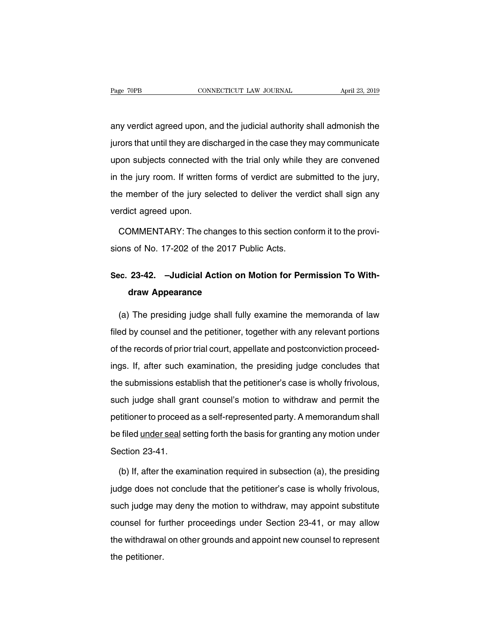Page 70PB<br>
any verdict agreed upon, and the judicial authority shall admonish the<br>
iurors that until they are discharged in the case they may communicate Page 70PB CONNECTICUT LAW JOURNAL April 23, 2019<br>any verdict agreed upon, and the judicial authority shall admonish the<br>jurors that until they are discharged in the case they may communicate<br>upon subjects connected with th any verdict agreed upon, and the judicial authority shall admonish the<br>jurors that until they are discharged in the case they may communicate<br>upon subjects connected with the trial only while they are convened<br>in the jury any verdict agreed upon, and the judicial authority shall admonish the<br>jurors that until they are discharged in the case they may communicate<br>upon subjects connected with the trial only while they are convened<br>in the jury jurors that until they are discharged in the case they may communicate<br>upon subjects connected with the trial only while they are convened<br>in the jury room. If written forms of verdict are submitted to the jury,<br>the member gatore and analysing are are<br>upon subjects connected<br>in the jury room. If written<br>the member of the jury se<br>verdict agreed upon.<br>COMMENTARY: The ch the jury room. If written forms of verdict are submitted to the jury,<br>e member of the jury selected to deliver the verdict shall sign any<br>rrdict agreed upon.<br>COMMENTARY: The changes to this section conform it to the provithe member of the jury selected to deliver the ver<br>verdict agreed upon.<br>COMMENTARY: The changes to this section con<br>sions of No. 17-202 of the 2017 Public Acts.

Verdict agreed upon.<br>
COMMENTARY: The changes to this section conform it to the provisions of No. 17-202 of the 2017 Public Acts.<br>
Sec. 23-42. →Judicial Action on Motion for Permission To With-<br> **draw Appearance** MMENTARY: The changes to<br>s of No. 17-202 of the 2017 Pi<br>**23-42. -Judicial Action on<br>draw Appearance** 

ec. 23-42. -Judicial Action on Motion for Permission To With-<br>draw Appearance<br>(a) The presiding judge shall fully examine the memoranda of law<br>ed by counsel and the petitioner, together with any relevant portions Sec. 23-42. -Judicial Action on Motion for Permission To With-<br>draw Appearance<br>(a) The presiding judge shall fully examine the memoranda of law<br>filed by counsel and the petitioner, together with any relevant portions<br>of th draw Appearance<br>
(a) The presiding judge shall fully examine the memoranda of law<br>
filed by counsel and the petitioner, together with any relevant portions<br>
of the records of prior trial court, appellate and postconviction (a) The presiding judge shall fully examine the memoranda of law<br>filed by counsel and the petitioner, together with any relevant portions<br>of the records of prior trial court, appellate and postconviction proceed-<br>ings. If, tiled by counsel and the petitioner, together with any relevant portions<br>of the records of prior trial court, appellate and postconviction proceed-<br>ings. If, after such examination, the presiding judge concludes that<br>the s such granted and positions, regently many colorant persons<br>of the records of prior trial court, appellate and postconviction proceed-<br>ings. If, after such examination, the presiding judge concludes that<br>the submissions est petitioner to prior that seart, appendix and perfect interpresent ings. If, after such examination, the presiding judge concludes that the submissions establish that the petitioner's case is wholly frivolous, such judge sh the submissions establish that the petitioner's case is wholly frivolous,<br>such judge shall grant counsel's motion to withdraw and permit the<br>petitioner to proceed as a self-represented party. A memorandum shall<br>be filed <u>u</u> the submissions establish that the petitioner's case is wholly frivolous,<br>such judge shall grant counsel's motion to withdraw and permit the<br>petitioner to proceed as a self-represented party. A memorandum shall<br>be filed <u>u</u> estitioner to proceed as a self-represented party. A memorandum shall<br>
if filed <u>under seal</u> setting forth the basis for granting any motion under<br>
ection 23-41.<br>
(b) If, after the examination required in subsection (a), t

be filed <u>under seal</u> setting forth the basis for granting any motion under<br>Section 23-41.<br>(b) If, after the examination required in subsection (a), the presiding<br>judge does not conclude that the petitioner's case is wholl Section 23-41.<br>
(b) If, after the examination required in subsection (a), the presiding<br>
judge does not conclude that the petitioner's case is wholly frivolous,<br>
such judge may deny the motion to withdraw, may appoint subs (b) If, after the examination required in subsection (a), the presiding<br>judge does not conclude that the petitioner's case is wholly frivolous,<br>such judge may deny the motion to withdraw, may appoint substitute<br>counsel for judge does not conclude that the petitioner's case is wholly frivolous, such judge may deny the motion to withdraw, may appoint substitute counsel for further proceedings under Section 23-41, or may allow the withdrawal o such judge mand<br>such judge mand<br>the withdrawa<br>the petitioner.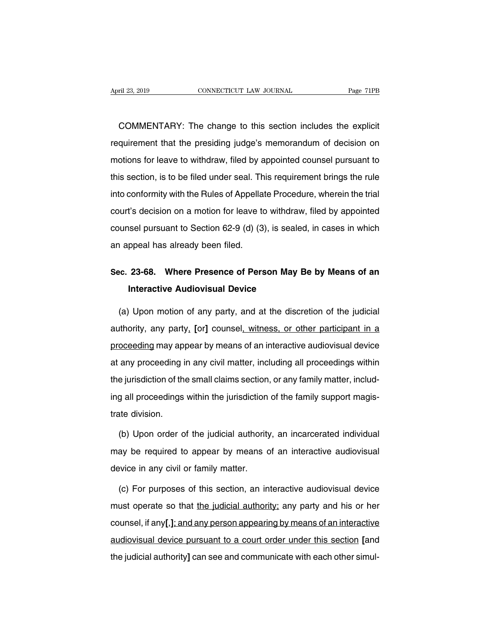ril 23, 2019<br>COMMENTARY: The change to this section includes the explicit<br>quirement that the presiding judge's memorandum of decision on April 23, 2019 CONNECTICUT LAW JOURNAL Page 71PB<br>COMMENTARY: The change to this section includes the explicit<br>requirement that the presiding judge's memorandum of decision on<br>motions for leave to withdraw, filed by appoint COMMENTARY: The change to this section includes the explicit<br>requirement that the presiding judge's memorandum of decision on<br>motions for leave to withdraw, filed by appointed counsel pursuant to<br>this section, is to be fil COMMENTARY: The change to this section includes the explicit<br>requirement that the presiding judge's memorandum of decision on<br>motions for leave to withdraw, filed by appointed counsel pursuant to<br>this section, is to be fil requirement that the presiding judge's memorandum of decision on<br>motions for leave to withdraw, filed by appointed counsel pursuant to<br>this section, is to be filed under seal. This requirement brings the rule<br>into conformi requirement that the preclaing jazge e memorializant of assistion on<br>motions for leave to withdraw, filed by appointed counsel pursuant to<br>this section, is to be filed under seal. This requirement brings the rule<br>into conf this section, is to be filed under seal. This requirement brings the rule<br>into conformity with the Rules of Appellate Procedure, wherein the trial<br>court's decision on a motion for leave to withdraw, filed by appointed<br>coun and section, is to be mod and a count in<br>into conformity with the Rules of Appella<br>court's decision on a motion for leave to<br>counsel pursuant to Section 62-9 (d) (3)<br>an appeal has already been filed. **Secarative Accession on a motion for leave to withdraw, filed by appointed counsel pursuant to Section 62-9 (d) (3), is sealed, in cases in which an appeal has already been filed.<br><b>Sec. 23-68. Where Presence of Person May** Interactive Audiovisual Device<br> **Interactive Audiovisual Device<br>
Interactive Audiovisual Device**<br> **Interactive Audiovisual Device** 

(a) Upon motion of any party, and at the discretion of the judicial<br>(a) Upon motion of any party, and at the discretion of the judicial<br>(a) Upon motion of any party, and at the discretion of the judicial<br>ithority, any part Sec. 23-68. Where Presence of Person May Be by Means of an<br>Interactive Audiovisual Device<br>(a) Upon motion of any party, and at the discretion of the judicial<br>authority, any party, [or] counsel, witness, or other participan Interactive Audiovisual Device<br>
(a) Upon motion of any party, and at the discretion of the judicial<br>
authority, any party, [or] counsel<u>, witness, or other participant in a</u><br>
proceeding may appear by means of an interactiv (a) Upon motion of any party, and at the discretion of the judicial<br>authority, any party. [or] counsel<u>, witness, or other participant in a</u><br>proceeding may appear by means of an interactive audiovisual device<br>at any procee authority, any party, [or] counsel, witness, or other participant in a proceeding may appear by means of an interactive audiovisual device at any proceeding in any civil matter, including all proceedings within the jurisd proceeding may appear by means of an interactive audiovisual device<br>at any proceeding in any civil matter, including all proceedings within<br>the jurisdiction of the small claims section, or any family matter, includ-<br>ing al at any proceeding if<br>the jurisdiction of the<br>ing all proceedings<br>trate division.<br>(b) Upon order of e jurisdiction of the small claims section, or any family matter, includ-<br>g all proceedings within the jurisdiction of the family support magis-<br>ate division.<br>(b) Upon order of the judicial authority, an incarcerated indiv

ing all proceedings within the jurisdiction of the family support magis-<br>trate division.<br>(b) Upon order of the judicial authority, an incarcerated individual<br>may be required to appear by means of an interactive audiovisual trate division.<br>
(b) Upon order of the judicial authority<br>
may be required to appear by means c<br>
device in any civil or family matter.<br>
(c) For purposes of this section, an in (b) Upon order of the judicial authority, an incarcerated individual<br>ay be required to appear by means of an interactive audiovisual<br>evice in any civil or family matter.<br>(c) For purposes of this section, an interactive aud

may be required to appear by means of an interactive audiovisual<br>device in any civil or family matter.<br>(c) For purposes of this section, an interactive audiovisual device<br>must operate so that the judicial authority; any pa device in any civil or family matter.<br>
(c) For purposes of this section, an interactive audiovisual device<br>
must operate so that <u>the judicial authority</u>; any party and his or her<br>
counsel, if any[,]; and any person appear (c) For purposes of this section, an interactive audiovisual device<br>must operate so that <u>the judicial authority</u>; any party and his or her<br>counsel, if any[,]; and any person appearing by means of an interactive<br>audiovisua the judicial authority; an intertwite the intertwited must operate so that <u>the judicial authority</u>; any party and his or her counsel, if any[,]; and any person appearing by means of an interactive audiovisual device pursu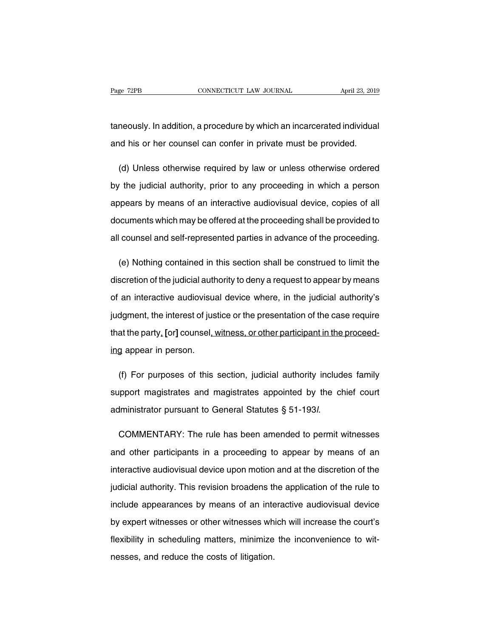Page 72PB<br>
CONNECTICUT LAW JOURNAL<br>
taneously. In addition, a procedure by which an incarcerated individual<br>
and his or her counsel can confer in private must be provided. Page 72PB CONNECTICUT LAW JOURNAL April 23, 2019<br>taneously. In addition, a procedure by which an incarcerated individual<br>and his or her counsel can confer in private must be provided.

(d) In addition, a procedure by which an incarcerated individual<br>(d) Unless otherwise required by law or unless otherwise ordered<br>(d) Unless otherwise required by law or unless otherwise ordered<br>(the judicial authority, pr taneously. In addition, a procedure by which an incarcerated individual<br>and his or her counsel can confer in private must be provided.<br>(d) Unless otherwise required by law or unless otherwise ordered<br>by the judicial author and his or her counsel can confer in private must be provided.<br>
(d) Unless otherwise required by law or unless otherwise ordered<br>
by the judicial authority, prior to any proceeding in which a person<br>
appears by means of an (d) Unless otherwise required by law or unless otherwise ordered<br>by the judicial authority, prior to any proceeding in which a person<br>appears by means of an interactive audiovisual device, copies of all<br>documents which may by the judicial authority, prior to any proceeding in which a person<br>appears by means of an interactive audiovisual device, copies of all<br>documents which may be offered at the proceeding shall be provided to<br>all counsel an pears by means of an interactive audiovisual device, copies of all<br>ocuments which may be offered at the proceeding shall be provided to<br>l counsel and self-represented parties in advance of the proceeding.<br>(e) Nothing conta

documents which may be offered at the proceeding shall be provided to<br>all counsel and self-represented parties in advance of the proceeding.<br>(e) Nothing contained in this section shall be construed to limit the<br>discretion all counsel and self-represented parties in advance of the proceeding.<br>
(e) Nothing contained in this section shall be construed to limit the<br>
discretion of the judicial authority to deny a request to appear by means<br>
of a (e) Nothing contained in this section shall be construed to limit the discretion of the judicial authority to deny a request to appear by means of an interactive audiovisual device where, in the judicial authority's judgme discretion of the judicial authority to deny a request to appear by means<br>of an interactive audiovisual device where, in the judicial authority's<br>judgment, the interest of justice or the presentation of the case require<br>th of an interactive audiovisual<br>judgment, the interest of jus<br>that the party, [or] counsel, ing appear in person. dgment, the interest of justice or the presentation of the case require<br>at the party, [or] counsel<u>, witness, or other participant in the proceed-</u><br>g appear in person.<br>(f) For purposes of this section, judicial authority i

that the party, [or] counsel, witness, or other participant in the proceed-<br>ing appear in person.<br>(f) For purposes of this section, judicial authority includes family<br>support magistrates and magistrates appointed by the ch ing appear in person.<br>
(f) For purposes of this section, judicial authority includes family<br>
support magistrates and magistrates appointed by the chief court<br>
administrator pursuant to General Statutes § 51-193*l*.<br>
COMME

support magistrates and magistrates appointed by the chief court<br>administrator pursuant to General Statutes § 51-193*l*.<br>COMMENTARY: The rule has been amended to permit witnesses<br>and other participants in a proceeding to a administrator pursuant to General Statutes § 51-193/.<br>COMMENTARY: The rule has been amended to permit witnesses<br>and other participants in a proceeding to appear by means of an<br>interactive audiovisual device upon motion and COMMENTARY: The rule has been amended to permit witnesses<br>and other participants in a proceeding to appear by means of an<br>interactive audiovisual device upon motion and at the discretion of the<br>judicial authority. This rev and other participants in a proceeding to appear by means of an interactive audiovisual device upon motion and at the discretion of the judicial authority. This revision broadens the application of the rule to include appe interactive audiovisual device upon motion and at the discretion of the judicial authority. This revision broadens the application of the rule to include appearances by means of an interactive audiovisual device by expert judicial authority. This revision broadens the application of the rule to<br>include appearances by means of an interactive audiovisual device<br>by expert witnesses or other witnesses which will increase the court's<br>flexibility include appearances by means of an inte<br>by expert witnesses or other witnesses wh<br>flexibility in scheduling matters, minimize<br>nesses, and reduce the costs of litigation.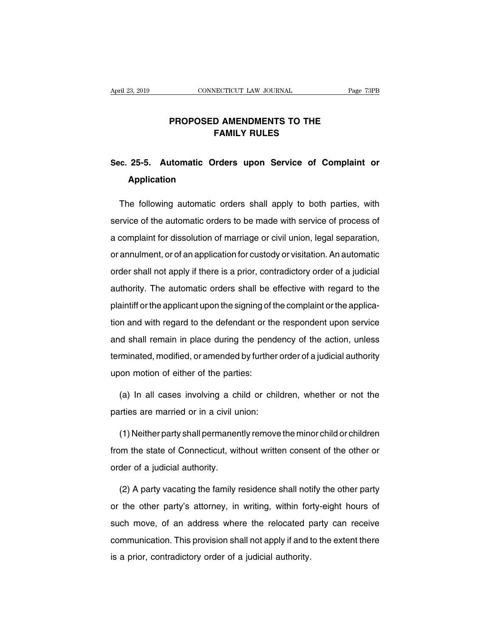## **PAGES CONNECTICUT LAW JOURNAL** Page 73F<br> **PROPOSED AMENDMENTS TO THE**<br> **FAMILY RULES FECTICUT LAW JOURNAL<br>D AMENDMENTS TO THE<br>FAMILY RULES**

### **PROPOSED AMENDMENTS TO THE<br>FAMILY RULES<br>Sec. 25-5. Automatic Orders upon Service of Complaint or<br>Application Application** on 25-5. Automatic Orders upon Service of Complaint or<br>Application<br>The following automatic orders shall apply to both parties, with<br>trice of the automatic orders to be made with service of process of

Sec. 25-5. Automatic Orders upon Service of Complaint or<br>Application<br>The following automatic orders shall apply to both parties, with<br>service of the automatic orders to be made with service of process of<br>a complaint for di Application<br>The following automatic orders shall apply to both parties, with<br>service of the automatic orders to be made with service of process of<br>a complaint for dissolution of marriage or civil union, legal separation,<br>o The following automatic orders shall apply to both parties, with<br>service of the automatic orders to be made with service of process of<br>a complaint for dissolution of marriage or civil union, legal separation,<br>or annulment, service of the automatic orders to be made with service of process of<br>a complaint for dissolution of marriage or civil union, legal separation,<br>or annulment, or of an application for custody or visitation. An automatic<br>ord a complaint for dissolution of marriage or civil union, legal separation,<br>or annulment, or of an application for custody or visitation. An automatic<br>order shall not apply if there is a prior, contradictory order of a judic plant term association of maintage of orm anon, logal expansion, or annulment, or of an application for custody or visitation. An automatic order shall not apply if there is a prior, contradictory order of a judicial autho or annumont, or oran appproation or sustedy or visitation. An additionate<br>order shall not apply if there is a prior, contradictory order of a judicial<br>authority. The automatic orders shall be effective with regard to the<br>p authority. The automatic orders shall be effective with regard to the plaintiff or the applicant upon the signing of the complaint or the application and with regard to the defendant or the respondent upon service and shal plaintiff or the applicant upon the signing of the complaint or the application and with regard to the defendant or the respondent upon service and shall remain in place during the pendency of the action, unless terminated panning of the defendant or the defendant or the defendant or the and shall remain in place during the pender terminated, modified, or amended by furthe upon motion of either of the parties: (a) In all cases involving a child or children, whether or not the unties are married or in a civil union: terminated, modified, or amended by further exponention of either of the parties:<br>
(a) In all cases involving a child or chiliparties are married or in a civil union:<br>
(1) Neither party shall permanently remove

(a) In all cases involving a child or children, whether or not the<br>rties are married or in a civil union:<br>(1) Neither party shall permanently remove the minor child or children<br>om the state of Connecticut, without written from the state of Connecticut, without written consent of the other or  $\alpha$  or  $\alpha$  in a civil union:<br>
(1) Neither party shall permanently remove the minor child or children<br>
from the state of Connecticut, without written parties are married or in a civil un<br>
(1) Neither party shall permanen<br>
from the state of Connecticut, wit<br>
order of a judicial authority.<br>
(2) A party vacating the family r (1) Neither party shall permanently remove the minor child or children<br>om the state of Connecticut, without written consent of the other or<br>der of a judicial authority.<br>(2) A party vacating the family residence shall notif

from the state of Connecticut, without written consent of the other or<br>order of a judicial authority.<br>(2) A party vacating the family residence shall notify the other party<br>or the other party's attorney, in writing, within order of a judicial authority.<br>
(2) A party vacating the family residence shall notify the other party<br>
or the other party's attorney, in writing, within forty-eight hours of<br>
such move, of an address where the relocated p (2) A party vacating the family residence shall notify the other party<br>or the other party's attorney, in writing, within forty-eight hours of<br>such move, of an address where the relocated party can receive<br>communication. Th (L) Then y recently is a term y recentled channel<br>or the other party's attorney, in writing, within for<br>such move, of an address where the relocated p<br>communication. This provision shall not apply if and t<br>is a prior, cont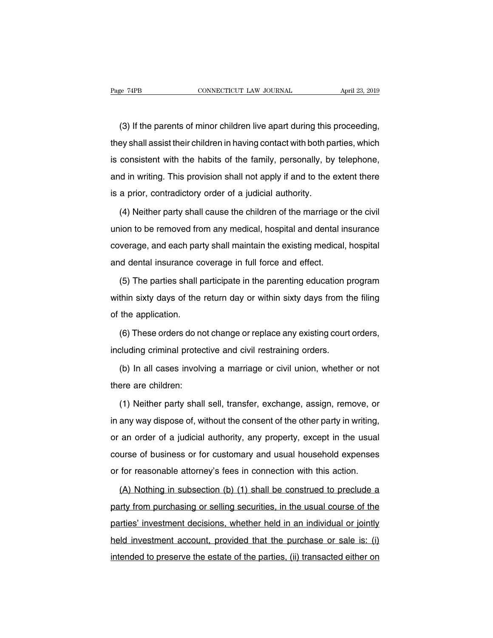(3) If the parents of minor children live apart during this proceeding,<br>
(3) If the parents of minor children live apart during this proceeding,<br>
ey shall assist their children in having contact with both parties, which They shall assist their children in having contact with both parties, which<br>is consistent with the habits of the family, personally, by telephone, (3) If the parents of minor children live apart during this proceeding,<br>they shall assist their children in having contact with both parties, which<br>is consistent with the habits of the family, personally, by telephone,<br>and (3) If the parents of minor children live apart during this proceeding,<br>they shall assist their children in having contact with both parties, which<br>is consistent with the habits of the family, personally, by telephone,<br>and (c) if the parefits of fillmer children in baving contact with both pais consistent with the habits of the family, personally, by and in writing. This provision shall not apply if and to the is a prior, contradictory order consistent with the habits of the family, personally, by telephone,<br>d in writing. This provision shall not apply if and to the extent there<br>a prior, contradictory order of a judicial authority.<br>(4) Neither party shall caus

and in writing. This provision shall not apply if and to the extent there<br>is a prior, contradictory order of a judicial authority.<br>(4) Neither party shall cause the children of the marriage or the civil<br>union to be removed is a prior, contradictory order of a judicial authority.<br>
(4) Neither party shall cause the children of the marriage or the civil<br>
union to be removed from any medical, hospital and dental insurance<br>
coverage, and each par (4) Neither party shall cause the children of the marriage o<br>union to be removed from any medical, hospital and dental ir<br>coverage, and each party shall maintain the existing medical,<br>and dental insurance coverage in full (5) The parties shall maintain the existing medical, hospital<br>d dental insurance coverage in full force and effect.<br>(5) The parties shall participate in the parenting education program<br>thin sixty days of the return day or

coverage, and each party shall maintain the existing medical, hospital<br>and dental insurance coverage in full force and effect.<br>(5) The parties shall participate in the parenting education program<br>within sixty days of the r and dental insurance co<br>
(5) The parties shall  $\mu$ <br>
within sixty days of the<br>
of the application.<br>
(6) These orders do n (5) The parties shall participate in the parenting education program<br>thin sixty days of the return day or within sixty days from the filing<br>the application.<br>(6) These orders do not change or replace any existing court orde within sixty days of the return day or within sixty days from the application.<br>
(6) These orders do not change or replace any existing court including criminal protective and civil restraining orders.<br>
(b) In all cases inv

the application.<br>(6) These orders do not change or replace any existing court orders,<br>cluding criminal protective and civil restraining orders.<br>(b) In all cases involving a marriage or civil union, whether or not<br>sre are c (6) These orders do no<br>including criminal protec<br>(b) In all cases involv<br>there are children:<br>(1) Neither party shall

cluding criminal protective and civil restraining orders.<br>
(b) In all cases involving a marriage or civil union, whether or not<br>
ere are children:<br>
(1) Neither party shall sell, transfer, exchange, assign, remove, or<br>
dany (b) In all cases involving a marriage or civil union, whether or not<br>there are children:<br>(1) Neither party shall sell, transfer, exchange, assign, remove, or<br>in any way dispose of, without the consent of the other party in there are children:<br>
(1) Neither party shall sell, transfer, exchange, assign, remove, or<br>
in any way dispose of, without the consent of the other party in writing,<br>
or an order of a judicial authority, any property, excep (1) Neither party shall sell, transfer, exchange, assign, remove, or<br>in any way dispose of, without the consent of the other party in writing,<br>or an order of a judicial authority, any property, except in the usual<br>course o (1) Nothior party shall boll, transfer, exchange, assign, remove, or<br>in any way dispose of, without the consent of the other party in writing,<br>or an order of a judicial authority, any property, except in the usual<br>course o (a) A) an order of a judicial authority, any property, except in the usual<br>urse of business or for customary and usual household expenses<br>for reasonable attorney's fees in connection with this action.<br>(A) Nothing in subsec

party from purchasing or selling securities, in the usual course of the party from purchasing or selling securities, in the usual course of the parties' investment decisions, whether held in an individual or jointly parties' investment decisions, whether held in an individual or jointly<br>held investment decisions, whether held in an individual or jointly<br>held investment account, provided that the purchase or sale is: (i) (A) Nothing in subsection (b) (1) shall be construed to preclude a party from purchasing or selling securities, in the usual course of the parties' investment decisions, whether held in an individual or jointly held inves party from purchasing or selling securities, in the usual course of the parties' investment decisions, whether held in an individual or jointly held investment account, provided that the purchase or sale is: (i) intended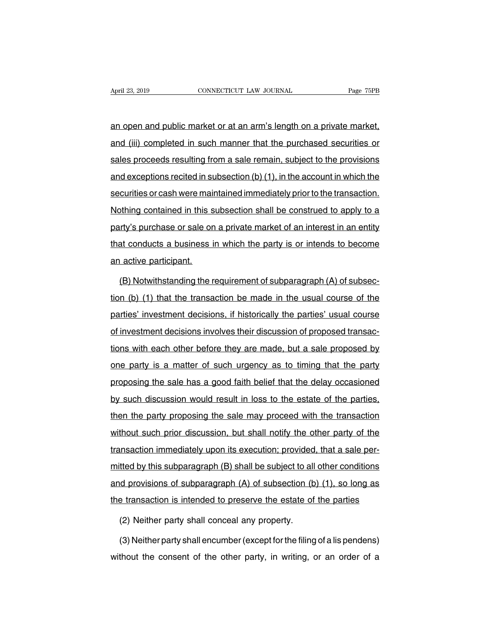an open and public market or at an arm's length on a private market, April 23, 2019 CONNECTICUT LAW JOURNAL Page 75PB<br>
an open and public market or at an arm's length on a private market,<br>
and (iii) completed in such manner that the purchased securities or<br>
sales proceeds resulting from a s an open and public market or at an arm's length on a private market,<br>and (iii) completed in such manner that the purchased securities or<br>sales proceeds resulting from a sale remain, subject to the provisions<br>and exceptions an open and public market or at an arm's length on a private market,<br>and (iii) completed in such manner that the purchased securities or<br>sales proceeds resulting from a sale remain, subject to the provisions<br>and exceptions and (iii) completed in such manner that the purchased securities or sales proceeds resulting from a sale remain, subject to the provisions and exceptions recited in subsection (b) (1), in the account in which the securitie sales proceeds resulting from a sale remain, subject to the provisions<br>and exceptions recited in subsection (b) (1), in the account in which the<br>securities or cash were maintained immediately prior to the transaction.<br>Noth and exceptions recited in subsection (b) (1), in the account in which the<br>securities or cash were maintained immediately prior to the transaction.<br>Nothing contained in this subsection shall be construed to apply to a<br>party securities or cash were maintained immediately prior to the transaction.<br>Nothing contained in this subsection shall be construed to apply to a<br>party's purchase or sale on a private market of an interest in an entity<br>that c Mothing contained in this s<br>party's purchase or sale or<br>that conducts a business i<br>an active participant.<br>(B) Notwithstanding the r In the party's purchase or sale on a private market of an interest in an entity<br>at conducts a business in which the party is or intends to become<br>active participant.<br>(B) Notwithstanding the requirement of subparagraph (A)

that conducts a business in which the party is or intends to become<br>an active participant.<br>(B) Notwithstanding the requirement of subparagraph (A) of subsec-<br>tion (b) (1) that the transaction be made in the usual course of an active participant.<br>
(B) Notwithstanding the requirement of subparagraph (A) of subsec-<br>
tion (b) (1) that the transaction be made in the usual course of the<br>
parties' investment decisions, if historically the parties' (B) Notwithstanding the requirement of subparagraph (A) of subsection (b) (1) that the transaction be made in the usual course of the parties' investment decisions, if historically the parties' usual course of investment tion (b) (1) that the transaction be made in the usual course of the parties' investment decisions, if historically the parties' usual course of investment decisions involves their discussion of proposed transactions with parties' investment decisions, if historically the parties' usual course<br>of investment decisions involves their discussion of proposed transac-<br>tions with each other before they are made, but a sale proposed by<br>one party i painted investment decisions involves their discussion of proposed transactions with each other before they are made, but a sale proposed by one party is a matter of such urgency as to timing that the party proposing the s by such discussion in the team of the estate of the party is a matter of such urgency as to timing that the party proposing the sale has a good faith belief that the delay occasioned by such discussion would result in loss one party is a matter of such urgency as to timing that the party<br>proposing the sale has a good faith belief that the delay occasioned<br>by such discussion would result in loss to the estate of the parties,<br>then the party pr proposing the sale has a good faith belief that the delay occasioned<br>by such discussion would result in loss to the estate of the parties,<br>then the party proposing the sale may proceed with the transaction<br>without such pri by such discussion would result in loss to the estate of the parties,<br>then the party proposing the sale may proceed with the transaction<br>without such prior discussion, but shall notify the other party of the<br>transaction im mitted by this subparagraph (B) shall be subject to all other party of the transaction without such prior discussion, but shall notify the other party of the transaction immediately upon its execution; provided, that a sal without such prior discussion, but shall notify the other party of the<br>transaction immediately upon its execution; provided, that a sale per-<br>mitted by this subparagraph (B) shall be subject to all other conditions<br>and pro transaction immediately upon its execution; provided, that a sale per-<br>mitted by this subparagraph (B) shall be subject to all other conditions<br>and provisions of subparagraph (A) of subsection (b) (1), so long as<br>the trans tted by this subparagraph (B) shall be subject to all<br>d provisions of subparagraph (A) of subsection (b<br>e transaction is intended to preserve the estate of<br>(2) Neither party shall conceal any property.<br>(3) Neither party sh (3) deprovisions of subparagraph (A) of subsection (b) (1), so long as<br>
(2) Neither party shall conceal any property.<br>
(3) Neither party shall encumber (except for the filing of a lis pendens)<br>
thout the consent of the oth

the transaction is intended to preserve the estate of the parties<br>
(2) Neither party shall conceal any property.<br>
(3) Neither party shall encumber (except for the filing of a lis pendens)<br>
without the consent of the other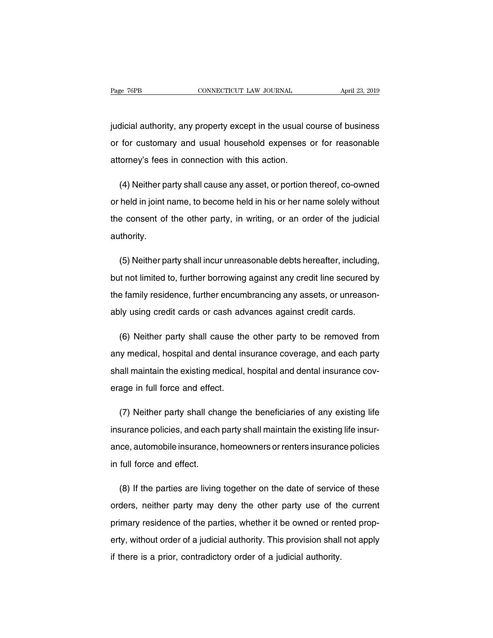Page 76PB<br>
CONNECTICUT LAW JOURNAL April 23, 2019<br>
indicial authority, any property except in the usual course of business<br>
or for customary and usual household expenses or for reasonable Page 76PB CONNECTICUT LAW JOURNAL April 23, 2019<br>
indicial authority, any property except in the usual course of business<br>
or for customary and usual household expenses or for reasonable<br>
attorney's fees in connection with judicial authority, any property except in the usual cor for customary and usual household expenses<br>attorney's fees in connection with this action. (4) dicial authority, any property except in the usual course of business<br>for customary and usual household expenses or for reasonable<br>torney's fees in connection with this action.<br>(4) Neither party shall cause any asset,

or for customary and usual household expenses or for reasonable<br>attorney's fees in connection with this action.<br>(4) Neither party shall cause any asset, or portion thereof, co-owned<br>or held in joint name, to become held in attorney's fees in connection with this action.<br>
(4) Neither party shall cause any asset, or portion thereof, co-owned<br>
or held in joint name, to become held in his or her name solely without<br>
the consent of the other part authority. held in joint name, to become held in his or her name solely without<br>
e consent of the other party, in writing, or an order of the judicial<br>
thority.<br>
(5) Neither party shall incur unreasonable debts hereafter, including,<br>

the consent of the other party, in writing, or an order of the judicial<br>authority.<br>(5) Neither party shall incur unreasonable debts hereafter, including,<br>but not limited to, further borrowing against any credit line secure authority.<br>
(5) Neither party shall incur unreasonable debts hereafter, including,<br>
but not limited to, further borrowing against any credit line secured by<br>
the family residence, further encumbrancing any assets, or unrea (5) Neither party shall incur unreasonable debts hereafter, including<br>but not limited to, further borrowing against any credit line secured by<br>the family residence, further encumbrancing any assets, or unreason-<br>ably usin It not limited to, further borrowing against any credit line secured by<br>
19 family residence, further encumbrancing any assets, or unreason-<br>
19 using credit cards or cash advances against credit cards.<br>
16) Neither party

the family residence, further encumbrancing any assets, or unreason-<br>ably using credit cards or cash advances against credit cards.<br>(6) Neither party shall cause the other party to be removed from<br>any medical, hospital and ably using credit cards or cash advances against credit cards.<br>
(6) Neither party shall cause the other party to be removed from<br>
any medical, hospital and dental insurance coverage, and each party<br>
shall maintain the exis (6) Neither party shall cause the<br>any medical, hospital and dental in<br>shall maintain the existing medical,<br>erage in full force and effect. is medical, hospital and dental insurance coverage, and each party<br>all maintain the existing medical, hospital and dental insurance cov-<br>age in full force and effect.<br>(7) Neither party shall change the beneficiaries of any

insulf maintain the existing medical, hospital and dental insurance coverage in full force and effect.<br>
(7) Neither party shall change the beneficiaries of any existing life insur-<br>
insurance policies, and each party shall erage in full force and effect.<br>
(7) Neither party shall change the beneficiaries of any existing life<br>
insurance policies, and each party shall maintain the existing life insur-<br>
ance, automobile insurance, homeowners or (7) Neither party shall change in surance policies, and each ance, automobile in surance, in full force and effect. surance policies, and each party shall maintain the existing life insur-<br>ce, automobile insurance, homeowners or renters insurance policies<br>full force and effect.<br>(8) If the parties are living together on the date of servi

ance, automobile insurance, homeowners or renters insurance policies<br>in full force and effect.<br>(8) If the parties are living together on the date of service of these<br>orders, neither party may deny the other party use of th in full force and effect.<br>
(8) If the parties are living together on the date of service of these<br>
orders, neither party may deny the other party use of the current<br>
primary residence of the parties, whether it be owned or (8) If the parties are living together on the date of service of these orders, neither party may deny the other party use of the current primary residence of the parties, whether it be owned or rented property, without ord orders, neither party may deny the other party use of the primary residence of the parties, whether it be owned or rerefy, without order of a judicial authority. This provision shall if there is a prior, contradictory orde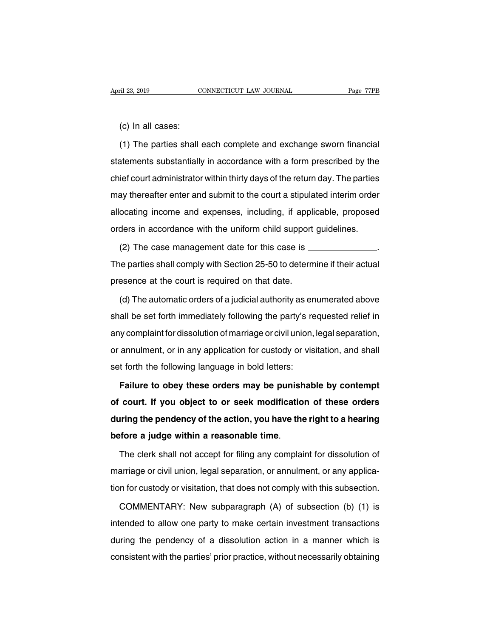$\begin{array}{ll}\n\text{ril 23, 2019} & \text{C}\n\text{(c) In all cases:}\n\text{(1) The parties shall}\n\end{array}$ The parties shall each complete and exchange sworn financial<br>
(1) The parties shall each complete and exchange sworn financial<br>
atements substantially in accordance with a form prescribed by the (c) In all cases:<br>(1) The parties shall each complete and exchange sworn financial<br>statements substantially in accordance with a form prescribed by the<br>chief court administrator within thirty days of the return day. The pa (c) In all cases:<br>
(1) The parties shall each complete and exchange sworn financial<br>
statements substantially in accordance with a form prescribed by the<br>
chief court administrator within thirty days of the return day. The (1) The parties shall each complete and exchange sworn financial<br>statements substantially in accordance with a form prescribed by the<br>chief court administrator within thirty days of the return day. The parties<br>may thereaft (1) The parties shall cash complete and expirally event intaneal.<br>statements substantially in accordance with a form prescribed by the<br>chief court administrator within thirty days of the return day. The parties<br>may thereaf orders in accordance within thirty days of the return day. The parties<br>may thereafter enter and submit to the court a stipulated interim order<br>allocating income and expenses, including, if applicable, proposed<br>orders in ac (2) The case management date for this case is . The parties shall comply with Section 25-50 to determine if their actual

presence at the conduct is required on that date.<br>
The parties shall comply with Section 25-50 to determ<br>
presence at the court is required on that date.<br>
(d) The automatic orders of a judicial authority as er (d) The automatic orders of a judicial authority as enumerated above

The parties shall comply with Section 25-50 to determine if their actual<br>presence at the court is required on that date.<br>(d) The automatic orders of a judicial authority as enumerated above<br>shall be set forth immediately f presence at the court is required on that date.<br>
(d) The automatic orders of a judicial authority as enumerated above<br>
shall be set forth immediately following the party's requested relief in<br>
any complaint for dissolution (d) The automatic orders of a judicial authority as enumerated above<br>shall be set forth immediately following the party's requested relief in<br>any complaint for dissolution of marriage or civil union, legal separation,<br>or a (a) the dublination of a glueblar dubinity do on<br>shall be set forth immediately following the party's re<br>any complaint for dissolution of marriage or civil union,<br>or annulment, or in any application for custody or vis<br>set **Failure to obey these orders may be punishable by contempt**<br> **Failure to obey these orders may be punishable by contempt**<br> **Failure to obey these orders may be punishable by contempt**<br> **Court. If you object to or seek mod** 

or annulment, or in any application for custody or visitation, and shall<br>set forth the following language in bold letters:<br>**Failure to obey these orders may be punishable by contempt**<br>of court. If you object to or seek mod **during the following language in bold letters:**<br> **during the pendency of these orders may be punishable by contempt of court. If you object to or seek modification of these orders during the pendency of the action, you ha before a judge within a reasonable formulation** of these orders during the pendency of the action, you have the right to a hearing before a judge within a reasonable time.<br>The clerk shall not accept for filing any complai

during the pendency of the action, you have the right to a hearing<br>before a judge within a reasonable time.<br>The clerk shall not accept for filing any complaint for dissolution of<br>marriage or civil union, legal separation, before a judge within a reasonable time.<br>The clerk shall not accept for filing any complaint for dissolution of<br>marriage or civil union, legal separation, or annulment, or any applica-<br>tion for custody or visitation, that The clerk shall not accept for filing any complaint for dissolution of<br>arriage or civil union, legal separation, or annulment, or any applica-<br>n for custody or visitation, that does not comply with this subsection.<br>COMMENT

marriage or civil union, legal separation, or annulment, or any applica-<br>tion for custody or visitation, that does not comply with this subsection.<br>COMMENTARY: New subparagraph (A) of subsection (b) (1) is<br>intended to allo during the pendency of a dissolution action in a manner which is<br>commented to allow one party to make certain investment transactions<br>during the pendency of a dissolution action in a manner which is<br>consistent with the par commentanty: New subparagraph (A) of subsection (b) (1) is<br>intended to allow one party to make certain investment transactions<br>during the pendency of a dissolution action in a manner which is<br>consistent with the parties' p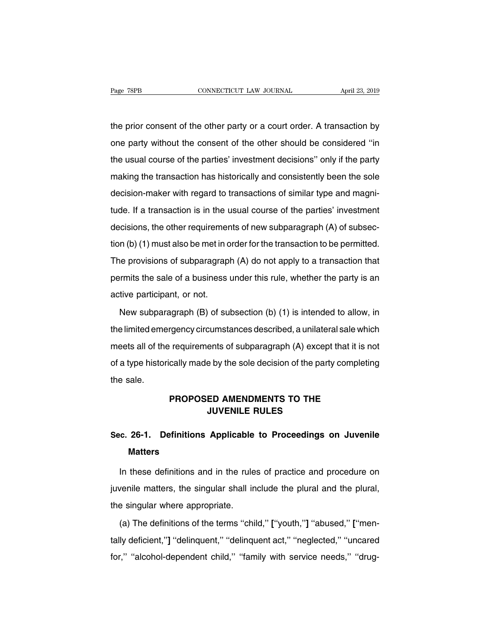The prior consent of the other party or a court order. A transaction by<br>the prior consent of the other party or a court order. A transaction by<br>one party without the consent of the other should be considered "in Page 78PB CONNECTICUT LAW JOURNAL April 23, 2019<br>the prior consent of the other party or a court order. A transaction by<br>one party without the consent of the other should be considered "in<br>the usual course of the parties' the prior consent of the other party or a court order. A transaction by<br>one party without the consent of the other should be considered "in<br>the usual course of the parties' investment decisions" only if the party<br>making th the prior consent of the other party or a court order. A transaction by<br>one party without the consent of the other should be considered "in<br>the usual course of the parties' investment decisions" only if the party<br>making th and phot concent of the ciner party of a coart eract. A transaction by<br>one party without the consent of the other should be considered "in<br>the usual course of the parties' investment decisions" only if the party<br>making the the usual course of the parties' investment decisions" only if the party<br>making the transaction has historically and consistently been the sole<br>decision-maker with regard to transactions of similar type and magni-<br>tude. If decision-maker with regard to transactions of similar type and magni-<br>decision-maker with regard to transactions of similar type and magni-<br>tude. If a transaction is in the usual course of the parties' investment<br>decisions the transaction make method, and consistently been the cole<br>decision-maker with regard to transactions of similar type and magni-<br>tude. If a transaction is in the usual course of the parties' investment<br>decisions, the othe The provisions of subparagraph (A) do not apply to a transaction that permits the sale of a business under this rule, whether the parties and permitted.<br>The provisions of subparagraph (A) do not apply to a transaction that decisions, the other requirements of new subparagraph (A) of subsection (b) (1) must also be met in order for the transaction to be permitted.<br>The provisions of subparagraph (A) do not apply to a transaction that permits t decisions, the calcrited<br>tion (b) (1) must also be met in c<br>The provisions of subparagrap<br>permits the sale of a business<br>active participant, or not.<br>New subparagraph (B) of su New yet, these allows that the transformation (b) depended to a transaction that<br>transits the sale of a business under this rule, whether the party is an<br>tive participant, or not.<br>New subparagraph (B) of subsection (b) (1

the premist the sale of a business under this rule, whether the party is an active participant, or not.<br>
New subparagraph (B) of subsection (b) (1) is intended to allow, in<br>
the limited emergency circumstances described, meetive participant, or not.<br>
New subparagraph (B) of subsection (b) (1) is intended to allow, in<br>
the limited emergency circumstances described, a unilateral sale which<br>
meets all of the requirements of subparagraph (A) e New subparagraph (B) of subsection (b) (1) is intended to allow, in<br>the limited emergency circumstances described, a unilateral sale which<br>meets all of the requirements of subparagraph (A) except that it is not<br>of a type h the limited emerged<br>the limited emerged<br>of a type histor<br>the sale. **Propose SET AMENDE AMERY CONCERNATION SET AMENDMENTS TO THE<br>
PROPOSED AMENDMENTS TO THE<br>
JUVENILE RULES** ents of subparagraph (A) except the sole decision of the party<br> **ED AMENDMENTS TO THE<br>
JUVENILE RULES** 

## **Sec. 26-1. Definitions Applicable to Proceedings on Juvenile Matters**

JUVENILE RULES<br>
E. 26-1. Definitions Applicable to Proceedings on Juvenile<br>
Matters<br>
In these definitions and in the rules of practice and procedure on<br>
venile matters, the singular shall include the plural and the plural, Sec. 26-1. Definitions Applicable to Proceedings on Juvenile<br>Matters<br>In these definitions and in the rules of practice and procedure on<br>juvenile matters, the singular shall include the plural and the plural,<br>the singular w **Matters**<br>In these definitions and in the rule<br>juvenile matters, the singular shall ir<br>the singular where appropriate.<br>(a) The definitions of the terms "chi In these definitions and in the rules of practice and procedure on<br>venile matters, the singular shall include the plural and the plural,<br>e singular where appropriate.<br>(a) The definitions of the terms "child," ["youth,"] "a

in these definitions direct in the rates of priceds dire prosecute on<br>juvenile matters, the singular shall include the plural and the plural,<br>the singular where appropriate.<br>(a) The definitions of the terms "child," ["yout for,'' ''alcohol-dependent child,'' ''family with service needs,'' ''alcohol-dependent child,'' ''family with service needs,'' ''drug-<br>for,'' ''alcohol-dependent child,'' ''family with service needs,'' ''drug-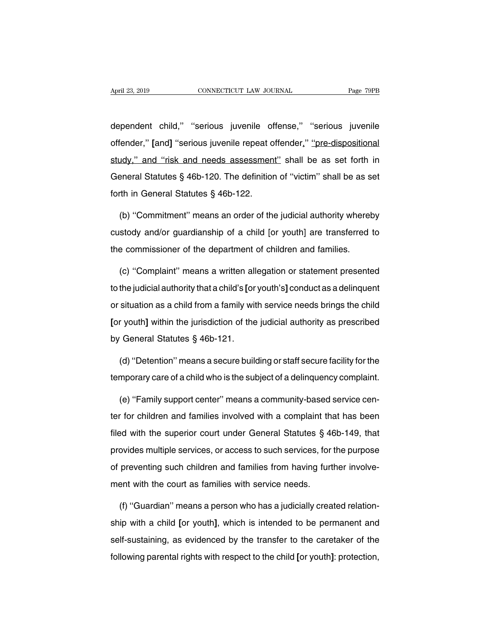dependent child,'' ''serious juvenile offense,'' ''serious juvenile April 23, 2019 CONNECTICUT LAW JOURNAL Page 79PB<br>
dependent child," "serious juvenile offense," "serious juvenile<br>
offender," [and] "serious juvenile repeat offender," <u>"pre-dispositional</u><br>
study," and "risk and needs asse dependent child," "serious juvenile offense," "serious juvenile<br>offender," [and] "serious juvenile repeat offender," "pre-dispositional<br>study," and "risk and needs assessment" shall be as set forth in<br>General Statutes § 46 dependent child," "serious juvenile offense," "serious juvenile<br>offender," [and] "serious juvenile repeat offender," "pre-dispositional<br>study," and "risk and needs assessment" shall be as set forth in<br>General Statutes § 46 dependent child," "serious juvenile offense," "serious juvenile<br>offender," [and] "serious juvenile repeat offender," "pre-dispositional<br>study," and "risk and needs assessment" shall be as set forth in<br>General Statutes § 46 Letter and "risk and needs assessment" shall be as set forth in<br>
the inferred Statutes § 46b-120. The definition of "victim" shall be as set<br>
the inferred Statutes § 46b-122.<br>
(b) "Commitment" means an order of the judicia

General Statutes § 46b-120. The definition of "victim" shall be as set<br>forth in General Statutes § 46b-122.<br>(b) "Commitment" means an order of the judicial authority whereby<br>custody and/or guardianship of a child [or yout forth in General Statutes § 46b-122.<br>
(b) "Commitment" means an order of the judicial authority where<br>
custody and/or guardianship of a child [or youth] are transferred<br>
the commissioner of the department of children and f (b) "Commitment" means an order of the judicial authority whereby<br>stody and/or guardianship of a child [or youth] are transferred to<br>e commissioner of the department of children and families.<br>(c) "Complaint" means a writte

custody and/or guardianship of a child [or youth] are transferred to<br>the commissioner of the department of children and families.<br>(c) "Complaint" means a written allegation or statement presented<br>to the judicial authority the commissioner of the department of children and families.<br>
(c) "Complaint" means a written allegation or statement presented<br>
to the judicial authority that a child's [or youth's] conduct as a delinquent<br>
or situation a (c) "Complaint" means a written allegation or statement presented<br>to the judicial authority that a child's [or youth's] conduct as a delinquent<br>or situation as a child from a family with service needs brings the child<br>[or (c) "Complaint" means a written allegation or statement presented<br>to the judicial authority that a child's [or youth's] conduct as a delinquent<br>or situation as a child from a family with service needs brings the child<br>[or situation as a child from a family with service needs brings the child<br>
r youth] within the jurisdiction of the judicial authority as prescribed<br>
General Statutes § 46b-121.<br>
(d) "Detention" means a secure building or staf [or youth] within the jurisdiction of the judicial authority as prescribed<br>by General Statutes § 46b-121.<br>(d) "Detention" means a secure building or staff secure facility for the<br>temporary care of a child who is the subje

General Statutes § 46b-121.<br>
(d) "Detention" means a secure building or staff secure facility for the<br>
mporary care of a child who is the subject of a delinquency complaint.<br>
(e) "Family support center" means a community-b (d) "Detention" means a secure building or staff secure facility for the<br>temporary care of a child who is the subject of a delinquency complaint.<br>(e) "Family support center" means a community-based service cen-<br>ter for ch temporary care of a child who is the subject of a delinquency complaint.<br>
(e) "Family support center" means a community-based service cen-<br>
ter for children and families involved with a complaint that has been<br>
filed with (e) "Family support center" means a community-based service center for children and families involved with a complaint that has been filed with the superior court under General Statutes § 46b-149, that provides multiple se (c) Tammy support somet misanic a seminality sassa service someter for children and families involved with a complaint that has been filed with the superior court under General Statutes § 46b-149, that provides multiple se filed with the superior court under General Statutes § 4<br>provides multiple services, or access to such services, for<br>of preventing such children and families from having furt<br>ment with the court as families with service ne bovides multiple services, or access to such services, for the purpose<br>preventing such children and families from having further involve-<br>ent with the court as families with service needs.<br>(f) "Guardian" means a person who

of preventing such children and families from having further involve-<br>ment with the court as families with service needs.<br>(f) "Guardian" means a person who has a judicially created relation-<br>ship with a child [or youth], w ment with the court as families with service needs.<br>
(f) "Guardian" means a person who has a judicially created relation-<br>
ship with a child [or youth], which is intended to be permanent and<br>
self-sustaining, as evidenced (f) "Guardian" means a person who has a judicially created relationship with a child [or youth], which is intended to be permanent and self-sustaining, as evidenced by the transfer to the caretaker of the following parenta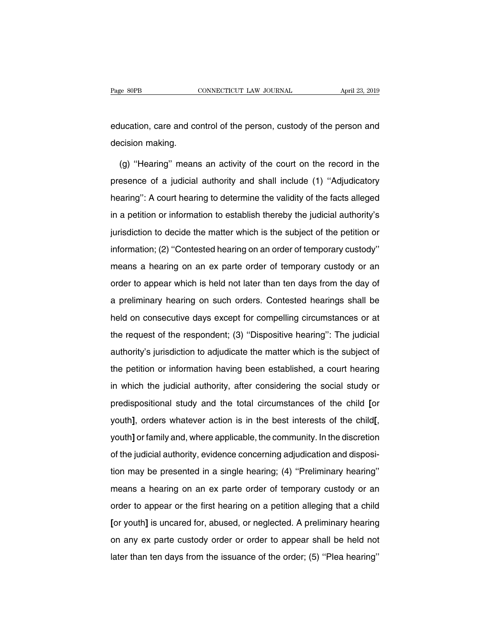Page 80PB CONNECTICUT LAW JOURNAL April 23, 2019<br>education, care and control of the person, custody of the person and<br>decision making. Page 80PB<br>education, care and condecision making.<br>(a) "Hearing" means

lucation, care and control of the person, custody of the person and<br>cision making.<br>(g) "Hearing" means an activity of the court on the record in the<br>esence of a judicial authority and shall include (1) "Adjudicatory education, care and control of the person, custody of the person and<br>decision making.<br>(g) "Hearing" means an activity of the court on the record in the<br>presence of a judicial authority and shall include (1) "Adjudicatory<br>h decision making.<br>
(g) "Hearing" means an activity of the court on the record in the<br>
presence of a judicial authority and shall include (1) "Adjudicatory<br>
hearing": A court hearing to determine the validity of the facts al (g) "Hearing" means an activity of the court on the record in the presence of a judicial authority and shall include (1) "Adjudicatory hearing": A court hearing to determine the validity of the facts alleged in a petition gy from the matter which is the sector of the reservation and<br>presence of a judicial authority and shall include (1) "Adjudicatory<br>hearing": A court hearing to determine the validity of the facts alleged<br>in a petition or i hearing": A court hearing to determine the validity of the facts alleged<br>in a petition or information to establish thereby the judicial authority's<br>jurisdiction to decide the matter which is the subject of the petition or<br> meaning in technicaliting to determine the rainting or the taste anegotal<br>in a petition or information to establish thereby the judicial authority's<br>jurisdiction to decide the matter which is the subject of the petition or in a penner of information to setablish indices, the jable abundance is denoted private distributed information; (2) "Contested hearing on an order of temporary custody" means a hearing on an ex parte order of temporary cu information; (2) "Contested hearing on an order of temporary custody"<br>means a hearing on an ex parte order of temporary custody or an<br>order to appear which is held not later than ten days from the day of<br>a preliminary hear means a hearing on an ex parte order of temporary custody or an order to appear which is held not later than ten days from the day of a preliminary hearing on such orders. Contested hearings shall be held on consecutive da the request of the respondent; (3) "Dispositive hearing": The judicial<br>and reduces of the respondent; (3) "Dispositive hearings shall be<br>the request of the respondent; (3) "Dispositive hearing": The judicial<br>authority's ju a preliminary hearing on such orders. Contested hearings shall be<br>held on consecutive days except for compelling circumstances or at<br>the request of the respondent; (3) "Dispositive hearing": The judicial<br>authority's jurisd the promininary frequisitivity of the petition or informating the state of the request of the respondent; (3) "Dispositive hearing": The judicial authority's jurisdiction to adjudicate the matter which is the subject of th the request of the respondent; (3) "Dispositive hearing": The judicial authority's jurisdiction to adjudicate the matter which is the subject of the petition or information having been established, a court hearing in which authority's jurisdiction to adjudicate the matter which is the subject of<br>the petition or information having been established, a court hearing<br>in which the judicial authority, after considering the social study or<br>predispo Ithe petition or information having been established, a court hearing<br>in which the judicial authority, after considering the social study or<br>predispositional study and the total circumstances of the child [or<br>youth], order in which the judicial authority, after considering the social study or predispositional study and the total circumstances of the child [or youth], orders whatever action is in the best interests of the child [, youth] or f presented in a single hearing; (4) "Preliminary hearing; (4) the child of the judicial authority, evidence concerning adjudication and disposition may be presented in a single hearing; (4) "Preliminary hearing" means a hea youth] or family and, where applicable, the community. In the discretion<br>of the judicial authority, evidence concerning adjudication and disposi-<br>tion may be presented in a single hearing; (4) "Preliminary hearing"<br>means a of the judicial authority, evidence concerning adjudication and disposition may be presented in a single hearing; (4) "Preliminary hearing"<br>means a hearing on an ex parte order of temporary custody or an<br>order to appear or Francy Judentical durinotity, Christmer Concerning disjudication direction displane.<br> **I** increases a hearing on an ex parte order of temporary custody or an<br>
order to appear or the first hearing on a petition alleging tha means a hearing on an ex parte order of temporary custody or an order to appear or the first hearing on a petition alleging that a child [or youth] is uncared for, abused, or neglected. A preliminary hearing on any ex part In terms of the first hearing on a petition alleging that a child<br>for youth] is uncared for, abused, or neglected. A preliminary hearing<br>on any ex parte custody order or order to appear shall be held not<br>later than ten day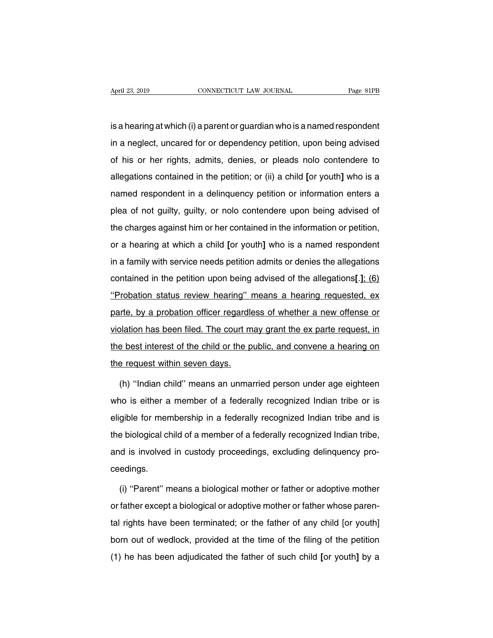is a hearing at which (i) a parent or guardian who is a named respondent April 23, 2019 CONNECTICUT LAW JOURNAL Page SIPB<br>is a hearing at which (i) a parent or guardian who is a named respondent<br>in a neglect, uncared for or dependency petition, upon being advised<br>of his or her rights, admits, d is a hearing at which (i) a parent or guardian who is a named respondent<br>in a neglect, uncared for or dependency petition, upon being advised<br>of his or her rights, admits, denies, or pleads nolo contendere to<br>allegations c is a hearing at which (i) a parent or guardian who is a named respondent<br>in a neglect, uncared for or dependency petition, upon being advised<br>of his or her rights, admits, denies, or pleads nolo contendere to<br>allegations c in a neglect, uncared for or dependency petition, upon being advised<br>of his or her rights, admits, denies, or pleads nolo contendere to<br>allegations contained in the petition; or (ii) a child [or youth] who is a<br>named respo please, ansaids for or dependency pottent, apon being daribed of his or her rights, admits, denies, or pleads nolo contendere to allegations contained in the petition; or (ii) a child [or youth] who is a named respondent i allegations contained in the petition; or (ii) a child [or youth] who is a named respondent in a delinquency petition or information enters a plea of not guilty, guilty, or nolo contendere upon being advised of the charges all galaxies contained in the pention, or (ii) a sink [or youth] who is a named respondent in a delinquency petition or information enters a plea of not guilty, guilty, or nolo contendere upon being advised of the charges in a family a family with service needs petition admits or denies a plea of not guilty, guilty, or nolo contendere upon being advised of the charges against him or her contained in the information or petition, or a hearing the charges against him or her contained in the information or petition, or a hearing at which a child [or youth] who is a named respondent in a family with service needs petition admits or denies the allegations contained or a hearing at which a child [or youth] who is a named respondent<br>in a family with service needs petition admits or denies the allegations<br>contained in the petition upon being advised of the allegations[.]; (6)<br>"Probation parter in a family with service needs petition admits or denies the allegations<br>contained in the petition upon being advised of the allegations[.]; (6)<br>"Probation status review hearing" means a hearing requested, ex<br>parte, contained in the petition upon being advised of the allegations[.]; (6)<br>"Probation status review hearing" means a hearing requested, ex<br>parte, by a probation officer regardless of whether a new offense or<br>violation has bee "Probation status review hearing" means a hearing requested, ex<br>parte, by a probation officer regardless of whether a new offense or<br>violation has been filed. The court may grant the ex parte request, in<br>the best interest parte, by a probation officer regardle<br>violation has been filed. The court m<br>the best interest of the child or the p<br>the request within seven days.<br>(h) "Indian child" means an unma blation has been filed. The court may grant the ex parte request, in<br>
e best interest of the child or the public, and convene a hearing on<br>
e request within seven days.<br>
(h) "Indian child" means an unmarried person under a

the best interest of the child or the public, and convene a hearing on<br>the request within seven days.<br>(h) "Indian child" means an unmarried person under age eighteen<br>who is either a member of a federally recognized Indian the request within seven days.<br>
(h) "Indian child" means an unmarried person under age eighteen<br>
who is either a member of a federally recognized Indian tribe or is<br>
eligible for membership in a federally recognized Indian (h) "Indian child" means an unmarried person under age eighteen<br>who is either a member of a federally recognized Indian tribe or is<br>eligible for membership in a federally recognized Indian tribe and is<br>the biological child who is either a member of a federally recognized Indian tribe or is eligible for membership in a federally recognized Indian tribe and is the biological child of a member of a federally recognized Indian tribe, and is invo ceedings. e biological child of a member of a federally recognized Indian tribe,<br>id is involved in custody proceedings, excluding delinquency pro-<br>edings.<br>(i) "Parent" means a biological mother or father or adoptive mother<br>father ex

and is involved in custody proceedings, excluding delinquency proceedings.<br>
(i) "Parent" means a biological mother or father or adoptive mother<br>
or father except a biological or adoptive mother or father whose paren-<br>
tal the ceedings.<br>
(i) "Parent" means a biological mother or father or adoptive mother<br>
or father except a biological or adoptive mother or father whose paren-<br>
tal rights have been terminated; or the father of any child [or y (i) "Parent" means a biological mother or father or adoptive mother<br>or father except a biological or adoptive mother or father whose paren-<br>tal rights have been terminated; or the father of any child [or youth]<br>born out of (1) he has been adjudicated the father of such child [or youth]<br>born out of wedlock, provided at the time of the filing of the petition<br>(1) he has been adjudicated the father of such child [or youth] by a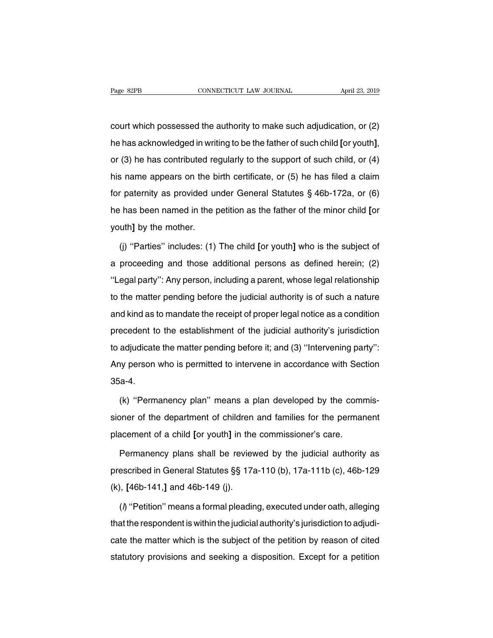Page 82PB<br>
connectricut LAW JOURNAL<br>
court which possessed the authority to make such adjudication, or (2)<br>
he has acknowledged in writing to be the father of such child [or youth], he has acknowledged in writing to be the father of such adjudication, or (2)<br>he has acknowledged in writing to be the father of such child **[**or youth**]**, or (3) he has contributed regularly to the support of such child, o court which possessed the authority to make such adjudication, or (2)<br>he has acknowledged in writing to be the father of such child [or youth],<br>or (3) he has contributed regularly to the support of such child, or (4)<br>his n for paternity it may be the father of such diagrams interest of the has acknowledged in writing to be the father of such child [or youth], or (3) he has contributed regularly to the support of such child, or (4) his name he has contributed regularly to the support of such child, or (4)<br>his name appears on the birth certificate, or (5) he has filed a claim<br>for paternity as provided under General Statutes § 46b-172a, or (6)<br>he has been named bis name appears on the b<br>for paternity as provided un<br>he has been named in the p<br>youth] by the mother.<br>(i) "Parties" includes: (1) (i)  $\mu$  is a provided under General Statutes § 46b-172a, or (6)  $\mu$  has been named in the petition as the father of the minor child [or uth] by the mother.<br>(i) "Parties" includes: (1) The child [or youth] who is the sub

he has been named in the petition as the father of the minor child [or youth] by the mother.<br>
(j) "Parties" includes: (1) The child [or youth] who is the subject of<br>
a proceeding and those additional persons as defined her youth] by the mother.<br>
(j) "Parties" includes: (1) The child [or youth] who is the subject of<br>
a proceeding and those additional persons as defined herein; (2)<br>
"Legal party": Any person, including a parent, whose legal re (j) "Parties" includes: (1) The child [or youth] who is the subject of<br>a proceeding and those additional persons as defined herein; (2)<br>"Legal party": Any person, including a parent, whose legal relationship<br>to the matter a proceeding and those additional persons as defined herein; (2)<br>"Legal party": Any person, including a parent, whose legal relationship<br>to the matter pending before the judicial authority is of such a nature<br>and kind as t "Legal party": Any person, including a parent, whose legal relationship<br>to the matter pending before the judicial authority is of such a nature<br>and kind as to mandate the receipt of proper legal notice as a condition<br>prec to the matter pending before the judicial authority is of such a nature<br>and kind as to mandate the receipt of proper legal notice as a condition<br>precedent to the establishment of the judicial authority's jurisdiction<br>to ad and kind as to mandate the receipt of proper legal notice as a condition<br>precedent to the establishment of the judicial authority's jurisdiction<br>to adjudicate the matter pending before it; and (3) "Intervening party":<br>Any 35a-4. adjudicate the matter pending before it; and (3) "Intervening party":<br>iy person who is permitted to intervene in accordance with Section<br>ia-4.<br>(k) "Permanency plan" means a plan developed by the commis-<br>pher of the departm

Since 2.1 Since 2.1 Since 2.1 Since 2.1 Since 2.1 Since 2.1 Since 2.1 Since 2.1 Since 35a-4.<br>
Since 4.<br>
(k) "Permanency plan" means a plan developed by the commissioner of the department of children and families for the pe placement of a child in the reviewed by the commisioner of the department of children and families for the perman<br>placement of a child [or youth] in the commissioner's care.<br>Permanency plans shall be reviewed by the judici (k) "Permanency plan" means a plan developed by the commis-<br>pher of the department of children and families for the permanent<br>acement of a child [or youth] in the commissioner's care.<br>Permanency plans shall be reviewed by

present of the department of children and families for the permanent<br>placement of a child [or youth] in the commissioner's care.<br>Permanency plans shall be reviewed by the judicial authority as<br>prescribed in General Statute placement of a child [or youth] in the<br>Permanency plans shall be reviev<br>prescribed in General Statutes §§ 17a<br>(k), [46b-141,] and 46b-149 (j).<br>(*l*) "Petition" means a formal pleadir Permanency plans shall be reviewed by the judicial authority as<br>escribed in General Statutes §§ 17a-110 (b), 17a-111b (c), 46b-129<br>), [46b-141,] and 46b-149 (j).<br>(/) "Petition" means a formal pleading, executed under oath,

prescribed in General Statutes §§ 17a-110 (b), 17a-111b (c), 46b-129<br>(k), [46b-141,] and 46b-149 (j).<br>(*l*) "Petition" means a formal pleading, executed under oath, alleging<br>that the respondent is within the judicial autho (k),  $[46b-141,]$  and  $46b-149$  (j).<br>
( $\beta$  "Petition" means a formal pleading, executed under oath, alleging<br>
that the respondent is within the judicial authority's jurisdiction to adjudi-<br>
cate the matter which is the s ( $\hbar$  "Petition" means a formal pleading, executed under oath, alleging<br>that the respondent is within the judicial authority's jurisdiction to adjudi-<br>cate the matter which is the subject of the petition by reason of cit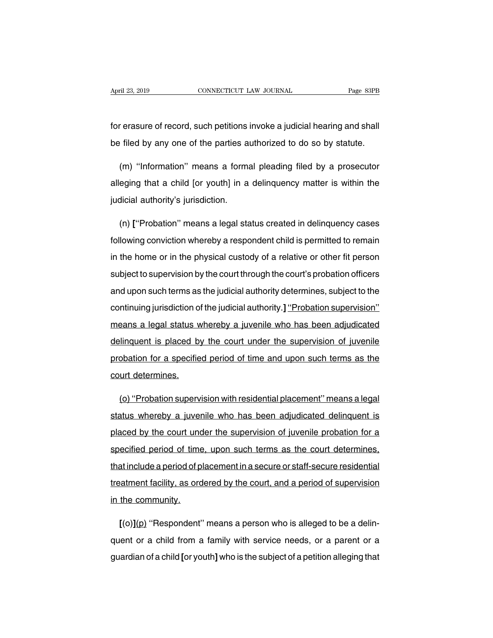For erasure of record, such petitions invoke a judicial hearing and shall<br>tor erasure of record, such petitions invoke a judicial hearing and shall<br>be filed by any one of the parties authorized to do so by statute. April 23, 2019 CONNECTICUT LAW JOURNAL Page 83PB<br>for erasure of record, such petitions invoke a judicial hearing and shall<br>be filed by any one of the parties authorized to do so by statute.

r erasure of record, such petitions invoke a judicial hearing and shall<br>filed by any one of the parties authorized to do so by statute.<br>(m) "Information" means a formal pleading filed by a prosecutor<br>eging that a child [or for erasure of record, such petitions invoke a judicial hearing and shall<br>be filed by any one of the parties authorized to do so by statute.<br>(m) "Information" means a formal pleading filed by a prosecutor<br>alleging that a c be filed by any one of the parties a<br>
(m) "Information" means a formatle<br>
alleging that a child [or youth] in a<br>
judicial authority's jurisdiction.<br>
(n) <sup>[[[D</sup>rebation" means a lage] at (m) "Information" means a formal pleading filed by a prosecutor<br>eging that a child [or youth] in a delinquency matter is within the<br>dicial authority's jurisdiction.<br>(n) ["Probation" means a legal status created in delinque

alleging that a child [or youth] in a delinquency matter is within the<br>judicial authority's jurisdiction.<br>(n) ["Probation" means a legal status created in delinquency cases<br>following conviction whereby a respondent child i in judicial authority's jurisdiction.<br>
(n) ["Probation" means a legal status created in delinquency cases<br>
following conviction whereby a respondent child is permitted to remain<br>
in the home or in the physical custody of a (n) ["Probation" means a legal status created in delinquency cases<br>following conviction whereby a respondent child is permitted to remain<br>in the home or in the physical custody of a relative or other fit person<br>subject to following conviction whereby a respondent child is permitted to remain<br>in the home or in the physical custody of a relative or other fit person<br>subject to supervision by the court through the court's probation officers<br>and in the home or in the physical custody of a relative or other fit person<br>subject to supervision by the court through the court's probation officers<br>and upon such terms as the judicial authority determines, subject to the<br>c subject to supervision by the court through the court's probation officers<br>and upon such terms as the judicial authority determines, subject to the<br>continuing jurisdiction of the judicial authority.] "Probation supervision and upon such terms as the judicial authority determines, subject to the continuing jurisdiction of the judicial authority.] "Probation supervision"<br>means a legal status whereby a juvenile who has been adjudicated<br>delinque continuing jurisdiction of the judicial authority.] "Probation supervision"<br>means a legal status whereby a juvenile who has been adjudicated<br>delinquent is placed by the court under the supervision of juvenile<br>probation for continuing jurisdiction of the judicial authority.] "Probation supervision"<br>means a legal status whereby a juvenile who has been adjudicated<br>delinquent is placed by the court under the supervision of juvenile<br>probation for (inquent is placed by the court under the supervision of juvenile<br>obation for a specified period of time and upon such terms as the<br>urt determines.<br>(o) "Probation supervision with residential placement" means a legal<br>atus

probation for a specified period of time and upon such terms as the<br>court determines.<br>(0) "Probation supervision with residential placement" means a legal<br>status whereby a juvenile who has been adjudicated delinquent is<br>pl court determines.<br>
(o) "Probation supervision with residential placement" means a legal<br>
status whereby a juvenile who has been adjudicated delinquent is<br>
placed by the court under the supervision of juvenile probation for (o) "Probation supervision with residential placement" means a legal<br>status whereby a juvenile who has been adjudicated delinquent is<br>placed by the court under the supervision of juvenile probation for a<br>specified period o tatus whereby a juvenile who has been adjudicated delinquent is<br>placed by the court under the supervision of juvenile probation for a<br>specified period of time, upon such terms as the court determines,<br>that include a period placed by the court under the supervision of juvenile probation for a specified period of time, upon such terms as the court determines, that include a period of placement in a secure or staff-secure residential treatment specified period of time<br>that include a period of p<br>treatment facility, as ord<br>in the community. at include a period of placement in a secure or staff-secure residential<br>
interpret facility, as ordered by the court, and a period of supervision<br>
the community.<br> **[**(o)](p) "Respondent" means a person who is alleged to b

treatment facility, as ordered by the court, and a period of supervision<br>in the community.<br>[(o)](p) "Respondent" means a person who is alleged to be a delin-<br>quent or a child from a family with service needs, or a parent o in the community.<br>
[(o)](p) "Respondent" means a person who is alleged to be a delin-<br>
quent or a child from a family with service needs, or a parent or a<br>
guardian of a child [or youth] who is the subject of a petition al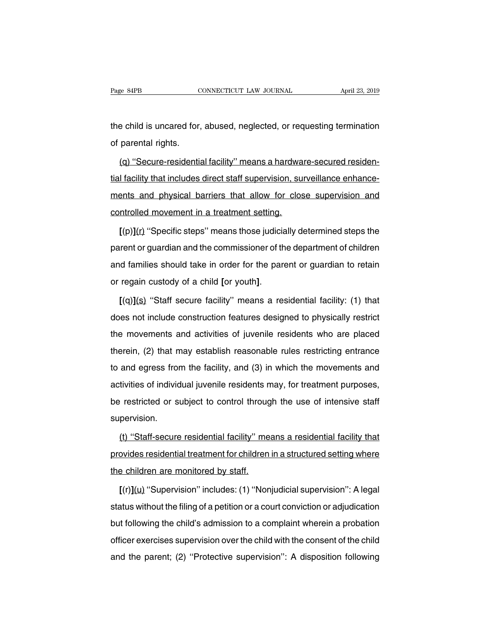The connecticut can be connected.<br>The child is uncared for, abused, neglected, or requesting termination<br>of parental rights. Page 84PB<br>
the child is uncared for,<br>
of parental rights.<br>
(g) "Secure-residentia

(e) child is uncared for, abused, neglected, or requesting termination<br>parental rights.<br>(q) "Secure-residential facility" means a hardware-secured residen-<br>I facility that includes direct staff supervision, surveillance en the child is uncared for, abused, neglected, or requesting termination<br>of parental rights.<br>(q) "Secure-residential facility" means a hardware-secured residen-<br>tial facility that includes direct staff supervision, surveilla of parental rights.<br>
(q) "Secure-residential facility" means a hardware-secured residen-<br>
tial facility that includes direct staff supervision, surveillance enhance-<br>
ments and physical barriers that allow for close superv (q) "Secure-residential facility" means a hardwa<br>tial facility that includes direct staff supervision, su<br>ments and physical barriers that allow for clos<br>controlled movement in a treatment setting.<br> $[(p)](r)$  "Specific step **I** facility that includes direct staff supervision, surveillance enhance-<br>ents and physical barriers that allow for close supervision and<br>ntrolled movement in a treatment setting.<br> $[(p)](r)$  "Specific steps" means those jud

ments and physical barriers that allow for close supervision and<br>controlled movement in a treatment setting.<br>[(p)](r) "Specific steps" means those judicially determined steps the<br>parent or guardian and the commissioner of controlled movement in a treatment setting.<br>
[(p)](r) "Specific steps" means those judicially determined steps the<br>
parent or guardian and the commissioner of the department of children<br>
and families should take in order f  $[(p)](f)$  "Specific steps" means those judicially determined steps the<br>parent or guardian and the commissioner of the department of children<br>and families should take in order for the parent or guardian to retain<br>or regain

and families should take in order for the parent or guardian to retain<br>or regain custody of a child [or youth].<br>[(q)](s) "Staff secure facility" means a residential facility: (1) that<br>does not include construction features or regain custody of a child [or youth].<br>
[(q)](s) "Staff secure facility" means a residential facility: (1) that<br>
does not include construction features designed to physically restrict<br>
the movements and activities of juv  $[(q)](s)$  "Staff secure facility" means a residential facility: (1) that does not include construction features designed to physically restrict the movements and activities of juvenile residents who are placed therein, (2) to an include construction features designed to physically restrict<br>the movements and activities of juvenile residents who are placed<br>therein, (2) that may establish reasonable rules restricting entrance<br>to and egress from activities of individual individual individual purposes were placed therein, (2) that may establish reasonable rules restricting entrance to and egress from the facility, and (3) in which the movements and activities of in therein, (2) that may establish reasonable rules restricting entrance<br>to and egress from the facility, and (3) in which the movements and<br>activities of individual juvenile residents may, for treatment purposes,<br>be restrict supervision. (tivities of individual juvenile residents may, for treatment purposes,<br>
experienced or subject to control through the use of intensive staff<br>
pervision.<br>
(t) "Staff-secure residential facility" means a residential facilit

be restricted or subject to control through the use of intensive staff<br>supervision.<br>(t) "Staff-secure residential facility" means a residential facility that<br>provides residential treatment for children in a structured sett supervision.<br>
(t) "Staff-secure residential facility" me<br>
provides residential treatment for children<br>
the children are monitored by staff.<br>
[(r)](u) "Supervision" includes: (1) "Non (t) "Staff-secure residential facility" means a residential facility that<br>ovides residential treatment for children in a structured setting where<br>e children are monitored by staff.<br>[(r)](<u>u</u>) "Supervision" includes: (1) "N

provides residential treatment for children in a structured setting where<br>the children are monitored by staff.<br>
[(r)](u) "Supervision" includes: (1) "Nonjudicial supervision": A legal<br>
status without the filing of a petiti the children are monitored by staff.<br>  $[(r)](\mu)$  "Supervision" includes: (1) "Nonjudicial supervision": A legal<br>
status without the filing of a petition or a court conviction or adjudication<br>
but following the child's admis  $f(r)[(u)]$  "Supervision" includes: (1) "Nonjudicial supervision": A legal<br>status without the filing of a petition or a court conviction or adjudication<br>but following the child's admission to a complaint wherein a probation<br> Except the parent is increased. (1) Nonjamoial supervision  $\mathcal{N}$  regarded status without the filing of a petition or a court conviction or adjudication but following the child's admission to a complaint wherein a proba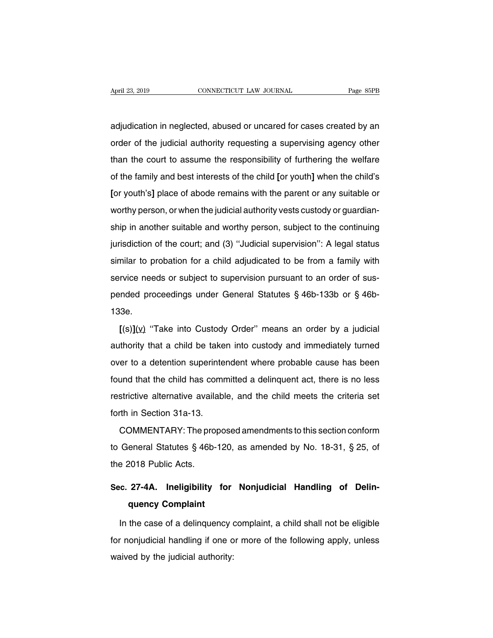April 23, 2019 CONNECTICUT LAW JOURNAL Page 85PB<br>adjudication in neglected, abused or uncared for cases created by an<br>order of the judicial authority requesting a supervising agency other April 23, 2019 CONNECTICUT LAW JOURNAL Page 85PB<br>adjudication in neglected, abused or uncared for cases created by an<br>order of the judicial authority requesting a supervising agency other<br>than the court to assume the respo adjudication in neglected, abused or uncared for cases created by an<br>order of the judicial authority requesting a supervising agency other<br>than the court to assume the responsibility of furthering the welfare<br>of the family adjudication in neglected, abused or uncared for cases created by an<br>order of the judicial authority requesting a supervising agency other<br>than the court to assume the responsibility of furthering the welfare<br>of the family **Example 10** place of the judicial authority requesting a supervising agency other<br>than the court to assume the responsibility of furthering the welfare<br>of the family and best interests of the child [or youth] when the chi than the court to assume the responsibility of furthering the welfare<br>of the family and best interests of the child [or youth] when the child's<br>[or youth's] place of abode remains with the parent or any suitable or<br>worthy of the family and best interests of the child [or youth] when the child's<br>[or youth's] place of abode remains with the parent or any suitable or<br>worthy person, or when the judicial authority vests custody or guardian-<br>ship In the ranny and seen increase of the child [or youri] when the office of the courth's] place of abode remains with the parent or any suitable or worthy person, or when the judicial authority vests custody or guardianship For youting place of about formal to with the patent of any danashe of<br>worthy person, or when the judicial authority vests custody or guardian-<br>ship in another suitable and worthy person, subject to the continuing<br>jurisdic ship in another suitable and worthy person, subject to the continuing<br>surisdiction of the court; and (3) "Judicial supervision": A legal status<br>similar to probation for a child adjudicated to be from a family with<br>service pended proceedings under General Statutes § 46b-133b or § 46b-133e. 133e. Final to probation for a simal digital<br>statute to so finite family with<br>provide needs or subject to supervision pursuant to an order of sus-<br>inded proceedings under General Statutes  $\S$  46b-133b or  $\S$  46b-<br>3e.<br>**[(s)](v)** 

bended proceedings under General Statutes  $\S$  46b-133b or  $\S$  46b-133e.<br>
[(s)](y) "Take into Custody Order" means an order by a judicial authority that a child be taken into custody and immediately turned over to a detent 133e.<br>  $[(s)](v)$  "Take into Custody Order" means an order by a judicial<br>
authority that a child be taken into custody and immediately turned<br>
over to a detention superintendent where probable cause has been<br>
found that the  $[(s)](v)$  "Take into Custody Order" means an order by a judicial authority that a child be taken into custody and immediately turned over to a detention superintendent where probable cause has been found that the child has authority that a child be taken into custody and immediately turned<br>over to a detention superintendent where probable cause has been<br>found that the child has committed a delinquent act, there is no less<br>restrictive alterna Example, that a stillar sollar<br>found that the child has come<br>restrictive alternative available<br>forth in Section 31a-13.<br>COMMENTARY: The propo of to a accomment experiments in the c prosainc cause that soon<br>and that the child has committed a delinquent act, there is no less<br>strictive alternative available, and the child meets the criteria set<br>th in Section 31a-13

to General Statutes and the child meets the criteria set<br>forth in Section 31a-13.<br>COMMENTARY: The proposed amendments to this section conform<br>to General Statutes § 46b-120, as amended by No. 18-31, § 25, of<br>the 2018 Public forth in Section 31a-13.<br>COMMENTARY: The proto General Statutes § 46b-<br>the 2018 Public Acts. COMMENTARY: The proposed amendments to this section conform<br>to General Statutes § 46b-120, as amended by No. 18-31, § 25, of<br>the 2018 Public Acts.<br>Sec. 27-4A. Ineligibility for Nonjudicial Handling of Delin-<br>quency Complai eneral Statutes § 46b-120<br>
2018 Public Acts.<br> **27-4A. Ineligibility for<br>
<b>quency Complaint**<br>
the case of a delinguency

EXEC 27-4A. Ineligibility for Nonjudicial Handling of Delin-<br>
quency Complaint<br>
In the case of a delinquency complaint, a child shall not be eligible<br>
r nonjudicial handling if one or more of the following apply, unless Sec. 27-4A. Ineligibility for Nonjudicial Handling of Delin-<br>quency Complaint<br>In the case of a delinquency complaint, a child shall not be eligible<br>for nonjudicial handling if one or more of the following apply, unless<br>wai quency Complaint<br>In the case of a delinquency of<br>tor nonjudicial handling if one of<br>waived by the judicial authority: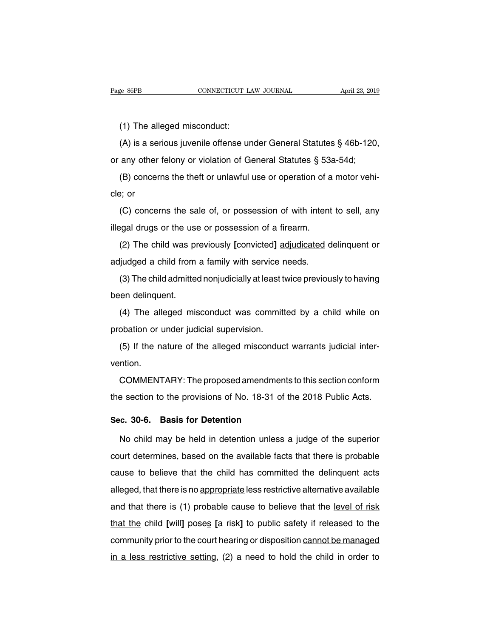e 86PB<br>
CONNECTICUT L<br>
(1) The alleged misconduct:<br>
(A) is a serious juvenile offense ur EXECTICUT LAW JOURNAL April 23, 2019<br>
(1) The alleged misconduct:<br>
(A) is a serious juvenile offense under General Statutes § 46b-120,<br>
any other felony or violation of General Statutes § 53a-54d; (1) The alleged misconduct:<br>
(A) is a serious juvenile offense under General Statutes § 46b-120<br>
or any other felony or violation of General Statutes § 53a-54d;<br>
(B) concerns the theft or unlawful use or operation of a mo (1) The alleged misconduct:<br>
(A) is a serious juvenile offense under General Statutes § 46b-120,<br>
or any other felony or violation of General Statutes § 53a-54d;<br>
(B) concerns the theft or unlawful use or operation of a m

(i) its a ser<br>
or any other<br>
(B) concern<br>
cle; or<br>
(C) concern If the use or possession of a firearm.<br>
(B) concerns the theft or unlawful use or operation of a<br>
cle; or<br>
(C) concerns the sale of, or possession of with intent<br>
illegal drugs or the use or possession of a firearm.<br>
(2) T

(N) is a senset javoning shones and checken collected statutes  $\frac{1}{5}$  for  $\frac{1}{10}$ , any other felony or violation of General Statutes  $\frac{5}{5}$  53a-54d;<br>(B) concerns the theft or unlawful use or operation of a motor (2) School are thort of dilation does be operation of a fineter voil.<br>
(C) concerns the sale of, or possession of with intent to sell, any<br>
egal drugs or the use or possession of a firearm.<br>
(2) The child was previously [c (C) concerns the sale of, or possession of with intent<br>illegal drugs or the use or possession of a firearm.<br>(2) The child was previously [convicted] adjudicated c<br>adjudged a child from a family with service needs.<br>(3) The

(3) The child was previously [convicted] adjudicated delinquent or<br>(2) The child was previously [convicted] adjudicated delinquent or<br>ljudged a child from a family with service needs.<br>(3) The child admitted nonjudicially a (2) The child was pr<br>adjudged a child from<br>(3) The child admitted<br>been delinquent.<br>(4) The alleged mis (2) The shild from a family with service needs.<br>(3) The child admitted nonjudicially at least twice previously to having<br>ten delinquent.<br>(4) The alleged misconduct was committed by a child while on<br>obation or under judicia edgaged a small nonited nonjudicially at least the definition or under judicial supervision.<br>
(4) The alleged misconduct was committed probation or under judicial supervision.<br>
(5) If the nature of the alleged misconductio

(5) Incommutation is a head time probably to having<br>the delinquent.<br>(4) The alleged misconduct was committed by a child while on<br>obation or under judicial supervision.<br>(5) If the nature of the alleged misconduct warrants j

vention.

COMMENTARY: The proposed amendments to this section conform<br>COMMENTARY: The proposed amendments to this section conform<br>e section to the provisions of No. 18-31 of the 2018 Public Acts. (5) If the nature of the alleged misconduct warrants judicial inter-<br>vention.<br>COMMENTARY: The proposed amendments to this section conform<br>the section to the provisions of No. 18-31 of the 2018 Public Acts.<br>Sec. 39.6. Begi vention.<br>
COMMENTARY: The proposed amendments<br>
the section to the provisions of No. 18-31 of t<br> **Sec. 30-6. Basis for Detention**<br>
No child may be held in detention unless a

COMMENTARY: The proposed amendments to this section conform<br>
a section to the provisions of No. 18-31 of the 2018 Public Acts.<br> **c. 30-6. Basis for Detention**<br>
No child may be held in detention unless a judge of the superi the section to the provisions of No. 18-31 of the 2018 Public Acts.<br> **Sec. 30-6.** Basis for Detention<br>
No child may be held in detention unless a judge of the superior<br>
court determines, based on the available facts that t Sec. 30-6. Basis for Detention<br>No child may be held in detention unless a judge of the superior<br>court determines, based on the available facts that there is probable<br>cause to believe that the child has committed the delinq No child may be held in detention unless a judge of the superior<br>court determines, based on the available facts that there is probable<br>cause to believe that the child has committed the delinquent acts<br>alleged, that there i Fro since may be note in determine annoted a judge of the edpentic<br>court determines, based on the available facts that there is probable<br>cause to believe that the child has committed the delinquent acts<br>alleged, that there that the child has committed the delinquent acts<br>alleged, that there is no appropriate less restrictive alternative available<br>and that there is (1) probable cause to believe that the <u>level of risk</u><br>that the child [will] p alleged, that there is no appropriate less restrictive alternative available<br>and that there is (1) probable cause to believe that the <u>level of risk</u><br>that the child [will] poses [a risk] to public safety if released to the and that there is (1) probable cause to believe that the <u>level of risk</u><br>that the child [will] poses [a risk] to public safety if released to the<br>community prior to the court hearing or disposition cannot be managed<br>in a l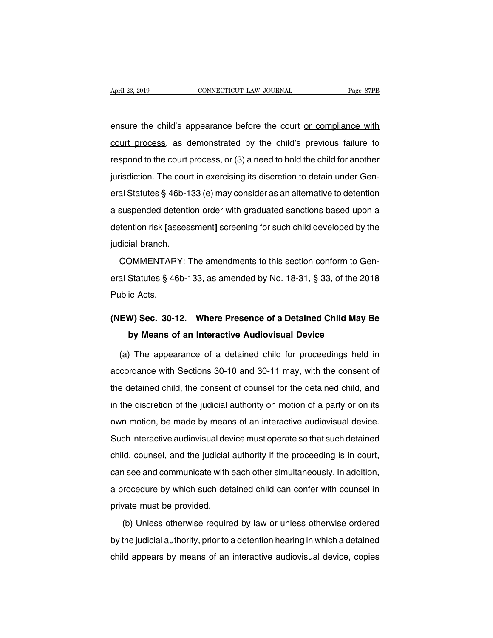April 23, 2019 CONNECTICUT LAW JOURNAL Page 87PB<br>
ensure the child's appearance before the court <u>or compliance with</u><br>
court process, as demonstrated by the child's previous failure to April 23, 2019 CONNECTICUT LAW JOURNAL Page 87PB<br>
ensure the child's appearance before the court <u>or compliance with</u><br>
court process, as demonstrated by the child's previous failure to<br>
respond to the court process, or (3) ensure the child's appearance before the court <u>or compliance with</u><br>court process, as demonstrated by the child's previous failure to<br>respond to the court process, or (3) a need to hold the child for another<br>jurisdiction. ensure the child's appearance before the court <u>or compliance with</u><br>court process, as demonstrated by the child's previous failure to<br>respond to the court process, or (3) a need to hold the child for another<br>jurisdiction. court process, as demonstrated by the child's previous failure to<br>respond to the court process, or (3) a need to hold the child for another<br>jurisdiction. The court in exercising its discretion to detain under Gen-<br>eral Sta respond to the court process, or (3) a need to hold the child for another<br>jurisdiction. The court in exercising its discretion to detain under Gen-<br>eral Statutes § 46b-133 (e) may consider as an alternative to detention<br>a detention. The court in exercising its discretion to detain under General Statutes § 46b-133 (e) may consider as an alternative to detention a suspended detention order with graduated sanctions based upon a detention risk eral Statutes § 46b-1<br>a suspended detention<br>detention risk [assess]<br>judicial branch.<br>COMMENTARY: T all statutes 3 155 156 (c) lina) scholast as all alternative to december.<br>Suspended detention order with graduated sanctions based upon a<br>tention risk [assessment] screening for such child developed by the<br>dicial branch.<br>C

eration risk [assessment] screening for such child developed by the<br>judicial branch.<br>COMMENTARY: The amendments to this section conform to General Statutes § 46b-133, as amended by No. 18-31, § 33, of the 2018<br>Public Acts. Such the Material<br>Public Acts.<br>Public Acts.<br>NEW\ See. 30.1 COMMENTARY: The amendments to this section conform to General Statutes § 46b-133, as amended by No. 18-31, § 33, of the 2018<br>Public Acts.<br>(NEW) Sec. 30-12. Where Presence of a Detained Child May Be<br>by Means of an Interacti Statutes § 46b-133, as amended by No. 18-31, § 33, of the 20<br>ic Acts.<br>**W) Sec. 30-12. Where Presence of a Detained Child May**<br>**by Means of an Interactive Audiovisual Device**<br>The appearance of a detained child for proceedin

ublic Acts.<br> **EW) Sec. 30-12. Where Presence of a Detained Child May Be**<br> **by Means of an Interactive Audiovisual Device**<br>
(a) The appearance of a detained child for proceedings held in<br>
cordance with Sections 30-10 and 30 (NEW) Sec. 30-12. Where Presence of a Detained Child May Be<br>by Means of an Interactive Audiovisual Device<br>(a) The appearance of a detained child for proceedings held in<br>accordance with Sections 30-10 and 30-11 may, with th by Means of an Interactive Audiovisual Device<br>
(a) The appearance of a detained child for proceedings held in<br>
accordance with Sections 30-10 and 30-11 may, with the consent of<br>
the detained child, the consent of counsel f (a) The appearance of a detained child for proceedings held in accordance with Sections 30-10 and 30-11 may, with the consent of the detained child, the consent of counsel for the detained child, and in the discretion of t (a) The appositance of a detained of matricr precedently from in<br>accordance with Sections 30-10 and 30-11 may, with the consent of<br>the detained child, the consent of counsel for the detained child, and<br>in the discretion of the detained child, the consent of counsel for the detained child, and<br>in the discretion of the judicial authority on motion of a party or on its<br>own motion, be made by means of an interactive audiovisual device.<br>Such inte inclusted shild, the schild authority on motion of a party or on its<br>in the discretion of the judicial authority on motion of a party or on its<br>own motion, be made by means of an interactive audiovisual device.<br>Such intera are also below of any journal during of mission of a party of off his<br>own motion, be made by means of an interactive audiovisual device.<br>Such interactive audiovisual device must operate so that such detained<br>child, counsel Such interactive audiovisual device must operate so that such detained<br>child, counsel, and the judicial authority if the proceeding is in court,<br>can see and communicate with each other simultaneously. In addition,<br>a proced clust inclusive didiovided development of the didical can see and communicate with a procedure by which such detainties private must be provided.<br>(b) Unless otherwise require (b) unless otherwise required by law or unless otherwise ordering in the procedure by which such detained child can confer with counsel in vate must be provided.<br>(b) Unless otherwise required by law or unless otherwise ord

by which such detained child can confer with counsel in<br>private must be provided.<br>(b) Unless otherwise required by law or unless otherwise ordered<br>by the judicial authority, prior to a detention hearing in which a detained child appears by means of an interactive audiovisual device, copies<br>child appears by means of an interactive audiovisual device, copies<br>child appears by means of an interactive audiovisual device, copies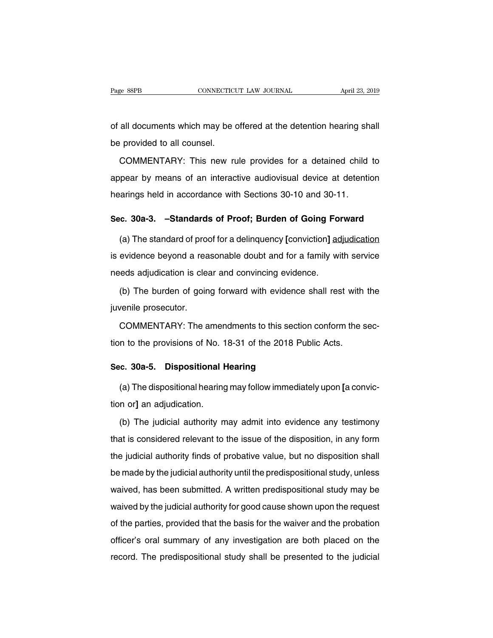Page 88PB<br>
connecticular LAW JOURNAL<br>
of all documents which may be offered at the detention hearing shall<br>
be provided to all counsel. Page 88PB<br>
of all documents which may be d<br>
be provided to all counsel.<br>
COMMENTARY: This new ru

all documents which may be offered at the detention hearing shall<br>provided to all counsel.<br>COMMENTARY: This new rule provides for a detained child to<br>pear by means of an interactive audiovisual device at detention of all documents which may be offered at the detention hearing shall<br>be provided to all counsel.<br>COMMENTARY: This new rule provides for a detained child to<br>appear by means of an interactive audiovisual device at detention<br> be provided to all counsel.<br>
COMMENTARY: This new rule provides for a detained child<br>
appear by means of an interactive audiovisual device at detention<br>
hearings held in accordance with Sections 30-10 and 30-11. COMMENTARY: This new rule provides for a detained child to<br>appear by means of an interactive audiovisual device at detention<br>hearings held in accordance with Sections 30-10 and 30-11.<br>**Sec. 30a-3. -Standards of Proof; Bu** 

pear by means of an interactive audiovisual device at detention<br>arings held in accordance with Sections 30-10 and 30-11.<br>**c. 30a-3. -Standards of Proof; Burden of Going Forward**<br>(a) The standard of proof for a delinquenc hearings held in accordance with Sections 30-10 and 30-11.<br> **Sec. 30a-3.** -Standards of Proof; Burden of Going Forward<br>
(a) The standard of proof for a delinquency [conviction] <u>adjudication</u><br>
is evidence beyond a reasonab Sec. 30a-3. –Standards of Proof; Burden of Going Fo<br>
(a) The standard of proof for a delinquency [conviction] <u>ac</u><br>
is evidence beyond a reasonable doubt and for a family wi<br>
needs adjudication is clear and convincing evid (a) The standard of proof for a delinquency [conviction] adjudication<br>evidence beyond a reasonable doubt and for a family with service<br>eds adjudication is clear and convincing evidence.<br>(b) The burden of going forward with is evidence beyond a rea<br>needs adjudication is clea<br>(b) The burden of goin<br>juvenile prosecutor.<br>COMMENTARY: The a

reds adjudication is clear and convincing evidence.<br>
(b) The burden of going forward with evidence shall rest with the<br>
venile prosecutor.<br>
COMMENTARY: The amendments to this section conform the sec-<br>
n to the provisions o (b) The burden of going forward with evidence shall rest with<br>juvenile prosecutor.<br>COMMENTARY: The amendments to this section conform the s<br>tion to the provisions of No. 18-31 of the 2018 Public Acts.

iuvenile prosecutor.<br>
COMMENTARY: The amendments to this section<br>
tion to the provisions of No. 18-31 of the 2018 Pu<br> **Sec. 30a-5. Dispositional Hearing**<br>
(a) The dispositional hearing may follow immedia

COMMENTARY: The amendments to this section conform the sec-<br>n to the provisions of No. 18-31 of the 2018 Public Acts.<br>c. 30a-5. Dispositional Hearing<br>(a) The dispositional hearing may follow immediately upon [a convic-<br>n o tion to the provisions of No. 1<br>**Sec. 30a-5.** Di**spositional H**<br>(a) The dispositional hearing<br>tion or] an adjudication.<br>(b) The judicial authority m

ince. **30a-5.** Dispositional Hearing<br>
(a) The dispositional hearing may follow immediately upon [a convic-<br>
in or] an adjudication.<br>
(b) The judicial authority may admit into evidence any testimony<br>
at is considered releva (a) The dispositional hearing may follow immediately upon [a conviction or] an adjudication.<br>
(b) The judicial authority may admit into evidence any testimony<br>
that is considered relevant to the issue of the disposition, i tion or] an adjudication.<br>
(b) The judicial authority may admit into evidence any testimony<br>
that is considered relevant to the issue of the disposition, in any form<br>
the judicial authority finds of probative value, but no (b) The judicial authority may admit into evidence any testimony<br>that is considered relevant to the issue of the disposition, in any form<br>the judicial authority finds of probative value, but no disposition shall<br>be made by (b) The jadiotal dationly fildy damk like evidence driv technicity<br>that is considered relevant to the issue of the disposition, in any form<br>the judicial authority finds of probative value, but no disposition shall<br>be made the judicial authority finds of probative value, but no disposition shall<br>be made by the judicial authority until the predispositional study, unless<br>waived, has been submitted. A written predispositional study may be<br>waive of the particle and the predispositional study, unless<br>waived, has been submitted. A written predispositional study may be<br>waived by the judicial authority for good cause shown upon the request<br>of the parties, provided tha bothace by the judicial authority antitine prodispositional study, antices<br>waived by the judicial authority for good cause shown upon the request<br>of the parties, provided that the basis for the waiver and the probation<br>off waived by the judicial authority for good cause shown upon the request<br>of the parties, provided that the basis for the waiver and the probation<br>officer's oral summary of any investigation are both placed on the<br>record. The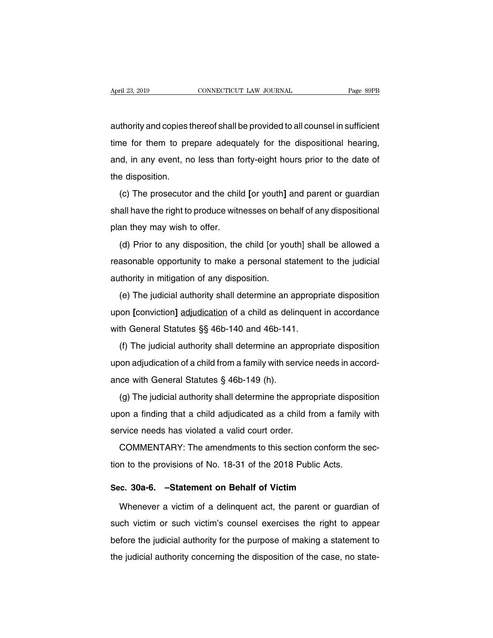April 23, 2019 CONNECTICUT LAW JOURNAL Page 89PB<br>authority and copies thereof shall be provided to all counsel in sufficient<br>time for them to prepare adequately for the dispositional hearing, April 23, 2019 CONNECTICUT LAW JOURNAL Page 89PB<br>authority and copies thereof shall be provided to all counsel in sufficient<br>time for them to prepare adequately for the dispositional hearing,<br>and, in any event, no less tha authority and copies thereof shall be provided to all counsel in sufficient<br>time for them to prepare adequately for the dispositional hearing,<br>and, in any event, no less than forty-eight hours prior to the date of<br>the disp authority and copies t<br>time for them to pre<br>and, in any event, no<br>the disposition.<br>(c) The prosecutor (a) The prosecutor and the child [or youth] and parent or guardian all have the right to produce witnesses on behalf of any dispositional parent or guardian all have the right to produce witnesses on behalf of any disposit

shall have the right to propals decepted by the dispositional healing,<br>and, in any event, no less than forty-eight hours prior to the date of<br>the disposition.<br>(c) The prosecutor and the child [or youth] and parent or guard and, in any ovent, he less than it<br>the disposition.<br>(c) The prosecutor and the child<br>shall have the right to produce with<br>plan they may wish to offer.<br>(d) Prior to any disposition, the (c) The prosecutor and the child [or youth] and parent or guardian<br>all have the right to produce witnesses on behalf of any dispositional<br>an they may wish to offer.<br>(d) Prior to any disposition, the child [or youth] shall

reasonable opportunity to make a personal statement to the judicial<br>and they may wish to offer.<br>(d) Prior to any disposition, the child [or youth] shall be allowed a<br>reasonable opportunity to make a personal statement to t plan they may wish to offer.<br>
(d) Prior to any disposition, the child [or you<br>
reasonable opportunity to make a personal st<br>
authority in mitigation of any disposition.<br>
(e) The judicial authority shall determine an (d) Prior to any disposition, the child [or youth] shall be allowed a<br>asonable opportunity to make a personal statement to the judicial<br>thority in mitigation of any disposition.<br>(e) The judicial authority shall determine a

reasonable opportunity to make a personal statement to the judicial<br>authority in mitigation of any disposition.<br>(e) The judicial authority shall determine an appropriate disposition<br>upon [conviction] adjudication of a chil e make a persenal statement<br>authority in mitigation of any disposition.<br>(e) The judicial authority shall determine an appropr<br>upon [conviction] <u>adjudication</u> of a child as delinquent<br>with General Statutes §§ 46b-140 and 4 (e) The judicial authority shall determine an appropriate disposition<br>on [conviction] adjudication of a child as delinquent in accordance<br>th General Statutes §§ 46b-140 and 46b-141.<br>(f) The judicial authority shall determi

upon [conviction] adjudication of a child as delinquent in accordance<br>with General Statutes  $\S$  46b-140 and 46b-141.<br>(f) The judicial authority shall determine an appropriate disposition<br>upon adjudication of a child from and the General Statutes §§ 46b-140 and 46b-141.<br>
(f) The judicial authority shall determine an ap<br>
upon adjudication of a child from a family with ser<br>
ance with General Statutes § 46b-149 (h).<br>
(g) The judicial authority (f) The judicial authority shall determine an appropriate disposition<br>on adjudication of a child from a family with service needs in accord-<br>ce with General Statutes § 46b-149 (h).<br>(g) The judicial authority shall determi

upon adjudication of a child from a family with service needs in accord-<br>ance with General Statutes  $\S$  46b-149 (h).<br>(g) The judicial authority shall determine the appropriate disposition<br>upon a finding that a child adjud ance with General Statutes § 46b-149 (h).<br>(g) The judicial authority shall determine the approp<br>upon a finding that a child adjudicated as a child free<br>service needs has violated a valid court order.<br>COMMENTARY: The amendm (g) The judicial authority shall determine the appropriate disposition<br>on a finding that a child adjudicated as a child from a family with<br>rvice needs has violated a valid court order.<br>COMMENTARY: The amendments to this s the provisions of No. 18-31 of the 2018 Public Acts.<br>See 2016 Comments of No. 18-31 of the 2018 Public Acts.<br>See 2016 Comment on Pobels of Victim.

Service needs has violated a valid court order.<br> **COMMENTARY:** The amendments to this section conform the s<br>
tion to the provisions of No. 18-31 of the 2018 Public Acts.<br> **Sec. 30a-6.** - Statement on Behalf of Victim<br>
When

COMMENTARY: The amendments to this section conform the sec-<br>n to the provisions of No. 18-31 of the 2018 Public Acts.<br>c. 30a-6. -Statement on Behalf of Victim<br>Whenever a victim of a delinquent act, the parent or guardian o such victim or such victim or such victim victims<br>
sec. 30a-6. -Statement on Behalf of Victim<br>
Whenever a victim of a delinquent act, the parent or guardian of<br>
such victim or such victim's counsel exercises the right to a Sec. 30a-6. -Statement on Behalf of Victim<br>Whenever a victim of a delinquent act, the parent or guardian of<br>such victim or such victim's counsel exercises the right to appear<br>before the judicial authority for the purpose o Whenever a victim of a delinquent act, the parent or guardian of<br>such victim or such victim's counsel exercises the right to appear<br>before the judicial authority for the purpose of making a statement to<br>the judicial author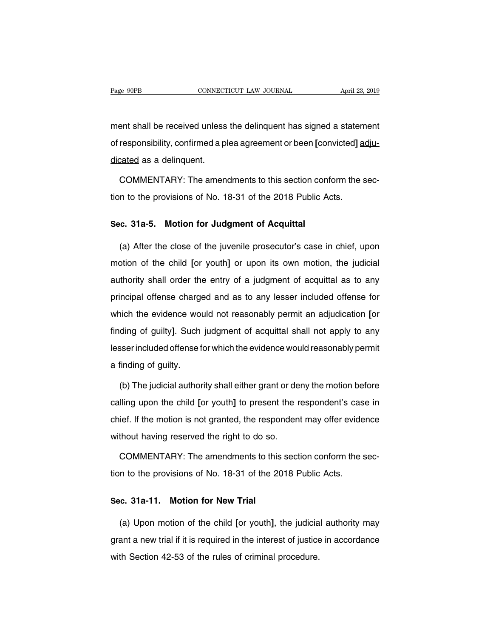Page 90PB<br>
CONNECTICUT LAW JOURNAL<br>
ment shall be received unless the delinquent has signed a statement<br>
of responsibility, confirmed a plea agreement or been [convicted] <u>adju-</u> Page 90PB **connecticut LAW JOURNAL** April 23, 2019<br>ment shall be received unless the delinquent has signed a statement<br>of responsibility, confirmed a plea agreement or been **[**convicted**]** <u>adju-</u><br>dicated</u> as a delinquent. ment shall be received unless<br>of responsibility, confirmed a p<br>dicated as a delinquent.<br>COMMENTARY: The amen ent shall be received unless the delinquent has signed a statement<br>responsibility, confirmed a plea agreement or been [convicted] adju-<br>cated as a delinquent.<br>COMMENTARY: The amendments to this section conform the sec-<br>n t of responsibility, confirmed a plea agreement or been [convicted] a<br>dicated as a delinquent.<br>COMMENTARY: The amendments to this section conform the s<br>tion to the provisions of No. 18-31 of the 2018 Public Acts.

**Sec. Starting as a delinquent.**<br> **COMMENTARY:** The amendments to this section contion to the provisions of No. 18-31 of the 2018 Public A<br> **Sec. 31a-5. Motion for Judgment of Acquittal**<br>
(a) After the close of the inven

(COMMENTANT). The amendments to this section comonit the sec-<br>
in to the provisions of No. 18-31 of the 2018 Public Acts.<br> **c. 31a-5.** Motion for Judgment of Acquittal<br>
(a) After the close of the juvenile prosecutor's case Sec. 31a-5. Motion for Judgment of Acquittal<br>
(a) After the close of the juvenile prosecutor's case in chief, upon<br>
motion of the child [or youth] or upon its own motion, the judicial<br>
authority shall order the entry of a Sec. 31a-5. Motion for Judgment of Acquittal<br>
(a) After the close of the juvenile prosecutor's case in chief, upon<br>
motion of the child [or youth] or upon its own motion, the judicial<br>
authority shall order the entry of a (a) After the close of the juvenile prosecutor's case in chief, upon<br>motion of the child [or youth] or upon its own motion, the judicial<br>authority shall order the entry of a judgment of acquittal as to any<br>principal offens which the enset of the javonne preseduate of ease in other, apont<br>motion of the child [or youth] or upon its own motion, the judicial<br>authority shall order the entry of a judgment of acquittal as to any<br>principal offense c authority shall order the entry of a judgment of acquittal as to any<br>principal offense charged and as to any lesser included offense for<br>which the evidence would not reasonably permit an adjudication [or<br>finding of guilty] principal offense charged and as to any lesser included offense for<br>which the evidence would not reasonably permit an adjudication [or<br>finding of guilty]. Such judgment of acquittal shall not apply to any<br>lesser included o principal offense charged and as to any lesser included offense for<br>which the evidence would not reasonably permit an adjudication [or<br>finding of guilty]. Such judgment of acquittal shall not apply to any<br>lesser included o (b) ding of guilty]. Such judgment of acquittal shall not apply to any<br>sser included offense for which the evidence would reasonably permit<br>finding of guilty.<br>(b) The judicial authority shall either grant or deny the motio

lesser included offense for which the evidence would reasonably permit<br>a finding of guilty.<br>(b) The judicial authority shall either grant or deny the motion before<br>calling upon the child [or youth] to present the responden a finding of guilty.<br>
(b) The judicial authority shall either grant or deny the motion before<br>
calling upon the child [or youth] to present the respondent's case in<br>
chief. If the motion is not granted, the respondent may (b) The judicial authority shall either grant or de<br>calling upon the child [or youth] to present the r<br>chief. If the motion is not granted, the responden<br>without having reserved the right to do so.<br>COMMENTARY: The amendmen Iling upon the child [or youth] to present the respondent's case in<br>ief. If the motion is not granted, the respondent may offer evidence<br>thout having reserved the right to do so.<br>COMMENTARY: The amendments to this section chief. If the motion is not granted, the respondent may offer evide<br>without having reserved the right to do so.<br>COMMENTARY: The amendments to this section conform the s<br>tion to the provisions of No. 18-31 of the 2018 Publi

without having reserved the right to do so.<br>
COMMENTARY: The amendments to this<br>
tion to the provisions of No. 18-31 of the 2<br> **Sec. 31a-11.** Motion for New Trial<br>
(a) Upon motion of the obild for youth]

(COMMENTANT). The amendments to this section comonit the sec-<br>n to the provisions of No. 18-31 of the 2018 Public Acts.<br>c. 31a-11. Motion for New Trial<br>(a) Upon motion of the child [or youth], the judicial authority may<br>an Sec. 31a-11. Motion for New Trial<br>
(a) Upon motion of the child [or youth], the judicial authority may<br>
grant a new trial if it is required in the interest of justice in accordance<br>
with Section 42-53 of the rules of crimi Sec. 31a-11. Motion for New Trial<br>(a) Upon motion of the child [or youth], the judicia<br>grant a new trial if it is required in the interest of justice<br>with Section 42-53 of the rules of criminal procedure.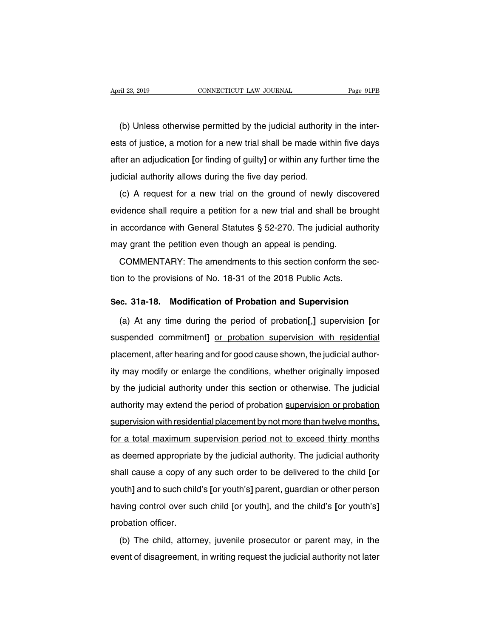(b) Unless otherwise permitted by the judicial authority in the inter-<br>
(b) Unless otherwise permitted by the judicial authority in the inter-<br>
ts of justice, a motion for a new trial shall be made within five days April 23, 2019 CONNECTICUT LAW JOURNAL Page 91PB<br>
(b) Unless otherwise permitted by the judicial authority in the inter-<br>
ests of justice, a motion for a new trial shall be made within five days<br>
after an adjudication [or (b) Unless otherwise permitted by the judicial authority in the interests of justice, a motion for a new trial shall be made within five days after an adjudication [or finding of guilty] or within any further time the judi (b) Unless otherwise permitted by the judicial authority<br>ests of justice, a motion for a new trial shall be made wit<br>after an adjudication [or finding of guilty] or within any fur<br>judicial authority allows during the five (c) once our chinese permitted by the jaunchar dutterity in the life.<br>Its of justice, a motion for a new trial shall be made within five days<br>ter an adjudication [or finding of guilty] or within any further time the<br>dicial

after an adjudication [or finding of guilty] or within any further time the judicial authority allows during the five day period.<br>
(c) A request for a new trial on the ground of newly discovered evidence shall require a p judicial authority allows during or gainty or which any farmer and provide in accordance shall require a petition for a new trial and shall be brought in accordance with General Statutes § 52-270. The judicial authority ma (c) A request for a new trial on the ground of newly discovevidence shall require a petition for a new trial and shall be brown in accordance with General Statutes § 52-270. The judicial autimay grant the petition even tho idence shall require a petition for a new trial and shall be brought<br>accordance with General Statutes  $\S$  52-270. The judicial authority<br>ay grant the petition even though an appeal is pending.<br>COMMENTARY: The amendments t In accordance with General Statutes § 52-270. The judicial author<br>may grant the petition even though an appeal is pending.<br>COMMENTARY: The amendments to this section conform the s<br>tion to the provisions of No. 18-31 of the

may grant the petition even though an appeal is pending.<br>
COMMENTARY: The amendments to this section conform the sec-<br>
tion to the provisions of No. 18-31 of the 2018 Public Acts.<br> **Sec. 31a-18. Modification of Probation a** 

COMMENTARY: The amendments to this section conform the sec-<br>n to the provisions of No. 18-31 of the 2018 Public Acts.<br>c. 31a-18. Modification of Probation and Supervision<br>(a) At any time during the period of probation[,] s tion to the provisions of No. 18-31 of the 2018 Public Acts.<br> **Sec. 31a-18. Modification of Probation and Supervision**<br>
(a) At any time during the period of probation[,] supervision [or<br>
suspended commitment] <u>or probation</u> Sec. 31a-18. Modification of Probation and Supervision<br>(a) At any time during the period of probation[,] supervision [or<br>suspended commitment] <u>or probation supervision with residential</u><br>placement, after hearing and for go (a) At any time during the period of probation[,] supervision [or suspended commitment] <u>or probation supervision with residential</u> placement, after hearing and for good cause shown, the judicial authority may modify or en by the judicial authority under this section or otherwise. The judicial authority may modify or enlarge the conditions, whether originally imposed by the judicial authority under this section or otherwise. The judicial aut placement, after hearing and for good cause shown, the judicial author-<br>ity may modify or enlarge the conditions, whether originally imposed<br>by the judicial authority under this section or otherwise. The judicial<br>authority ity may modify or enlarge the conditions, whether originally imposed<br>by the judicial authority under this section or otherwise. The judicial<br>authority may extend the period of probation supervision or probation<br>supervision for a total maximum supervision or otherwise. The judicial<br>suthority may extend the period of probation supervision or probation<br>supervision with residential placement by not more than twelve months,<br>for a total maximum su authority may extend the period of probation supervision or probation<br>supervision with residential placement by not more than twelve months,<br>for a total maximum supervision period not to exceed thirty months<br>as deemed appr supervision with residential placement by not more than twelve months,<br>for a total maximum supervision period not to exceed thirty months<br>as deemed appropriate by the judicial authority. The judicial authority<br>shall cause for a total maximum supervision period not to exceed thirty months<br>as deemed appropriate by the judicial authority. The judicial authority<br>shall cause a copy of any such order to be delivered to the child [or<br>youth] and to havior of the individual outhority. The judicial authority shall cause a copy of any such order to be delivered to the child [or youth] and to such child's [or youth's] parent, guardian or other person having control over shall cause a copy of<br>shall cause a copy of<br>youth] and to such child<br>having control over su<br>probation officer.<br>(b) The child, attorn (b) The child, attorney, juvenile prosecutor or parent may, in the child of disagreement, in writing request the judicial authority not later and of disagreement, in writing request the judicial authority not later event of disagreement, in writing request the judicial authority not later<br>event of disagreement, in writing request the judicial authority not later<br>event of disagreement, in writing request the judicial authority not lat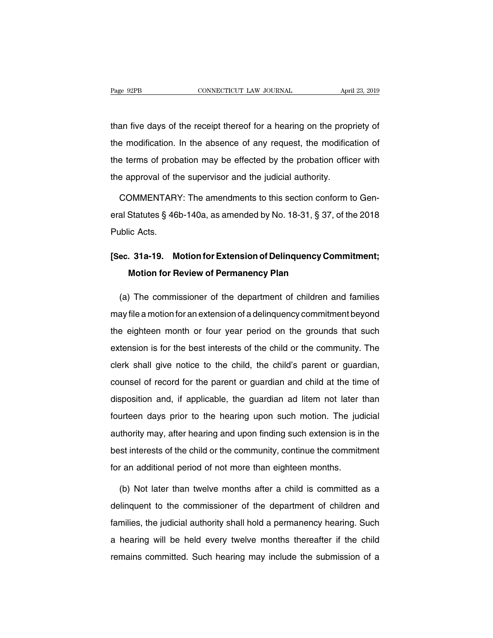The Page 92PB<br>
than five days of the receipt thereof for a hearing on the propriety of<br>
the modification. In the absence of any request, the modification of The modification. In the absence of any request, the modification of<br>the modification. In the absence of any request, the modification of<br>the terms of probation may be effected by the probation officer with than five days of the receipt thereof for a hearing on the propriety of<br>the modification. In the absence of any request, the modification of<br>the terms of probation may be effected by the probation officer with<br>the approval than five days of the receipt thereof for a hearing on the prop<br>the modification. In the absence of any request, the modifica<br>the terms of probation may be effected by the probation offic<br>the approval of the supervisor and e modification. In the absence of any request, the modification of<br>e terms of probation may be effected by the probation officer with<br>e approval of the supervisor and the judicial authority.<br>COMMENTARY: The amendments to t

the terms of probation may be effected by the probation officer with<br>the approval of the supervisor and the judicial authority.<br>COMMENTARY: The amendments to this section conform to Gen-<br>eral Statutes § 46b-140a, as amende the approval of th<br>COMMENTARY<br>eral Statutes § 46<br>Public Acts. COMMENTARY: The amendments to this section conform to General Statutes § 46b-140a, as amended by No. 18-31, § 37, of the 2018<br>Public Acts.<br>**[Sec. 31a-19. Motion for Extension of Delinquency Commitment;**<br>**Motion for Review** Statutes § 46b-140a, as amended by No. 18-31, § 37, e<br>ic Acts.<br>**Motion for Review of Permanency Plan**<br>Notion for Review of Permanency Plan

Fig. 31a-19. Motion for Extension of Delinquency Commitment;<br>Motion for Review of Permanency Plan<br>(a) The commissioner of the department of children and families<br>ay file a motion for an extension of a delinquency commitmen Sec. 31a-19. Motion for Extension of Delinquency Commitment;<br>Motion for Review of Permanency Plan<br>(a) The commissioner of the department of children and families<br>may file a motion for an extension of a delinquency commitme Motion for Review of Permanency Plan<br>
(a) The commissioner of the department of children and families<br>
may file a motion for an extension of a delinquency commitment beyond<br>
the eighteen month or four year period on the gr (a) The commissioner of the department of children and families<br>may file a motion for an extension of a delinquency commitment beyond<br>the eighteen month or four year period on the grounds that such<br>extension is for the bes re sommestion of a delinquency commitment beyond<br>the eighteen month or four year period on the grounds that such<br>extension is for the best interests of the child or the community. The<br>clerk shall give notice to the child, the eighteen month or four year period on the grounds that such<br>extension is for the best interests of the child or the community. The<br>clerk shall give notice to the child, the child's parent or guardian,<br>counsel of record extension is for the best interests of the child or the community. The<br>clerk shall give notice to the child, the child's parent or guardian,<br>counsel of record for the parent or guardian and child at the time of<br>disposition for the second of the child, the child's parent or guardian,<br>counsel of record for the parent or guardian and child at the time of<br>disposition and, if applicable, the guardian ad litem not later than<br>fourteen days prior to counsel of record for the parent or guardian and child at the time of disposition and, if applicable, the guardian ad litem not later than fourteen days prior to the hearing upon such motion. The judicial authority may, af disposition and, if applicable, the guardian ad litem not later than<br>fourteen days prior to the hearing upon such motion. The judicial<br>authority may, after hearing and upon finding such extension is in the<br>best interests o fourteen days prior to the hearing upon such motion. The jud<br>authority may, after hearing and upon finding such extension is in<br>best interests of the child or the community, continue the commitm<br>for an additional period of thority may, after hearing and upon finding such extension is in the<br>st interests of the child or the community, continue the commitment<br>r an additional period of not more than eighteen months.<br>(b) Not later than twelve mo

best interests of the child or the community, continue the commitment<br>for an additional period of not more than eighteen months.<br>(b) Not later than twelve months after a child is committed as a<br>delinquent to the commission for an additional period of not more than eighteen months.<br>
(b) Not later than twelve months after a child is committed as a<br>
delinquent to the commissioner of the department of children and<br>
families, the judicial authori (b) Not later than twelve months after a child is committed as a delinquent to the commissioner of the department of children and families, the judicial authority shall hold a permanency hearing. Such a hearing will be hel delinquent to the commissioner of the department of children and<br>families, the judicial authority shall hold a permanency hearing. Such<br>a hearing will be held every twelve months thereafter if the child<br>remains committed.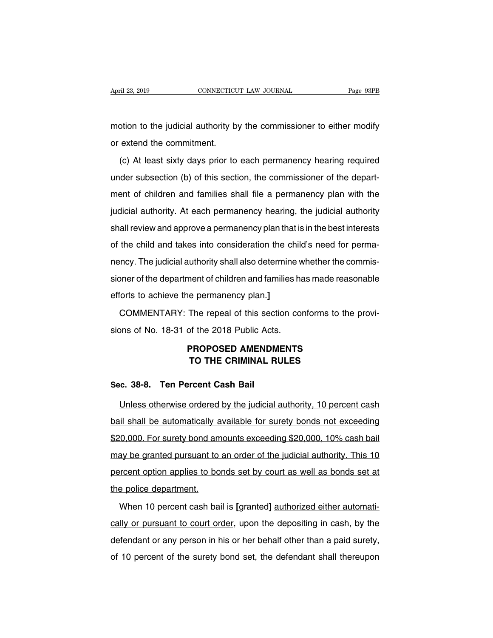April 23, 2019 CONNECTICUT LAW JOURNAL Page 93PB<br>motion to the judicial authority by the commissioner to either modify<br>or extend the commitment. April 23, 2019 CONNECTICU<br>
motion to the judicial authority by<br>
or extend the commitment.<br>
(c) At least sixty days prior to

(c) At least sixty days prior to each permanency hearing required<br>(c) At least sixty days prior to each permanency hearing required<br>der subsection (b) of this section, the commissioner of the departmotion to the judicial authority by the commissioner to either modify<br>or extend the commitment.<br>(c) At least sixty days prior to each permanency hearing required<br>under subsection (b) of this section, the commissioner of th mental delays and committed the committed the committed the committeent.<br>
(c) At least sixty days prior to each permanency hearing required<br>
under subsection (b) of this section, the commissioner of the depart-<br>
ment of ch (c) At least sixty days prior to each permanency hearing required<br>under subsection (b) of this section, the commissioner of the depart-<br>ment of children and families shall file a permanency plan with the<br>judicial authority under subsection (b) of this section, the commissioner of the depart-<br>ment of children and families shall file a permanency plan with the<br>judicial authority. At each permanency hearing, the judicial authority<br>shall review of the children and families shall file a permanency plan with the judicial authority. At each permanency hearing, the judicial authority shall review and approve a permanency plan that is in the best interests of the chil inence of smarter and narmies shall me a permanency plant with the judicial authority<br>shall review and approve a permanency plan that is in the best interests<br>of the child and takes into consideration the child's need for shall review and approve a permanency plan that is in the best interests<br>of the child and takes into consideration the child's need for perma-<br>nency. The judicial authority shall also determine whether the commis-<br>sioner o of the child and takes into consideration the ch<br>nency. The judicial authority shall also determine<br>sioner of the department of children and families<br>efforts to achieve the permanency plan.]<br>COMMENTARY: The repeal of this and and take the constantant the stime is the repention<br>they. The judicial authority shall also determine whether the commis-<br>pher of the department of children and families has made reasonable<br>forts to achieve the permane sioner of the department of children and families has<br>efforts to achieve the permanency plan.]<br>COMMENTARY: The repeal of this section consions of No. 18-31 of the 2018 Public Acts.<br>PROPOSED AMENDMENTS

The repeal of this section conforms to the<br>port the 2018 Public Acts.<br>**PROPOSED AMENDMENTS<br>TO THE CRIMINAL RULES** E permanency pian.<sub>J</sub><br>The repeal of this section conforms to the<br>of the 2018 Public Acts.<br>**PROPOSED AMENDMENTS<br>TO THE CRIMINAL RULES** sions of No. 18-31 of the 2018 Public Acts<br>**PROPOSED AMENDM<br>TO THE CRIMINAL R**<br>Sec. 38-8. Ten Percent Cash Bail<br>Unless otherwise ordered by the iudicial

PROPOSED AMENDMENTS<br>TO THE CRIMINAL RULES<br>c. 38-8. Ten Percent Cash Bail<br>Unless otherwise ordered by the judicial authority, 10 percent cash<br>il shall be automatically available for surety bonds not exceeding TO THE CRIMINAL RULES<br>
Sec. 38-8. Ten Percent Cash Bail<br>
Unless otherwise ordered by the judicial authority, 10 percent cash<br>
bail shall be automatically available for surety bonds not exceeding<br>
\$20,000. For surety bond a Sec. 38-8. Ten Percent Cash Bail<br>Unless otherwise ordered by the judicial authority, 10 percent cash<br>bail shall be automatically available for surety bonds not exceeding<br>\$20,000. For surety bond amounts exceeding \$20,000, Unless otherwise ordered by the judicial authority, 10 percent cash<br>bail shall be automatically available for surety bonds not exceeding<br>\$20,000. For surety bond amounts exceeding \$20,000, 10% cash bail<br>may be granted purs bail shall be automatically available for surety bonds not exceeding<br>\$20,000. For surety bond amounts exceeding \$20,000, 10% cash bail<br>may be granted pursuant to an order of the judicial authority. This 10<br>percent option a sail onall be addentated.if the<br>\$20,000. For surety bond am<br>may be granted pursuant to<br>percent option applies to bo<br>the police department.<br>When 10 percent cash ba ay be granted pursuant to an order of the judicial authority. This 10<br>rcent option applies to bonds set by court as well as bonds set at<br>e police department.<br>When 10 percent cash bail is [granted] <u>authorized either automa</u>

percent option applies to bonds set by court as well as bonds set at<br>the police department.<br>When 10 percent cash bail is [granted] authorized either automati-<br>cally or pursuant to court order, upon the depositing in cash, the police department.<br>the police department.<br>When 10 percent cash bail is [granted] authorized either automati-<br>cally or pursuant to court order, upon the depositing in cash, by the<br>defendant or any person in his or her b When 10 percent cash bail is [granted] authorized either automati-<br>cally or pursuant to court order, upon the depositing in cash, by the<br>defendant or any person in his or her behalf other than a paid surety,<br>of 10 percent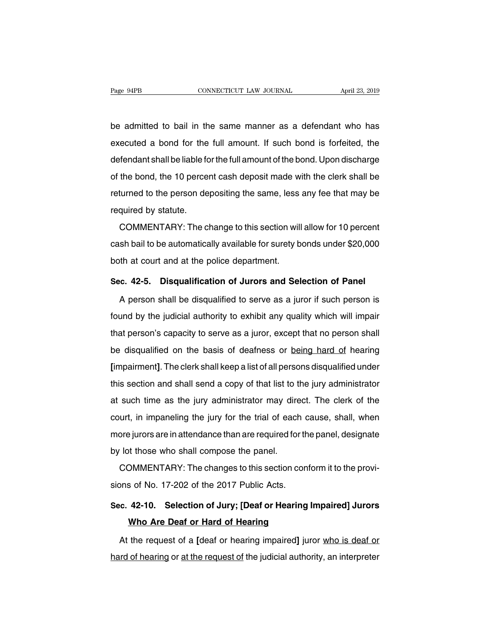Page 94PB<br>
be admitted to bail in the same manner as a defendant who has<br>
executed a bond for the full amount. If such bond is forfeited, the executed a bond for the full amount. If such bond is forfeited, the<br>defendant shall be liable for the full amount. If such bond is forfeited, the<br>defendant shall be liable for the full amount of the bond. Upon discharge be admitted to bail in the same manner as a defendant who has<br>executed a bond for the full amount. If such bond is forfeited, the<br>defendant shall be liable for the full amount of the bond. Upon discharge<br>of the bond, the 1 be admitted to bail in the same manner as a defendant who has<br>executed a bond for the full amount. If such bond is forfeited, the<br>defendant shall be liable for the full amount of the bond. Upon discharge<br>of the bond, the 1 executed a bond for the full amount. If such bond is forfeited, the defendant shall be liable for the full amount of the bond. Upon discharge of the bond, the 10 percent cash deposit made with the clerk shall be returned t defendant shall be liable for the<br>defendant shall be liable for<br>returned to the person de<br>required by statute.<br>COMMENTARY: The c The bond, the 10 percent cash deposit made with the clerk shall be<br>turned to the person depositing the same, less any fee that may be<br>quired by statute.<br>COMMENTARY: The change to this section will allow for 10 percent<br>sh b

raturned to the person depositing the same, less any fee that may be<br>required by statute.<br>COMMENTARY: The change to this section will allow for 10 percent<br>cash bail to be automatically available for surety bonds under \$20, both at the policit appointing the came, tool<br>required by statute.<br>COMMENTARY: The change to this section will<br>cash bail to be automatically available for surety b<br>both at court and at the police department.<br>Sec. 42-5. Dis COMMENTARY: The change to this section will allow for 10 percent<br>cash bail to be automatically available for surety bonds under \$20,000<br>both at court and at the police department.<br>**Sec. 42-5. Disqualification of Jurors and** Sh bail to be automatically available for surety bonds under \$20,000<br>th at court and at the police department.<br>c. 42-5. Disqualification of Jurors and Selection of Panel<br>A person shall be disqualified to serve as a juror i

found at the police department.<br> **Sec. 42-5. Disqualification of Jurors and Selection of Panel**<br>
A person shall be disqualified to serve as a juror if such person is<br>
found by the judicial authority to exhibit any quality Sec. 42-5. Disqualification of Jurors and Selection of Panel<br>A person shall be disqualified to serve as a juror if such person is<br>found by the judicial authority to exhibit any quality which will impair<br>that person's capac A person shall be disqualified to serve as a juror if such person is<br>found by the judicial authority to exhibit any quality which will impair<br>that person's capacity to serve as a juror, except that no person shall<br>be disqu If yestern shall be disqualitied at the clerk shall the person is disquality to serve as a juror, except that no person shall be disqualified on the basis of deafness or <u>being hard of</u> hearing [impairment]. The clerk shal that person's capacity to serve as a juror, except that no person shall<br>be disqualified on the basis of deafness or <u>being hard of</u> hearing<br>[impairment]. The clerk shall keep a list of all persons disqualified under<br>this s at a person o supulary to serve used jurer, steept that he person shall<br>be disqualified on the basis of deafness or being hard of hearing<br>[impairment]. The clerk shall keep a list of all persons disqualified under<br>this sec Impairment]. The clerk shall keep a list of all persons disqualified under<br>this section and shall send a copy of that list to the jury administrator<br>at such time as the jury administrator may direct. The clerk of the<br>court this section and shall send a copy of that list to the jury administrator<br>at such time as the jury administrator may direct. The clerk of the<br>court, in impaneling the jury for the trial of each cause, shall, when<br>more juro all such time as the jury administrator may dire<br>court, in impaneling the jury for the trial of each<br>more jurors are in attendance than are required for<br>by lot those who shall compose the panel.<br>COMMENTARY: The changes to and the jury daminimated thay allocated the section of the unit, in impaneling the jury for the trial of each cause, shall, when ore jurors are in attendance than are required for the panel, designate lot those who shall c sourt, in impanoing the jury for the that or easing<br>more jurors are in attendance than are required for the<br>by lot those who shall compose the panel.<br>COMMENTARY: The changes to this section con<br>sions of No. 17-202 of the 2

DMMENTARY: The changes to this section confor<br>
s of No. 17-202 of the 2017 Public Acts.<br>
42-10. Selection of Jury; [Deaf or Hearing In<br>
Who Are Deaf or Hard of Hearing<br>
the request of a [deaf or hearing impaired] juro

# by lot those who shall compose the panel.<br>
COMMENTARY: The changes to this section conform it to the provisions of No. 17-202 of the 2017 Public Acts.<br> **Sec. 42-10. Selection of Jury; [Deaf or Hearing Impaired] Jurors**<br> **W**

by the request of the 2017 Public Acts.<br>
At the request of a **[deaf or hearing** impaired] **Jurors**<br>
Who Are Deaf or Hard of Hearing<br>
At the request of a [deaf or hearing impaired] juror who is deaf or<br>
At the request of a Sec. 42-10. Selection of Jury; [Deaf or Hearing Impaired] Jurors<br>Who Are Deaf or Hard of Hearing<br>At the request of a [deaf or hearing impaired] juror who is deaf or<br>hard of hearing or at the request of the judicial authori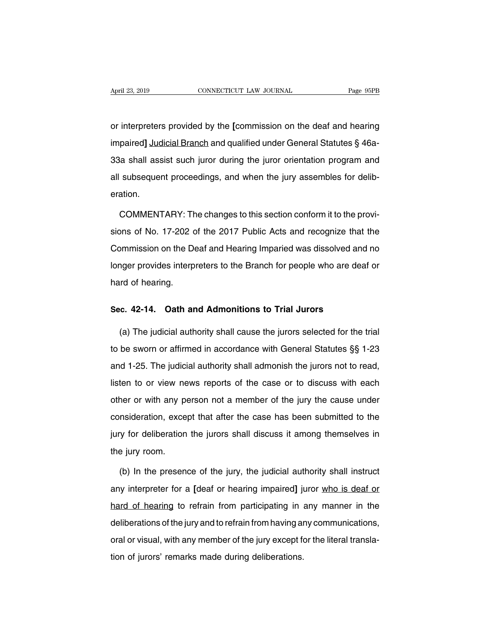April 23, 2019 **CONNECTICUT LAW JOURNAL** Page 95PB<br>or interpreters provided by the **[**commission on the deaf and hearing<br>impaired] Judicial Branch and qualified under General Statutes § 46a-April 23, 2019 CONNECTICUT LAW JOURNAL Page 95PB<br>
or interpreters provided by the [commission on the deaf and hearing<br>
impaired] Judicial Branch and qualified under General Statutes § 46a-<br>
33a shall assist such juror duri or interpreters provided by the [commission on the deaf and hearing<br>impaired] Judicial Branch and qualified under General Statutes § 46a-<br>33a shall assist such juror during the juror orientation program and<br>all subsequent or interpreters provided by the [commission on the deaf and hearing<br>impaired] Judicial Branch and qualified under General Statutes § 46a-<br>33a shall assist such juror during the juror orientation program and<br>all subsequent eration. 33a shall assist such juror during the juror orientation program and<br>all subsequent proceedings, and when the jury assembles for delib-<br>eration.<br>COMMENTARY: The changes to this section conform it to the provi-<br>sions of No.

all subsequent proceedings, and when the jury assembles for deliberation.<br>COMMENTARY: The changes to this section conform it to the provisions of No. 17-202 of the 2017 Public Acts and recognize that the Commission on the eration.<br>COMMENTARY: The changes to this section conform it to the provisions of No. 17-202 of the 2017 Public Acts and recognize that the<br>Commission on the Deaf and Hearing Imparied was dissolved and no<br>longer provides in COMMENTARY: The changes to this section conform it to the provisions of No. 17-202 of the 2017 Public Acts and recognize that the Commission on the Deaf and Hearing Imparied was dissolved and no longer provides interpreter Somman<br>Sions of No. 17-202 of<br>Commission on the Delonger provides interp<br>hard of hearing. Commission on the Deaf and Hearing Imparied was dissolved and<br>
longer provides interpreters to the Branch for people who are deaf<br>
hard of hearing.<br>
Sec. 42-14. Oath and Admonitions to Trial Jurors<br>
(a) The judicial author

(a) The judicial authority shall cause the jurors selected for the trial<br>(a) The judicial authority shall cause the jurors selected for the trial<br>be sworn or affirmed in accordance with General Statutes §§ 1-23 the sec. 42-14. Oath and Admonitions to Trial Jurors<br>
(a) The judicial authority shall cause the jurors selected for the trial<br>
to be sworn or affirmed in accordance with General Statutes §§ 1-23<br>
and 1-25. The judicial au Sec. 42-14. Oath and Admonitions to Trial Jurors<br>
(a) The judicial authority shall cause the jurors selected for the trial<br>
to be sworn or affirmed in accordance with General Statutes §§ 1-23<br>
and 1-25. The judicial author (a) The judicial authority shall cause the jurors selected for the trial<br>to be sworn or affirmed in accordance with General Statutes  $\S$  1-23<br>and 1-25. The judicial authority shall admonish the jurors not to read,<br>listen to be sworn or affirmed in accordance with General Statutes §§ 1-23<br>and 1-25. The judicial authority shall admonish the jurors not to read,<br>listen to or view news reports of the case or to discuss with each<br>other or with a consideration, except that after the case or to discuss with each<br>other or with any person not a member of the jury the cause under<br>consideration, except that after the case has been submitted to the<br>jury for deliberation listen to or view news reports of the case or to discuss with each<br>other or with any person not a member of the jury the cause under<br>consideration, except that after the case has been submitted to the<br>jury for deliberation listen to or view news reports of the case or to discuss with each<br>other or with any person not a member of the jury the cause under<br>consideration, except that after the case has been submitted to the<br>jury for deliberation msideration, except that after the case has been submitted to the<br>y for deliberation the jurors shall discuss it among themselves in<br>e jury room.<br>(b) In the presence of the jury, the judicial authority shall instruct<br>y int

interty for deliberation the jurors shall discuss it among themselves in<br>the jury room.<br>(b) In the presence of the jury, the judicial authority shall instruct<br>any interpreter for a [deaf or hearing impaired] juror who is d the jury room.<br>
(b) In the presence of the jury, the judicial authority shall instruct<br>
any interpreter for a [deaf or hearing impaired] juror <u>who is deaf or</u><br>
hard of hearing to refrain from participating in any manner i (b) In the presence of the jury, the judicial authority shall instruct<br>any interpreter for a [deaf or hearing impaired] juror who is deaf or<br>hard of hearing to refrain from participating in any manner in the<br>deliberations any interpreter for a [deaf or hearing impaired] juror who is deaf or hard of hearing to refrain from participating in any manner in the deliberations of the jury and to refrain from having any communications, oral or visu than of hearing to refrain from participating in a deliberations of the jury and to refrain from having at oral or visual, with any member of the jury except for tion of jurors' remarks made during deliberations.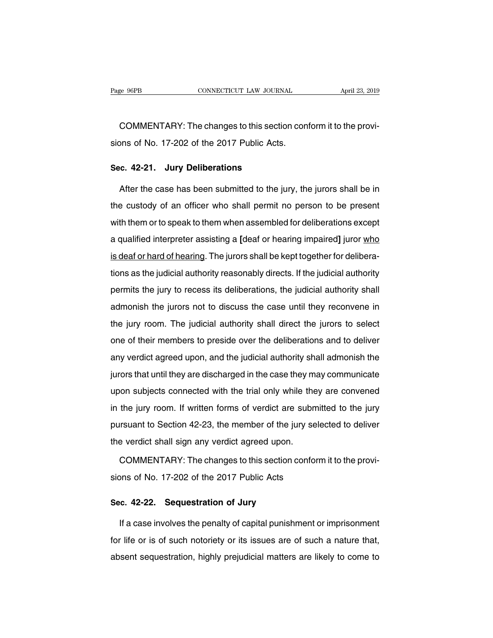EXECT SERU CONSECTICUT LAW JOURNAL April 23, 2019<br>COMMENTARY: The changes to this section conform it to the provi-<br>Display of No. 17-202 of the 2017 Public Acts. Page 96PB CONNECTICUT LAW JOURNAL<br>COMMENTARY: The changes to this section con<br>sions of No. 17-202 of the 2017 Public Acts. **COMMENTARY: The changes to this sectionally sigms of No. 17-202 of the 2017 Public Acts.<br><b>Sec. 42-21. Jury Deliberations**<br>After the case has been submitted to the iu

COMMENTARY: The changes to this section conform it to the provi-<br>bns of No. 17-202 of the 2017 Public Acts.<br>c. 42-21. Jury Deliberations<br>After the case has been submitted to the jury, the jurors shall be in<br>e custody of an sions of No. 17-202 of the 2017 Public Acts.<br>Sec. 42-21. Jury Deliberations<br>After the case has been submitted to the jury, the jurors shall be in<br>the custody of an officer who shall permit no person to be present<br>with them Sec. 42-21. Jury Deliberations<br>After the case has been submitted to the jury, the jurors shall be in<br>the custody of an officer who shall permit no person to be present<br>with them or to speak to them when assembled for delib After the case has been submitted to the jury, the jurors shall be in<br>the custody of an officer who shall permit no person to be present<br>with them or to speak to them when assembled for deliberations except<br>a qualified int After the case has been submitted to the jury, the jurors shall be in<br>the custody of an officer who shall permit no person to be present<br>with them or to speak to them when assembled for deliberations except<br>a qualified int with them or to speak to them when assembled for deliberations except<br>a qualified interpreter assisting a [deaf or hearing impaired] juror who<br>is deaf or hard of hearing. The jurors shall be kept together for delibera-<br>tio maturation to epount a mem when assembled in demonstrations except<br>a qualified interpreter assisting a [deaf or hearing impaired] juror who<br>is deaf or hard of hearing. The jurors shall be kept together for delibera-<br>tions is deaf or hard of hearing. The jurors shall be kept together for deliberations as the judicial authority reasonably directs. If the judicial authority permits the jury to recess its deliberations, the judicial authority s tions as the judicial authority reasonably directs. If the judicial authority<br>permits the jury to recess its deliberations, the judicial authority shall<br>admonish the jurors not to discuss the case until they reconvene in<br>t permits the jury to recess its deliberations, the judicial authority shall<br>admonish the jurors not to discuss the case until they reconvene in<br>the jury room. The judicial authority shall direct the jurors to select<br>one of admonish the jurors not to discuss the case until they reconvene in<br>the jury room. The judicial authority shall direct the jurors to select<br>one of their members to preside over the deliberations and to deliver<br>any verdict the jury room. The judicial authority shall direct the jurors to select<br>one of their members to preside over the deliberations and to deliver<br>any verdict agreed upon, and the judicial authority shall admonish the<br>jurors th and y from. The jaunchi dationly only allow the jarote to solote one of their members to preside over the deliberations and to deliver any verdict agreed upon, and the judicial authority shall admonish the jurors that unti any verdict agreed upon, and the judicial authority shall admonish the<br>jurors that until they are discharged in the case they may communicate<br>upon subjects connected with the trial only while they are convened<br>in the jury pursuant to Section 42-23, the member of the jury selected to deliver<br>the version subjects connected with the trial only while they are convened<br>in the jury room. If written forms of verdict are submitted to the jury<br>pursu parors that arm they are disonarged in the sase they m<br>upon subjects connected with the trial only while the<br>in the jury room. If written forms of verdict are subr<br>pursuant to Section 42-23, the member of the jury se<br>the v in the jury room. If written forms of verdict are submitted to the jury<br>pursuant to Section 42-23, the member of the jury selected to deliver<br>the verdict shall sign any verdict agreed upon.<br>COMMENTARY: The changes to this pursuant to Section 42-23, the member of the jury sele<br>the verdict shall sign any verdict agreed upon.<br>COMMENTARY: The changes to this section conform<br>sions of No. 17-202 of the 2017 Public Acts

the verdict shall sign any verdict agreed upon.<br>
COMMENTARY: The changes to this section correlations of No. 17-202 of the 2017 Public Acts<br> **Sec. 42-22. Sequestration of Jury**<br>
If a case involves the penalty of capital pu

COMMENTARY: The changes to this section conform it to the provi-<br>bns of No. 17-202 of the 2017 Public Acts<br>c. 42-22. Sequestration of Jury<br>If a case involves the penalty of capital punishment or imprisonment<br>r life or is o sions of No. 17-202 of the 2017 Public Acts<br>Sec. 42-22. Sequestration of Jury<br>If a case involves the penalty of capital punishment or imprisonment<br>for life or is of such notoriety or its issues are of such a nature that,<br>a Sec. 42-22. Sequestration of Jury<br>If a case involves the penalty of capital punishment or imprisonment<br>for life or is of such notoriety or its issues are of such a nature that,<br>absent sequestration, highly prejudicial matt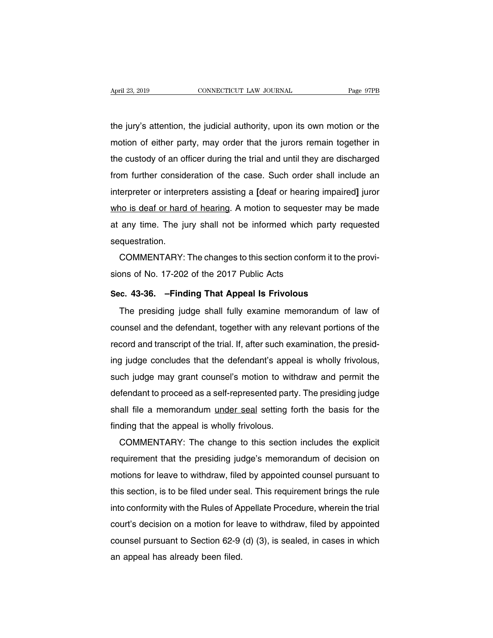April 23, 2019 CONNECTICUT LAW JOURNAL Page 97PB<br>the jury's attention, the judicial authority, upon its own motion or the<br>motion of either party, may order that the jurors remain together in motion of either party, may order that the jurors remain together in the custody of an officer during the trial and until they are discharged the jury's attention, the judicial authority, upon its own motion or the<br>motion of either party, may order that the jurors remain together in<br>the custody of an officer during the trial and until they are discharged<br>from fu the jury's attention, the judicial authority, upon its own motion or the<br>motion of either party, may order that the jurors remain together in<br>the custody of an officer during the trial and until they are discharged<br>from fu interpreter or interpreters assisting a **[**deaf or hearing impaired] juror who is deaf or hard of hearing. A motion to sequester may be made who is deaf or hard of hearing. A motion to sequester may be made motion of either party, may ofder that the juriors fernant together in<br>the custody of an officer during the trial and until they are discharged<br>from further consideration of the case. Such order shall include an<br>interprete the custody of an officer during the that and until they are discharged<br>from further consideration of the case. Such order shall include an<br>interpreter or interpreters assisting a [deaf or hearing impaired] juror<br>who is de sequestration. erpreter or interpreters assisting a fuear or riearing impaired jurior<br>no is deaf or hard of hearing. A motion to sequester may be made<br>any time. The jury shall not be informed which party requested<br>questration.<br>COMMENTARY who is deal of hard of healing. A motion to sequester<br>at any time. The jury shall not be informed which pa<br>sequestration.<br>COMMENTARY: The changes to this section conform<br>sions of No. 17-202 of the 2017 Public Acts<br>Sec. 43-

sequestration.<br>
COMMENTARY: The changes to this section conform it to the<br>
sions of No. 17-202 of the 2017 Public Acts<br>
Sec. 43-36. –Finding That Appeal Is Frivolous<br>
The presiding judge shall fully examine memorandum of

COMMENTARY: The changes to this section conform it to the provi-<br>ons of No. 17-202 of the 2017 Public Acts<br>c. 43-36. - Finding That Appeal Is Frivolous<br>The presiding judge shall fully examine memorandum of law of<br>unsel and sions of No. 17-202 of the 2017 Public Acts<br>Sec. 43-36. - Finding That Appeal Is Frivolous<br>The presiding judge shall fully examine memorandum of law of<br>counsel and the defendant, together with any relevant portions of the<br> Sec. 43-36. – Finding That Appeal Is Frivolous<br>The presiding judge shall fully examine memorandum of law of<br>counsel and the defendant, together with any relevant portions of the<br>record and transcript of the trial. If, afte The presiding judge shall fully examine memorandum of law of counsel and the defendant, together with any relevant portions of the record and transcript of the trial. If, after such examination, the presiding judge conclud Fire presiding judge shall langt examine internolation of law of<br>counsel and the defendant, together with any relevant portions of the<br>record and transcript of the trial. If, after such examination, the presid-<br>ing judge c counser and the defendant, together with any relevant portions of the<br>record and transcript of the trial. If, after such examination, the presid-<br>ing judge concludes that the defendant's appeal is wholly frivolous,<br>such ju record and transcript of the that. It, after such examination, the presid-<br>ing judge concludes that the defendant's appeal is wholly frivolous,<br>such judge may grant counsel's motion to withdraw and permit the<br>defendant to Ing judge concludes that the detendant s appe<br>such judge may grant counsel's motion to with<br>defendant to proceed as a self-represented party<br>shall file a memorandum <u>under seal</u> setting for<br>finding that the appeal is wholl Cri judge may grant counsers motion to withdraw and permit the<br>fendant to proceed as a self-represented party. The presiding judge<br>all file a memorandum <u>under seal</u> setting forth the basis for the<br>ding that the appeal is

deferidant to proceed as a sen-represented party. The presiding judge<br>shall file a memorandum <u>under seal</u> setting forth the basis for the<br>finding that the appeal is wholly frivolous.<br>COMMENTARY: The change to this section shall life a memorandum <u>under sear</u> setting form the basis for the<br>finding that the appeal is wholly frivolous.<br>COMMENTARY: The change to this section includes the explicit<br>requirement that the presiding judge's memorandu Infiding that the appear is wholly involudes.<br>COMMENTARY: The change to this section includes the explicit<br>requirement that the presiding judge's memorandum of decision on<br>motions for leave to withdraw, filed by appointed COMMENTART. The change to this section includes the explicit<br>requirement that the presiding judge's memorandum of decision on<br>motions for leave to withdraw, filed by appointed counsel pursuant to<br>this section, is to be fil requirement that the presiding judge's memorandum of decision on<br>motions for leave to withdraw, filed by appointed counsel pursuant to<br>this section, is to be filed under seal. This requirement brings the rule<br>into conformi motions for leave to withdraw, filed by appointed counser pursuant to<br>this section, is to be filed under seal. This requirement brings the rule<br>into conformity with the Rules of Appellate Procedure, wherein the trial<br>court this section, is to be filed under seal. This requirement brings the rule<br>into conformity with the Rules of Appellate Procedure, wherein the trial<br>court's decision on a motion for leave to withdraw, filed by appointed<br>coun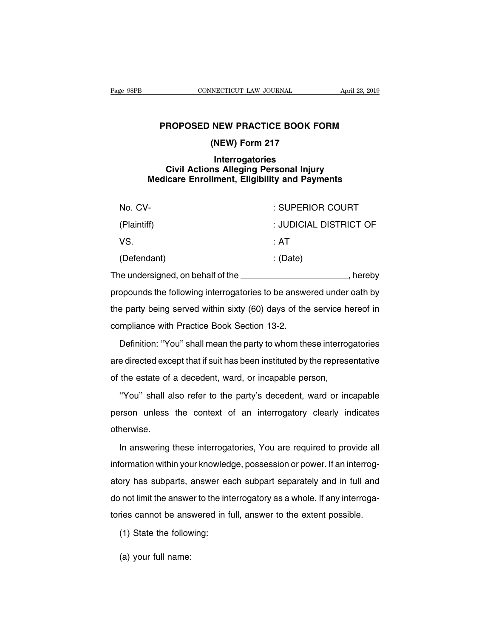# **PROPOSED NEW PRACTICE BOOK FORM**<br> **PROPOSED NEW PRACTICE BOOK FORM**<br> **PROPOSED NEW PRACTICE BOOK FORM**

### **(NECTICUT LAW JOURNAL<br>
<b>NEW PRACTICE BOOK FO**<br> **(NEW) Form 217**<br>
Interrogatories **Interrogatories**<br>Civil Actions Alleging Personal Injury **PROPOSED NEW PRACTICE BOOK FORM<br>(NEW) Form 217<br>Interrogatories<br>Civil Actions Alleging Personal Injury<br>Medicare Enrollment, Eligibility and Payments PROPOSED NEW PRACTICE BOOK FORM<br>
(NEW) Form 217<br>
Interrogatories<br>
Civil Actions Alleging Personal Injury<br>
Medicare Enrollment, Eligibility and Payments**

| $(NEVI)$ FORM $ZII$<br><b>Interrogatories</b><br><b>Civil Actions Alleging Personal Injury</b><br><b>Medicare Enrollment, Eligibility and Payments</b> |                        |  |
|--------------------------------------------------------------------------------------------------------------------------------------------------------|------------------------|--|
|                                                                                                                                                        |                        |  |
| (Plaintiff)                                                                                                                                            | : JUDICIAL DISTRICT OF |  |
| VS.                                                                                                                                                    | : AT                   |  |
| (Defendant)                                                                                                                                            | : (Date)               |  |
| The undersigned, on behalf of the ___                                                                                                                  | , hereby               |  |
| propounds the following interrogatories to be answered under oath by                                                                                   |                        |  |
| the party being served within sixty (60) days of the service hereof in                                                                                 |                        |  |

the party being served within sixty (60) days of the service hereof in The undersigned, on behalf of the<br>propounds the following interrogatories to be answe<br>the party being served within sixty (60) days of the<br>compliance with Practice Book Section 13-2.<br>Definition: "You" shall mean the party opounds the following interrogatories to be answered under oath by<br>e party being served within sixty (60) days of the service hereof in<br>mpliance with Practice Book Section 13-2.<br>Definition: "You" shall mean the party to wh

the party being served within sixty (60) days of the service hereof in<br>compliance with Practice Book Section 13-2.<br>Definition: "You" shall mean the party to whom these interrogatories<br>are directed except that if suit has b compliance with Practice Book Section 13-2.<br>Definition: "You" shall mean the party to whom these interrog<br>are directed except that if suit has been instituted by the represe<br>of the estate of a decedent, ward, or incapable Definition: "You" shall mean the party to whom these interrogatories<br>e directed except that if suit has been instituted by the representative<br>the estate of a decedent, ward, or incapable person,<br>"You" shall also refer to t

are directed except that if suit has been instituted by the representative<br>of the estate of a decedent, ward, or incapable person,<br>"You" shall also refer to the party's decedent, ward or incapable<br>person unless the context otherwise. "You" shall also refer to the party's decedent, ward or incapable<br>
rson unless the context of an interrogatory clearly indicates<br>
nerwise.<br>
In answering these interrogatories, You are required to provide all<br>
ormation with

person unless the context of an interrogatory clearly indicates<br>otherwise.<br>In answering these interrogatories, You are required to provide all<br>information within your knowledge, possession or power. If an interrog-<br>atory h otherwise.<br>
In answering these interrogatories, You are required to provide all<br>
information within your knowledge, possession or power. If an interrog-<br>
atory has subparts, answer each subpart separately and in full and<br> In answering these interrogatories, You are required to provide all<br>information within your knowledge, possession or power. If an interrog-<br>atory has subparts, answer each subpart separately and in full and<br>do not limit th Information within your knowledge, possession or power. If an interrogatory has subparts, answer each subpart separately and in full and do not limit the answer to the interrogatory as a whole. If any interrogatories canno (1) State the following:<br>(1) State the following:<br>(1) State the following: (a) not limit the answerd<br>vies cannot be ans<br>(1) State the follow<br>(a) your full name: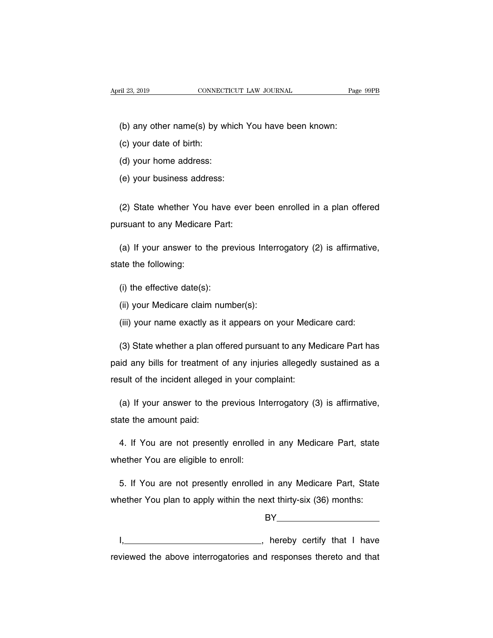(b) any other name(s) by which You have been known:<br>
(b) any other name(s) by which You have been known:<br>
(c) your date of birth: Filed 23, 2019<br>(b) any other name(s) by w<br>(c) your date of birth:<br>(d) your home address: (b) any other name(s) by whi<br>(c) your date of birth:<br>(d) your home address:<br>(e) your business address: (b) any other name(s) by which<br>(c) your date of birth:<br>(d) your home address:<br>(e) your business address:

- 
- 
- 

(c) your date of birth:<br>(d) your home address:<br>(e) your business address:<br>(2) State whether You have ever been enrolled in a plan offered<br>irsuant to any Medicare Part: (d) your home address:<br>
(e) your business address:<br>
(2) State whether You have ever<br>
pursuant to any Medicare Part:<br>
(e) If your appurer to the provisue (2) State whether You have ever been enrolled in a plan offered<br>in to any Medicare Part:<br>(a) If your answer to the previous Interrogatory (2) is affirmative,<br>ate the following: (2) State whether You<br>pursuant to any Medicar<br>(a) If your answer to<br>state the following:<br>(i) the effective data(a)

irsuant to any Medicare Part:<br>(a) If your answer to the pre<br>ate the following:<br>(i) the effective date(s):<br>(ii) your Medicare claim numl (a) If your answer to the previous Intern<br>ate the following:<br>(i) the effective date(s):<br>(ii) your Medicare claim number(s):<br>(iii) your name exactly as it appears on y (i) the effective date(s):<br>
(ii) your Medicare claim number(s):<br>
(iii) your name exactly as it appears on your Medicare card:<br>
(3) State whather a also effected pursuant to any Medicare Part bas

(i) the effective date(s):<br>
(ii) your Medicare claim number(s):<br>
(iii) your name exactly as it appears on your Medicare card:<br>
(3) State whether a plan offered pursuant to any Medicare Part has<br>
id any bills for treatment (ii) your Medicare claim number(s):<br>
(iii) your name exactly as it appears on your Medicare card:<br>
(3) State whether a plan offered pursuant to any Medicare Part has<br>
paid any bills for treatment of any injuries allegedly (iii) your name exactly as it appears on your Media<br>
(3) State whether a plan offered pursuant to any Media<br>
paid any bills for treatment of any injuries allegedly<br>
result of the incident alleged in your complaint:<br>
(a) I (3) State whether a plan offered pursuant to any Medicare Part has<br>id any bills for treatment of any injuries allegedly sustained as a<br>sult of the incident alleged in your complaint:<br>(a) If your answer to the previous Inte paid any bills for treatment<br>result of the incident alleged<br>(a) If your answer to the<br>state the amount paid:

(a) If your answer to the previous In<br>state the amount paid:<br>4. If You are not presently enrolled<br>whether You are eligible to enroll:<br>5. If You are not presently enrolled

sult of the incident alleged in your complaint:<br>
(a) If your answer to the previous Interrogatory (3) is affirmative,<br>
ate the amount paid:<br>
4. If You are not presently enrolled in any Medicare Part, state<br>
nether You are 4. If You are not presently enrolled in any Medicare Part, state<br>whether You are eligible to enroll:<br>5. If You are not presently enrolled in any Medicare Part, State<br>whether You plan to apply within the next thirty-six (36

ate the amount paid:<br>4. If You are not presently enrolled in any Medicare Part, state<br>nether You are not presently enrolled in any Medicare Part, State<br>nether You plan to apply within the next thirty-six (36) months:

BY

5. If You are not presently enrolled in any Medicare Part, State<br>
nether You plan to apply within the next thirty-six (36) months:<br>
BY<br>
I,<br>
Nereby certify that I have<br>
viewed the above interrogatories and responses thereto reviewed the above interrogatories and responses thereto and that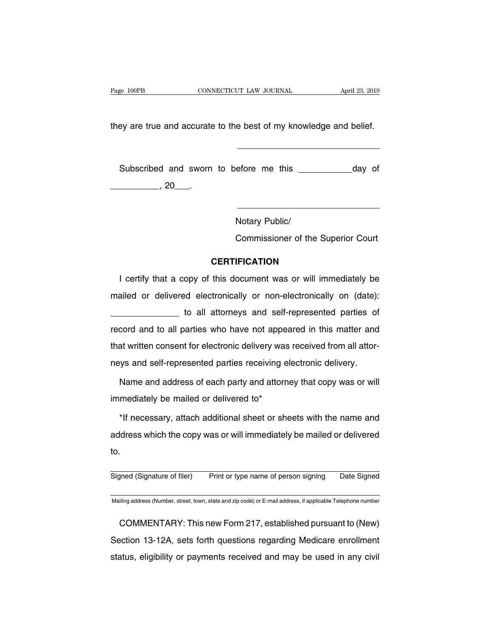Page 100PB CONNECTICUT LAW JOURNAL April 23, 2019<br>they are true and accurate to the best of my knowledge and belief.

Subscribed and sworn to before me this day of and accurate<br>d and sworn<br>, 20\_\_\_\_. efore me this <u>\_\_\_</u><br>Notary Public/<br>Commissioner of th Notary Public/<br>
Commissioner of the Superior Court<br>
IEICATION

### **CERTIFICATION**

Notary Public/<br>
Commissioner of the Superior Court<br> **CERTIFICATION**<br>
I certify that a copy of this document was or will immediately be<br>
ailed or delivered electronically or non-electronically on (date): COMMISSION COMMISSION<br>
CERTIFICATION<br>
I certify that a copy of this document was or will immediately be<br>
mailed or delivered electronically or non-electronically on (date):<br>
to all attorneys and self-represented parties of **CERTIFICATION**<br>opy of this document was or will immediately be<br>ed electronically or non-electronically on (date):<br>to all attorneys and self-represented parties of<br>arties who have not appeared in this matter and I certify that a copy of this document was or will immediately be<br>mailed or delivered electronically or non-electronically on (date):<br>to all attorneys and self-represented parties of<br>record and to all parties who have not I certify that a copy of this document was or will immediately be mailed or delivered electronically or non-electronically on (date):<br>  $\_\_\_\_\_\_$ to all attorneys and self-represented parties of record and to all parties who nalise of delivered electronically of heri electronically on (date).<br>
Let not a let the consent of all parties who have not appeared in this matter and<br>
that written consent for electronic delivery was received from all at nextranged and to all parties who have not appeared in this matter and<br>at written consent for electronic delivery was received from all attor-<br>ys and self-represented parties receiving electronic delivery.<br>Name and address that written consent for electronic delivery was neys and self-represented parties receiving elements and address of each party and attorne<br>immediately be mailed or delivered to\*<br>\*If necessary, attach additional sheet or s

by and self-represented parties receiving electronic delivery.<br>
Name and address of each party and attorney that copy was or will<br>
mediately be mailed or delivered to\*<br>
\*If necessary, attach additional sheet or sheets with Name and address of each party and attorney that copy was or will<br>immediately be mailed or delivered to\*<br>\*If necessary, attach additional sheet or sheets with the name and<br>address which the copy was or will immediately be to. address which the copy was or will immediately be mailed or delivered<br>to.<br>Signed (Signature of filer) Print or type name of person signing Date Signed

| Signed (Signature of filer) | Print or type name of person signing | Date Signed |
|-----------------------------|--------------------------------------|-------------|
|-----------------------------|--------------------------------------|-------------|

Mailing address (Number, street, town, state and zip code) or E-mail address, if applicable Telephone number

gined (Signature of filer) Print or type name of person signing Date Signed<br>
iling address (Number, street, town, state and zip code) or E-mail address, if applicable Telephone number<br>
COMMENTARY: This new Form 217, establ Signed (Signature of filer) Print or type name of person signing Date Signed<br>
Mailing address (Number, street, town, state and zip code) or E-mail address, if applicable Telephone number<br>
COMMENTARY: This new Form 217, est COMMENTARY: This new Form 217, established pursuant to (New)<br>Section 13-12A, sets forth questions regarding Medicare enrollment<br>status, eligibility or payments received and may be used in any civil